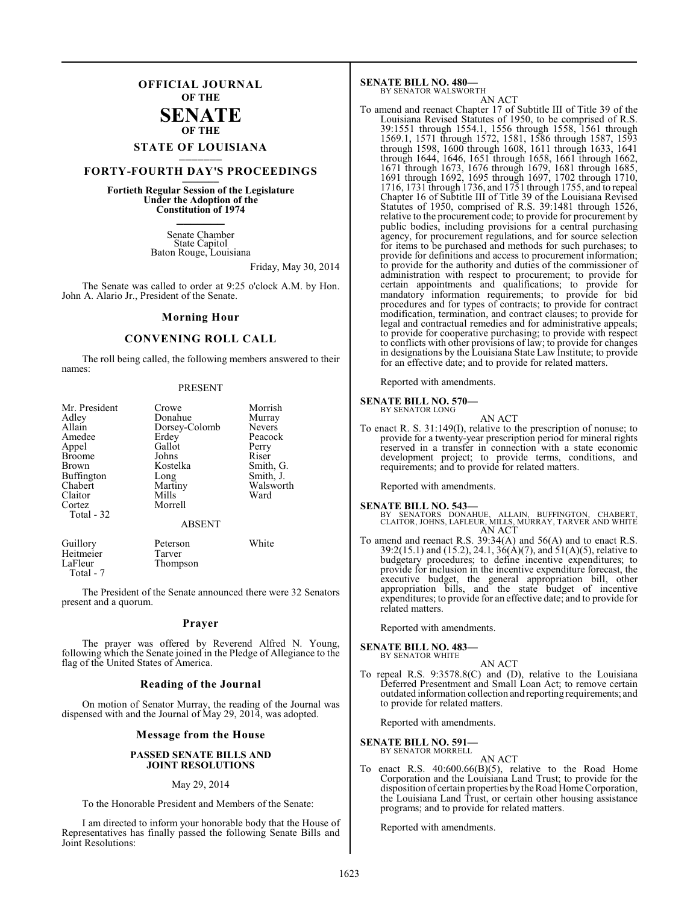### **OFFICIAL JOURNAL OF THE**

### **SENATE OF THE**

# **STATE OF LOUISIANA \_\_\_\_\_\_\_**

### **FORTY-FOURTH DAY'S PROCEEDINGS \_\_\_\_\_\_\_**

**Fortieth Regular Session of the Legislature Under the Adoption of the Constitution of 1974 \_\_\_\_\_\_\_**

> Senate Chamber State Capitol Baton Rouge, Louisiana

> > Friday, May 30, 2014

The Senate was called to order at 9:25 o'clock A.M. by Hon. John A. Alario Jr., President of the Senate.

#### **Morning Hour**

### **CONVENING ROLL CALL**

The roll being called, the following members answered to their names:

#### PRESENT

| Mr. President<br>Adley<br>Allain<br>Amedee<br>Appel<br><b>Broome</b><br>Brown<br><b>Buffington</b><br>Chabert<br>Claitor<br>Cortez<br>Total - 32 | Crowe<br>Donahue<br>Dorsey-Colomb<br>Erdey<br>Gallot<br>Johns<br>Kostelka<br>Long<br>Martiny<br>Mills<br>Morrell | Morrish<br>Murray<br><b>Nevers</b><br>Peacock<br>Perry<br>Riser<br>Smith, G.<br>Smith, J.<br>Walsworth<br>Ward |
|--------------------------------------------------------------------------------------------------------------------------------------------------|------------------------------------------------------------------------------------------------------------------|----------------------------------------------------------------------------------------------------------------|
|                                                                                                                                                  | <b>ABSENT</b>                                                                                                    |                                                                                                                |
| $ -$                                                                                                                                             |                                                                                                                  | $- - -$                                                                                                        |

| Guillory  | Peterson | White |
|-----------|----------|-------|
| Heitmeier | Tarver   |       |
| LaFleur   | Thompson |       |
| Total - 7 |          |       |

The President of the Senate announced there were 32 Senators present and a quorum.

#### **Prayer**

The prayer was offered by Reverend Alfred N. Young, following which the Senate joined in the Pledge of Allegiance to the flag of the United States of America.

#### **Reading of the Journal**

On motion of Senator Murray, the reading of the Journal was dispensed with and the Journal of May 29, 2014, was adopted.

#### **Message from the House**

#### **PASSED SENATE BILLS AND JOINT RESOLUTIONS**

#### May 29, 2014

To the Honorable President and Members of the Senate:

I am directed to inform your honorable body that the House of Representatives has finally passed the following Senate Bills and Joint Resolutions:

#### **SENATE BILL NO. 480—** BY SENATOR WALSWORTH

AN ACT To amend and reenact Chapter 17 of Subtitle III of Title 39 of the Louisiana Revised Statutes of 1950, to be comprised of R.S. 39:1551 through 1554.1, 1556 through 1558, 1561 through 1569.1, 1571 through 1572, 1581, 1586 through 1587, 1593 through 1598, 1600 through 1608, 1611 through 1633, 1641 through 1644, 1646, 1651 through 1658, 1661 through 1662, 1671 through 1673, 1676 through 1679, 1681 through 1685, 1691 through 1692, 1695 through 1697, 1702 through 1710, 1716, 1731 through 1736, and 1751 through 1755, and to repeal Chapter 16 of Subtitle III of Title 39 of the Louisiana Revised Statutes of 1950, comprised of R.S. 39:1481 through 1526, relative to the procurement code; to provide for procurement by public bodies, including provisions for a central purchasing agency, for procurement regulations, and for source selection for items to be purchased and methods for such purchases; to provide for definitions and access to procurement information; to provide for the authority and duties of the commissioner of administration with respect to procurement; to provide for certain appointments and qualifications; to provide for mandatory information requirements; to provide for bid procedures and for types of contracts; to provide for contract modification, termination, and contract clauses; to provide for legal and contractual remedies and for administrative appeals; to provide for cooperative purchasing; to provide with respect to conflicts with other provisions of law; to provide for changes in designations by the Louisiana State Law Institute; to provide for an effective date; and to provide for related matters.

Reported with amendments.

#### **SENATE BILL NO. 570—** BY SENATOR LONG

AN ACT

To enact R. S. 31:149(I), relative to the prescription of nonuse; to provide for a twenty-year prescription period for mineral rights reserved in a transfer in connection with a state economic development project; to provide terms, conditions, and requirements; and to provide for related matters.

Reported with amendments.

#### **SENATE BILL NO. 543—**

BY SENATORS DONAHUE, ALLAIN, BUFFINGTON, CHABERT, CLAITOR, JOHNS, LAFLEUR, MILLS, MURRAY, TARVER AND WHITE AN ACT

To amend and reenact R.S. 39:34(A) and 56(A) and to enact R.S. 39:2(15.1) and (15.2), 24.1, 36(A)(7), and 51(A)(5), relative to budgetary procedures; to define incentive expenditures; to provide for inclusion in the incentive expenditure forecast, the executive budget, the general appropriation bill, other appropriation bills, and the state budget of incentive expenditures; to provide for an effective date; and to provide for related matters.

Reported with amendments.

#### **SENATE BILL NO. 483—**

- BY SENATOR WHITE
- AN ACT To repeal R.S. 9:3578.8(C) and (D), relative to the Louisiana Deferred Presentment and Small Loan Act; to remove certain outdated information collection and reporting requirements; and to provide for related matters.

Reported with amendments.

### **SENATE BILL NO. 591—** BY SENATOR MORRELL

AN ACT

To enact R.S. 40:600.66(B)(5), relative to the Road Home Corporation and the Louisiana Land Trust; to provide for the disposition of certain properties by the Road Home Corporation, the Louisiana Land Trust, or certain other housing assistance programs; and to provide for related matters.

Reported with amendments.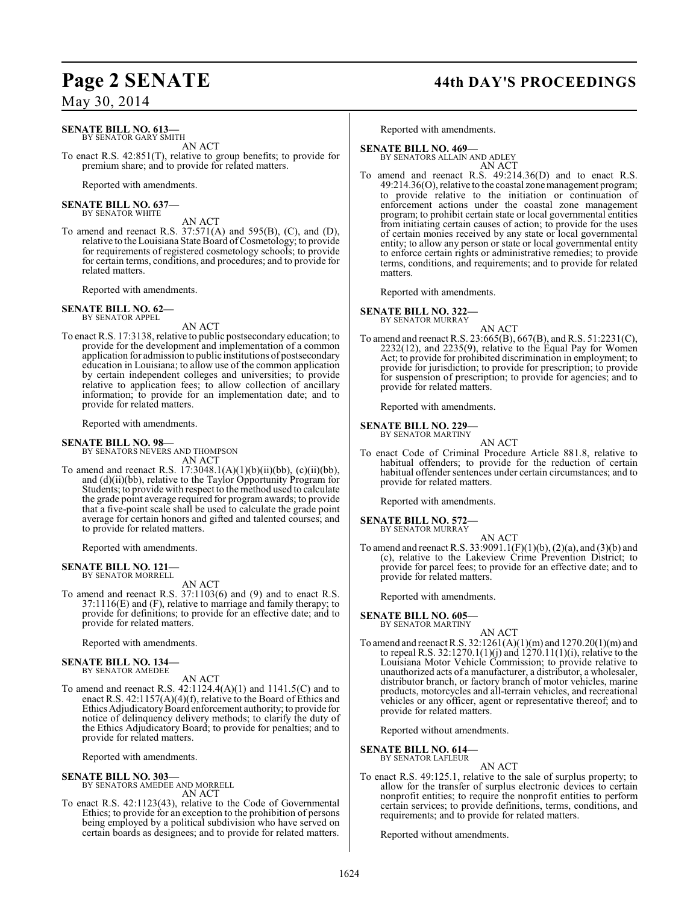#### **SENATE BILL NO. 613—** BY SENATOR GARY SMITH

AN ACT To enact R.S. 42:851(T), relative to group benefits; to provide for premium share; and to provide for related matters.

Reported with amendments.

#### **SENATE BILL NO. 637—** BY SENATOR WHITE

AN ACT

To amend and reenact R.S. 37:571(A) and 595(B), (C), and (D), relative to the Louisiana State Board of Cosmetology; to provide for requirements of registered cosmetology schools; to provide for certain terms, conditions, and procedures; and to provide for related matters.

Reported with amendments.

**SENATE BILL NO. 62—** BY SENATOR APPEL

AN ACT

To enact R.S. 17:3138, relative to public postsecondary education; to provide for the development and implementation of a common application for admission to public institutions of postsecondary education in Louisiana; to allow use of the common application by certain independent colleges and universities; to provide relative to application fees; to allow collection of ancillary information; to provide for an implementation date; and to provide for related matters.

Reported with amendments.

#### **SENATE BILL NO. 98—**

BY SENATORS NEVERS AND THOMPSON AN ACT

To amend and reenact R.S.  $17:3048.1(A)(1)(b)(ii)(bb)$ , (c)(ii)(bb), and (d)(ii)(bb), relative to the Taylor Opportunity Program for Students; to provide with respect to the method used to calculate the grade point average required for program awards; to provide that a five-point scale shall be used to calculate the grade point average for certain honors and gifted and talented courses; and to provide for related matters.

Reported with amendments.

# **SENATE BILL NO. 121—** BY SENATOR MORRELL

AN ACT

To amend and reenact R.S. 37:1103(6) and (9) and to enact R.S. 37:1116(E) and (F), relative to marriage and family therapy; to provide for definitions; to provide for an effective date; and to provide for related matters.

Reported with amendments.

#### **SENATE BILL NO. 134—**

BY SENATOR AMEDEE

AN ACT To amend and reenact R.S. 42:1124.4(A)(1) and 1141.5(C) and to enact R.S. 42:1157(A)(4)(f), relative to the Board of Ethics and Ethics Adjudicatory Board enforcement authority; to provide for notice of delinquency delivery methods; to clarify the duty of the Ethics Adjudicatory Board; to provide for penalties; and to provide for related matters.

Reported with amendments.

**SENATE BILL NO. 303—**

BY SENATORS AMEDEE AND MORRELL AN ACT

To enact R.S. 42:1123(43), relative to the Code of Governmental Ethics; to provide for an exception to the prohibition of persons being employed by a political subdivision who have served on certain boards as designees; and to provide for related matters.

### **Page 2 SENATE 44th DAY'S PROCEEDINGS**

Reported with amendments.

#### **SENATE BILL NO. 469—** BY SENATORS ALLAIN AND ADLEY

AN ACT

To amend and reenact R.S. 49:214.36(D) and to enact R.S. 49:214.36(O), relative to the coastal zone management program; to provide relative to the initiation or continuation of enforcement actions under the coastal zone management program; to prohibit certain state or local governmental entities from initiating certain causes of action; to provide for the uses of certain monies received by any state or local governmental entity; to allow any person or state or local governmental entity to enforce certain rights or administrative remedies; to provide terms, conditions, and requirements; and to provide for related matters.

Reported with amendments.

#### **SENATE BILL NO. 322—** BY SENATOR MURRAY

AN ACT To amend and reenact R.S. 23:665(B), 667(B), and R.S. 51:2231(C), 2232(12), and 2235(9), relative to the Equal Pay for Women Act; to provide for prohibited discrimination in employment; to provide for jurisdiction; to provide for prescription; to provide for suspension of prescription; to provide for agencies; and to provide for related matters.

Reported with amendments.

#### **SENATE BILL NO. 229—** BY SENATOR MARTINY

AN ACT To enact Code of Criminal Procedure Article 881.8, relative to habitual offenders; to provide for the reduction of certain habitual offender sentences under certain circumstances; and to provide for related matters.

Reported with amendments.

### **SENATE BILL NO. 572—**

BY SENATOR MURRAY AN ACT

To amend and reenact R.S. 33:9091.1(F)(1)(b), (2)(a), and (3)(b) and (c), relative to the Lakeview Crime Prevention District; to provide for parcel fees; to provide for an effective date; and to provide for related matters.

Reported with amendments.

# **SENATE BILL NO. 605—** BY SENATOR MARTINY

AN ACT To amend and reenact R.S. 32:1261(A)(1)(m) and 1270.20(1)(m) and to repeal R.S. 32:1270.1(1)(j) and 1270.11(1)(i), relative to the Louisiana Motor Vehicle Commission; to provide relative to unauthorized acts of a manufacturer, a distributor, a wholesaler, distributor branch, or factory branch of motor vehicles, marine products, motorcycles and all-terrain vehicles, and recreational vehicles or any officer, agent or representative thereof; and to provide for related matters.

Reported without amendments.

#### **SENATE BILL NO. 614—**

BY SENATOR LAFLEUR

AN ACT To enact R.S. 49:125.1, relative to the sale of surplus property; to allow for the transfer of surplus electronic devices to certain nonprofit entities; to require the nonprofit entities to perform certain services; to provide definitions, terms, conditions, and requirements; and to provide for related matters.

Reported without amendments.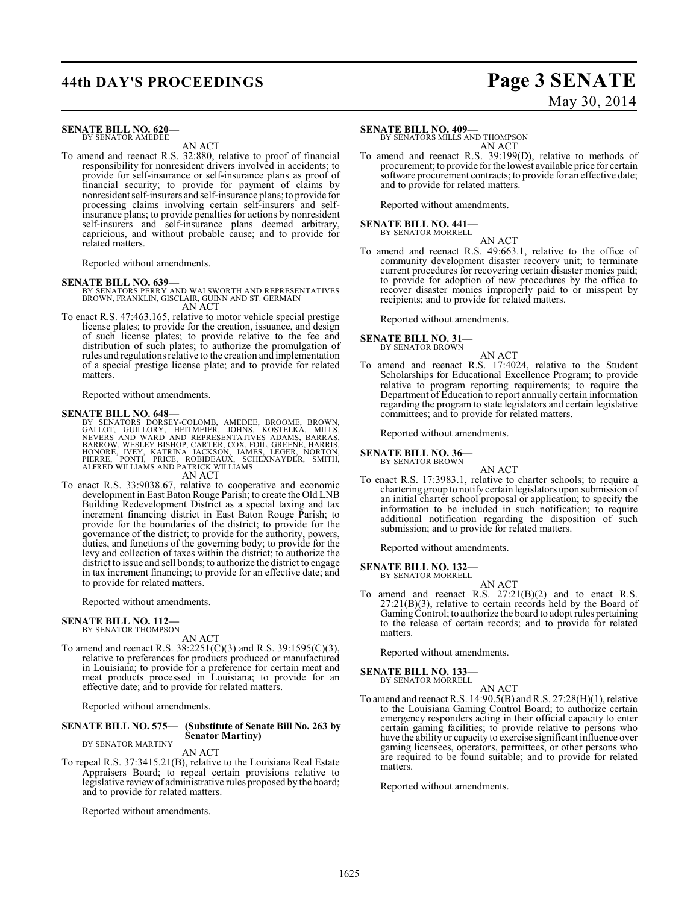# **44th DAY'S PROCEEDINGS Page 3 SENATE**

#### **SENATE BILL NO. 620—** BY SENATOR AMEDEE

AN ACT

To amend and reenact R.S. 32:880, relative to proof of financial responsibility for nonresident drivers involved in accidents; to provide for self-insurance or self-insurance plans as proof of financial security; to provide for payment of claims by nonresident self-insurers and self-insurance plans; to provide for processing claims involving certain self-insurers and selfinsurance plans; to provide penalties for actions by nonresident self-insurers and self-insurance plans deemed arbitrary, capricious, and without probable cause; and to provide for related matters.

Reported without amendments.

#### **SENATE BILL NO. 639—**

BY SENATORS PERRY AND WALSWORTH AND REPRESENTATIVES BROWN, FRANKLIN, GISCLAIR, GUINN AND ST. GERMAIN AN ACT

To enact R.S. 47:463.165, relative to motor vehicle special prestige license plates; to provide for the creation, issuance, and design of such license plates; to provide relative to the fee and distribution of such plates; to authorize the promulgation of rules and regulations relative to the creation and implementation of a special prestige license plate; and to provide for related matters.

Reported without amendments.

#### **SENATE BILL NO. 648—**

BY SENATORS DORSEY-COLOMB, AMEDEE, BROOME, BROWN,<br>GALLOT, GUILLORY, HEITMEIER, JOHNS, KOSTELKA, MILLS,<br>NEVERS AND WARD AND REPRESENTATIVES ADAMS, BARRAS,<br>BARROW, WESLEY BISHOP, CARTER, COX, FOIL, GREENE, HARRIS,<br>HONORE, IV AN ACT

To enact R.S. 33:9038.67, relative to cooperative and economic development in East Baton Rouge Parish; to create the Old LNB Building Redevelopment District as a special taxing and tax increment financing district in East Baton Rouge Parish; to provide for the boundaries of the district; to provide for the governance of the district; to provide for the authority, powers, duties, and functions of the governing body; to provide for the levy and collection of taxes within the district; to authorize the district to issue and sell bonds; to authorize the district to engage in tax increment financing; to provide for an effective date; and to provide for related matters.

Reported without amendments.

### **SENATE BILL NO. 112—**<br>BY SENATOR THOMPSON

AN ACT

To amend and reenact R.S. 38:2251(C)(3) and R.S. 39:1595(C)(3), relative to preferences for products produced or manufactured in Louisiana; to provide for a preference for certain meat and meat products processed in Louisiana; to provide for an effective date; and to provide for related matters.

Reported without amendments.

#### **SENATE BILL NO. 575— (Substitute of Senate Bill No. 263 by Senator Martiny)** BY SENATOR MARTINY

AN ACT

To repeal R.S. 37:3415.21(B), relative to the Louisiana Real Estate Appraisers Board; to repeal certain provisions relative to legislative review of administrative rules proposed by the board; and to provide for related matters.

Reported without amendments.

#### **SENATE BILL NO. 409—**

BY SENATORS MILLS AND THOMPSON AN ACT

To amend and reenact R.S. 39:199(D), relative to methods of procurement; to provide for the lowest available price for certain software procurement contracts; to provide for an effective date; and to provide for related matters.

Reported without amendments.

#### **SENATE BILL NO. 441—** BY SENATOR MORRELL

AN ACT

To amend and reenact R.S. 49:663.1, relative to the office of community development disaster recovery unit; to terminate current procedures for recovering certain disaster monies paid; to provide for adoption of new procedures by the office to recover disaster monies improperly paid to or misspent by recipients; and to provide for related matters.

Reported without amendments.

#### **SENATE BILL NO. 31—** BY SENATOR BROWN

AN ACT

To amend and reenact R.S. 17:4024, relative to the Student Scholarships for Educational Excellence Program; to provide relative to program reporting requirements; to require the Department of Education to report annually certain information regarding the program to state legislators and certain legislative committees; and to provide for related matters.

Reported without amendments.

**SENATE BILL NO. 36—** BY SENATOR BROWN

AN ACT

To enact R.S. 17:3983.1, relative to charter schools; to require a chartering group to notify certain legislators upon submission of an initial charter school proposal or application; to specify the information to be included in such notification; to require additional notification regarding the disposition of such submission; and to provide for related matters.

Reported without amendments.

**SENATE BILL NO. 132—** BY SENATOR MORRELL

- AN ACT
- To amend and reenact R.S.  $27:21(B)(2)$  and to enact R.S.  $27:21(B)(3)$ , relative to certain records held by the Board of Gaming Control; to authorize the board to adopt rules pertaining to the release of certain records; and to provide for related matters.

Reported without amendments.

#### **SENATE BILL NO. 133—** BY SENATOR MORRELL

AN ACT

To amend and reenact R.S.  $14:90.5(B)$  and R.S.  $27:28(H)(1)$ , relative to the Louisiana Gaming Control Board; to authorize certain emergency responders acting in their official capacity to enter certain gaming facilities; to provide relative to persons who have the ability or capacity to exercise significant influence over gaming licensees, operators, permittees, or other persons who are required to be found suitable; and to provide for related matters.

Reported without amendments.

# May 30, 2014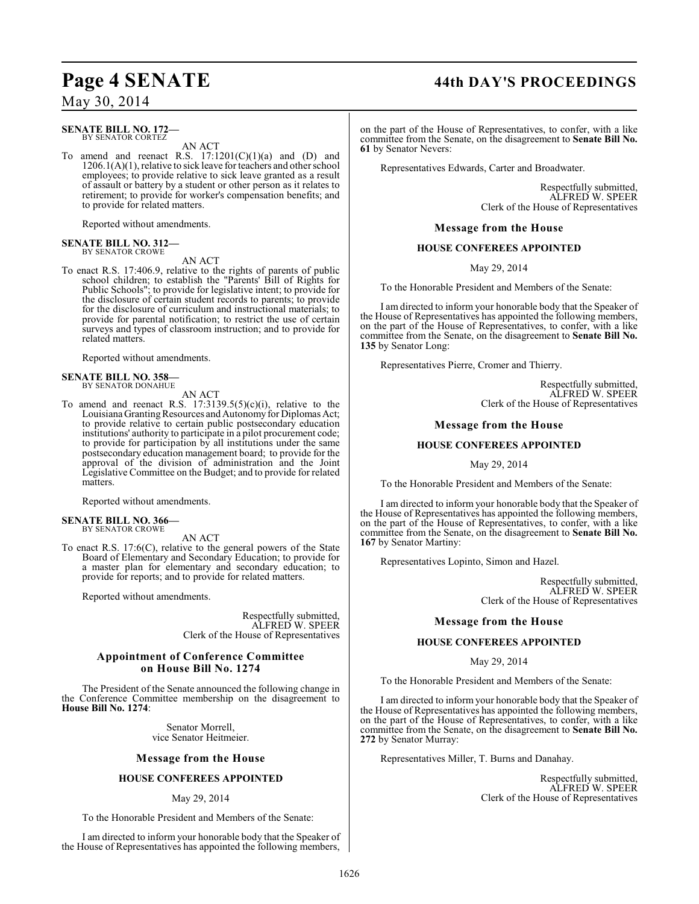#### **SENATE BILL NO. 172—** BY SENATOR CORTEZ

AN ACT

To amend and reenact R.S.  $17:1201(C)(1)(a)$  and  $(D)$  and 1206.1(A)(1), relative to sick leave for teachers and other school employees; to provide relative to sick leave granted as a result of assault or battery by a student or other person as it relates to retirement; to provide for worker's compensation benefits; and to provide for related matters.

Reported without amendments.

#### **SENATE BILL NO. 312—** BY SENATOR CROWE

AN ACT

To enact R.S. 17:406.9, relative to the rights of parents of public school children; to establish the "Parents' Bill of Rights for Public Schools"; to provide for legislative intent; to provide for the disclosure of certain student records to parents; to provide for the disclosure of curriculum and instructional materials; to provide for parental notification; to restrict the use of certain surveys and types of classroom instruction; and to provide for related matters.

Reported without amendments.

#### **SENATE BILL NO. 358—** BY SENATOR DONAHUE

AN ACT

To amend and reenact R.S.  $17:3139.5(5)(c)(i)$ , relative to the Louisiana Granting Resources and Autonomy for Diplomas Act; to provide relative to certain public postsecondary education institutions' authority to participate in a pilot procurement code; to provide for participation by all institutions under the same postsecondary education management board; to provide for the approval of the division of administration and the Joint Legislative Committee on the Budget; and to provide for related matters.

Reported without amendments.

#### **SENATE BILL NO. 366—** BY SENATOR CROWE

AN ACT

To enact R.S. 17:6(C), relative to the general powers of the State Board of Elementary and Secondary Education; to provide for a master plan for elementary and secondary education; to provide for reports; and to provide for related matters.

Reported without amendments.

Respectfully submitted, ALFRED W. SPEER Clerk of the House of Representatives

#### **Appointment of Conference Committee on House Bill No. 1274**

The President of the Senate announced the following change in the Conference Committee membership on the disagreement to **House Bill No. 1274**:

> Senator Morrell, vice Senator Heitmeier.

#### **Message from the House**

#### **HOUSE CONFEREES APPOINTED**

#### May 29, 2014

To the Honorable President and Members of the Senate:

I am directed to inform your honorable body that the Speaker of the House of Representatives has appointed the following members,

# **Page 4 SENATE 44th DAY'S PROCEEDINGS**

on the part of the House of Representatives, to confer, with a like committee from the Senate, on the disagreement to **Senate Bill No. 61** by Senator Nevers:

Representatives Edwards, Carter and Broadwater.

Respectfully submitted, ALFRED W. SPEER Clerk of the House of Representatives

**Message from the House**

#### **HOUSE CONFEREES APPOINTED**

May 29, 2014

To the Honorable President and Members of the Senate:

I am directed to inform your honorable body that the Speaker of the House of Representatives has appointed the following members, on the part of the House of Representatives, to confer, with a like committee from the Senate, on the disagreement to **Senate Bill No. 135** by Senator Long:

Representatives Pierre, Cromer and Thierry.

Respectfully submitted, ALFRED W. SPEER Clerk of the House of Representatives

#### **Message from the House**

#### **HOUSE CONFEREES APPOINTED**

May 29, 2014

To the Honorable President and Members of the Senate:

I am directed to inform your honorable body that the Speaker of the House of Representatives has appointed the following members, on the part of the House of Representatives, to confer, with a like committee from the Senate, on the disagreement to **Senate Bill No. 167** by Senator Martiny:

Representatives Lopinto, Simon and Hazel.

Respectfully submitted, ALFRED W. SPEER Clerk of the House of Representatives

#### **Message from the House**

#### **HOUSE CONFEREES APPOINTED**

May 29, 2014

To the Honorable President and Members of the Senate:

I am directed to inform your honorable body that the Speaker of the House of Representatives has appointed the following members, on the part of the House of Representatives, to confer, with a like committee from the Senate, on the disagreement to **Senate Bill No. 272** by Senator Murray:

Representatives Miller, T. Burns and Danahay.

Respectfully submitted, ALFRED W. SPEER Clerk of the House of Representatives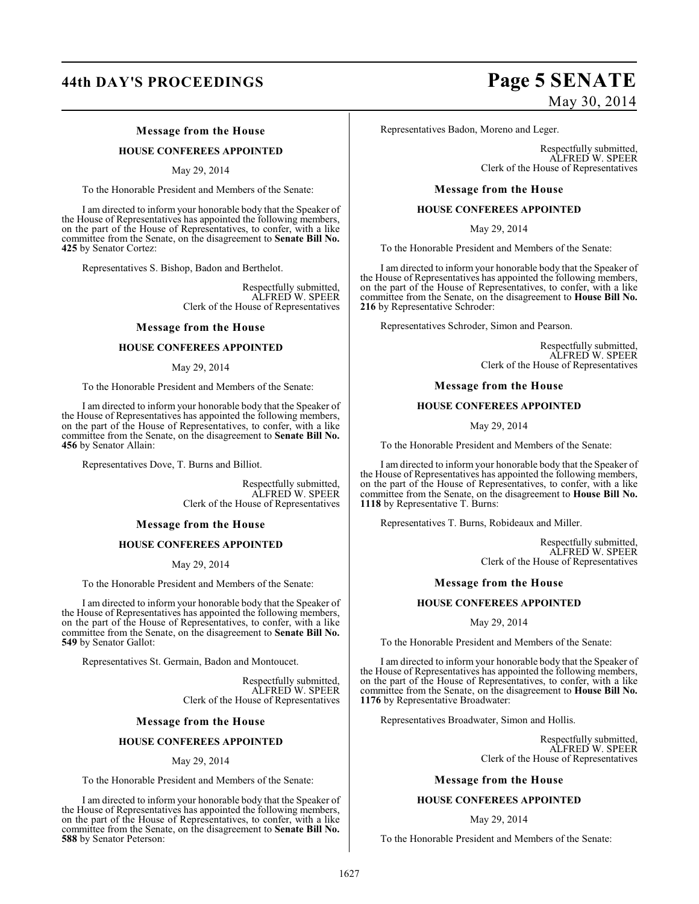# **44th DAY'S PROCEEDINGS Page 5 SENATE**

### **Message from the House**

#### **HOUSE CONFEREES APPOINTED**

May 29, 2014

To the Honorable President and Members of the Senate:

I am directed to inform your honorable body that the Speaker of the House of Representatives has appointed the following members, on the part of the House of Representatives, to confer, with a like committee from the Senate, on the disagreement to **Senate Bill No. 425** by Senator Cortez:

Representatives S. Bishop, Badon and Berthelot.

Respectfully submitted, ALFRED W. SPEER Clerk of the House of Representatives

#### **Message from the House**

#### **HOUSE CONFEREES APPOINTED**

#### May 29, 2014

To the Honorable President and Members of the Senate:

I am directed to inform your honorable body that the Speaker of the House of Representatives has appointed the following members, on the part of the House of Representatives, to confer, with a like committee from the Senate, on the disagreement to **Senate Bill No. 456** by Senator Allain:

Representatives Dove, T. Burns and Billiot.

Respectfully submitted, ALFRED W. SPEER Clerk of the House of Representatives

#### **Message from the House**

#### **HOUSE CONFEREES APPOINTED**

May 29, 2014

To the Honorable President and Members of the Senate:

I am directed to inform your honorable body that the Speaker of the House of Representatives has appointed the following members, on the part of the House of Representatives, to confer, with a like committee from the Senate, on the disagreement to **Senate Bill No. 549** by Senator Gallot:

Representatives St. Germain, Badon and Montoucet.

Respectfully submitted, ALFRED W. SPEER Clerk of the House of Representatives

#### **Message from the House**

#### **HOUSE CONFEREES APPOINTED**

#### May 29, 2014

To the Honorable President and Members of the Senate:

I am directed to inform your honorable body that the Speaker of the House of Representatives has appointed the following members, on the part of the House of Representatives, to confer, with a like committee from the Senate, on the disagreement to **Senate Bill No. 588** by Senator Peterson:

# May 30, 2014

Representatives Badon, Moreno and Leger.

Respectfully submitted, ALFRED W. SPEER Clerk of the House of Representatives

#### **Message from the House**

#### **HOUSE CONFEREES APPOINTED**

May 29, 2014

To the Honorable President and Members of the Senate:

I am directed to inform your honorable body that the Speaker of the House of Representatives has appointed the following members, on the part of the House of Representatives, to confer, with a like committee from the Senate, on the disagreement to **House Bill No. 216** by Representative Schroder:

Representatives Schroder, Simon and Pearson.

Respectfully submitted, ALFRED W. SPEER Clerk of the House of Representatives

#### **Message from the House**

#### **HOUSE CONFEREES APPOINTED**

May 29, 2014

To the Honorable President and Members of the Senate:

I am directed to inform your honorable body that the Speaker of the House of Representatives has appointed the following members, on the part of the House of Representatives, to confer, with a like committee from the Senate, on the disagreement to **House Bill No. 1118** by Representative T. Burns:

Representatives T. Burns, Robideaux and Miller.

Respectfully submitted, ALFRED W. SPEER Clerk of the House of Representatives

#### **Message from the House**

#### **HOUSE CONFEREES APPOINTED**

May 29, 2014

To the Honorable President and Members of the Senate:

I am directed to inform your honorable body that the Speaker of the House of Representatives has appointed the following members, on the part of the House of Representatives, to confer, with a like committee from the Senate, on the disagreement to **House Bill No. 1176** by Representative Broadwater:

Representatives Broadwater, Simon and Hollis.

Respectfully submitted, ALFRED W. SPEER Clerk of the House of Representatives

#### **Message from the House**

#### **HOUSE CONFEREES APPOINTED**

#### May 29, 2014

To the Honorable President and Members of the Senate: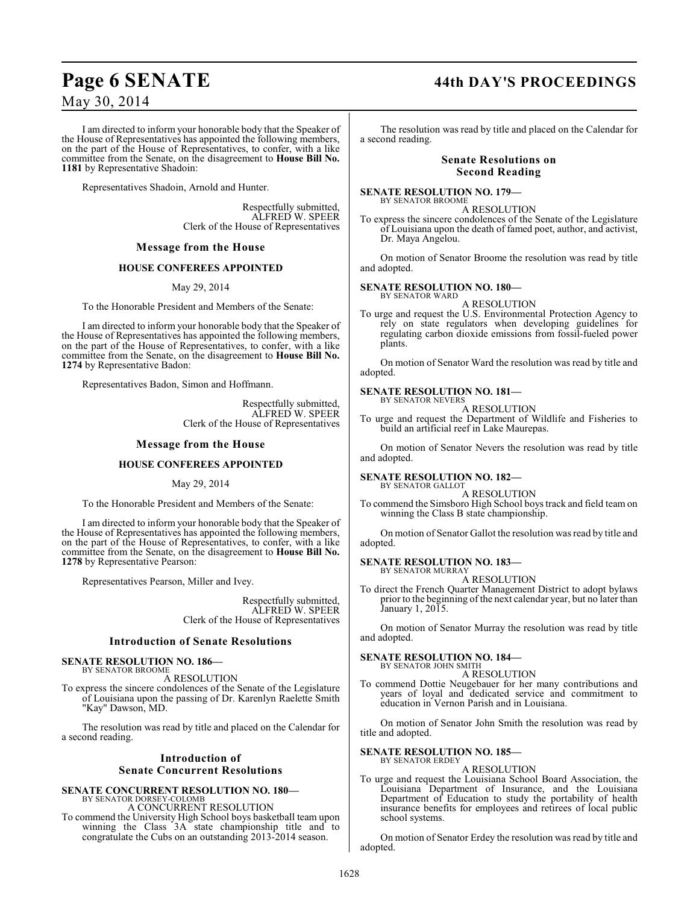I am directed to inform your honorable body that the Speaker of the House of Representatives has appointed the following members, on the part of the House of Representatives, to confer, with a like committee from the Senate, on the disagreement to **House Bill No. 1181** by Representative Shadoin:

Representatives Shadoin, Arnold and Hunter.

Respectfully submitted, ALFRED W. SPEER Clerk of the House of Representatives

#### **Message from the House**

#### **HOUSE CONFEREES APPOINTED**

May 29, 2014

To the Honorable President and Members of the Senate:

I am directed to inform your honorable body that the Speaker of the House of Representatives has appointed the following members, on the part of the House of Representatives, to confer, with a like committee from the Senate, on the disagreement to **House Bill No. 1274** by Representative Badon:

Representatives Badon, Simon and Hoffmann.

Respectfully submitted, ALFRED W. SPEER Clerk of the House of Representatives

#### **Message from the House**

#### **HOUSE CONFEREES APPOINTED**

#### May 29, 2014

To the Honorable President and Members of the Senate:

I am directed to inform your honorable body that the Speaker of the House of Representatives has appointed the following members, on the part of the House of Representatives, to confer, with a like committee from the Senate, on the disagreement to **House Bill No. 1278** by Representative Pearson:

Representatives Pearson, Miller and Ivey.

Respectfully submitted, ALFRED W. SPEER Clerk of the House of Representatives

#### **Introduction of Senate Resolutions**

#### **SENATE RESOLUTION NO. 186—** BY SENATOR BROOME

A RESOLUTION

To express the sincere condolences of the Senate of the Legislature of Louisiana upon the passing of Dr. Karenlyn Raelette Smith "Kay" Dawson, MD.

The resolution was read by title and placed on the Calendar for a second reading.

#### **Introduction of Senate Concurrent Resolutions**

# **SENATE CONCURRENT RESOLUTION NO. 180—** BY SENATOR DORSEY-COLOMB

A CONCURRENT RESOLUTION

To commend the University High School boys basketball team upon winning the Class 3A state championship title and to congratulate the Cubs on an outstanding 2013-2014 season.

## **Page 6 SENATE 44th DAY'S PROCEEDINGS**

The resolution was read by title and placed on the Calendar for a second reading.

#### **Senate Resolutions on Second Reading**

**SENATE RESOLUTION NO. 179—** BY SENATOR BROOME

A RESOLUTION

To express the sincere condolences of the Senate of the Legislature of Louisiana upon the death of famed poet, author, and activist, Dr. Maya Angelou.

On motion of Senator Broome the resolution was read by title and adopted.

**SENATE RESOLUTION NO. 180—** BY SENATOR WARD

A RESOLUTION

To urge and request the U.S. Environmental Protection Agency to rely on state regulators when developing guidelines for regulating carbon dioxide emissions from fossil-fueled power plants.

On motion of Senator Ward the resolution was read by title and adopted.

#### **SENATE RESOLUTION NO. 181—** BY SENATOR NEVERS

A RESOLUTION

To urge and request the Department of Wildlife and Fisheries to build an artificial reef in Lake Maurepas.

On motion of Senator Nevers the resolution was read by title and adopted.

#### **SENATE RESOLUTION NO. 182—** BY SENATOR GALLOT

A RESOLUTION

To commend the Simsboro High School boys track and field team on winning the Class B state championship.

On motion of Senator Gallot the resolution was read by title and adopted.

#### **SENATE RESOLUTION NO. 183—**

BY SENATOR MURRAY A RESOLUTION

To direct the French Quarter Management District to adopt bylaws prior to the beginning of the next calendar year, but no later than January 1, 2015.

On motion of Senator Murray the resolution was read by title and adopted.

#### **SENATE RESOLUTION NO. 184—**

BY SENATOR JOHN SMITH A RESOLUTION

To commend Dottie Neugebauer for her many contributions and years of loyal and dedicated service and commitment to education in Vernon Parish and in Louisiana.

On motion of Senator John Smith the resolution was read by title and adopted.

#### **SENATE RESOLUTION NO. 185—** BY SENATOR ERDEY

A RESOLUTION

To urge and request the Louisiana School Board Association, the Louisiana Department of Insurance, and the Louisiana Department of Education to study the portability of health insurance benefits for employees and retirees of local public school systems.

On motion of Senator Erdey the resolution was read by title and adopted.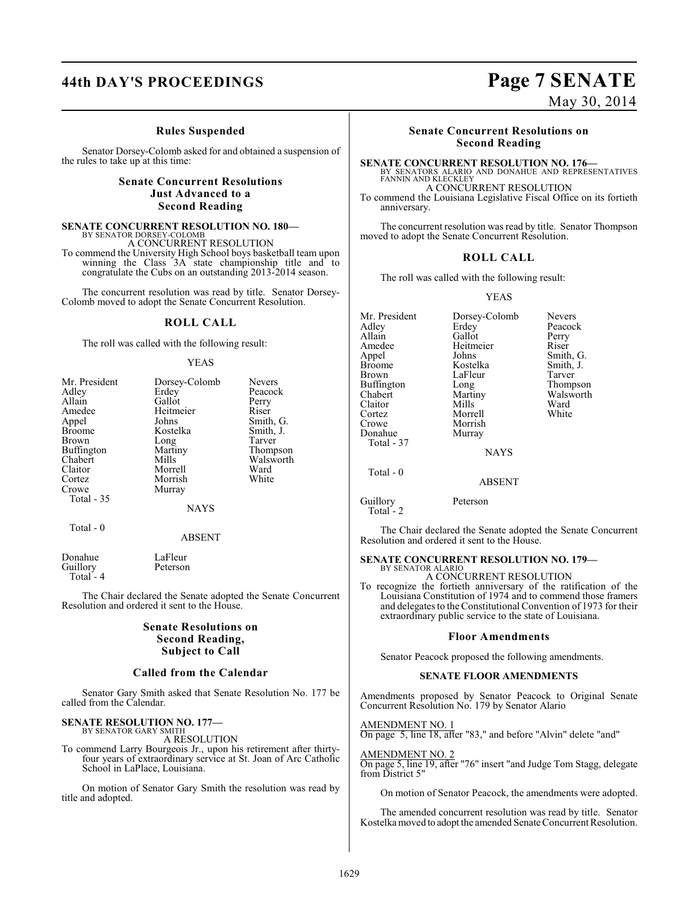# **44th DAY'S PROCEEDINGS Page 7 SENATE**

#### **Rules Suspended**

Senator Dorsey-Colomb asked for and obtained a suspension of the rules to take up at this time:

### **Senate Concurrent Resolutions Just Advanced to a Second Reading**

# **SENATE CONCURRENT RESOLUTION NO. 180—**<br>BY SENATOR DORSEY-COLOMB<br>A CONCURRENT RESOLUTION

To commend the University High School boys basketball team upon winning the Class 3A state championship title and to congratulate the Cubs on an outstanding 2013-2014 season.

The concurrent resolution was read by title. Senator Dorsey-Colomb moved to adopt the Senate Concurrent Resolution.

#### **ROLL CALL**

The roll was called with the following result:

#### YEAS

| Mr. President<br>Adley<br>Allain<br>Amedee<br>Appel<br><b>Broome</b> | Dorsey-Colomb<br>Erdey<br>Gallot<br>Heitmeier<br>Johns<br>Kostelka | <b>Nevers</b><br>Peacock<br>Perry<br>Riser<br>Smith, G.<br>Smith, J. |
|----------------------------------------------------------------------|--------------------------------------------------------------------|----------------------------------------------------------------------|
| Brown<br>Buffington<br>Chabert<br>Claitor<br>Cortez<br>Crowe         | Long<br>Martiny<br>Mills<br>Morrell<br>Morrish<br>Murray           | Tarver<br>Thompson<br>Walsworth<br>Ward<br>White                     |
| <b>Total - 35</b><br>Total - 0                                       | <b>NAYS</b>                                                        |                                                                      |
|                                                                      | ABSENT                                                             |                                                                      |

Donahue LaFleur<br>Guillory Peterson Guillory Total - 4

The Chair declared the Senate adopted the Senate Concurrent Resolution and ordered it sent to the House.

### **Senate Resolutions on Second Reading, Subject to Call**

#### **Called from the Calendar**

Senator Gary Smith asked that Senate Resolution No. 177 be called from the Calendar.

#### **SENATE RESOLUTION NO. 177—** BY SENATOR GARY SMITH

A RESOLUTION

To commend Larry Bourgeois Jr., upon his retirement after thirtyfour years of extraordinary service at St. Joan of Arc Catholic School in LaPlace, Louisiana.

On motion of Senator Gary Smith the resolution was read by title and adopted.

# **Senate Concurrent Resolutions on**

**Second Reading**

**SENATE CONCURRENT RESOLUTION NO. 176—**<br>BY SENATORS ALARIO AND DONAHUE AND REPRESENTATIVES<br>FANNIN AND KLECKLEY

A CONCURRENT RESOLUTION

To commend the Louisiana Legislative Fiscal Office on its fortieth anniversary.

The concurrent resolution was read by title. Senator Thompson moved to adopt the Senate Concurrent Resolution.

#### **ROLL CALL**

The roll was called with the following result:

#### YEAS

| Mr. President     | Dorsey-Colomb<br><b>Nevers</b> |           |  |  |
|-------------------|--------------------------------|-----------|--|--|
| Adley             | Erdey                          | Peacock   |  |  |
| Allain            | Gallot<br>Perry                |           |  |  |
| Amedee            | Heitmeier                      | Riser     |  |  |
| Appel             | Johns                          | Smith, G. |  |  |
| <b>Broome</b>     | Kostelka                       | Smith, J. |  |  |
| Brown             | LaFleur                        | Tarver    |  |  |
| <b>Buffington</b> | Long                           | Thompson  |  |  |
| Chabert           | Martiny                        | Walsworth |  |  |
| Claitor           | Mills                          | Ward      |  |  |
| Cortez            | Morrell                        | White     |  |  |
| Crowe             | Morrish                        |           |  |  |
| Donahue           | Murray                         |           |  |  |
| Total - 37        |                                |           |  |  |
|                   | <b>NAYS</b>                    |           |  |  |
| Total - 0         |                                |           |  |  |
|                   | <b>ABSENT</b>                  |           |  |  |
| Guillory          | Peterson                       |           |  |  |

Total<sup>-</sup>2 The Chair declared the Senate adopted the Senate Concurrent Resolution and ordered it sent to the House.

#### **SENATE CONCURRENT RESOLUTION NO. 179—** BY SENATOR ALARIO

A CONCURRENT RESOLUTION

To recognize the fortieth anniversary of the ratification of the Louisiana Constitution of 1974 and to commend those framers and delegates to the Constitutional Convention of 1973 for their extraordinary public service to the state of Louisiana.

#### **Floor Amendments**

Senator Peacock proposed the following amendments.

#### **SENATE FLOOR AMENDMENTS**

Amendments proposed by Senator Peacock to Original Senate Concurrent Resolution No. 179 by Senator Alario

AMENDMENT NO. 1 On page 5, line 18, after "83," and before "Alvin" delete "and"

AMENDMENT NO. 2

On page 5, line 19, after "76" insert "and Judge Tom Stagg, delegate from District 5"

On motion of Senator Peacock, the amendments were adopted.

The amended concurrent resolution was read by title. Senator Kostelka moved to adopt the amended Senate Concurrent Resolution.

# May 30, 2014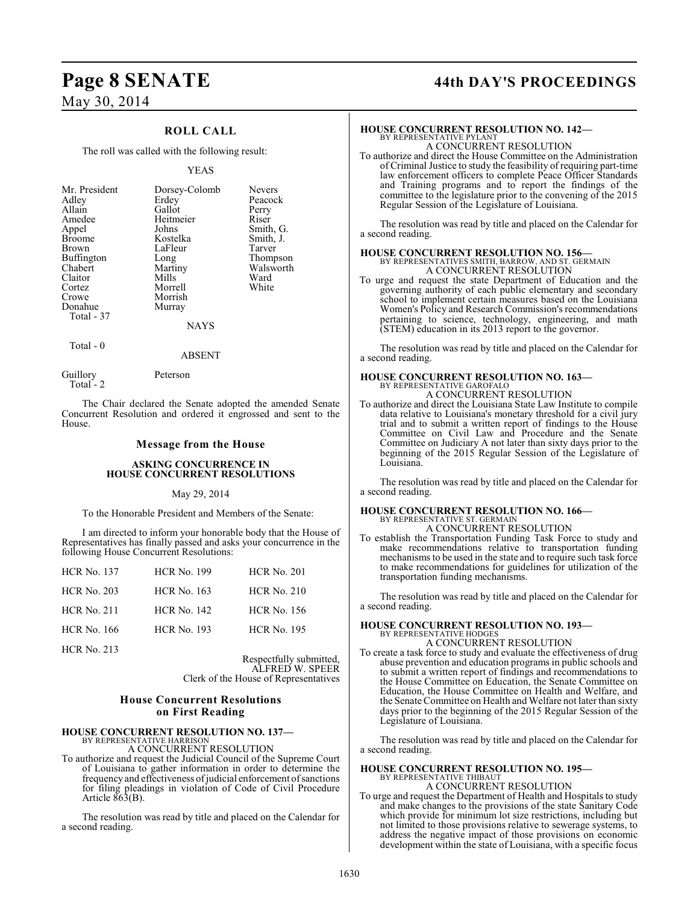### **ROLL CALL**

The roll was called with the following result:

#### YEAS

| Mr. President<br>Adley<br>Allain<br>Amedee<br>Appel<br><b>Broome</b><br><b>Brown</b><br><b>Buffington</b><br>Chabert<br>Claitor<br>Cortez<br>Crowe<br>Donahue<br>Total - 37 | Dorsey-Colomb<br>Erdey<br>Gallot<br>Heitmeier<br>Johns<br>Kostelka<br>LaFleur<br>Long<br>Martiny<br>Mills<br>Morrell<br>Morrish<br>Murray | <b>Nevers</b><br>Peacock<br>Perry<br>Riser<br>Smith, G.<br>Smith, J.<br>Tarver<br>Thompson<br>Walsworth<br>Ward<br>White |
|-----------------------------------------------------------------------------------------------------------------------------------------------------------------------------|-------------------------------------------------------------------------------------------------------------------------------------------|--------------------------------------------------------------------------------------------------------------------------|
|                                                                                                                                                                             | <b>NAYS</b>                                                                                                                               |                                                                                                                          |

Total - 0

Total - 2

Guillory Peterson

The Chair declared the Senate adopted the amended Senate Concurrent Resolution and ordered it engrossed and sent to the House.

ABSENT

#### **Message from the House**

#### **ASKING CONCURRENCE IN HOUSE CONCURRENT RESOLUTIONS**

#### May 29, 2014

To the Honorable President and Members of the Senate:

I am directed to inform your honorable body that the House of Representatives has finally passed and asks your concurrence in the following House Concurrent Resolutions:

| <b>HCR No. 137</b> | <b>HCR No. 199</b> | <b>HCR No. 201</b> |
|--------------------|--------------------|--------------------|
| <b>HCR No. 203</b> | <b>HCR No. 163</b> | <b>HCR No. 210</b> |
| <b>HCR No. 211</b> | <b>HCR No. 142</b> | <b>HCR</b> No. 156 |
| <b>HCR</b> No. 166 | <b>HCR No. 193</b> | <b>HCR No. 195</b> |
| <b>HCR No. 213</b> |                    |                    |

Respectfully submitted, ALFRED W. SPEER Clerk of the House of Representatives

#### **House Concurrent Resolutions on First Reading**

### **HOUSE CONCURRENT RESOLUTION NO. 137—**

BY REPRESENTATIVE HARRISON A CONCURRENT RESOLUTION

To authorize and request the Judicial Council of the Supreme Court of Louisiana to gather information in order to determine the frequency and effectiveness of judicial enforcement of sanctions for filing pleadings in violation of Code of Civil Procedure Article  $\overline{863}$ (B).

The resolution was read by title and placed on the Calendar for a second reading.

# **Page 8 SENATE 44th DAY'S PROCEEDINGS**

### **HOUSE CONCURRENT RESOLUTION NO. 142—**

BY REPRESENTATIVE PYLANT A CONCURRENT RESOLUTION

To authorize and direct the House Committee on the Administration of Criminal Justice to study the feasibility of requiring part-time law enforcement officers to complete Peace Officer Standards and Training programs and to report the findings of the committee to the legislature prior to the convening of the 2015 Regular Session of the Legislature of Louisiana.

The resolution was read by title and placed on the Calendar for a second reading.

# **HOUSE CONCURRENT RESOLUTION NO. 156—** BY REPRESENTATIVES SMITH, BARROW, AND ST. GERMAIN

A CONCURRENT RESOLUTION

To urge and request the state Department of Education and the governing authority of each public elementary and secondary school to implement certain measures based on the Louisiana Women's Policy and Research Commission's recommendations pertaining to science, technology, engineering, and math (STEM) education in its 2013 report to the governor.

The resolution was read by title and placed on the Calendar for a second reading.

# **HOUSE CONCURRENT RESOLUTION NO. 163—** BY REPRESENTATIVE GAROFALO

A CONCURRENT RESOLUTION

To authorize and direct the Louisiana State Law Institute to compile data relative to Louisiana's monetary threshold for a civil jury trial and to submit a written report of findings to the House Committee on Civil Law and Procedure and the Senate Committee on Judiciary A not later than sixty days prior to the beginning of the 2015 Regular Session of the Legislature of Louisiana.

The resolution was read by title and placed on the Calendar for a second reading.

#### **HOUSE CONCURRENT RESOLUTION NO. 166—**

BY REPRESENTATIVE ST. GERMAIN A CONCURRENT RESOLUTION

To establish the Transportation Funding Task Force to study and make recommendations relative to transportation funding mechanisms to be used in the state and to require such task force to make recommendations for guidelines for utilization of the transportation funding mechanisms.

The resolution was read by title and placed on the Calendar for a second reading.

### **HOUSE CONCURRENT RESOLUTION NO. 193—** BY REPRESENTATIVE HODGES A CONCURRENT RESOLUTION

To create a task force to study and evaluate the effectiveness of drug abuse prevention and education programs in public schools and to submit a written report of findings and recommendations to the House Committee on Education, the Senate Committee on Education, the House Committee on Health and Welfare, and the Senate Committee on Health and Welfare not later than sixty days prior to the beginning of the 2015 Regular Session of the Legislature of Louisiana.

The resolution was read by title and placed on the Calendar for a second reading.

# **HOUSE CONCURRENT RESOLUTION NO. 195—**<br>BY REPRESENTATIVE THIBAUT<br>A CONCURRENT RESOLUTION

To urge and request the Department of Health and Hospitals to study and make changes to the provisions of the state Sanitary Code which provide for minimum lot size restrictions, including but not limited to those provisions relative to sewerage systems, to address the negative impact of those provisions on economic development within the state of Louisiana, with a specific focus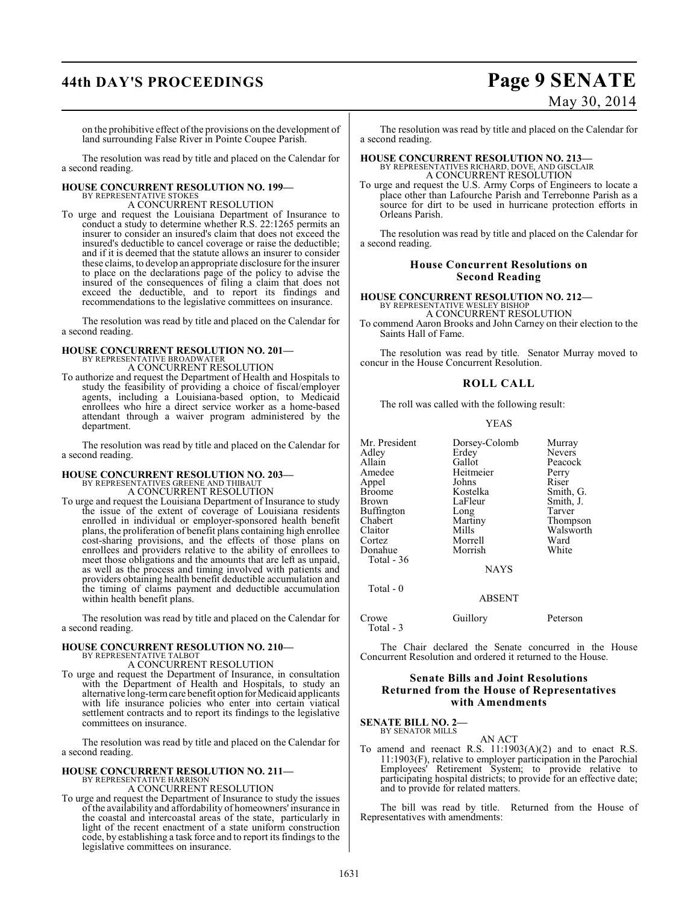# **44th DAY'S PROCEEDINGS Page 9 SENATE**

# May 30, 2014

on the prohibitive effect of the provisions on the development of land surrounding False River in Pointe Coupee Parish.

The resolution was read by title and placed on the Calendar for a second reading.

#### **HOUSE CONCURRENT RESOLUTION NO. 199—** BY REPRESENTATIVE STOKES

A CONCURRENT RESOLUTION

To urge and request the Louisiana Department of Insurance to conduct a study to determine whether R.S. 22:1265 permits an insurer to consider an insured's claim that does not exceed the insured's deductible to cancel coverage or raise the deductible; and if it is deemed that the statute allows an insurer to consider these claims, to develop an appropriate disclosure for the insurer to place on the declarations page of the policy to advise the insured of the consequences of filing a claim that does not exceed the deductible, and to report its findings and recommendations to the legislative committees on insurance.

The resolution was read by title and placed on the Calendar for a second reading.

# **HOUSE CONCURRENT RESOLUTION NO. 201—** BY REPRESENTATIVE BROADWATER

A CONCURRENT RESOLUTION

To authorize and request the Department of Health and Hospitals to study the feasibility of providing a choice of fiscal/employer agents, including a Louisiana-based option, to Medicaid enrollees who hire a direct service worker as a home-based attendant through a waiver program administered by the department.

The resolution was read by title and placed on the Calendar for a second reading.

### **HOUSE CONCURRENT RESOLUTION NO. 203—**

BY REPRESENTATIVES GREENE AND THIBAUT A CONCURRENT RESOLUTION

To urge and request the Louisiana Department of Insurance to study the issue of the extent of coverage of Louisiana residents enrolled in individual or employer-sponsored health benefit plans, the proliferation of benefit plans containing high enrollee cost-sharing provisions, and the effects of those plans on enrollees and providers relative to the ability of enrollees to meet those obligations and the amounts that are left as unpaid, as well as the process and timing involved with patients and providers obtaining health benefit deductible accumulation and the timing of claims payment and deductible accumulation within health benefit plans.

The resolution was read by title and placed on the Calendar for a second reading.

#### **HOUSE CONCURRENT RESOLUTION NO. 210—** BY REPRESENTATIVE TALBOT

A CONCURRENT RESOLUTION

To urge and request the Department of Insurance, in consultation with the Department of Health and Hospitals, to study an alternative long-term care benefit option for Medicaid applicants with life insurance policies who enter into certain viatical settlement contracts and to report its findings to the legislative committees on insurance.

The resolution was read by title and placed on the Calendar for a second reading.

#### **HOUSE CONCURRENT RESOLUTION NO. 211—** BY REPRESENTATIVE HARRISON

A CONCURRENT RESOLUTION

To urge and request the Department of Insurance to study the issues of the availability and affordability of homeowners' insurance in the coastal and intercoastal areas of the state, particularly in light of the recent enactment of a state uniform construction code, by establishing a task force and to report its findings to the legislative committees on insurance.

The resolution was read by title and placed on the Calendar for a second reading.

### **HOUSE CONCURRENT RESOLUTION NO. 213—** BY REPRESENTATIVES RICHARD, DOVE, AND GISCLAIR A CONCURRENT RESOLUTION

To urge and request the U.S. Army Corps of Engineers to locate a place other than Lafourche Parish and Terrebonne Parish as a source for dirt to be used in hurricane protection efforts in Orleans Parish.

The resolution was read by title and placed on the Calendar for a second reading.

### **House Concurrent Resolutions on Second Reading**

**HOUSE CONCURRENT RESOLUTION NO. 212—** BY REPRESENTATIVE WESLEY BISHOP A CONCURRENT RESOLUTION

To commend Aaron Brooks and John Carney on their election to the

Saints Hall of Fame.

The resolution was read by title. Senator Murray moved to concur in the House Concurrent Resolution.

### **ROLL CALL**

The roll was called with the following result:

#### YEAS

| Mr. President<br>Adley<br>Allain<br>Amedee<br>Appel<br>Broome<br>Brown<br>Buffington<br>Chabert<br>Claitor<br>Cortez<br>Donahue<br>Total - 36 | Dorsey-Colomb<br>Erdey<br>Gallot<br>Heitmeier<br>Johns<br>Kostelka<br>LaFleur<br>Long<br>Martiny<br>Mills<br>Morrell<br>Morrish | Murray<br><b>Nevers</b><br>Peacock<br>Perry<br>Riser<br>Smith, G.<br>Smith, J.<br>Tarver<br>Thompson<br>Walsworth<br>Ward<br>White |
|-----------------------------------------------------------------------------------------------------------------------------------------------|---------------------------------------------------------------------------------------------------------------------------------|------------------------------------------------------------------------------------------------------------------------------------|
|                                                                                                                                               | <b>NAYS</b>                                                                                                                     |                                                                                                                                    |
| Total $-0$                                                                                                                                    | <b>ABSENT</b>                                                                                                                   |                                                                                                                                    |

Crowe Guillory Peterson Total - 3

The Chair declared the Senate concurred in the House Concurrent Resolution and ordered it returned to the House.

### **Senate Bills and Joint Resolutions Returned from the House of Representatives with Amendments**

**SENATE BILL NO. 2—** BY SENATOR MILLS

AN ACT

To amend and reenact R.S. 11:1903(A)(2) and to enact R.S. 11:1903(F), relative to employer participation in the Parochial Employees' Retirement System; to provide relative to participating hospital districts; to provide for an effective date; and to provide for related matters.

The bill was read by title. Returned from the House of Representatives with amendments: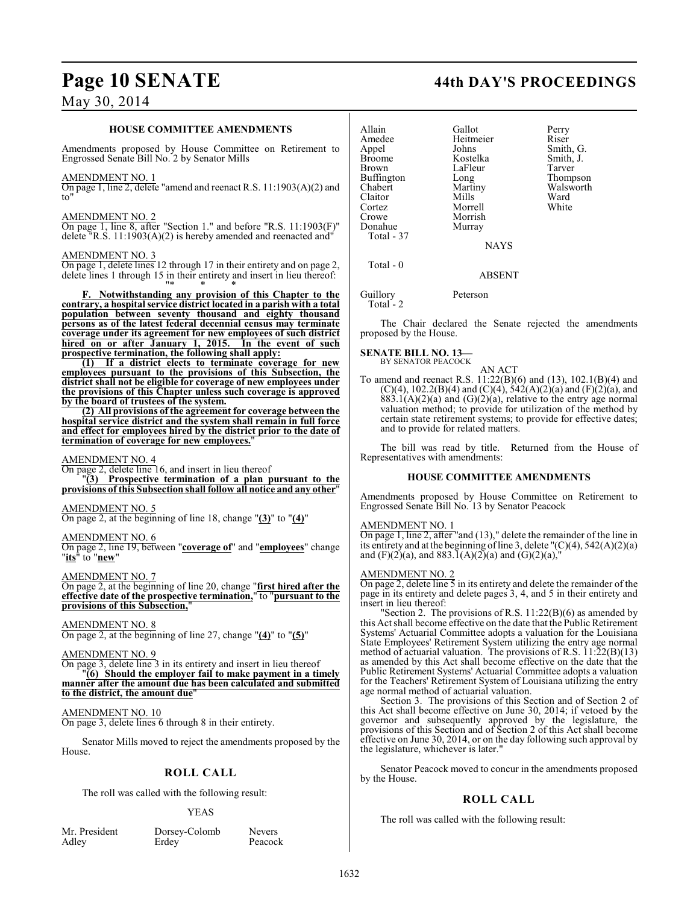#### **HOUSE COMMITTEE AMENDMENTS**

Amendments proposed by House Committee on Retirement to Engrossed Senate Bill No. 2 by Senator Mills

#### AMENDMENT NO. 1

On page 1, line 2, delete "amend and reenact R.S. 11:1903(A)(2) and to"

#### AMENDMENT NO. 2

On page 1, line 8, after "Section 1." and before "R.S. 11:1903(F)" delete "R.S.  $11:1903(A)(2)$  is hereby amended and reenacted and "

#### AMENDMENT NO. 3

On page 1, delete lines 12 through 17 in their entirety and on page 2, delete lines 1 through 15 in their entirety and insert in lieu thereof: "\* \* \*

**F. Notwithstanding any provision of this Chapter to the contrary, a hospital service district located in a parish with a total population between seventy thousand and eighty thousand persons as of the latest federal decennial census may terminate coverage under its agreement for new employees of such district** hired on or after January 1, 2015. **prospective termination, the following shall apply:**

**(1) If a district elects to terminate coverage for new employees pursuant to the provisions of this Subsection, the district shall not be eligible for coverage of new employees under the provisions of this Chapter unless such coverage is approved by the board of trustees of the system.**

**(2) All provisions of the agreement for coverage between the hospital service district and the system shall remain in full force and effect for employees hired by the district prior to the date of termination of coverage for new employees.**"

#### AMENDMENT NO. 4

On page 2, delete line 16, and insert in lieu thereof

"**(3) Prospective termination of a plan pursuant to the provisions of this Subsection shall follow all notice and any other**"

#### AMENDMENT NO. 5

On page 2, at the beginning of line 18, change "**(3)**" to "**(4)**"

#### AMENDMENT NO. 6

On page 2, line 19, between "**coverage of**" and "**employees**" change "**its**" to "**new**"

#### AMENDMENT NO. 7

On page 2, at the beginning of line 20, change "**first hired after the effective date of the prospective termination,**" to "**pursuant to the provisions of this Subsection,**"

#### AMENDMENT NO. 8

On page 2, at the beginning of line 27, change "**(4)**" to "**(5)**"

#### AMENDMENT NO. 9

On page 3, delete line 3 in its entirety and insert in lieu thereof "**(6) Should the employer fail to make payment in a timely manner after the amount due has been calculated and submitted to the district, the amount due**"

#### AMENDMENT NO. 10

On page 3, delete lines 6 through 8 in their entirety.

Senator Mills moved to reject the amendments proposed by the House.

### **ROLL CALL**

The roll was called with the following result:

#### YEAS

Adley Erdey

Mr. President Dorsey-Colomb Nevers<br>Adley Breach Reacock

### **Page 10 SENATE 44th DAY'S PROCEEDINGS**

| Allain<br>Amedee<br>Appel<br>Broome<br>Brown<br>Buffington | Gallot<br>Heitmeier<br>Johns<br>Kostelka<br>LaFleur<br>Long | Perry<br>Riser<br>Smith, G.<br>Smith, J.<br>Tarver<br>Thompson |
|------------------------------------------------------------|-------------------------------------------------------------|----------------------------------------------------------------|
| Chabert                                                    | Martiny                                                     | Walsworth                                                      |
| Claitor                                                    | Mills                                                       | Ward                                                           |
| Cortez                                                     | Morrell                                                     | White                                                          |
| Crowe                                                      | Morrish                                                     |                                                                |
| Donahue                                                    | Murray                                                      |                                                                |
| Total - 37                                                 |                                                             |                                                                |
|                                                            | <b>NAYS</b>                                                 |                                                                |
| Total - 0                                                  |                                                             |                                                                |
|                                                            | <b>ABSENT</b>                                               |                                                                |
|                                                            |                                                             |                                                                |

Guillory Peterson Total - 2

The Chair declared the Senate rejected the amendments proposed by the House.

#### **SENATE BILL NO. 13—** BY SENATOR PEACOCK

AN ACT

To amend and reenact R.S. 11:22(B)(6) and (13), 102.1(B)(4) and  $(C)(4)$ , 102.2(B)(4) and  $(C)(4)$ , 542(A)(2)(a) and (F)(2)(a), and  $883.1(A)(2)(a)$  and  $(G)(2)(a)$ , relative to the entry age normal valuation method; to provide for utilization of the method by certain state retirement systems; to provide for effective dates; and to provide for related matters.

The bill was read by title. Returned from the House of Representatives with amendments:

#### **HOUSE COMMITTEE AMENDMENTS**

Amendments proposed by House Committee on Retirement to Engrossed Senate Bill No. 13 by Senator Peacock

#### AMENDMENT NO. 1

On page 1, line 2, after "and (13)," delete the remainder of the line in its entirety and at the beginning of line 3, delete "(C)(4), 542(A)(2)(a) and  $(F)(2)(a)$ , and  $883.1(A)(2)(a)$  and  $(G)(2)(a)$ ,

#### AMENDMENT NO. 2

On page 2, delete line 5 in its entirety and delete the remainder of the page in its entirety and delete pages 3, 4, and 5 in their entirety and insert in lieu thereof:

"Section 2. The provisions of R.S. 11:22(B)(6) as amended by this Act shall become effective on the date that the Public Retirement Systems' Actuarial Committee adopts a valuation for the Louisiana State Employees' Retirement System utilizing the entry age normal method of actuarial valuation. The provisions of R.S.  $11:\overline{22(B)(13)}$ as amended by this Act shall become effective on the date that the Public Retirement Systems' Actuarial Committee adopts a valuation for the Teachers' Retirement System of Louisiana utilizing the entry age normal method of actuarial valuation.

Section 3. The provisions of this Section and of Section 2 of this Act shall become effective on June 30, 2014; if vetoed by the governor and subsequently approved by the legislature, the provisions of this Section and of Section 2 of this Act shall become effective on June 30, 2014, or on the day following such approval by the legislature, whichever is later."

Senator Peacock moved to concur in the amendments proposed by the House.

#### **ROLL CALL**

The roll was called with the following result: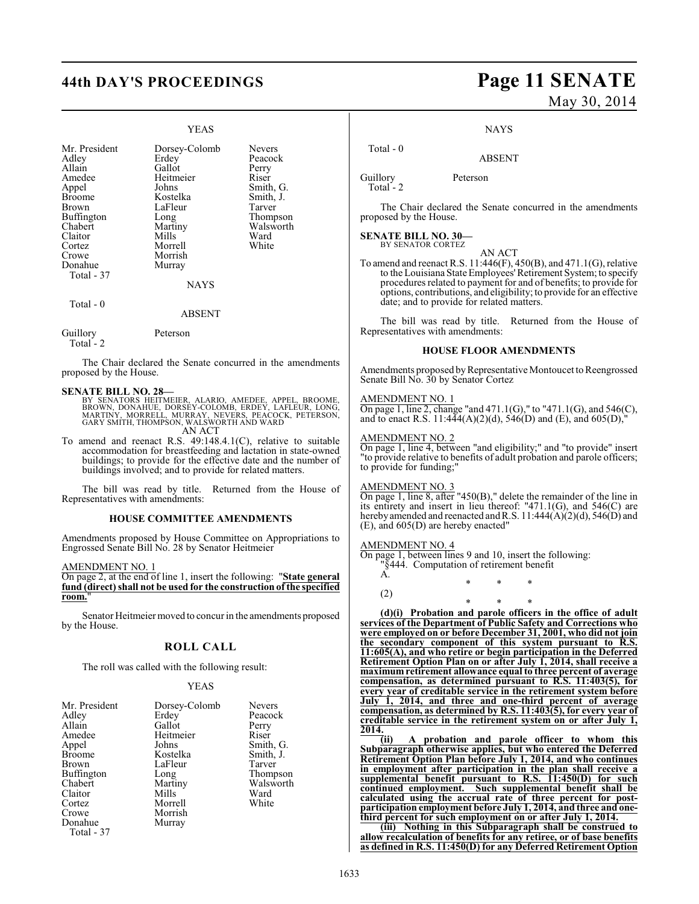### YEAS

| Mr. President<br>Adley<br>Allain<br>Amedee<br>Appel<br><b>Broome</b><br>Brown<br>Buffington<br>Chabert<br>Claitor<br>Cortez<br>Crowe<br>Donahue<br>Total - 37 | Dorsey-Colomb<br>Erdey<br>Gallot<br>Heitmeier<br>Johns<br>Kostelka<br>LaFleur<br>Long<br>Martiny<br>Mills<br>Morrell<br>Morrish<br>Murray<br><b>NAYS</b> | <b>Nevers</b><br>Peacock<br>Perry<br>Riser<br>Smith, G.<br>Smith, J.<br>Tarver<br>Thompson<br>Walsworth<br>Ward<br>White |
|---------------------------------------------------------------------------------------------------------------------------------------------------------------|----------------------------------------------------------------------------------------------------------------------------------------------------------|--------------------------------------------------------------------------------------------------------------------------|
| Total - 0                                                                                                                                                     | <b>ABSENT</b>                                                                                                                                            |                                                                                                                          |
| Guillory                                                                                                                                                      | Peterson                                                                                                                                                 |                                                                                                                          |

Total<sup>-</sup>

The Chair declared the Senate concurred in the amendments proposed by the House.

#### **SENATE BILL NO. 28—**

- BY SENATORS HEITMEIER, ALARIO, AMEDEE, APPEL, BROOME,<br>BROWN, DONAHUE, DORSEY-COLOMB, ERDEY, LAFLEUR, LONG,<br>MARTINY, MORRELL, MURRAY, NEVERS, PEACOCK, PETERSON,<br>GARY SMITH, THOMPSON, WALSWORTH AND WARD
	- AN ACT
- To amend and reenact R.S. 49:148.4.1(C), relative to suitable accommodation for breastfeeding and lactation in state-owned buildings; to provide for the effective date and the number of buildings involved; and to provide for related matters.

The bill was read by title. Returned from the House of Representatives with amendments:

#### **HOUSE COMMITTEE AMENDMENTS**

Amendments proposed by House Committee on Appropriations to Engrossed Senate Bill No. 28 by Senator Heitmeier

AMENDMENT NO. 1

On page 2, at the end of line 1, insert the following: "**State general fund (direct) shall not be used for the construction of the specified room.**"

Senator Heitmeier moved to concur in the amendments proposed by the House.

#### **ROLL CALL**

The roll was called with the following result:

#### YEAS

| Mr. President<br>Adley<br>Allain<br>Amedee<br>Appel<br><b>Broome</b><br>Brown<br>Buffington<br>Chabert<br>Claitor<br>Cortez<br>Crowe<br>Donahue<br>Total - 37 | Dorsey-Colomb<br>Erdey<br>Gallot<br>Heitmeier<br>Johns<br>Kostelka<br>LaFleur<br>Long<br>Martiny<br>Mills<br>Morrell<br>Morrish<br>Murray | <b>Nevers</b><br>Peacock<br>Perry<br>Riser<br>Smith, G.<br>Smith, J.<br>Tarver<br>Thompson<br>Walsworth<br>Ward<br>White |
|---------------------------------------------------------------------------------------------------------------------------------------------------------------|-------------------------------------------------------------------------------------------------------------------------------------------|--------------------------------------------------------------------------------------------------------------------------|
|---------------------------------------------------------------------------------------------------------------------------------------------------------------|-------------------------------------------------------------------------------------------------------------------------------------------|--------------------------------------------------------------------------------------------------------------------------|

# **44th DAY'S PROCEEDINGS Page 11 SENATE** May 30, 2014

**NAYS** 

ABSENT

Guillory Peterson Total<sup>-</sup>2

Total - 0

The Chair declared the Senate concurred in the amendments proposed by the House.

## **SENATE BILL NO. 30—** BY SENATOR CORTEZ

AN ACT To amend and reenact R.S.  $11:446(F)$ ,  $450(B)$ , and  $471.1(G)$ , relative to the Louisiana State Employees' Retirement System; to specify procedures related to payment for and of benefits; to provide for options, contributions, and eligibility; to provide for an effective date; and to provide for related matters.

The bill was read by title. Returned from the House of Representatives with amendments:

#### **HOUSE FLOOR AMENDMENTS**

Amendments proposed by Representative Montoucet to Reengrossed Senate Bill No. 30 by Senator Cortez

#### AMENDMENT NO. 1

On page 1, line 2, change "and  $471.1(G)$ ," to " $471.1(G)$ , and  $546(C)$ , and to enact R.S. 11:444(A)(2)(d), 546(D) and (E), and 605(D),"

#### MENDMENT NO. 2

On page 1, line 4, between "and eligibility;" and "to provide" insert "to provide relative to benefits of adult probation and parole officers; to provide for funding;"

#### AMENDMENT NO. 3

On page 1, line 8, after "450(B)," delete the remainder of the line in its entirety and insert in lieu thereof: "471.1(G), and 546(C) are hereby amended and reenacted and R.S. 11:444(A)(2)(d), 546(D) and (E), and 605(D) are hereby enacted"

\* \* \*

#### AMENDMENT NO. 4

On page 1, between lines 9 and 10, insert the following:

"§444. Computation of retirement benefit A.

(2)

\* \* \* **(d)(i) Probation and parole officers in the office of adult services of the Department of Public Safety and Corrections who were employed on or before December 31, 2001, who did not join the secondary component of this system pursuant to R.S. 11:605(A), and who retire or begin participation in the Deferred Retirement Option Plan on or after July 1, 2014, shall receive a maximum retirement allowance equal to three percent of average compensation, as determined pursuant to R.S. 11:403(5), for every year of creditable service in the retirement system before July 1, 2014, and three and one-third percent of average compensation, as determined by R.S. 11:403(5), for every year of creditable service in the retirement system on or after July 1, 2014.**

**(ii) A probation and parole officer to whom this Subparagraph otherwise applies, but who entered the Deferred Retirement Option Plan before July 1, 2014, and who continues in employment after participation in the plan shall receive a supplemental benefit pursuant to R.S. 11:450(D) for such continued employment. Such supplemental benefit shall be calculated using the accrual rate of three percent for postparticipation employment before July 1, 2014, and three and onethird percent for such employment on or after July 1, 2014.**

**(iii) Nothing in this Subparagraph shall be construed to allow recalculation of benefits for any retiree, or of base benefits as defined in R.S. 11:450(D) for any Deferred Retirement Option**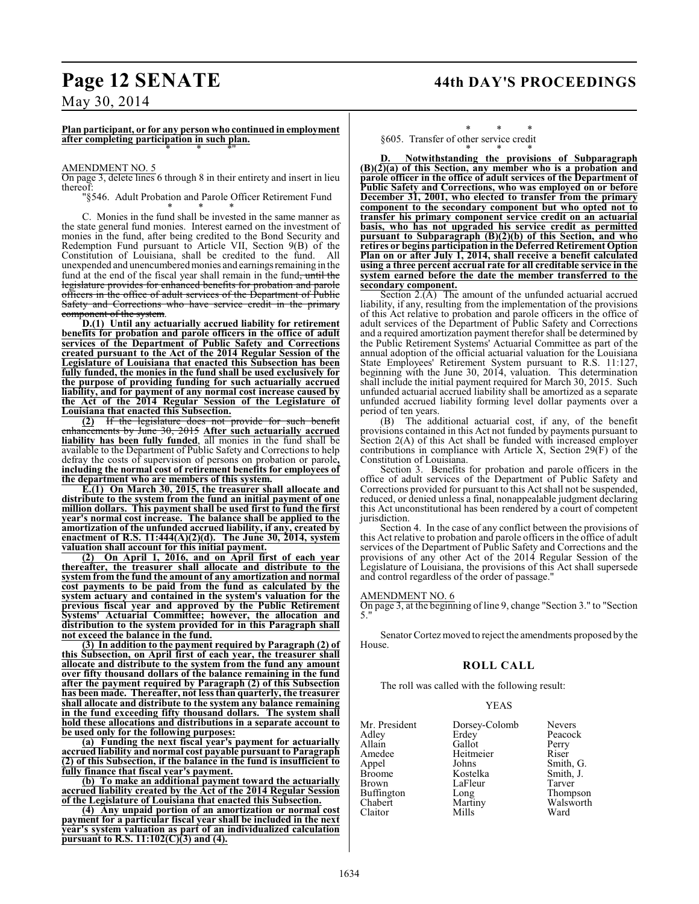### **Page 12 SENATE 44th DAY'S PROCEEDINGS**

### May 30, 2014

**Plan participant, or for any person who continued in employment after completing participation in such plan.** \* \* \*"

#### AMENDMENT NO. 5

On page 3, delete lines 6 through 8 in their entirety and insert in lieu thereof:

"§546. Adult Probation and Parole Officer Retirement Fund \* \* \*

C. Monies in the fund shall be invested in the same manner as the state general fund monies. Interest earned on the investment of monies in the fund, after being credited to the Bond Security and Redemption Fund pursuant to Article VII, Section 9(B) of the Constitution of Louisiana, shall be credited to the fund. All unexpended and unencumbered monies and earnings remaining in the fund at the end of the fiscal year shall remain in the fund, until the legislature provides for enhanced benefits for probation and parole officers in the office of adult services of the Department of Public Safety and Corrections who have service credit in the primary component of the system.

**D.(1) Until any actuarially accrued liability for retirement benefits for probation and parole officers in the office of adult services of the Department of Public Safety and Corrections created pursuant to the Act of the 2014 Regular Session of the Legislature of Louisiana that enacted this Subsection has been fully funded, the monies in the fund shall be used exclusively for the purpose of providing funding for such actuarially accrued liability, and for payment of any normal cost increase caused by the Act of the 2014 Regular Session of the Legislature of Louisiana that enacted this Subsection.**

**(2)** If the legislature does not provide for such benefit enhancements by June 30, 2015 **After such actuarially accrued liability has been fully funded**, all monies in the fund shall be available to the Department of Public Safety and Corrections to help defray the costs of supervision of persons on probation or parole**, including the normal cost of retirement benefits for employees of the department who are members of this system.**

**E.(1) On March 30, 2015, the treasurer shall allocate and distribute to the system from the fund an initial payment of one million dollars. This payment shall be used first to fund the first year's normal cost increase. The balance shall be applied to the amortization of the unfunded accrued liability, if any, created by enactment of R.S. 11:444(A)(2)(d). The June 30, 2014, system valuation shall account for this initial payment.**

**(2) On April 1, 2016, and on April first of each year thereafter, the treasurer shall allocate and distribute to the system from the fund the amount of any amortization and normal cost payments to be paid from the fund as calculated by the system actuary and contained in the system's valuation for the previous fiscal year and approved by the Public Retirement Systems' Actuarial Committee; however, the allocation and distribution to the system provided for in this Paragraph shall not exceed the balance in the fund.**

**(3) In addition to the payment required by Paragraph (2) of this Subsection, on April first of each year, the treasurer shall allocate and distribute to the system from the fund any amount over fifty thousand dollars of the balance remaining in the fund after the payment required by Paragraph (2) of this Subsection has been made. Thereafter, not less than quarterly, the treasurer shall allocate and distribute to the system any balance remaining in the fund exceeding fifty thousand dollars. The system shall hold these allocations and distributions in a separate account to be used only for the following purposes:**

**(a) Funding the next fiscal year's payment for actuarially accrued liability and normal cost payable pursuant to Paragraph (2) of this Subsection, if the balance in the fund is insufficient to fully finance that fiscal year's payment.**

**(b) To make an additional payment toward the actuarially accrued liability created by the Act of the 2014 Regular Session of the Legislature of Louisiana that enacted this Subsection.**

**(4) Any unpaid portion of an amortization or normal cost payment for a particular fiscal year shall be included in the next year's system valuation as part of an individualized calculation pursuant to R.S. 11:102(C)(3) and (4).**

#### \* \* \* §605. Transfer of other service credit

\* \* \* **D. Notwithstanding the provisions of Subparagraph (B)(2)(a) of this Section, any member who is a probation and parole officer in the office of adult services of the Department of Public Safety and Corrections, who was employed on or before December 31, 2001, who elected to transfer from the primary component to the secondary component but who opted not to transfer his primary component service credit on an actuarial basis, who has not upgraded his service credit as permitted pursuant to Subparagraph (B)(2)(b) of this Section, and who retires or begins participation in the Deferred Retirement Option Plan on or after July 1, 2014, shall receive a benefit calculated using a three percent accrual rate for all creditable service in the system earned before the date the member transferred to the secondary component.**

Section 2.(A) The amount of the unfunded actuarial accrued liability, if any, resulting from the implementation of the provisions of this Act relative to probation and parole officers in the office of adult services of the Department of Public Safety and Corrections and a required amortization payment therefor shall be determined by the Public Retirement Systems' Actuarial Committee as part of the annual adoption of the official actuarial valuation for the Louisiana State Employees' Retirement System pursuant to R.S. 11:127, beginning with the June 30, 2014, valuation. This determination shall include the initial payment required for March 30, 2015. Such unfunded actuarial accrued liability shall be amortized as a separate unfunded accrued liability forming level dollar payments over a period of ten years.

(B) The additional actuarial cost, if any, of the benefit provisions contained in this Act not funded by payments pursuant to Section 2(A) of this Act shall be funded with increased employer contributions in compliance with Article X, Section 29(F) of the Constitution of Louisiana.

Section 3. Benefits for probation and parole officers in the office of adult services of the Department of Public Safety and Corrections provided for pursuant to this Act shall not be suspended, reduced, or denied unless a final, nonappealable judgment declaring this Act unconstitutional has been rendered by a court of competent jurisdiction.

Section 4. In the case of any conflict between the provisions of this Act relative to probation and parole officers in the office of adult services of the Department of Public Safety and Corrections and the provisions of any other Act of the 2014 Regular Session of the Legislature of Louisiana, the provisions of this Act shall supersede and control regardless of the order of passage."

#### AMENDMENT NO. 6

On page 3, at the beginning of line 9, change "Section 3." to "Section 5."

Senator Cortez moved to reject the amendments proposed by the House.

#### **ROLL CALL**

The roll was called with the following result:

#### YEAS

| Mr. President | Dorsey-Colomb | Nevers    |
|---------------|---------------|-----------|
| Adlev         | Erdey         | Peacock   |
| Allain        | Gallot        | Perry     |
| Amedee        | Heitmeier     | Riser     |
| Appel         | Johns         | Smith, G. |
| Broome        | Kostelka      | Smith, J. |
| Brown         | LaFleur       | Tarver    |
| Buffington    | Long          | Thompson  |
| Chabert       | Martiny       | Walsworth |
| Claitor       | Mills         | Ward      |
|               |               |           |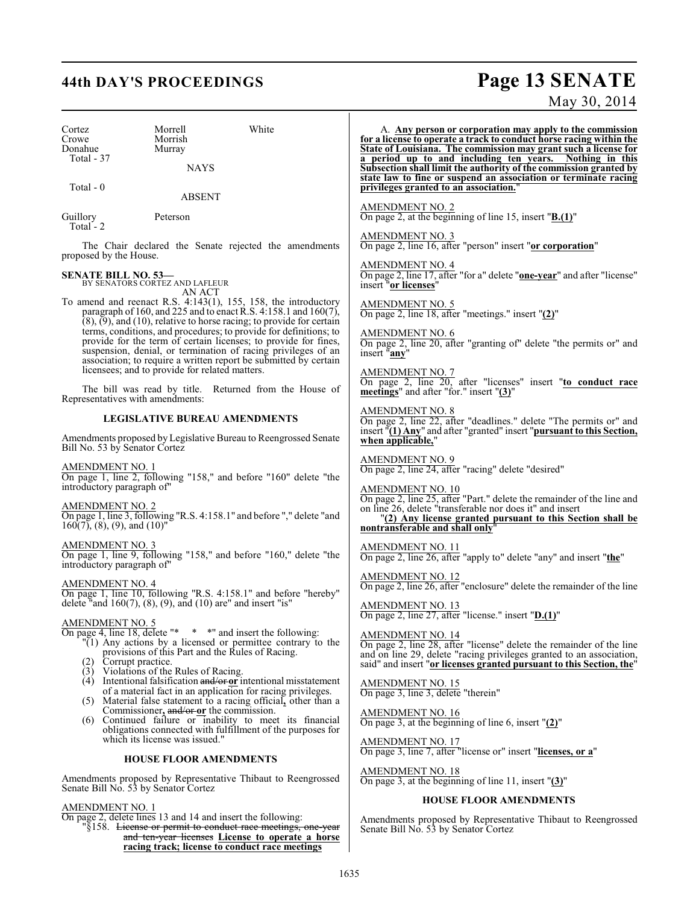# **44th DAY'S PROCEEDINGS Page 13 SENATE**

May 30, 2014

| Cortez<br>Crowe<br>Donahue<br>Total - 37                                                        | White<br>Morrell<br>Morrish<br>Murray<br><b>NAYS</b>                                                                                                                                                                                                                                   | A. Any person or corporation may apply to the commission<br>for a license to operate a track to conduct horse racing within the<br>State of Louisiana. The commission may grant such a license for<br>a period up to and including ten years. Nothing in this<br>Subsection shall limit the authority of the commission granted by |
|-------------------------------------------------------------------------------------------------|----------------------------------------------------------------------------------------------------------------------------------------------------------------------------------------------------------------------------------------------------------------------------------------|------------------------------------------------------------------------------------------------------------------------------------------------------------------------------------------------------------------------------------------------------------------------------------------------------------------------------------|
| Total - 0                                                                                       | <b>ABSENT</b>                                                                                                                                                                                                                                                                          | state law to fine or suspend an association or terminate racing<br>privileges granted to an association."                                                                                                                                                                                                                          |
| Guillory<br>Total - $2$                                                                         | Peterson                                                                                                                                                                                                                                                                               | <u>AMENDMENT NO. 2</u><br>On page 2, at the beginning of line 15, insert " $\underline{\textbf{B}.(1)}$ "                                                                                                                                                                                                                          |
| proposed by the House.                                                                          | The Chair declared the Senate rejected the amendments                                                                                                                                                                                                                                  | AMENDMENT NO. 3<br>On page 2, line 16, after "person" insert " <b>or corporation</b> "                                                                                                                                                                                                                                             |
| <b>SENATE BILL NO. 53-</b>                                                                      | BY SENATORS CORTEZ AND LAFLEUR                                                                                                                                                                                                                                                         | <b>AMENDMENT NO. 4</b><br>On page 2, line 17, after "for a" delete " <b>one-year</b> " and after "license"<br>insert "or licenses"                                                                                                                                                                                                 |
|                                                                                                 | AN ACT<br>To amend and reenact R.S. $4:143(1)$ , 155, 158, the introductory<br>paragraph of 160, and 225 and to enact R.S. 4:158.1 and $160(7)$ ,                                                                                                                                      | $\frac{\text{AMENDMENT NO. 5}}{\text{On page 2, line 18, after "meetings." insert "2)}$ "                                                                                                                                                                                                                                          |
|                                                                                                 | $(8)$ , $(9)$ , and $(10)$ , relative to horse racing; to provide for certain<br>terms, conditions, and procedures; to provide for definitions; to<br>provide for the term of certain licenses; to provide for fines,<br>suspension, denial, or termination of racing privileges of an | <b>AMENDMENT NO. 6</b><br>On page 2, line 20, after "granting of" delete "the permits or" and<br>insert "any"                                                                                                                                                                                                                      |
|                                                                                                 | association; to require a written report be submitted by certain<br>licensees; and to provide for related matters.<br>The bill was read by title. Returned from the House of<br>Representatives with amendments:                                                                       | <b>AMENDMENT NO. 7</b><br>On page 2, line 20, after "licenses" insert "to conduct race<br>meetings" and after "for." insert "(3)"                                                                                                                                                                                                  |
|                                                                                                 | <b>LEGISLATIVE BUREAU AMENDMENTS</b>                                                                                                                                                                                                                                                   | AMENDMENT NO. 8<br>On page 2, line 22, after "deadlines." delete "The permits or" and                                                                                                                                                                                                                                              |
| Bill No. 53 by Senator Cortez                                                                   | Amendments proposed by Legislative Bureau to Reengrossed Senate                                                                                                                                                                                                                        | insert $\sqrt[n]{(1) \text{ Any}}$ and after "granted" insert "pursuant to this Section,<br>when applicable,"                                                                                                                                                                                                                      |
| <b>AMENDMENT NO. 1</b>                                                                          | On page 1, line 2, following "158," and before "160" delete "the                                                                                                                                                                                                                       | <b>AMENDMENT NO. 9</b><br>On page 2, line 24, after "racing" delete "desired"                                                                                                                                                                                                                                                      |
| introductory paragraph of"<br><b>AMENDMENT NO. 2</b><br>$160(7)$ , $(8)$ , $(9)$ , and $(10)$ " | On page 1, line 3, following "R.S. 4:158.1" and before "," delete "and                                                                                                                                                                                                                 | <b>AMENDMENT NO. 10</b><br>On page 2, line 25, after "Part." delete the remainder of the line and<br>on line 26, delete "transferable nor does it" and insert<br>$"$ (2) Any license granted pursuant to this Section shall be nontransferable and shall only"                                                                     |
| <b>AMENDMENT NO. 3</b><br>introductory paragraph of"                                            | On page 1, line 9, following "158," and before "160," delete "the                                                                                                                                                                                                                      | AMENDMENT NO. 11<br>On page 2, line 26, after "apply to" delete "any" and insert "the"                                                                                                                                                                                                                                             |
| <b>AMENDMENT NO. 4</b>                                                                          | On page 1, line 10, following "R.S. 4:158.1" and before "hereby"                                                                                                                                                                                                                       | <b>AMENDMENT NO. 12</b><br>On page 2, line 26, after "enclosure" delete the remainder of the line                                                                                                                                                                                                                                  |
| <b>AMENDMENT NO. 5</b>                                                                          | delete "and $160(7)$ , $(8)$ , $(9)$ , and $(10)$ are" and insert "is"                                                                                                                                                                                                                 | AMENDMENT NO. 13<br>On page 2, line 27, after "license." insert "D.(1)"                                                                                                                                                                                                                                                            |
| (2)                                                                                             | On page 4, line 18, delete "* * *" and insert the following:<br>"(1) Any actions by a licensed or permittee contrary to the<br>provisions of this Part and the Rules of Racing.<br>Corrupt practice.<br>(3) Violations of the Rules of Racing.                                         | <b>AMENDMENT NO. 14</b><br>On page 2, line 28, after "license" delete the remainder of the line<br>and on line 29, delete "racing privileges granted to an association,<br>said" and insert "or licenses granted pursuant to this Section, the"                                                                                    |
|                                                                                                 | $(4)$ Intentional falsification and/or-or intentional misstatement<br>of a material fact in an application for racing privileges.<br>(5) Material false statement to a racing official, other than a                                                                                   | <b>AMENDMENT NO. 15</b><br>On page 3, line 3, delete "therein"                                                                                                                                                                                                                                                                     |
| (6)                                                                                             | Commissioner, $\frac{and}{or}$ or the commission.<br>Continued failure or inability to meet its financial<br>obligations connected with fulfillment of the purposes for                                                                                                                | <b>AMENDMENT NO. 16</b><br>On page 3, at the beginning of line 6, insert $"(2)"$                                                                                                                                                                                                                                                   |
|                                                                                                 | which its license was issued."<br><b>HOUSE FLOOR AMENDMENTS</b>                                                                                                                                                                                                                        | <b>AMENDMENT NO. 17</b><br>On page 3, line 7, after "license or" insert "licenses, or a"                                                                                                                                                                                                                                           |
|                                                                                                 | Amendments proposed by Representative Thibaut to Reengrossed<br>Senate Bill No. 53 by Senator Cortez                                                                                                                                                                                   | <b>AMENDMENT NO. 18</b><br>On page 3, at the beginning of line 11, insert $"3"$                                                                                                                                                                                                                                                    |
|                                                                                                 |                                                                                                                                                                                                                                                                                        | <b>HOUSE FLOOR AMENDMENTS</b>                                                                                                                                                                                                                                                                                                      |
| <b>AMENDMENT NO. 1</b>                                                                          | On page 2, delete lines 13 and 14 and insert the following:<br>"§158. <del>License or permit to conduct race meetings, one-year</del><br>and ten-year licenses License to operate a horse                                                                                              | Amendments proposed by Representative Thibaut to Reengrossed<br>Senate Bill No. 53 by Senator Cortez                                                                                                                                                                                                                               |

**racing track; license to conduct race meetings**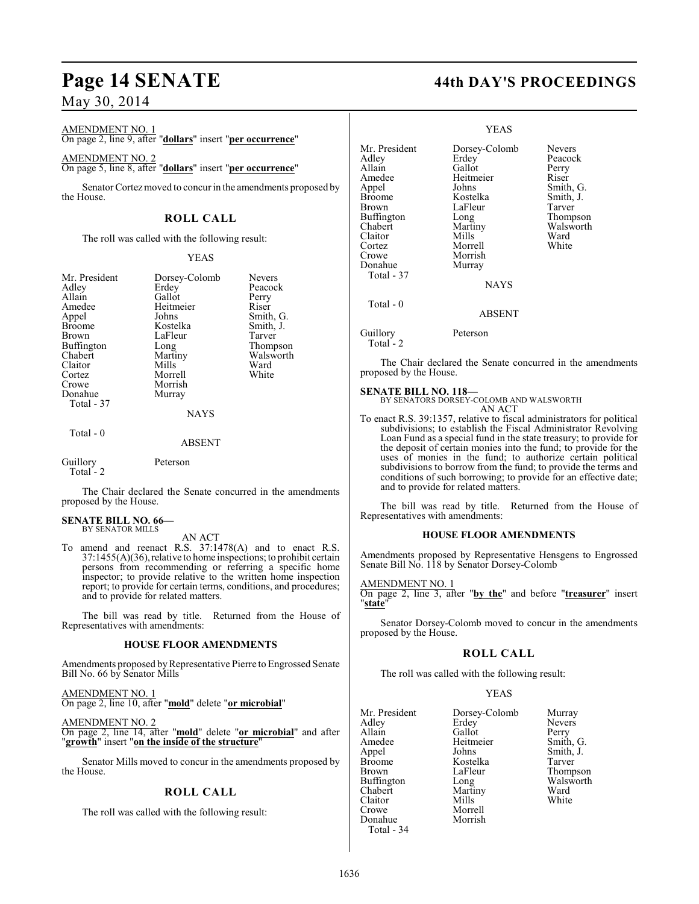AMENDMENT NO. 1

On page 2, line 9, after "**dollars**" insert "**per occurrence**"

AMENDMENT NO. 2 On page 5, line 8, after "**dollars**" insert "**per occurrence**"

Senator Cortez moved to concur in the amendments proposed by the House.

### **ROLL CALL**

The roll was called with the following result:

#### YEAS

| Mr. President     | Dorsey-Colomb | <b>Nevers</b> |
|-------------------|---------------|---------------|
| Adley             | Erdey         | Peacock       |
| Allain            | Gallot        | Perry         |
| Amedee            | Heitmeier     | Riser         |
| Appel             | Johns         | Smith, G.     |
| <b>Broome</b>     | Kostelka      | Smith, J.     |
| Brown             | LaFleur       | Tarver        |
| <b>Buffington</b> | Long          | Thompson      |
| Chabert           | Martiny       | Walsworth     |
| Claitor           | Mills         | Ward          |
| Cortez            | Morrell       | White         |
| Crowe             | Morrish       |               |
| Donahue           | Murray        |               |
| Total - 37        |               |               |
|                   | <b>NAYS</b>   |               |
|                   |               |               |

Total - 0

### ABSENT

Guillory Peterson Total - 2

The Chair declared the Senate concurred in the amendments proposed by the House.

#### **SENATE BILL NO. 66—** BY SENATOR MILLS

AN ACT

To amend and reenact R.S. 37:1478(A) and to enact R.S. 37:1455(A)(36), relative to home inspections; to prohibit certain persons from recommending or referring a specific home inspector; to provide relative to the written home inspection report; to provide for certain terms, conditions, and procedures; and to provide for related matters.

The bill was read by title. Returned from the House of Representatives with amendments:

#### **HOUSE FLOOR AMENDMENTS**

Amendments proposed by Representative Pierre to Engrossed Senate Bill No. 66 by Senator Mills

AMENDMENT NO. 1 On page 2, line 10, after "**mold**" delete "**or microbial**"

AMENDMENT NO. 2 On page 2, line 14, after "**mold**" delete "**or microbial**" and after "**growth**" insert "**on the inside of the structure**"

Senator Mills moved to concur in the amendments proposed by the House.

#### **ROLL CALL**

The roll was called with the following result:

# **Page 14 SENATE 44th DAY'S PROCEEDINGS**

#### YEAS

Mr. President Dorsey-Colomb Nevers<br>Adley Erdey Peacoc Adley Erdey Peacock<br>
Allain Gallot Perry Allain Callot Perry<br>
Amedee Heitmeier Riser Amedee Heitmeier<br>Appel Johns Johns Smith, G.<br>Kostelka Smith I Broome Kostelka Smith, J.<br>Brown LaFleur Tarver LaFleur Tarver<br>
Long Thompson Buffington Long<br>Chabert Martiny Chabert Martiny Walsworth<br>Claitor Mills Ward Claitor Mills Ward Cortez Morrell White Morrish<br>Murray Donahue Total - 37 NAYS Total - 0 ABSENT Guillory Peterson Total - 2

The Chair declared the Senate concurred in the amendments proposed by the House.

**SENATE BILL NO. 118—** BY SENATORS DORSEY-COLOMB AND WALSWORTH AN ACT

To enact R.S. 39:1357, relative to fiscal administrators for political subdivisions; to establish the Fiscal Administrator Revolving Loan Fund as a special fund in the state treasury; to provide for the deposit of certain monies into the fund; to provide for the uses of monies in the fund; to authorize certain political subdivisions to borrow from the fund; to provide the terms and conditions of such borrowing; to provide for an effective date; and to provide for related matters.

The bill was read by title. Returned from the House of Representatives with amendments:

#### **HOUSE FLOOR AMENDMENTS**

Amendments proposed by Representative Hensgens to Engrossed Senate Bill No. 118 by Senator Dorsey-Colomb

#### AMENDMENT NO. 1

On page 2, line 3, after "**by the**" and before "**treasurer**" insert "**state**"

Senator Dorsey-Colomb moved to concur in the amendments proposed by the House.

#### **ROLL CALL**

The roll was called with the following result:

#### YEAS

Mr. President Dorsey-Colomb Murray<br>Adley Erdey Nevers Adley Erdey Nevers<br>
Allain Gallot Perry Allain Gallot<br>Amedee Heitmeier Amedee Heitmeier Smith, G.<br>
Appel Johns Smith, J. Appel Johns Smith, J.<br>Broome Kostelka Tarver Broome Kostelka<br>Brown LaFleur Buffington Long Walsworth Long<br>Chabert Martiny Ward Claitor<br>Crowe Morrell<br>Morrish Donahue Total - 34

LaFleur Thompson<br>Long Walsworth Martiny Ward<br>
Mills White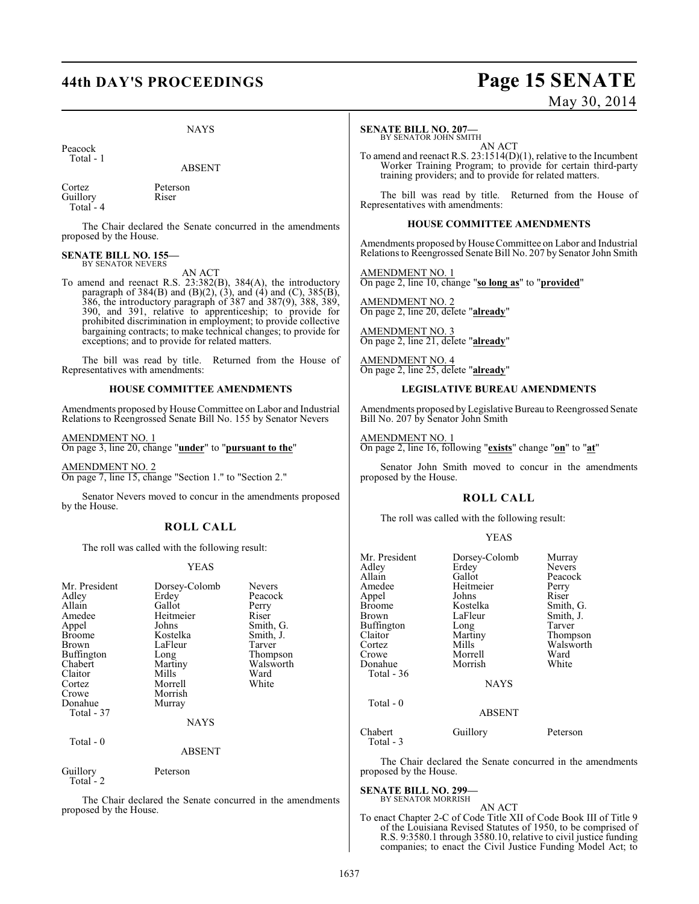## **44th DAY'S PROCEEDINGS Page 15 SENATE**

### NAYS

Peacock Total - 1

ABSENT

Cortez Peterson Guillory Riser Total - 4

The Chair declared the Senate concurred in the amendments proposed by the House.

#### **SENATE BILL NO. 155—** BY SENATOR NEVERS

AN ACT

To amend and reenact R.S. 23:382(B), 384(A), the introductory paragraph of  $384(B)$  and  $(B)(2)$ ,  $(3)$ , and  $(4)$  and  $(C)$ ,  $385(B)$ , 386, the introductory paragraph of 387 and 387(9), 388, 389, 390, and 391, relative to apprenticeship; to provide for prohibited discrimination in employment; to provide collective bargaining contracts; to make technical changes; to provide for exceptions; and to provide for related matters.

The bill was read by title. Returned from the House of Representatives with amendments:

#### **HOUSE COMMITTEE AMENDMENTS**

Amendments proposed by House Committee on Labor and Industrial Relations to Reengrossed Senate Bill No. 155 by Senator Nevers

AMENDMENT NO. 1 On page 3, line 20, change "**under**" to "**pursuant to the**"

AMENDMENT NO. 2 On page 7, line 15, change "Section 1." to "Section 2."

Senator Nevers moved to concur in the amendments proposed by the House.

### **ROLL CALL**

The roll was called with the following result:

#### YEAS

| Mr. President | Dorsey-Colomb | <b>Nevers</b> |
|---------------|---------------|---------------|
| Adley         | Erdey         | Peacock       |
| Allain        | Gallot        | Perry         |
| Amedee        | Heitmeier     | Riser         |
| Appel         | Johns         | Smith, G.     |
| <b>Broome</b> | Kostelka      | Smith, J.     |
| Brown         | LaFleur       | Tarver        |
|               |               |               |
| Buffington    | Long          | Thompson      |
| Chabert       | Martiny       | Walsworth     |
| Claitor       | Mills         | Ward          |
| Cortez        | Morrell       | White         |
| Crowe         | Morrish       |               |
| Donahue       | Murray        |               |
| Total - 37    |               |               |
|               | <b>NAYS</b>   |               |
| Total - 0     |               |               |
|               | <b>ABSENT</b> |               |
| Guillory      | Peterson      |               |

 $Total - 2$ 

The Chair declared the Senate concurred in the amendments proposed by the House.

#### **SENATE BILL NO. 207—**

BY SENATOR JOHN SMITH AN ACT

To amend and reenact R.S. 23:1514(D)(1), relative to the Incumbent Worker Training Program; to provide for certain third-party training providers; and to provide for related matters.

The bill was read by title. Returned from the House of Representatives with amendments:

#### **HOUSE COMMITTEE AMENDMENTS**

Amendments proposed by House Committee on Labor and Industrial Relations to Reengrossed Senate Bill No. 207 by Senator John Smith

AMENDMENT NO. 1 On page 2, line 10, change "**so long as**" to "**provided**"

AMENDMENT NO. 2 On page 2, line 20, delete "**already**"

AMENDMENT NO. 3 On page 2, line 21, delete "**already**"

AMENDMENT NO. 4 On page 2, line 25, delete "**already**"

#### **LEGISLATIVE BUREAU AMENDMENTS**

Amendments proposed by Legislative Bureau to Reengrossed Senate Bill No. 207 by Senator John Smith

AMENDMENT NO. 1 On page 2, line 16, following "**exists**" change "**on**" to "**at**"

Senator John Smith moved to concur in the amendments proposed by the House.

#### **ROLL CALL**

The roll was called with the following result:

#### YEAS

| Mr. President<br>Adley<br>Allain<br>Amedee<br>Appel<br><b>Broome</b><br><b>Brown</b><br>Buffington<br>Claitor<br>Cortez<br>Crowe<br>Donahue<br>Total - 36<br>$Total - 0$ | Dorsey-Colomb<br>Erdey<br>Gallot<br>Heitmeier<br>Johns<br>Kostelka<br>LaFleur<br>Long<br>Martiny<br>Mills<br>Morrell<br>Morrish<br><b>NAYS</b> | Murray<br><b>Nevers</b><br>Peacock<br>Perry<br>Riser<br>Smith, G.<br>Smith, J.<br>Tarver<br>Thompson<br>Walsworth<br>Ward<br>White |
|--------------------------------------------------------------------------------------------------------------------------------------------------------------------------|------------------------------------------------------------------------------------------------------------------------------------------------|------------------------------------------------------------------------------------------------------------------------------------|
|                                                                                                                                                                          | <b>ABSENT</b>                                                                                                                                  |                                                                                                                                    |
| Chabert<br>Total - 3                                                                                                                                                     | Guillory                                                                                                                                       | Peterson                                                                                                                           |

The Chair declared the Senate concurred in the amendments proposed by the House.

## **SENATE BILL NO. 299—** BY SENATOR MORRISH

AN ACT

To enact Chapter 2-C of Code Title XII of Code Book III of Title 9 of the Louisiana Revised Statutes of 1950, to be comprised of R.S. 9:3580.1 through 3580.10, relative to civil justice funding companies; to enact the Civil Justice Funding Model Act; to

# May 30, 2014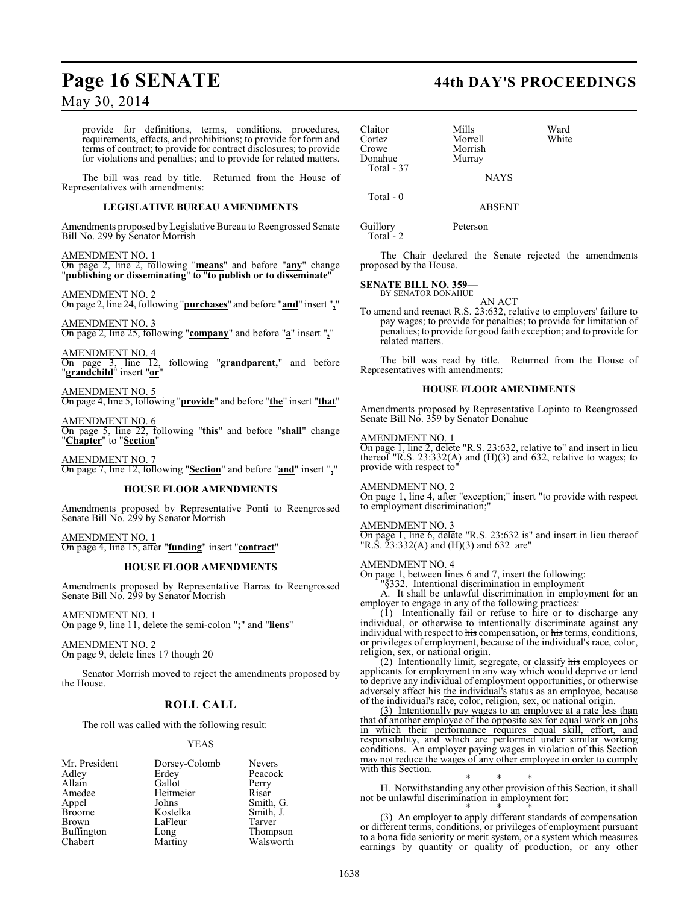provide for definitions, terms, conditions, procedures, requirements, effects, and prohibitions; to provide for form and terms of contract; to provide for contract disclosures; to provide for violations and penalties; and to provide for related matters.

The bill was read by title. Returned from the House of Representatives with amendments:

#### **LEGISLATIVE BUREAU AMENDMENTS**

Amendments proposed by Legislative Bureau to Reengrossed Senate Bill No. 299 by Senator Morrish

#### AMENDMENT NO. 1

On page 2, line 2, following "**means**" and before "**any**" change "**publishing or disseminating**" to "**to publish or to disseminate**"

AMENDMENT NO. 2 On page 2, line 24, following "**purchases**" and before "**and**" insert "**,**"

AMENDMENT NO. 3 On page 2, line 25, following "**company**" and before "**a**" insert "**,**"

AMENDMENT NO. 4 On page 3, line 12, following "**grandparent,**" and before "**grandchild**" insert "**or**"

AMENDMENT NO. 5 On page 4, line 5, following "**provide**" and before "**the**" insert "**that**"

AMENDMENT NO. 6 On page 5, line 22, following "**this**" and before "**shall**" change "**Chapter**" to "**Section**"

AMENDMENT NO. 7 On page 7, line 12, following "**Section**" and before "**and**" insert "**,**"

#### **HOUSE FLOOR AMENDMENTS**

Amendments proposed by Representative Ponti to Reengrossed Senate Bill No. 299 by Senator Morrish

AMENDMENT NO. 1 On page 4, line 15, after "**funding**" insert "**contract**"

#### **HOUSE FLOOR AMENDMENTS**

Amendments proposed by Representative Barras to Reengrossed Senate Bill No. 299 by Senator Morrish

AMENDMENT NO. 1 On page 9, line 11, delete the semi-colon "**;**" and "**liens**"

AMENDMENT NO. 2 On page 9, delete lines 17 though 20

Senator Morrish moved to reject the amendments proposed by the House.

### **ROLL CALL**

The roll was called with the following result:

#### YEAS

| Mr. President     | Dorsey-Colomb | <b>Nevers</b> |
|-------------------|---------------|---------------|
| Adley             | Erdey         | Peacock       |
| Allain            | Gallot        | Perry         |
| Amedee            | Heitmeier     | Riser         |
| Appel             | Johns         | Smith, G.     |
| <b>Broome</b>     | Kostelka      | Smith, J.     |
| Brown             | LaFleur       | Tarver        |
| <b>Buffington</b> | Long          | Thompson      |
| Chabert           | Martiny       | Walsworth     |

### **Page 16 SENATE 44th DAY'S PROCEEDINGS**

| Claitor<br>Cortez<br>Crowe<br>Donahue<br>Total - 37 | Mills<br>Morrell<br>Morrish<br>Murray<br><b>NAYS</b> | Ward<br>White |
|-----------------------------------------------------|------------------------------------------------------|---------------|
| Total $-0$                                          | <b>ABSENT</b>                                        |               |
| Guillory<br>Total - 2                               | Peterson                                             |               |

The Chair declared the Senate rejected the amendments proposed by the House.

#### **SENATE BILL NO. 359—** BY SENATOR DONAHUE

AN ACT

To amend and reenact R.S. 23:632, relative to employers' failure to pay wages; to provide for penalties; to provide for limitation of penalties; to provide for good faith exception; and to provide for related matters.

The bill was read by title. Returned from the House of Representatives with amendments:

#### **HOUSE FLOOR AMENDMENTS**

Amendments proposed by Representative Lopinto to Reengrossed Senate Bill No. 359 by Senator Donahue

#### AMENDMENT NO. 1

On page 1, line 2, delete "R.S. 23:632, relative to" and insert in lieu thereof "R.S.  $23:332(A)$  and  $(H)(3)$  and 632, relative to wages; to provide with respect to"

#### AMENDMENT NO. 2

On page 1, line 4, after "exception;" insert "to provide with respect to employment discrimination;"

#### AMENDMENT NO. 3

On page 1, line 6, delete "R.S. 23:632 is" and insert in lieu thereof "R.S. 23:332(A) and (H)(3) and 632 are"

#### AMENDMENT NO. 4

On page 1, between lines 6 and 7, insert the following:

 $§$ 332. Intentional discrimination in employment

A. It shall be unlawful discrimination in employment for an employer to engage in any of the following practices:

(1) Intentionally fail or refuse to hire or to discharge any individual, or otherwise to intentionally discriminate against any individual with respect to his compensation, or his terms, conditions, or privileges of employment, because of the individual's race, color, religion, sex, or national origin.

(2) Intentionally limit, segregate, or classify his employees or applicants for employment in any way which would deprive or tend to deprive any individual of employment opportunities, or otherwise adversely affect his the individual's status as an employee, because of the individual's race, color, religion, sex, or national origin.

(3) Intentionally pay wages to an employee at a rate less than that of another employee of the opposite sex for equal work on jobs in which their performance requires equal skill, effort, and responsibility, and which are performed under similar working conditions. An employer paying wages in violation of this Section may not reduce the wages of any other employee in order to comply with this Section.

\* \* \* H. Notwithstanding any other provision of this Section, it shall not be unlawful discrimination in employment for:

\* \* \* (3) An employer to apply different standards of compensation or different terms, conditions, or privileges of employment pursuant to a bona fide seniority or merit system, or a system which measures earnings by quantity or quality of production, or any other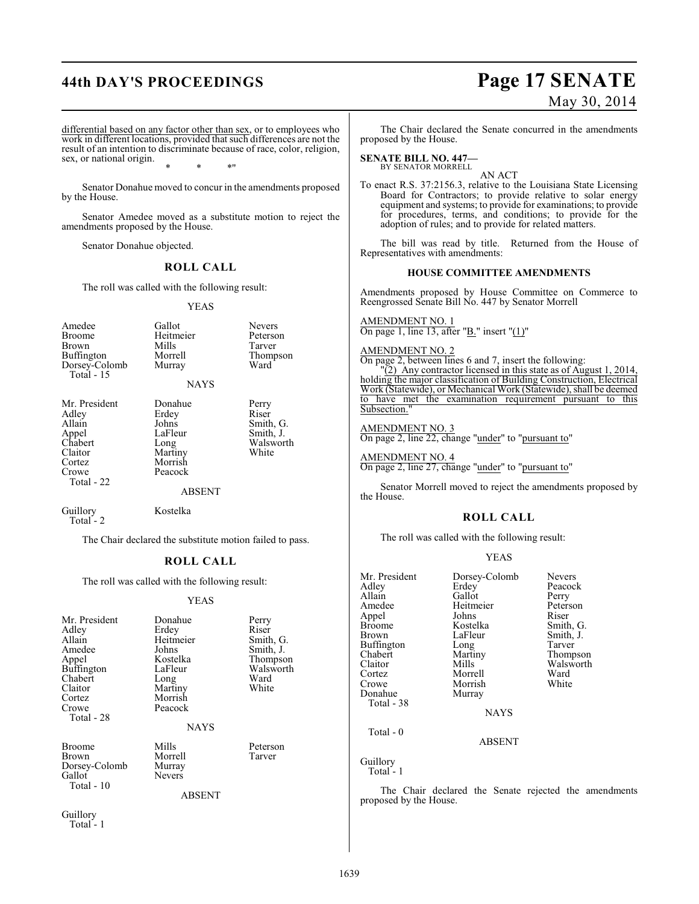# **44th DAY'S PROCEEDINGS Page 17 SENATE**

# May 30, 2014

differential based on any factor other than sex, or to employees who work in different locations, provided that such differences are not the result of an intention to discriminate because of race, color, religion, sex, or national origin. \* \* \*"

Senator Donahue moved to concur in the amendments proposed by the House.

Senator Amedee moved as a substitute motion to reject the amendments proposed by the House.

Senator Donahue objected.

#### **ROLL CALL**

The roll was called with the following result:

#### YEAS

| Amedee<br><b>Broome</b><br>Brown<br>Buffington<br>Dorsey-Colomb<br>Total $-15$                   | Gallot<br>Heitmeier<br>Mills<br>Morrell<br>Murray<br><b>NAYS</b>                               | <b>Nevers</b><br>Peterson<br>Tarver<br>Thompson<br>Ward        |
|--------------------------------------------------------------------------------------------------|------------------------------------------------------------------------------------------------|----------------------------------------------------------------|
| Mr. President<br>Adley<br>Allain<br>Appel<br>Chabert<br>Claitor<br>Cortez<br>Crowe<br>Total - 22 | Donahue<br>Erdey<br>Johns<br>LaFleur<br>Long<br>Martiny<br>Morrish<br>Peacock<br><b>ABSENT</b> | Perry<br>Riser<br>Smith, G.<br>Smith, J.<br>Walsworth<br>White |
| Guillory<br>Total - 2                                                                            | Kostelka                                                                                       |                                                                |

The Chair declared the substitute motion failed to pass.

#### **ROLL CALL**

The roll was called with the following result:

#### YEAS

| Mr. President<br>Adley<br>Allain<br>Amedee<br>Appel<br><b>Buffington</b><br>Chabert<br>Claitor<br>Cortez<br>Crowe<br>Total - 28 | Donahue<br>Erdey<br>Heitmeier<br>Johns<br>Kostelka<br>LaFleur<br>Long<br>Martiny<br>Morrish<br>Peacock<br><b>NAYS</b> | Perry<br>Riser<br>Smith, G.<br>Smith, J.<br>Thompson<br>Walsworth<br>Ward<br>White |
|---------------------------------------------------------------------------------------------------------------------------------|-----------------------------------------------------------------------------------------------------------------------|------------------------------------------------------------------------------------|
| <b>Broome</b><br>Brown<br>Dorsey-Colomb<br>Gallot<br>Total - 10                                                                 | Mills<br>Morrell<br>Murray<br><b>Nevers</b><br><b>ABSENT</b>                                                          | Peterson<br>Tarver                                                                 |
| Guillory                                                                                                                        |                                                                                                                       |                                                                                    |

Total - 1

The Chair declared the Senate concurred in the amendments proposed by the House.

#### **SENATE BILL NO. 447—** BY SENATOR MORRELL

AN ACT To enact R.S. 37:2156.3, relative to the Louisiana State Licensing Board for Contractors; to provide relative to solar energy equipment and systems; to provide for examinations; to provide for procedures, terms, and conditions; to provide for the adoption of rules; and to provide for related matters.

The bill was read by title. Returned from the House of Representatives with amendments:

#### **HOUSE COMMITTEE AMENDMENTS**

Amendments proposed by House Committee on Commerce to Reengrossed Senate Bill No. 447 by Senator Morrell

AMENDMENT NO. 1 On page 1, line 13, after " $B$ ." insert " $(1)$ "

AMENDMENT NO. 2

On page 2, between lines 6 and 7, insert the following:

"(2) Any contractor licensed in this state as of August 1, 2014, holding the major classification of Building Construction, Electrical Work (Statewide), or Mechanical Work (Statewide), shall be deemed to have met the examination requirement pursuant to this Subsection.

AMENDMENT NO. 3

On page 2, line 22, change "under" to "pursuant to"

AMENDMENT NO. 4 On page 2, line 27, change "under" to "pursuant to"

Senator Morrell moved to reject the amendments proposed by the House.

#### **ROLL CALL**

The roll was called with the following result:

#### YEAS

| Mr. President     | Dorsey-Colomb | <b>Nevers</b> |
|-------------------|---------------|---------------|
| Adley             | Erdey         | Peacock       |
| Allain            | Gallot        | Perry         |
| Amedee            | Heitmeier     | Peterson      |
| Appel             | Johns         | Riser         |
| <b>Broome</b>     | Kostelka      | Smith, G.     |
| <b>Brown</b>      | LaFleur       | Smith, J.     |
| <b>Buffington</b> | Long          | Tarver        |
| Chabert           | Martiny       | Thompson      |
| Claitor           | Mills         | Walsworth     |
| Cortez            | Morrell       | Ward          |
| Crowe             | Morrish       | White         |
| Donahue           | Murray        |               |
| Total - 38        |               |               |
|                   | <b>NAYS</b>   |               |
| Total $-0$        |               |               |
|                   | <b>ABSENT</b> |               |

Guillory Total - 1

The Chair declared the Senate rejected the amendments proposed by the House.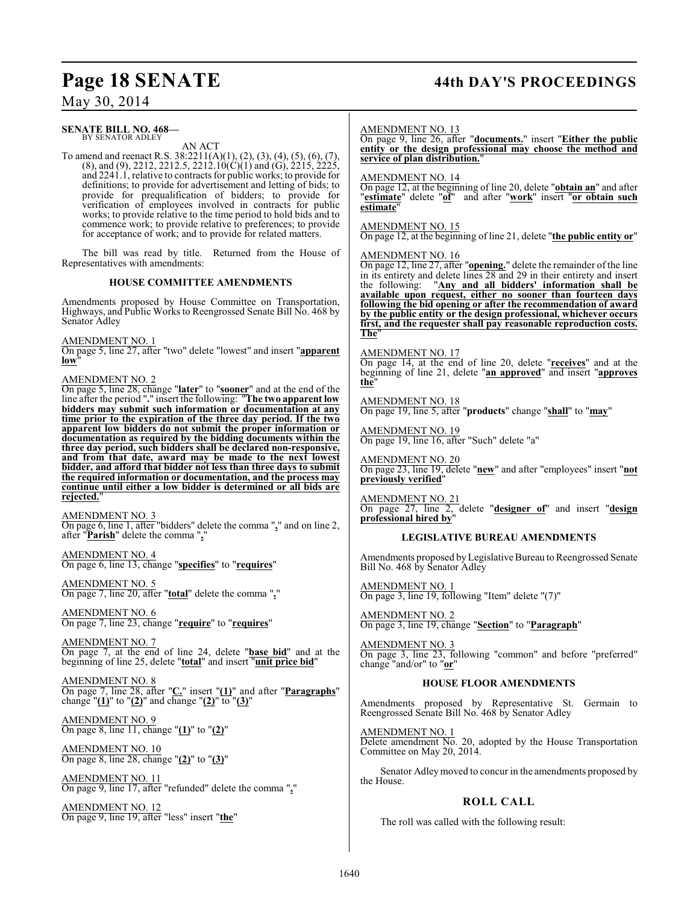### **Page 18 SENATE 44th DAY'S PROCEEDINGS**

May 30, 2014

#### **SENATE BILL NO. 468—** BY SENATOR ADLEY

AN ACT

To amend and reenact R.S. 38:2211(A)(1), (2), (3), (4), (5), (6), (7),  $(8)$ , and  $(9)$ , 2212, 2212.5, 2212.10 $(C)(1)$  and  $(G)$ , 2215, 2225, and 2241.1, relative to contracts for public works; to provide for definitions; to provide for advertisement and letting of bids; to provide for prequalification of bidders; to provide for verification of employees involved in contracts for public works; to provide relative to the time period to hold bids and to commence work; to provide relative to preferences; to provide for acceptance of work; and to provide for related matters.

The bill was read by title. Returned from the House of Representatives with amendments:

#### **HOUSE COMMITTEE AMENDMENTS**

Amendments proposed by House Committee on Transportation, Highways, and Public Works to Reengrossed Senate Bill No. 468 by Senator Adley

AMENDMENT NO. 1

On page 5, line 27, after "two" delete "lowest" and insert "**apparent**  $low$ 

#### AMENDMENT NO. 2

On page 5, line 28, change "**later**" to "**sooner**" and at the end of the line after the period "**.**" insert the following: "**The two apparent low bidders may submit such information or documentation at any time prior to the expiration of the three day period. If the two apparent low bidders do not submit the proper information or documentation as required by the bidding documents within the three day period, such bidders shall be declared non-responsive, and from that date, award may be made to the next lowest bidder, and afford that bidder not less than three days to submit the required information or documentation, and the process may continue until either a low bidder is determined or all bids are rejected.**"

AMENDMENT NO. 3 On page 6, line 1, after "bidders" delete the comma "**,**" and on line 2, after "**Parish**" delete the comma "**,**"

AMENDMENT NO. 4 On page 6, line 13, change "**specifies**" to "**requires**"

AMENDMENT NO. 5 On page 7, line 20, after "**total**" delete the comma "**,**"

AMENDMENT NO. 6 On page 7, line 23, change "**require**" to "**requires**"

AMENDMENT NO. 7 On page 7, at the end of line 24, delete "**base bid**" and at the beginning of line 25, delete "**total**" and insert "**unit price bid**"

AMENDMENT NO. 8 On page 7, line 28, after "**C.**" insert "**(1)**" and after "**Paragraphs**" change "**(1)**" to "**(2)**" and change "**(2)**" to "**(3)**"

AMENDMENT NO. 9 On page 8, line 11, change "**(1)**" to "**(2)**"

AMENDMENT NO. 10 On page 8, line 28, change "**(2)**" to "**(3)**"

AMENDMENT NO. 11 On page 9, line 17, after "refunded" delete the comma "**,**"

AMENDMENT NO. 12 On page 9, line 19, after "less" insert "**the**"

#### AMENDMENT NO. 13

On page 9, line 26, after "**documents.**" insert "**Either the public entity or the design professional may choose the method and service of plan distribution.**"

#### AMENDMENT NO. 14

On page 12, at the beginning of line 20, delete "**obtain an**" and after "**estimate**" delete "**of**" and after "**work**" insert "**or obtain such estimate**"

## AMENDMENT NO. 15

On page 12, at the beginning of line 21, delete "**the public entity or**"

#### AMENDMENT NO. 16

On page 12, line 27, after "**opening.**" delete the remainder of the line in its entirety and delete lines 28 and 29 in their entirety and insert the following: "**Any and all bidders' information shall be available upon request, either no sooner than fourteen days following the bid opening or after the recommendation of award by the public entity or the design professional, whichever occurs first, and the requester shall pay reasonable reproduction costs. The**"

#### AMENDMENT NO. 17

On page 14, at the end of line 20, delete "**receives**" and at the beginning of line 21, delete "**an approved**" and insert "**approves the**"

AMENDMENT NO. 18 On page 19, line 5, after "**products**" change "**shall**" to "**may**"

AMENDMENT NO. 19 On page 19, line 16, after "Such" delete "a"

AMENDMENT NO. 20 On page 23, line 19, delete "**new**" and after "employees" insert "**not previously verified**"

AMENDMENT NO. 21 On page 27, line 2, delete "**designer of**" and insert "**design professional hired by**"

#### **LEGISLATIVE BUREAU AMENDMENTS**

Amendments proposed by Legislative Bureau to Reengrossed Senate Bill No. 468 by Senator Adley

AMENDMENT NO. 1 On page 3, line 19, following "Item" delete "(7)"

AMENDMENT NO. 2 On page 3, line 19, change "**Section**" to "**Paragraph**"

AMENDMENT NO. 3 On page 3, line 23, following "common" and before "preferred" change "and/or" to "**or**"

#### **HOUSE FLOOR AMENDMENTS**

Amendments proposed by Representative St. Germain to Reengrossed Senate Bill No. 468 by Senator Adley

AMENDMENT NO. 1 Delete amendment No. 20, adopted by the House Transportation Committee on May 20, 2014.

Senator Adley moved to concur in the amendments proposed by the House.

#### **ROLL CALL**

The roll was called with the following result: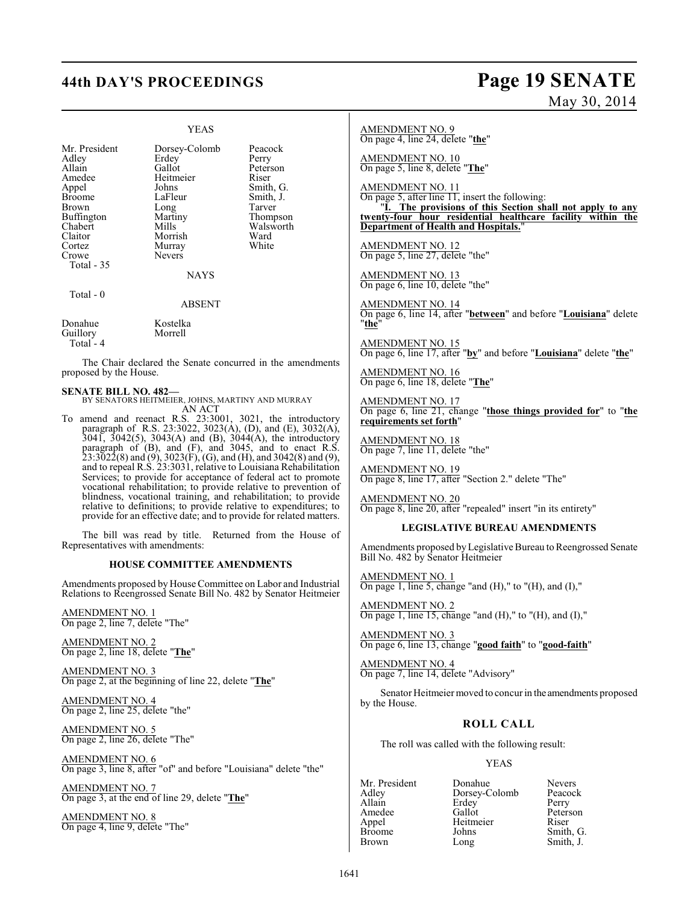# **44th DAY'S PROCEEDINGS Page 19 SENATE**

### YEAS

Mr. President Dorsey-Colomb Peacock<br>Adley Erdey Perry Adley Erdey<br>Allain Gallot Allain Callot Peterson<br>Amedee Heitmeier Riser Amedee Heitmeier<br>Appel Johns Appel Johns Smith, G.<br>Broome LaFleur Smith, J. LaFleur Smith, J.<br>Long Tarver Brown Long Tarver<br>
Buffington Martiny Thompson Buffington Martin<br>Chabert Mills Chabert Mills Walsworth<br>
Claitor Morrish Ward Claitor Morrish Ward Cortez Murray<br>Crowe Nevers Nevers Total - 35 NAYS Total - 0 ABSENT Donahue Kostelka<br>Guillory Morrell Guillory Total - 4

The Chair declared the Senate concurred in the amendments proposed by the House.

**SENATE BILL NO. 482—** BY SENATORS HEITMEIER, JOHNS, MARTINY AND MURRAY AN ACT

To amend and reenact R.S. 23:3001, 3021, the introductory paragraph of R.S. 23:3022, 3023(A), (D), and (E), 3032(A), 3041, 3042(5), 3043(A) and (B), 3044(A), the introductory paragraph of (B), and (F), and 3045, and to enact R.S.  $23:3\bar{0}2\bar{2}(8)$  and  $(9)$ ,  $3023(F)$ ,  $(G)$ , and  $(H)$ , and  $3042(8)$  and  $(9)$ , and to repeal R.S. 23:3031, relative to Louisiana Rehabilitation Services; to provide for acceptance of federal act to promote vocational rehabilitation; to provide relative to prevention of blindness, vocational training, and rehabilitation; to provide relative to definitions; to provide relative to expenditures; to provide for an effective date; and to provide for related matters.

The bill was read by title. Returned from the House of Representatives with amendments:

#### **HOUSE COMMITTEE AMENDMENTS**

Amendments proposed by House Committee on Labor and Industrial Relations to Reengrossed Senate Bill No. 482 by Senator Heitmeier

AMENDMENT NO. 1 On page 2, line 7, delete "The"

AMENDMENT NO. 2 On page 2, line 18, delete "**The**"

AMENDMENT NO. 3 On page 2, at the beginning of line 22, delete "**The**"

AMENDMENT NO. 4 On page 2, line 25, delete "the"

AMENDMENT NO. 5 On page 2, line 26, delete "The"

AMENDMENT NO. 6 On page 3, line 8, after "of" and before "Louisiana" delete "the"

AMENDMENT NO. 7 On page 3, at the end of line 29, delete "**The**"

AMENDMENT NO. 8 On page 4, line 9, delete "The"

#### AMENDMENT NO. 9 On page 4, line 24, delete "**the**"

AMENDMENT NO. 10 On page 5, line 8, delete "**The**"

AMENDMENT NO. 11

On page 5, after line  $\overline{11}$ , insert the following: "**I. The provisions of this Section shall not apply to any twenty-four hour residential healthcare facility within the Department of Health and Hospitals.**"

AMENDMENT NO. 12 On page 5, line 27, delete "the"

AMENDMENT NO. 13 On page 6, line 10, delete "the"

AMENDMENT NO. 14 On page 6, line 14, after "**between**" and before "**Louisiana**" delete "**the**"

AMENDMENT NO. 15 On page 6, line 17, after "**by**" and before "**Louisiana**" delete "**the**"

AMENDMENT NO. 16 On page 6, line 18, delete "**The**"

AMENDMENT NO. 17 On page 6, line 21, change "**those things provided for**" to "**the requirements set forth**"

AMENDMENT NO. 18 On page 7, line 11, delete "the"

AMENDMENT NO. 19 On page 8, line 17, after "Section 2." delete "The"

AMENDMENT NO. 20 On page 8, line 20, after "repealed" insert "in its entirety"

#### **LEGISLATIVE BUREAU AMENDMENTS**

Amendments proposed byLegislative Bureau to Reengrossed Senate Bill No. 482 by Senator Heitmeier

AMENDMENT NO. 1 On page 1, line 5, change "and  $(H)$ ," to " $(H)$ , and  $(I)$ ,"

AMENDMENT NO. 2 On page 1, line 15, change "and  $(H)$ ," to " $(H)$ , and  $(I)$ ,"

AMENDMENT NO. 3 On page 6, line 13, change "**good faith**" to "**good-faith**"

AMENDMENT NO. 4 On page 7, line 14, delete "Advisory"

Senator Heitmeier moved to concur in the amendments proposed by the House.

### **ROLL CALL**

The roll was called with the following result:

#### YEAS

Allain Erdey<br>Amedee Gallot Appel Heitmeier<br>Broome Johns

Mr. President Donahue Nevers<br>Adley Dorsey-Colomb Peacock Adley Dorsey-Colomb Peaco<br>Allain Erdey Perry Amedee Gallot Peterson<br>
Appel Heitmeier Riser Broome Johns Smith, G.<br>Brown Long Smith, J.

Long Smith, J.

# May 30, 2014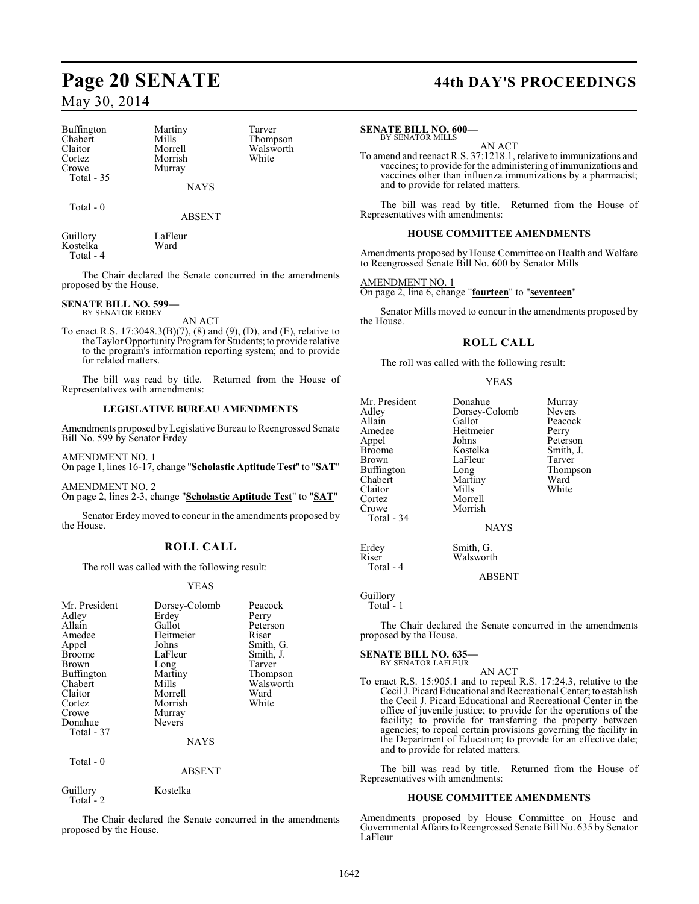| Buffington |  |
|------------|--|
| Chabert    |  |
| Claitor    |  |
| Cortez     |  |
| Crowe      |  |
| Total - 35 |  |

Martiny Tarver<br>
Mills Thomp Morrish Murray

Mills Thompson<br>Morrell Walsworth Walsworth<br>White

Total - 0

ABSENT

NAYS

| Guillory  | LaFleur |
|-----------|---------|
| Kostelka  | Ward    |
| Total - 4 |         |

Ward

The Chair declared the Senate concurred in the amendments proposed by the House.

#### **SENATE BILL NO. 599—** BY SENATOR ERDEY

AN ACT

To enact R.S. 17:3048.3(B)(7), (8) and (9), (D), and (E), relative to the Taylor Opportunity Program for Students; to provide relative to the program's information reporting system; and to provide for related matters.

The bill was read by title. Returned from the House of Representatives with amendments:

#### **LEGISLATIVE BUREAU AMENDMENTS**

Amendments proposed by Legislative Bureau to Reengrossed Senate Bill No. 599 by Senator Erdey

AMENDMENT NO. 1 On page 1, lines 16-17, change "**Scholastic Aptitude Test**" to "**SAT**"

AMENDMENT NO. 2 On page 2, lines 2-3, change "**Scholastic Aptitude Test**" to "**SAT**"

Senator Erdey moved to concur in the amendments proposed by the House.

### **ROLL CALL**

The roll was called with the following result:

#### YEAS

| Mr. President<br>Adley<br>Allain<br>Amedee<br>Appel<br><b>Broome</b><br>Brown<br>Buffington<br>Chabert<br>Claitor<br>Cortez<br>Crowe<br>Donahue<br>Total - 37 | Dorsey-Colomb<br>Erdey<br>Gallot<br>Heitmeier<br>Johns<br>LaFleur<br>Long<br>Martiny<br>Mills<br>Morrell<br>Morrish<br>Murray<br><b>Nevers</b> | Peacock<br>Perry<br>Peterson<br>Riser<br>Smith, G.<br>Smith, J.<br>Tarver<br>Thompson<br>Walsworth<br>Ward<br>White |
|---------------------------------------------------------------------------------------------------------------------------------------------------------------|------------------------------------------------------------------------------------------------------------------------------------------------|---------------------------------------------------------------------------------------------------------------------|
|                                                                                                                                                               | <b>NAYS</b>                                                                                                                                    |                                                                                                                     |
| Total $-0$                                                                                                                                                    | <b>ABSENT</b>                                                                                                                                  |                                                                                                                     |
| Guillory                                                                                                                                                      | Kostelka                                                                                                                                       |                                                                                                                     |

Total - 2

The Chair declared the Senate concurred in the amendments proposed by the House.

## **Page 20 SENATE 44th DAY'S PROCEEDINGS**

#### **SENATE BILL NO. 600—** BY SENATOR MILLS

AN ACT

To amend and reenact R.S. 37:1218.1, relative to immunizations and vaccines; to provide for the administering of immunizations and vaccines other than influenza immunizations by a pharmacist; and to provide for related matters.

The bill was read by title. Returned from the House of Representatives with amendments:

#### **HOUSE COMMITTEE AMENDMENTS**

Amendments proposed by House Committee on Health and Welfare to Reengrossed Senate Bill No. 600 by Senator Mills

#### AMENDMENT NO. 1

On page 2, line 6, change "**fourteen**" to "**seventeen**"

Senator Mills moved to concur in the amendments proposed by the House.

#### **ROLL CALL**

The roll was called with the following result:

#### YEAS

| Mr. President | Donahue       | Murray        |
|---------------|---------------|---------------|
| Adley         | Dorsey-Colomb | Nevers        |
| Allain        | Gallot        | Peacock       |
| Amedee        | Heitmeier     | Perry         |
| Appel         | Johns         | Peterson      |
| <b>Broome</b> | Kostelka      | Smith, J.     |
| <b>Brown</b>  | LaFleur       | Tarver        |
| Buffington    | Long          | <b>Thomps</b> |
| Chabert       | Martiny       | Ward          |
| Claitor       | Mills         | White         |
| Cortez        | Morrell       |               |
| Crowe         | Morrish       |               |
| Total - 34    |               |               |
|               | <b>NAYS</b>   |               |
| Erdev         | Smith G       |               |

Peterson<br>Smith, J. Kostelka Smith,<br>LaFleur Tarver Thompson<br>Ward

Erdey Smith, G. Walsworth

ABSENT

Guillory

Total - 4

Total - 1

The Chair declared the Senate concurred in the amendments proposed by the House.

#### **SENATE BILL NO. 635—**

BY SENATOR LAFLEUR AN ACT

To enact R.S. 15:905.1 and to repeal R.S. 17:24.3, relative to the Cecil J. Picard Educational and Recreational Center; to establish the Cecil J. Picard Educational and Recreational Center in the office of juvenile justice; to provide for the operations of the facility; to provide for transferring the property between agencies; to repeal certain provisions governing the facility in the Department of Education; to provide for an effective date; and to provide for related matters.

The bill was read by title. Returned from the House of Representatives with amendments:

#### **HOUSE COMMITTEE AMENDMENTS**

Amendments proposed by House Committee on House and Governmental Affairsto Reengrossed Senate Bill No. 635 by Senator LaFleur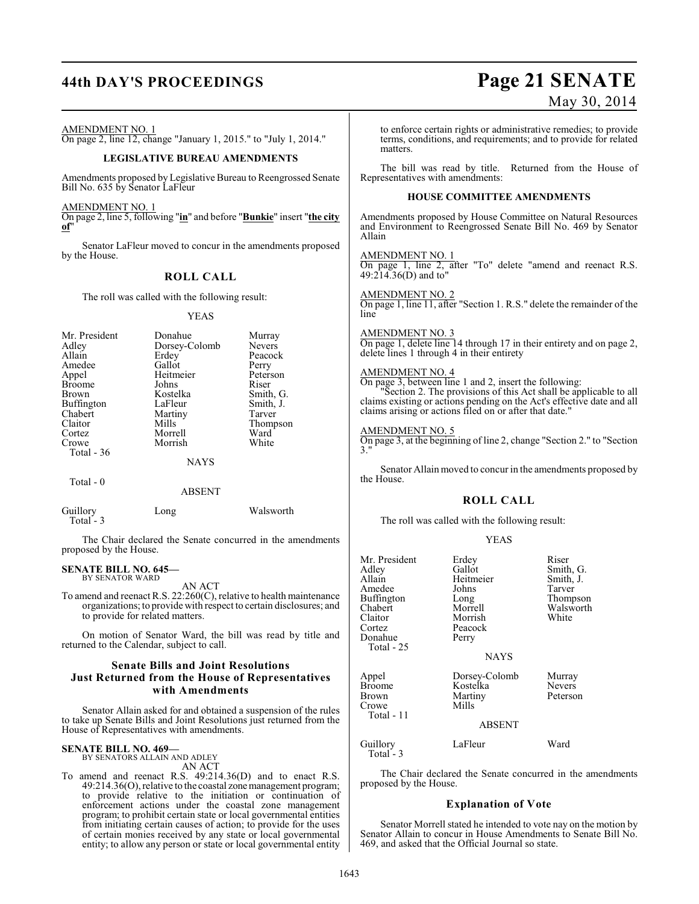## **44th DAY'S PROCEEDINGS Page 21 SENATE**

### May 30, 2014

AMENDMENT NO. 1

On page 2, line 12, change "January 1, 2015." to "July 1, 2014."

#### **LEGISLATIVE BUREAU AMENDMENTS**

Amendments proposed by Legislative Bureau to Reengrossed Senate Bill No. 635 by Senator LaFleur

AMENDMENT NO. 1

On page 2, line 5, following "**in**" and before "**Bunkie**" insert "**the city of**"

Senator LaFleur moved to concur in the amendments proposed by the House.

#### **ROLL CALL**

The roll was called with the following result:

YEAS

| Mr. President | Donahue       | Murray        |
|---------------|---------------|---------------|
| Adley         | Dorsey-Colomb | <b>Nevers</b> |
| Allain        | Erdey         | Peacock       |
| Amedee        | Gallot        | Perry         |
| Appel         | Heitmeier     | Peterson      |
| <b>Broome</b> | Johns         | Riser         |
| Brown         | Kostelka      | Smith, G.     |
| Buffington    | LaFleur       | Smith, J.     |
| Chabert       | Martiny       | Tarver        |
| Claitor       | Mills         | Thompson      |
| Cortez        | Morrell       | Ward          |
| Crowe         | Morrish       | White         |
| Total $-36$   |               |               |
|               | <b>NAYS</b>   |               |
| Total $-0$    |               |               |
|               | ABSENT        |               |

| Guillory   | Long | Walsworth |
|------------|------|-----------|
| Total $-3$ |      |           |

The Chair declared the Senate concurred in the amendments proposed by the House.

#### **SENATE BILL NO. 645—** BY SENATOR WARD

AN ACT

To amend and reenact R.S. 22:260(C), relative to health maintenance organizations; to provide with respect to certain disclosures; and to provide for related matters.

On motion of Senator Ward, the bill was read by title and returned to the Calendar, subject to call.

#### **Senate Bills and Joint Resolutions Just Returned from the House of Representatives with Amendments**

Senator Allain asked for and obtained a suspension of the rules to take up Senate Bills and Joint Resolutions just returned from the House of Representatives with amendments.

### **SENATE BILL NO. 469—** BY SENATORS ALLAIN AND ADLEY

AN ACT

To amend and reenact R.S. 49:214.36(D) and to enact R.S. 49:214.36(O), relative to the coastal zone management program; to provide relative to the initiation or continuation of enforcement actions under the coastal zone management program; to prohibit certain state or local governmental entities from initiating certain causes of action; to provide for the uses of certain monies received by any state or local governmental entity; to allow any person or state or local governmental entity

to enforce certain rights or administrative remedies; to provide terms, conditions, and requirements; and to provide for related matters.

The bill was read by title. Returned from the House of Representatives with amendments:

#### **HOUSE COMMITTEE AMENDMENTS**

Amendments proposed by House Committee on Natural Resources and Environment to Reengrossed Senate Bill No. 469 by Senator Allain

AMENDMENT NO. 1

On page 1, line 2, after "To" delete "amend and reenact R.S. 49:214.36(D) and to"

AMENDMENT NO. 2 On page 1, line 11, after "Section 1. R.S." delete the remainder of the line

#### AMENDMENT NO. 3

On page 1, delete line 14 through 17 in their entirety and on page 2, delete lines 1 through 4 in their entirety

#### AMENDMENT NO. 4

On page 3, between line 1 and 2, insert the following: "Section 2. The provisions of this Act shall be applicable to all claims existing or actions pending on the Act's effective date and all claims arising or actions filed on or after that date."

#### AMENDMENT NO. 5

On page 3, at the beginning of line 2, change "Section 2." to "Section 3."

Senator Allain moved to concur in the amendments proposed by the House.

#### **ROLL CALL**

The roll was called with the following result:

#### YEAS

| Mr. President<br>Adley<br>Allain<br>Amedee<br>Buffington<br>Chabert<br>Claitor<br>Cortez<br>Donahue<br>Total - 25 | Erdey<br>Gallot<br>Heitmeier<br>Johns<br>Long<br>Morrell<br>Morrish<br>Peacock<br>Perry<br><b>NAYS</b> | Riser<br>Smith, G.<br>Smith, J.<br>Tarver<br>Thompson<br>Walsworth<br>White |
|-------------------------------------------------------------------------------------------------------------------|--------------------------------------------------------------------------------------------------------|-----------------------------------------------------------------------------|
| Appel<br><b>Broome</b><br><b>Brown</b><br>Crowe<br>Total - 11                                                     | Dorsey-Colomb<br>Kostelka<br>Martiny<br>Mills<br><b>ABSENT</b>                                         | Murray<br><b>Nevers</b><br>Peterson                                         |
| Guillory<br>m . 1                                                                                                 | LaFleur                                                                                                | Ward                                                                        |

Total - 3

The Chair declared the Senate concurred in the amendments proposed by the House.

#### **Explanation of Vote**

Senator Morrell stated he intended to vote nay on the motion by Senator Allain to concur in House Amendments to Senate Bill No. 469, and asked that the Official Journal so state.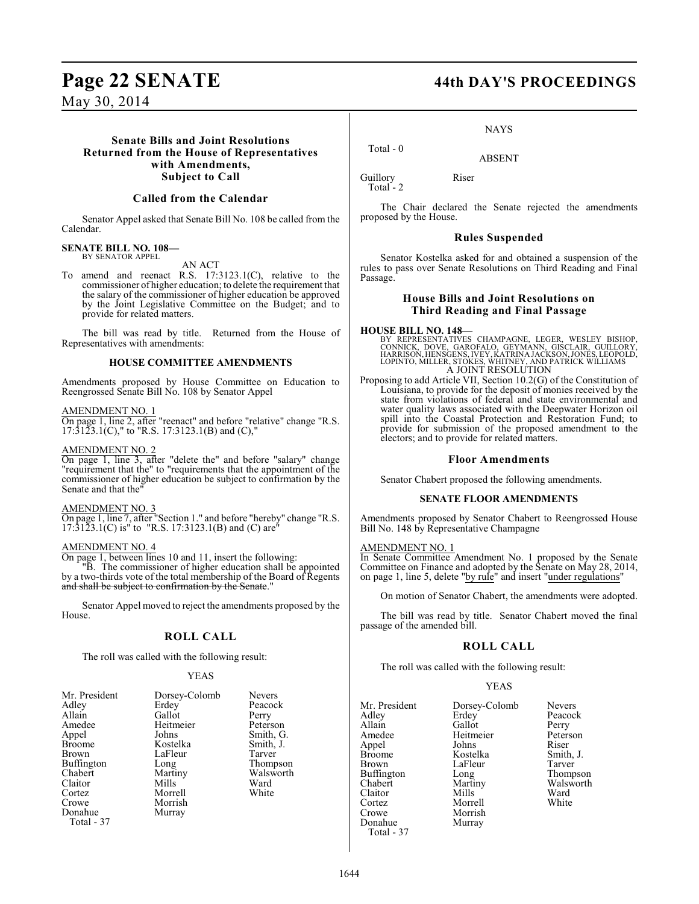### **Senate Bills and Joint Resolutions Returned from the House of Representatives with Amendments, Subject to Call**

#### **Called from the Calendar**

Senator Appel asked that Senate Bill No. 108 be called from the Calendar.

## **SENATE BILL NO. 108—** BY SENATOR APPEL

AN ACT

To amend and reenact R.S. 17:3123.1(C), relative to the commissioner of higher education; to delete the requirement that the salary of the commissioner of higher education be approved by the Joint Legislative Committee on the Budget; and to provide for related matters.

The bill was read by title. Returned from the House of Representatives with amendments:

#### **HOUSE COMMITTEE AMENDMENTS**

Amendments proposed by House Committee on Education to Reengrossed Senate Bill No. 108 by Senator Appel

#### AMENDMENT NO. 1

On page 1, line 2, after "reenact" and before "relative" change "R.S. 17:3123.1(C)," to "R.S. 17:3123.1(B) and (C),"

#### AMENDMENT NO. 2

On page 1, line 3, after "delete the" and before "salary" change "requirement that the" to "requirements that the appointment of the commissioner of higher education be subject to confirmation by the Senate and that the"

#### AMENDMENT NO. 3

On page 1, line 7, after "Section 1." and before "hereby" change "R.S.  $17:31\overline{2}3.1\overline{C}$  is" to "R.S. 17:3123.1(B) and (C) are"

#### AMENDMENT NO. 4

On page 1, between lines 10 and 11, insert the following:

"B. The commissioner of higher education shall be appointed by a two-thirds vote of the total membership of the Board of Regents and shall be subject to confirmation by the Senate."

Senator Appel moved to reject the amendments proposed by the House.

### **ROLL CALL**

The roll was called with the following result:

#### YEAS

| Mr. President<br>Adley<br>Allain<br>Amedee<br>Appel<br><b>Broome</b><br><b>Brown</b><br>Buffington<br>Chabert<br>Claitor<br>Cortez<br>Crowe<br>Donahue<br>Total - 37 | Dorsey-Colomb<br>Erdey<br>Gallot<br>Heitmeier<br>Johns<br>Kostelka<br>LaFleur<br>Long<br>Martiny<br>Mills<br>Morrell<br>Morrish<br>Murray | <b>Nevers</b><br>Peacock<br>Perry<br>Peterson<br>Smith, G.<br>Smith, J.<br>Tarver<br>Thompson<br>Walsworth<br>Ward<br>White |
|----------------------------------------------------------------------------------------------------------------------------------------------------------------------|-------------------------------------------------------------------------------------------------------------------------------------------|-----------------------------------------------------------------------------------------------------------------------------|
|----------------------------------------------------------------------------------------------------------------------------------------------------------------------|-------------------------------------------------------------------------------------------------------------------------------------------|-----------------------------------------------------------------------------------------------------------------------------|

### **Page 22 SENATE 44th DAY'S PROCEEDINGS**

**NAYS** 

ABSENT

Guillory Riser

Total<sup>-</sup>2

Total - 0

The Chair declared the Senate rejected the amendments proposed by the House.

#### **Rules Suspended**

Senator Kostelka asked for and obtained a suspension of the rules to pass over Senate Resolutions on Third Reading and Final Passage.

#### **House Bills and Joint Resolutions on Third Reading and Final Passage**

**HOUSE BILL NO. 148—**<br>BY REPRESENTATIVES CHAMPAGNE, LEGER, WESLEY BISHOP,<br>CONNICK, DOVE, GAROFALO, GEYMANN, GISCLAIR, GUILLORY,<br>HARRISON, HENSGENS, IVEY, KATRINA JACKSON, JONES, LEOPOLD,<br>LOPINTO, MILLER, STOKES, WHITNEY, A

Proposing to add Article VII, Section 10.2(G) of the Constitution of Louisiana, to provide for the deposit of monies received by the state from violations of federal and state environmental and water quality laws associated with the Deepwater Horizon oil spill into the Coastal Protection and Restoration Fund; to provide for submission of the proposed amendment to the electors; and to provide for related matters.

#### **Floor Amendments**

Senator Chabert proposed the following amendments.

#### **SENATE FLOOR AMENDMENTS**

Amendments proposed by Senator Chabert to Reengrossed House Bill No. 148 by Representative Champagne

#### AMENDMENT NO. 1

In Senate Committee Amendment No. 1 proposed by the Senate Committee on Finance and adopted by the Senate on May 28, 2014, on page 1, line 5, delete "by rule" and insert "under regulations"

On motion of Senator Chabert, the amendments were adopted.

The bill was read by title. Senator Chabert moved the final passage of the amended bill.

### **ROLL CALL**

The roll was called with the following result:

#### YEAS

Thompson Walsworth<br>Ward

| Mr. President | Dorsey-Colomb | Nevers    |
|---------------|---------------|-----------|
| Adley         | Erdey         | Peacock   |
| Allain        | Gallot        | Perry     |
| Amedee        | Heitmeier     | Peterson  |
| Appel         | Johns         | Riser     |
| <b>Broome</b> | Kostelka      | Smith, J. |
| Brown         | LaFleur       | Tarver    |
| Buffington    | Long          | Thompso   |
| Chabert       | Martiny       | Walswor   |
| Claitor       | Mills         | Ward      |
| Cortez        | Morrell       | White     |
| Crowe         | Morrish       |           |
| Donahue       | Murray        |           |
| Total - $37$  |               |           |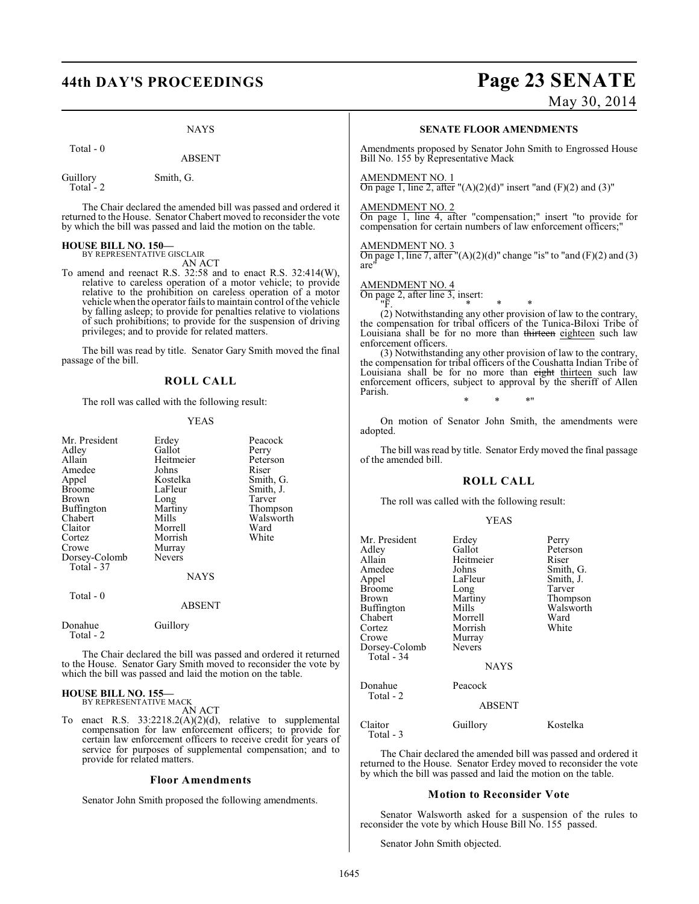# **44th DAY'S PROCEEDINGS Page 23 SENATE**

May 30, 2014

NAYS

Total - 0

ABSENT

Guillory Smith, G. Total<sup>-</sup>2

The Chair declared the amended bill was passed and ordered it returned to the House. Senator Chabert moved to reconsider the vote by which the bill was passed and laid the motion on the table.

# **HOUSE BILL NO. 150—** BY REPRESENTATIVE GISCLAIR

AN ACT

To amend and reenact R.S. 32:58 and to enact R.S. 32:414(W), relative to careless operation of a motor vehicle; to provide relative to the prohibition on careless operation of a motor vehicle when the operator fails to maintain control of the vehicle by falling asleep; to provide for penalties relative to violations of such prohibitions; to provide for the suspension of driving privileges; and to provide for related matters.

The bill was read by title. Senator Gary Smith moved the final passage of the bill.

#### **ROLL CALL**

The roll was called with the following result:

#### YEAS

| Mr. President<br>Adley<br>Allain<br>Amedee<br>Appel<br><b>Broome</b><br>Brown<br>Buffington<br>Chabert<br>Claitor<br>Cortez<br>Crowe<br>Dorsey-Colomb<br>Total - 37 | Erdey<br>Gallot<br>Heitmeier<br>Johns<br>Kostelka<br>LaFleur<br>Long<br>Martiny<br>Mills<br>Morrell<br>Morrish<br>Murray<br><b>Nevers</b><br><b>NAYS</b> | Peacock<br>Perry<br>Peterson<br>Riser<br>Smith, G.<br>Smith, J.<br>Tarver<br>Thompson<br>Walsworth<br>Ward<br>White |
|---------------------------------------------------------------------------------------------------------------------------------------------------------------------|----------------------------------------------------------------------------------------------------------------------------------------------------------|---------------------------------------------------------------------------------------------------------------------|
| Total - 0                                                                                                                                                           | <b>ABSENT</b>                                                                                                                                            |                                                                                                                     |
| Donahue<br>Total - 2                                                                                                                                                | Guillory                                                                                                                                                 |                                                                                                                     |

The Chair declared the bill was passed and ordered it returned to the House. Senator Gary Smith moved to reconsider the vote by which the bill was passed and laid the motion on the table.

#### **HOUSE BILL NO. 155—** BY REPRESENTATIVE MACK

AN ACT

To enact R.S. 33:2218.2(A)(2)(d), relative to supplemental compensation for law enforcement officers; to provide for certain law enforcement officers to receive credit for years of service for purposes of supplemental compensation; and to provide for related matters.

#### **Floor Amendments**

Senator John Smith proposed the following amendments.

#### **SENATE FLOOR AMENDMENTS**

Amendments proposed by Senator John Smith to Engrossed House Bill No. 155 by Representative Mack

#### AMENDMENT NO. 1

On page 1, line 2, after " $(A)(2)(d)$ " insert "and  $(F)(2)$  and  $(3)$ "

### AMENDMENT NO. 2

On page 1, line 4, after "compensation;" insert "to provide for compensation for certain numbers of law enforcement officers;

#### AMENDMENT NO. 3

On page 1, line 7, after " $(A)(2)(d)$ " change "is" to "and  $(F)(2)$  and  $(3)$ are"

#### AMENDMENT NO. 4

On page 2, after line 3, insert:

"F. \* \* \* (2) Notwithstanding any other provision of law to the contrary, the compensation for tribal officers of the Tunica-Biloxi Tribe of Louisiana shall be for no more than thirteen eighteen such law enforcement officers.

(3) Notwithstanding any other provision of law to the contrary, the compensation for tribal officers of the Coushatta Indian Tribe of Louisiana shall be for no more than eight thirteen such law enforcement officers, subject to approval by the sheriff of Allen Parish.

\* \* \*"

On motion of Senator John Smith, the amendments were adopted.

The bill was read by title. Senator Erdy moved the final passage of the amended bill.

#### **ROLL CALL**

The roll was called with the following result:

#### YEAS

| Mr. President<br>Adley<br>Allain<br>Amedee<br>Appel<br><b>Broome</b><br>Brown<br>Buffington<br>Chabert<br>Cortez<br>Crowe<br>Dorsey-Colomb | Erdey<br>Gallot<br>Heitmeier<br>Johns<br>LaFleur<br>Long<br>Martiny<br>Mills<br>Morrell<br>Morrish<br>Murray<br><b>Nevers</b> | Perry<br>Peterson<br>Riser<br>Smith, G.<br>Smith, J.<br>Tarver<br>Thompson<br>Walsworth<br>Ward<br>White |
|--------------------------------------------------------------------------------------------------------------------------------------------|-------------------------------------------------------------------------------------------------------------------------------|----------------------------------------------------------------------------------------------------------|
| Total - 34                                                                                                                                 | <b>NAYS</b>                                                                                                                   |                                                                                                          |
| Donahue<br>Total - 2                                                                                                                       | Peacock                                                                                                                       |                                                                                                          |
|                                                                                                                                            | <b>ABSENT</b>                                                                                                                 |                                                                                                          |
| Claitor<br>Total - 3                                                                                                                       | Guillory                                                                                                                      | Kostelka                                                                                                 |

The Chair declared the amended bill was passed and ordered it returned to the House. Senator Erdey moved to reconsider the vote by which the bill was passed and laid the motion on the table.

#### **Motion to Reconsider Vote**

Senator Walsworth asked for a suspension of the rules to reconsider the vote by which House Bill No. 155 passed.

Senator John Smith objected.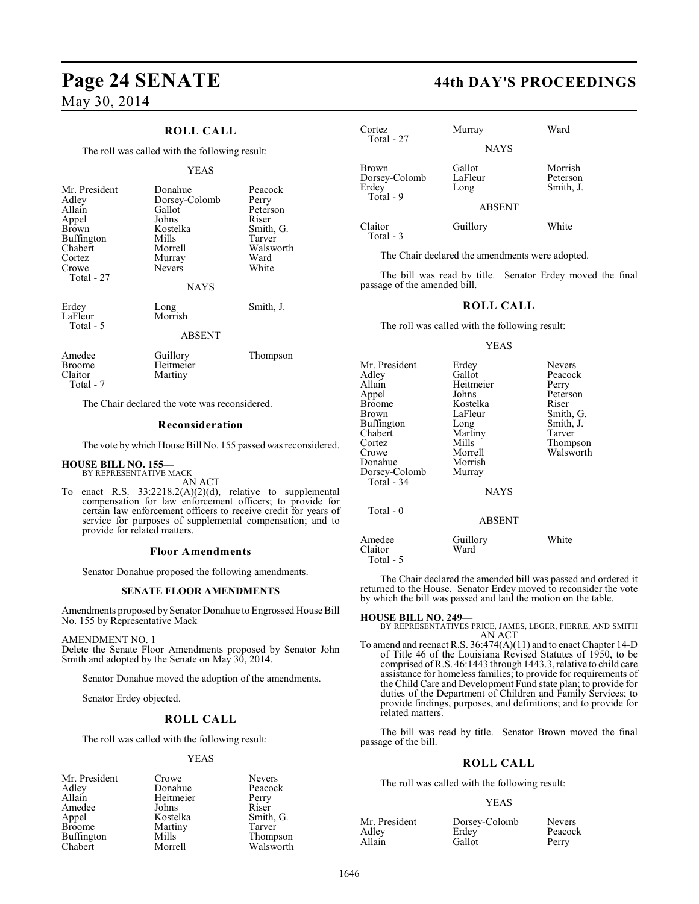### **ROLL CALL**

The roll was called with the following result:

#### YEAS

| Mr. President<br>Adley                                      | Donahue<br>Dorsey-Colomb                                  | Peacock<br>Perry                                              |
|-------------------------------------------------------------|-----------------------------------------------------------|---------------------------------------------------------------|
| Allain<br>Appel<br>Brown<br>Buffington<br>Chabert<br>Cortez | Gallot<br>Johns<br>Kostelka<br>Mills<br>Morrell<br>Murray | Peterson<br>Riser<br>Smith, G.<br>Tarver<br>Walsworth<br>Ward |
| Crowe<br>Total - 27                                         | <b>Nevers</b><br>NAYS                                     | White                                                         |
| Erdey<br>LaFleur<br>Total - 5                               | Long<br>Morrish<br><b>ABSENT</b>                          | Smith, J.                                                     |
| Amedee<br><b>Broome</b><br>Claitor<br>Total - 7             | Guillory<br>Heitmeier<br>Martiny                          | Thompson                                                      |

The Chair declared the vote was reconsidered.

#### **Reconsideration**

The vote by which House Bill No. 155 passed was reconsidered.

# **HOUSE BILL NO. 155—** BY REPRESENTATIVE MACK

AN ACT

To enact R.S.  $33:2218.2(A)(2)(d)$ , relative to supplemental compensation for law enforcement officers; to provide for certain law enforcement officers to receive credit for years of service for purposes of supplemental compensation; and to provide for related matters.

#### **Floor Amendments**

Senator Donahue proposed the following amendments.

#### **SENATE FLOOR AMENDMENTS**

Amendments proposed by Senator Donahue to Engrossed House Bill No. 155 by Representative Mack

#### AMENDMENT NO. 1

Delete the Senate Floor Amendments proposed by Senator John Smith and adopted by the Senate on May 30, 2014.

Senator Donahue moved the adoption of the amendments.

Senator Erdey objected.

### **ROLL CALL**

The roll was called with the following result:

#### YEAS

Adley Donahue Peacock<br>Allain Heitmeier Perry Amedee Johns<br>Appel Kostelka Appel Kostelka Smith, G.<br>Broome Martiny Tarver Buffington Mills<br>Chabert Morrell

Mr. President Crowe Nevers<br>Adley Donahue Peacoc Heitmeier Perry<br>Johns Riser Martiny Tarver<br>
Mills Thompson

Walsworth

**Page 24 SENATE 44th DAY'S PROCEEDINGS**

| Cortez                                              | Murray                    | Ward                             |
|-----------------------------------------------------|---------------------------|----------------------------------|
| Total - 27                                          | <b>NAYS</b>               |                                  |
| <b>Brown</b><br>Dorsey-Colomb<br>Erdey<br>Total - 9 | Gallot<br>LaFleur<br>Long | Morrish<br>Peterson<br>Smith, J. |
|                                                     | <b>ABSENT</b>             |                                  |
| Claitor<br>Total - 3                                | Guillory                  | White                            |

The Chair declared the amendments were adopted.

The bill was read by title. Senator Erdey moved the final passage of the amended bill.

#### **ROLL CALL**

The roll was called with the following result:

#### YEAS

| Mr. President<br>Adley<br>Allain<br>Appel<br>Broome<br>Brown<br>Buffington<br>Chabert<br>Cortez<br>Crowe<br>Donahue<br>Dorsey-Colomb<br>Total - 34 | Erdey<br>Gallot<br>Heitmeier<br>Johns<br>Kostelka<br>LaFleur<br>Long<br>Martiny<br>Mills<br>Morrell<br>Morrish<br>Murray<br><b>NAYS</b> | <b>Nevers</b><br>Peacock<br>Perry<br>Peterson<br>Riser<br>Smith, G.<br>Smith, J.<br>Tarver<br>Thompson<br>Walsworth |
|----------------------------------------------------------------------------------------------------------------------------------------------------|-----------------------------------------------------------------------------------------------------------------------------------------|---------------------------------------------------------------------------------------------------------------------|
| Total $-0$                                                                                                                                         | <b>ABSENT</b>                                                                                                                           |                                                                                                                     |
| Amedee<br>Claitor<br>Total - 5                                                                                                                     | Guillory<br>Ward                                                                                                                        | White                                                                                                               |

The Chair declared the amended bill was passed and ordered it returned to the House. Senator Erdey moved to reconsider the vote by which the bill was passed and laid the motion on the table.

#### **HOUSE BILL NO. 249—**

BY REPRESENTATIVES PRICE, JAMES, LEGER, PIERRE, AND SMITH AN ACT

To amend and reenact R.S. 36:474(A)(11) and to enact Chapter 14-D of Title 46 of the Louisiana Revised Statutes of 1950, to be comprised of R.S. 46:1443 through 1443.3, relative to child care assistance for homeless families; to provide for requirements of the Child Care and Development Fund state plan; to provide for duties of the Department of Children and Family Services; to provide findings, purposes, and definitions; and to provide for related matters.

The bill was read by title. Senator Brown moved the final passage of the bill.

#### **ROLL CALL**

The roll was called with the following result:

#### YEAS

| Mr. President | Dorsey-Colomb | <b>Nevers</b> |
|---------------|---------------|---------------|
| Adlev         | Erdey         | Peacock       |
| Allain        | Gallot        | Perry         |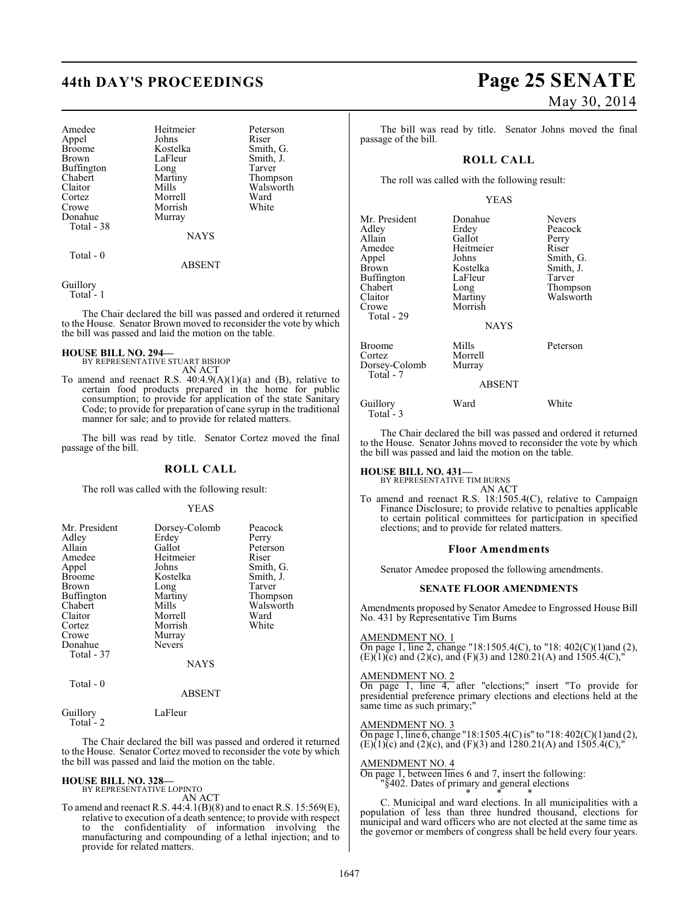| Amedee                | Heitmeier   | Peterson  |
|-----------------------|-------------|-----------|
| Appel                 | Johns       | Riser     |
| Broome                | Kostelka    | Smith, G. |
| Brown                 | LaFleur     | Smith, J. |
| Buffington            | Long        | Tarver    |
| Chabert               | Martiny     | Thompson  |
| Claitor               | Mills       | Walsworth |
| Cortez                | Morrell     | Ward      |
| Crowe                 | Morrish     | White     |
| Donahue<br>Total - 38 | Murray      |           |
|                       | <b>NAYS</b> |           |

Total - 0

Guillory Total - 1

The Chair declared the bill was passed and ordered it returned to the House. Senator Brown moved to reconsider the vote by which the bill was passed and laid the motion on the table.

ABSENT

#### **HOUSE BILL NO. 294—**

BY REPRESENTATIVE STUART BISHOP AN ACT

To amend and reenact R.S.  $40:4.9(A)(1)(a)$  and (B), relative to certain food products prepared in the home for public consumption; to provide for application of the state Sanitary Code; to provide for preparation of cane syrup in the traditional manner for sale; and to provide for related matters.

The bill was read by title. Senator Cortez moved the final passage of the bill.

#### **ROLL CALL**

The roll was called with the following result:

#### YEAS

| Mr. President     | Dorsey-Colomb | Peacock   |
|-------------------|---------------|-----------|
| Adley             | Erdey         | Perry     |
| Allain            | Gallot        | Peterson  |
| Amedee            | Heitmeier     | Riser     |
| Appel             | Johns         | Smith, G. |
| <b>Broome</b>     | Kostelka      | Smith, J. |
| <b>Brown</b>      | Long          | Tarver    |
| <b>Buffington</b> | Martiny       | Thompson  |
| Chabert           | Mills         | Walsworth |
| Claitor           | Morrell       | Ward      |
| Cortez            | Morrish       | White     |
| Crowe             | Murray        |           |
| Donahue           | Nevers        |           |
| Total - 37        |               |           |
|                   | <b>NAYS</b>   |           |
| Total - 0         |               |           |
|                   | <b>ARSENT</b> |           |

#### ABSENT

Guillory LaFleur Total - 2

The Chair declared the bill was passed and ordered it returned to the House. Senator Cortez moved to reconsider the vote by which the bill was passed and laid the motion on the table.

#### **HOUSE BILL NO. 328—** BY REPRESENTATIVE LOPINTO

AN ACT

To amend and reenact R.S. 44:4.1(B)(8) and to enact R.S. 15:569(E), relative to execution of a death sentence; to provide with respect to the confidentiality of information involving the manufacturing and compounding of a lethal injection; and to provide for related matters.

# **44th DAY'S PROCEEDINGS Page 25 SENATE** May 30, 2014

The bill was read by title. Senator Johns moved the final passage of the bill.

#### **ROLL CALL**

The roll was called with the following result:

#### YEAS

| Mr. President<br>Adley<br>Allain<br>Amedee<br>Appel<br><b>Brown</b><br>Buffington<br>Chabert<br>Claitor<br>Crowe<br>Total - 29 | Donahue<br>Erdey<br>Gallot<br>Heitmeier<br>Johns<br>Kostelka<br>LaFleur<br>Long<br>Martiny<br>Morrish | <b>Nevers</b><br>Peacock<br>Perry<br>Riser<br>Smith, G.<br>Smith, J.<br>Tarver<br>Thompson<br>Walsworth |
|--------------------------------------------------------------------------------------------------------------------------------|-------------------------------------------------------------------------------------------------------|---------------------------------------------------------------------------------------------------------|
|                                                                                                                                | <b>NAYS</b>                                                                                           |                                                                                                         |
| Broome<br>Cortez<br>Dorsey-Colomb<br>Total - 7                                                                                 | Mills<br>Morrell<br>Murray<br><b>ABSENT</b>                                                           | Peterson                                                                                                |

### Guillory Ward White Total - 3

The Chair declared the bill was passed and ordered it returned to the House. Senator Johns moved to reconsider the vote by which the bill was passed and laid the motion on the table.

# **HOUSE BILL NO. 431—** BY REPRESENTATIVE TIM BURNS

AN ACT

To amend and reenact R.S. 18:1505.4(C), relative to Campaign Finance Disclosure; to provide relative to penalties applicable to certain political committees for participation in specified elections; and to provide for related matters.

#### **Floor Amendments**

Senator Amedee proposed the following amendments.

#### **SENATE FLOOR AMENDMENTS**

Amendments proposed by Senator Amedee to Engrossed House Bill No. 431 by Representative Tim Burns

#### AMENDMENT NO. 1

On page 1, line 2, change "18:1505.4(C), to "18: 402(C)(1)and (2),  $(E)(1)(c)$  and  $(2)(c)$ , and  $(F)(3)$  and  $1280.21(A)$  and  $1505.4(C)$ ,

#### AMENDMENT NO. 2

On page 1, line 4, after "elections;" insert "To provide for presidential preference primary elections and elections held at the same time as such primary;"

#### AMENDMENT NO. 3

On page 1, line 6, change "18:1505.4(C) is" to "18:  $402(C)(1)$  and (2),  $(E)(1)(c)$  and  $(2)(c)$ , and  $(F)(3)$  and  $1280.21(A)$  and  $1505.4(C)$ ,"

#### AMENDMENT NO. 4

On page 1, between lines 6 and 7, insert the following: "§402. Dates of primary and general elections \* \* \*

C. Municipal and ward elections. In all municipalities with a population of less than three hundred thousand, elections for municipal and ward officers who are not elected at the same time as the governor or members of congress shall be held every four years.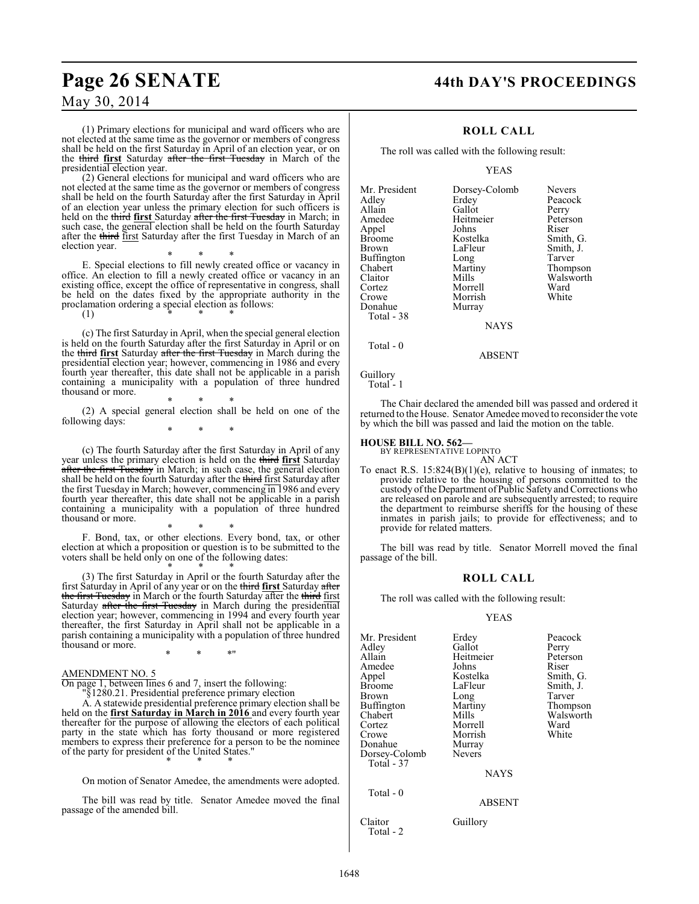(1) Primary elections for municipal and ward officers who are not elected at the same time as the governor or members of congress shall be held on the first Saturday in April of an election year, or on the third **first** Saturday after the first Tuesday in March of the presidential election year.

(2) General elections for municipal and ward officers who are not elected at the same time as the governor or members of congress shall be held on the fourth Saturday after the first Saturday in April of an election year unless the primary election for such officers is held on the third first Saturday after the first Tuesday in March; in such case, the general election shall be held on the fourth Saturday after the third first Saturday after the first Tuesday in March of an election year.

\* \* \* E. Special elections to fill newly created office or vacancy in office. An election to fill a newly created office or vacancy in an existing office, except the office of representative in congress, shall be held on the dates fixed by the appropriate authority in the proclamation ordering a special election as follows:

(1) \* \* \*

(c) The first Saturday in April, when the special general election is held on the fourth Saturday after the first Saturday in April or on the third **first** Saturday after the first Tuesday in March during the presidential election year; however, commencing in 1986 and every fourth year thereafter, this date shall not be applicable in a parish containing a municipality with a population of three hundred thousand or more.

\* \* \* (2) A special general election shall be held on one of the following days: \* \* \*

(c) The fourth Saturday after the first Saturday in April of any year unless the primary election is held on the third **first** Saturday after the first Tuesday in March; in such case, the general election shall be held on the fourth Saturday after the third first Saturday after the first Tuesday in March; however, commencing in 1986 and every fourth year thereafter, this date shall not be applicable in a parish containing a municipality with a population of three hundred thousand or more.

\* \* \* F. Bond, tax, or other elections. Every bond, tax, or other election at which a proposition or question is to be submitted to the voters shall be held only on one of the following dates:

\* \* \* (3) The first Saturday in April or the fourth Saturday after the first Saturday in April of any year or on the third **first** Saturday after the first Tuesday in March or the fourth Saturday after the third first Saturday after the first Tuesday in March during the presidential election year; however, commencing in 1994 and every fourth year thereafter, the first Saturday in April shall not be applicable in a parish containing a municipality with a population of three hundred thousand or more.

\* \* \*"

AMENDMENT NO. 5

On page 1, between lines 6 and 7, insert the following:

"§1280.21. Presidential preference primary election

A. A statewide presidential preference primary election shall be held on the **first Saturday in March in 2016** and every fourth year thereafter for the purpose of allowing the electors of each political party in the state which has forty thousand or more registered members to express their preference for a person to be the nominee of the party for president of the United States." \* \* \*

On motion of Senator Amedee, the amendments were adopted.

The bill was read by title. Senator Amedee moved the final passage of the amended bill.

### **Page 26 SENATE 44th DAY'S PROCEEDINGS**

#### **ROLL CALL**

The roll was called with the following result:

YEAS

| Mr. President | Dorsey-Colomb | <b>Nevers</b> |
|---------------|---------------|---------------|
| Adlev         | Erdey         | Peacock       |
| Allain        | Gallot        | Perry         |
| Amedee        | Heitmeier     | Peterson      |
| Appel         | Johns         | Riser         |
| <b>Broome</b> | Kostelka      | Smith, G.     |
| Brown         | LaFleur       | Smith, J.     |
| Buffington    | Long          | Tarver        |
| Chabert       | Martiny       | Thompson      |
| Claitor       | Mills         | Walsworth     |
| Cortez        | Morrell       | Ward          |
| Crowe         | Morrish       | White         |
| Donahue       | Murray        |               |
| Total - 38    |               |               |
|               | <b>NAYS</b>   |               |
|               |               |               |

Total - 0

ABSENT

Guillory Total - 1

The Chair declared the amended bill was passed and ordered it returned to the House. Senator Amedee moved to reconsider the vote by which the bill was passed and laid the motion on the table.

### **HOUSE BILL NO. 562—** BY REPRESENTATIVE LOPINTO

AN ACT To enact R.S. 15:824(B)(1)(e), relative to housing of inmates; to provide relative to the housing of persons committed to the custody of theDepartment ofPublic Safety and Corrections who are released on parole and are subsequently arrested; to require the department to reimburse sheriffs for the housing of these inmates in parish jails; to provide for effectiveness; and to provide for related matters.

The bill was read by title. Senator Morrell moved the final passage of the bill.

#### **ROLL CALL**

The roll was called with the following result:

YEAS

| Mr. President<br>Adley<br>Allain<br>Amedee<br>Appel<br>Broome<br>Brown             | Erdey<br>Gallot<br>Heitmeier<br>Johns<br>Kostelka<br>LaFleur<br>Long             | Peacock<br>Perry<br>Peterson<br>Riser<br>Smith, G.<br>Smith, J.<br>Tarver |
|------------------------------------------------------------------------------------|----------------------------------------------------------------------------------|---------------------------------------------------------------------------|
| Buffington<br>Chabert<br>Cortez<br>Crowe<br>Donahue<br>Dorsey-Colomb<br>Total - 37 | Martiny<br>Mills<br>Morrell<br>Morrish<br>Murray<br><b>Nevers</b><br><b>NAYS</b> | Thompson<br>Walsworth<br>Ward<br>White                                    |
| Total - 0                                                                          | <b>ABSENT</b>                                                                    |                                                                           |
| Claitor<br>Total - 2                                                               | Guillory                                                                         |                                                                           |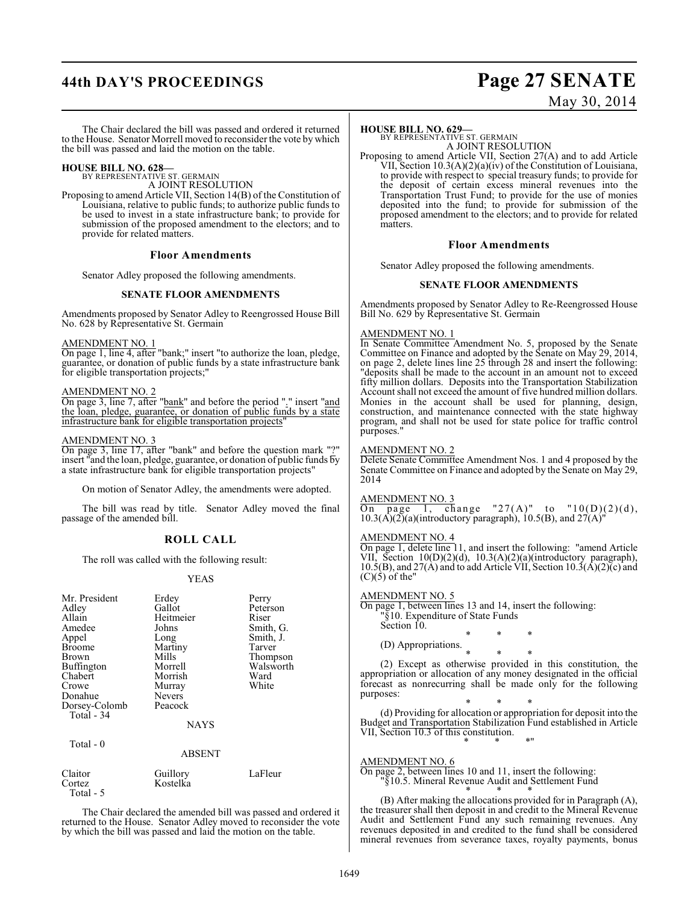# **44th DAY'S PROCEEDINGS Page 27 SENATE**

# May 30, 2014

The Chair declared the bill was passed and ordered it returned to the House. Senator Morrell moved to reconsider the vote by which the bill was passed and laid the motion on the table.

**HOUSE BILL NO. 628—** BY REPRESENTATIVE ST. GERMAIN A JOINT RESOLUTION

Proposing to amend Article VII, Section 14(B) of the Constitution of Louisiana, relative to public funds; to authorize public funds to be used to invest in a state infrastructure bank; to provide for submission of the proposed amendment to the electors; and to provide for related matters.

#### **Floor Amendments**

Senator Adley proposed the following amendments.

#### **SENATE FLOOR AMENDMENTS**

Amendments proposed by Senator Adley to Reengrossed House Bill No. 628 by Representative St. Germain

#### AMENDMENT NO. 1

On page 1, line 4, after "bank;" insert "to authorize the loan, pledge, guarantee, or donation of public funds by a state infrastructure bank for eligible transportation projects;"

#### AMENDMENT NO. 2

On page 3, line 7, after "bank" and before the period "." insert "and the loan, pledge, guarantee, or donation of public funds by a state infrastructure bank for eligible transportation projects"

#### AMENDMENT NO. 3

Total - 5

On page 3, line 17, after "bank" and before the question mark "?" insert "and the loan, pledge, guarantee, or donation of public funds by a state infrastructure bank for eligible transportation projects"

On motion of Senator Adley, the amendments were adopted.

The bill was read by title. Senator Adley moved the final passage of the amended bill.

#### **ROLL CALL**

The roll was called with the following result:

#### YEAS

| Mr. President<br>Adley<br>Allain<br>Amedee<br>Appel<br><b>Broome</b><br>Brown<br>Buffington<br>Chabert<br>Crowe<br>Donahue<br>Dorsey-Colomb<br>Total - 34<br>Total $-0$ | Erdey<br>Gallot<br>Heitmeier<br>Johns<br>Long<br>Martiny<br>Mills<br>Morrell<br>Morrish<br>Murray<br>Nevers<br>Peacock<br><b>NAYS</b><br><b>ABSENT</b> | Perry<br>Peterson<br>Riser<br>Smith, G.<br>Smith, J.<br>Tarver<br>Thompson<br>Walsworth<br>Ward<br>White |
|-------------------------------------------------------------------------------------------------------------------------------------------------------------------------|--------------------------------------------------------------------------------------------------------------------------------------------------------|----------------------------------------------------------------------------------------------------------|
| Claitor<br>Cortez                                                                                                                                                       | Guillory<br>Kostelka                                                                                                                                   | LaFleur                                                                                                  |

The Chair declared the amended bill was passed and ordered it returned to the House. Senator Adley moved to reconsider the vote by which the bill was passed and laid the motion on the table.

#### **HOUSE BILL NO. 629—**

BY REPRESENTATIVE ST. GERMAIN A JOINT RESOLUTION

Proposing to amend Article VII, Section 27(A) and to add Article VII, Section 10.3(A)(2)(a)(iv) of the Constitution of Louisiana, to provide with respect to special treasury funds; to provide for the deposit of certain excess mineral revenues into the Transportation Trust Fund; to provide for the use of monies deposited into the fund; to provide for submission of the proposed amendment to the electors; and to provide for related matters.

#### **Floor Amendments**

Senator Adley proposed the following amendments.

#### **SENATE FLOOR AMENDMENTS**

Amendments proposed by Senator Adley to Re-Reengrossed House Bill No. 629 by Representative St. Germain

#### AMENDMENT NO. 1

In Senate Committee Amendment No. 5, proposed by the Senate Committee on Finance and adopted by the Senate on May 29, 2014, on page 2, delete lines line 25 through 28 and insert the following: "deposits shall be made to the account in an amount not to exceed fifty million dollars. Deposits into the Transportation Stabilization Account shall not exceed the amount of five hundred million dollars. Monies in the account shall be used for planning, design, construction, and maintenance connected with the state highway program, and shall not be used for state police for traffic control purposes."

#### AMENDMENT NO. 2

Delete Senate Committee Amendment Nos. 1 and 4 proposed by the Senate Committee on Finance and adopted by the Senate on May 29, 2014

#### AMENDMENT NO. 3

On page 1, change "27(A)" to " $10(D)(2)(d)$ ,  $10.3(A)(2)(a)$ (introductory paragraph), 10.5(B), and  $27(A)'$ 

#### AMENDMENT NO. 4

On page 1, delete line 11, and insert the following: "amend Article VII, Section 10(D)(2)(d), 10.3(A)(2)(a)(introductory paragraph), 10.5(B), and 27(A) and to add Article VII, Section  $10.3(A)(2)(c)$  and  $(C)(5)$  of the"

#### AMENDMENT NO. 5

On page 1, between lines 13 and 14, insert the following: "§10. Expenditure of State Funds Section 10. \* \* \*

(D) Appropriations.

\* \* \* (2) Except as otherwise provided in this constitution, the appropriation or allocation of any money designated in the official forecast as nonrecurring shall be made only for the following purposes:

\* \* \* (d) Providing for allocation or appropriation for deposit into the Budget and Transportation Stabilization Fund established in Article VII, Section 10.3 of this constitution. \* \* \*"

#### AMENDMENT NO. 6

On page 2, between lines 10 and 11, insert the following: "§10.5. Mineral Revenue Audit and Settlement Fund

\* \* \* (B) After making the allocations provided for in Paragraph (A), the treasurer shall then deposit in and credit to the Mineral Revenue Audit and Settlement Fund any such remaining revenues. Any revenues deposited in and credited to the fund shall be considered mineral revenues from severance taxes, royalty payments, bonus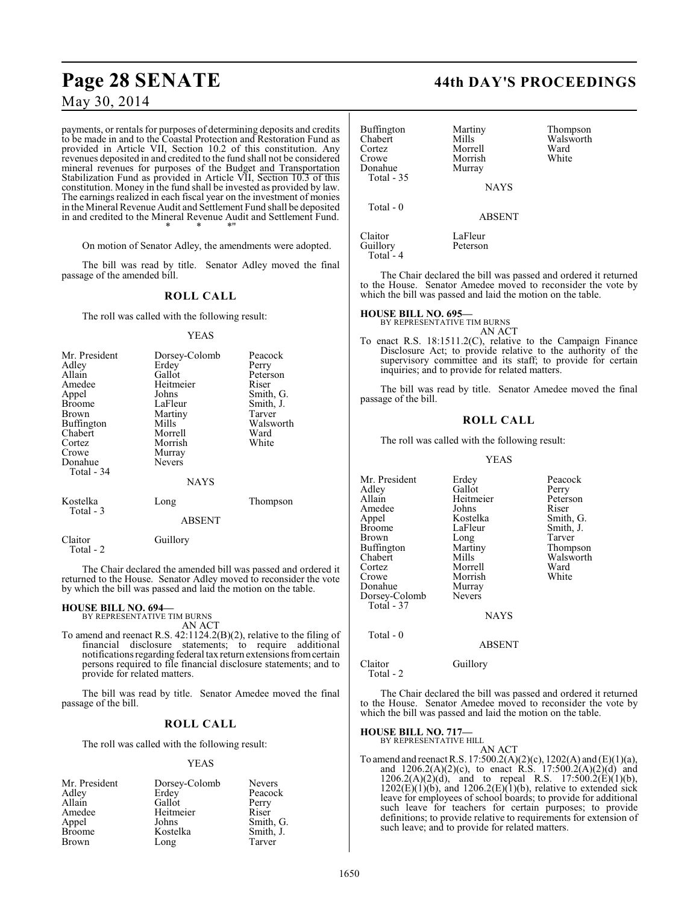# **Page 28 SENATE 44th DAY'S PROCEEDINGS**

May 30, 2014

payments, or rentals for purposes of determining deposits and credits to be made in and to the Coastal Protection and Restoration Fund as provided in Article VII, Section 10.2 of this constitution. Any revenues deposited in and credited to the fund shall not be considered mineral revenues for purposes of the Budget and Transportation Stabilization Fund as provided in Article VII, Section 10.3 of this constitution. Money in the fund shall be invested as provided by law. The earnings realized in each fiscal year on the investment of monies in the Mineral Revenue Audit and Settlement Fund shall be deposited in and credited to the Mineral Revenue Audit and Settlement Fund. \* \* \*"

On motion of Senator Adley, the amendments were adopted.

The bill was read by title. Senator Adley moved the final passage of the amended bill.

### **ROLL CALL**

The roll was called with the following result:

#### YEAS

| Mr. President<br>Adley<br>Allain<br>Amedee<br>Appel<br><b>Broome</b><br><b>Brown</b><br><b>Buffington</b><br>Chabert<br>Cortez<br>Crowe<br>Donahue<br>Total - 34 | Dorsey-Colomb<br>Erdey<br>Gallot<br>Heitmeier<br>Johns<br>LaFleur<br>Martiny<br>Mills<br>Morrell<br>Morrish<br>Murray<br><b>Nevers</b><br><b>NAYS</b> | Peacock<br>Perry<br>Peterson<br>Riser<br>Smith, G.<br>Smith, J.<br>Tarver<br>Walsworth<br>Ward<br>White |
|------------------------------------------------------------------------------------------------------------------------------------------------------------------|-------------------------------------------------------------------------------------------------------------------------------------------------------|---------------------------------------------------------------------------------------------------------|
| Kostelka<br>Total - 3                                                                                                                                            | Long<br><b>ABSENT</b>                                                                                                                                 | Thompson                                                                                                |

Claitor Guillory Total - 2

The Chair declared the amended bill was passed and ordered it returned to the House. Senator Adley moved to reconsider the vote by which the bill was passed and laid the motion on the table.

#### **HOUSE BILL NO. 694—**

BY REPRESENTATIVE TIM BURNS AN ACT

To amend and reenact R.S. 42:1124.2(B)(2), relative to the filing of financial disclosure statements; to require additional notifications regarding federal tax return extensions from certain persons required to file financial disclosure statements; and to provide for related matters.

The bill was read by title. Senator Amedee moved the final passage of the bill.

### **ROLL CALL**

The roll was called with the following result:

#### YEAS

| Mr. President | Dorsey-Colomb | <b>Nevers</b> |
|---------------|---------------|---------------|
| Adley         | Erdey         | Peacock       |
| Allain        | Gallot        | Perry         |
| Amedee        | Heitmeier     | Riser         |
| Appel         | Johns         | Smith, G.     |
| <b>Broome</b> | Kostelka      | Smith, J.     |
| <b>Brown</b>  | Long          | Tarver        |

| Buffington<br>Chabert<br>Cortez<br>Crowe<br>Donahue<br>Total - 35 | Martiny<br>Mills<br>Morrell<br>Morrish<br>Murray<br><b>NAYS</b> | Thompson<br>Walsworth<br>Ward<br>White |
|-------------------------------------------------------------------|-----------------------------------------------------------------|----------------------------------------|
| Total $-0$                                                        | <b>ABSENT</b>                                                   |                                        |
| Claitor<br>Guillory                                               | LaFleur<br>Peterson                                             |                                        |

The Chair declared the bill was passed and ordered it returned to the House. Senator Amedee moved to reconsider the vote by which the bill was passed and laid the motion on the table.

## **HOUSE BILL NO. 695—** BY REPRESENTATIVE TIM BURNS

Guillory Total - 4

AN ACT

To enact R.S. 18:1511.2(C), relative to the Campaign Finance Disclosure Act; to provide relative to the authority of the supervisory committee and its staff; to provide for certain inquiries; and to provide for related matters.

The bill was read by title. Senator Amedee moved the final passage of the bill.

### **ROLL CALL**

The roll was called with the following result:

#### YEAS

Mr. President Erdey Peacock<br>Adley Gallot Perry Adley Gallot Perry<br>Allain Heitmeier Peters Heitmeier Peterson<br>
Johns Riser Amedee Johns<br>Appel Kostelka Appel Kostelka Smith, G. Broome LaFleur Smith, J.<br>Brown Long Tarver Long Tarver<br>
Martiny Thompson Buffington Martin<br>Chabert Mills Chabert Mills Walsworth<br>
Cortez Morrell Ward Cortez Morrell Ward Morrish<br>Murray Donahue Murray<br>Dorsey-Colomb Nevers Dorsey-Colomb Total - 37 NAYS

Total - 0

ABSENT

Claitor Guillory

Total - 2

The Chair declared the bill was passed and ordered it returned to the House. Senator Amedee moved to reconsider the vote by which the bill was passed and laid the motion on the table.

#### **HOUSE BILL NO. 717—**

BY REPRESENTATIVE HILL AN ACT

To amend and reenact R.S. 17:500.2(A)(2)(c), 1202(A) and (E)(1)(a), and  $1206.2(A)(2)(c)$ , to enact R.S.  $17:500.2(A)(2)(d)$  and  $1206.2(A)(2)(d)$ , and to repeal R.S.  $17:500.2(E)(1)(b)$ ,  $1202(E)(1)(b)$ , and  $1206.2(E)(1)(b)$ , relative to extended sick leave for employees of school boards; to provide for additional such leave for teachers for certain purposes; to provide definitions; to provide relative to requirements for extension of such leave; and to provide for related matters.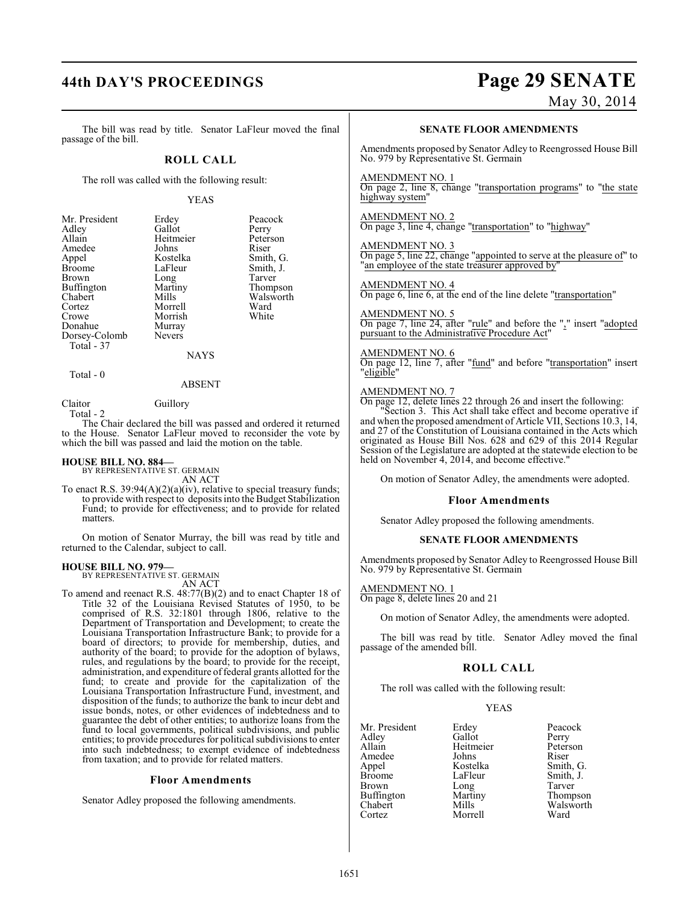# **44th DAY'S PROCEEDINGS Page 29 SENATE**

May 30, 2014

The bill was read by title. Senator LaFleur moved the final passage of the bill.

### **ROLL CALL**

The roll was called with the following result:

#### YEAS

Peacock<br>Perry

Peterson<br>Riser

Smith, G. Smith, J. Tarver Thompson Walsworth<br>Ward

| Mr. President | Erdey         | Peaco  |
|---------------|---------------|--------|
| Adley         | Gallot        | Perry  |
| Allain        | Heitmeier     | Peters |
| Amedee        | Johns         | Riser  |
| Appel         | Kostelka      | Smith. |
| <b>Broome</b> | LaFleur       | Smith  |
| Brown         | Long          | Tarver |
| Buffington    | Martiny       | Thom   |
| Chabert       | Mills         | Walsw  |
| Cortez        | Morrell       | Ward   |
| Crowe         | Morrish       | White  |
| Donahue       | Murray        |        |
| Dorsey-Colomb | <b>Nevers</b> |        |
| Total - 37    |               |        |
|               |               |        |

**NAYS** 

#### $Total - 0$

#### ABSENT

Claitor Guillory Total - 2

The Chair declared the bill was passed and ordered it returned to the House. Senator LaFleur moved to reconsider the vote by which the bill was passed and laid the motion on the table.

## **HOUSE BILL NO. 884—** BY REPRESENTATIVE ST. GERMAIN

AN ACT

To enact R.S. 39:94(A)(2)(a)(iv), relative to special treasury funds; to provide with respect to deposits into the Budget Stabilization Fund; to provide for effectiveness; and to provide for related matters.

On motion of Senator Murray, the bill was read by title and returned to the Calendar, subject to call.

#### **HOUSE BILL NO. 979—**

BY REPRESENTATIVE ST. GERMAIN AN ACT

To amend and reenact R.S. 48:77(B)(2) and to enact Chapter 18 of Title 32 of the Louisiana Revised Statutes of 1950, to be comprised of R.S. 32:1801 through 1806, relative to the Department of Transportation and Development; to create the Louisiana Transportation Infrastructure Bank; to provide for a board of directors; to provide for membership, duties, and authority of the board; to provide for the adoption of bylaws, rules, and regulations by the board; to provide for the receipt, administration, and expenditure of federal grants allotted for the fund; to create and provide for the capitalization of the Louisiana Transportation Infrastructure Fund, investment, and disposition of the funds; to authorize the bank to incur debt and issue bonds, notes, or other evidences of indebtedness and to guarantee the debt of other entities; to authorize loans from the fund to local governments, political subdivisions, and public entities; to provide procedures for political subdivisions to enter into such indebtedness; to exempt evidence of indebtedness from taxation; and to provide for related matters.

#### **Floor Amendments**

Senator Adley proposed the following amendments.

#### **SENATE FLOOR AMENDMENTS**

Amendments proposed by Senator Adley to Reengrossed House Bill No. 979 by Representative St. Germain

#### AMENDMENT NO. 1

On page 2, line 8, change "transportation programs" to "the state highway system

#### AMENDMENT NO. 2

On page 3, line 4, change "transportation" to "highway"

#### AMENDMENT NO. 3

On page 5, line 22, change "appointed to serve at the pleasure of" to "an employee of the state treasurer approved by"

#### AMENDMENT NO. 4

On page 6, line 6, at the end of the line delete "transportation"

#### AMENDMENT NO. 5

On page 7, line 24, after "rule" and before the "," insert "adopted pursuant to the Administrative Procedure Act"

#### AMENDMENT NO. 6

On page 12, line 7, after "fund" and before "transportation" insert "eligible"

#### AMENDMENT NO. 7

On page 12, delete lines 22 through 26 and insert the following: Section 3. This Act shall take effect and become operative if and when the proposed amendment of Article VII, Sections 10.3, 14, and 27 of the Constitution of Louisiana contained in the Acts which originated as House Bill Nos. 628 and 629 of this 2014 Regular Session of the Legislature are adopted at the statewide election to be held on November 4, 2014, and become effective.

On motion of Senator Adley, the amendments were adopted.

#### **Floor Amendments**

Senator Adley proposed the following amendments.

#### **SENATE FLOOR AMENDMENTS**

Amendments proposed by Senator Adley to Reengrossed House Bill No. 979 by Representative St. Germain

AMENDMENT NO. 1

On page 8, delete lines 20 and 21

On motion of Senator Adley, the amendments were adopted.

The bill was read by title. Senator Adley moved the final passage of the amended bill.

#### **ROLL CALL**

The roll was called with the following result:

#### YEAS

| Mr. President | Erdey     | Peacock   |
|---------------|-----------|-----------|
| Adley         | Gallot    | Perry     |
| Allain        | Heitmeier | Peterson  |
| Amedee        | Johns     | Riser     |
| Appel         | Kostelka  | Smith, G. |
| Broome        | LaFleur   | Smith, J. |
| Brown         | Long      | Tarver    |
| Buffington    | Martiny   | Thompson  |
| Chabert       | Mills     | Walsworth |
| Cortez        | Morrell   | Ward      |
|               |           |           |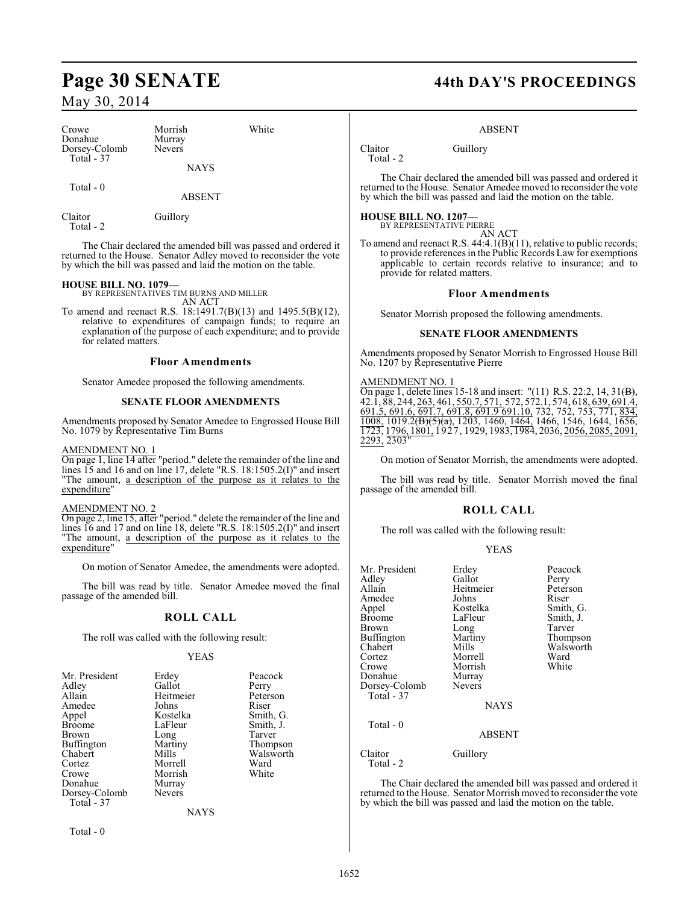| Crowe         | Morrish       | White |
|---------------|---------------|-------|
| Donahue       | Murray        |       |
| Dorsey-Colomb | <b>Nevers</b> |       |
| Total - 37    |               |       |
|               | <b>NAYS</b>   |       |

Total - 0

ABSENT

Claitor Guillory Total - 2

The Chair declared the amended bill was passed and ordered it returned to the House. Senator Adley moved to reconsider the vote by which the bill was passed and laid the motion on the table.

#### **HOUSE BILL NO. 1079—**

BY REPRESENTATIVES TIM BURNS AND MILLER

AN ACT To amend and reenact R.S. 18:1491.7(B)(13) and 1495.5(B)(12), relative to expenditures of campaign funds; to require an explanation of the purpose of each expenditure; and to provide for related matters.

#### **Floor Amendments**

Senator Amedee proposed the following amendments.

#### **SENATE FLOOR AMENDMENTS**

Amendments proposed by Senator Amedee to Engrossed House Bill No. 1079 by Representative Tim Burns

#### AMENDMENT NO. 1

On page 1, line 14 after "period." delete the remainder of the line and lines 15 and 16 and on line 17, delete "R.S. 18:1505.2(I)" and insert "The amount, a description of the purpose as it relates to the expenditure"

#### AMENDMENT NO. 2

On page 2, line 15, after "period." delete the remainder of the line and lines 16 and 17 and on line 18, delete "R.S. 18:1505.2(I)" and insert "The amount, a description of the purpose as it relates to the expenditure"

On motion of Senator Amedee, the amendments were adopted.

The bill was read by title. Senator Amedee moved the final passage of the amended bill.

### **ROLL CALL**

The roll was called with the following result:

#### YEAS

| Mr. President | Erdey         | Peacock   |
|---------------|---------------|-----------|
| Adley         | Gallot        | Perry     |
| Allain        | Heitmeier     | Peterson  |
| Amedee        | Johns         | Riser     |
| Appel         | Kostelka      | Smith, G. |
| <b>Broome</b> | LaFleur       | Smith, J. |
| Brown         | Long          | Tarver    |
| Buffington    | Martiny       | Thompson  |
| Chabert       | Mills         | Walsworth |
| Cortez        | Morrell       | Ward      |
| Crowe         | Morrish       | White     |
| Donahue       | Murray        |           |
| Dorsey-Colomb | <b>Nevers</b> |           |
| Total - 37    |               |           |
|               | <b>NAYS</b>   |           |
|               |               |           |

Total - 0

## **Page 30 SENATE 44th DAY'S PROCEEDINGS**

#### ABSENT

Claitor Guillory Total - 2

The Chair declared the amended bill was passed and ordered it returned to the House. Senator Amedee moved to reconsider the vote by which the bill was passed and laid the motion on the table.

### **HOUSE BILL NO. 1207—**

| BY REPRESENTATIVE PIERRE |  |  |  |        |  |
|--------------------------|--|--|--|--------|--|
|                          |  |  |  | AN ACT |  |
|                          |  |  |  |        |  |

To amend and reenact R.S. 44:4.1(B)(11), relative to public records; to provide references in the Public Records Law for exemptions applicable to certain records relative to insurance; and to provide for related matters.

#### **Floor Amendments**

Senator Morrish proposed the following amendments.

#### **SENATE FLOOR AMENDMENTS**

Amendments proposed by Senator Morrish to Engrossed House Bill No. 1207 by Representative Pierre

#### AMENDMENT NO. 1

On page 1, delete lines 15-18 and insert: "(11) R.S. 22:2, 14, 31 $\left(\overline{B}\right)$ , 42.1, 88, 244, 263, 461, 550.7, 571, 572, 572.1, 574, 618, 639, 691.4, 691.5, 691.6, 691.7, 691.8, 691.9 691.10, 732, 752, 753, 771, 834, 1008, 1019.2<del>(B)(5)(a)</del>, 1203, 1460, 1464, 1466, 1546, 1644, 1656, 1723, 1796, 1801, 1927, 1929, 1983, 1984, 2036, 2056, 2085, 2091, 2293, 2303"

On motion of Senator Morrish, the amendments were adopted.

The bill was read by title. Senator Morrish moved the final passage of the amended bill.

### **ROLL CALL**

The roll was called with the following result:

| Mr. President<br>Adley<br>Allain<br>Amedee<br>Appel<br><b>Broome</b><br>Brown<br>Buffington<br>Chabert<br>Cortez<br>Crowe<br>Donahue<br>Dorsey-Colomb<br>Total - 37 | Erdey<br>Gallot<br>Heitmeier<br>Johns<br>Kostelka<br>LaFleur<br>Long<br>Martiny<br>Mills<br>Morrell<br>Morrish<br>Murray<br><b>Nevers</b><br><b>NAYS</b> | Peacock<br>Perry<br>Peterson<br>Riser<br>Smith, G.<br>Smith, J.<br>Tarver<br>Thompson<br>Walsworth<br>Ward<br>White |
|---------------------------------------------------------------------------------------------------------------------------------------------------------------------|----------------------------------------------------------------------------------------------------------------------------------------------------------|---------------------------------------------------------------------------------------------------------------------|
| Total - 0                                                                                                                                                           | ABSENT                                                                                                                                                   |                                                                                                                     |
| Claitor<br>Total - 2                                                                                                                                                | Guillory                                                                                                                                                 |                                                                                                                     |

The Chair declared the amended bill was passed and ordered it returned to the House. Senator Morrish moved to reconsider the vote by which the bill was passed and laid the motion on the table.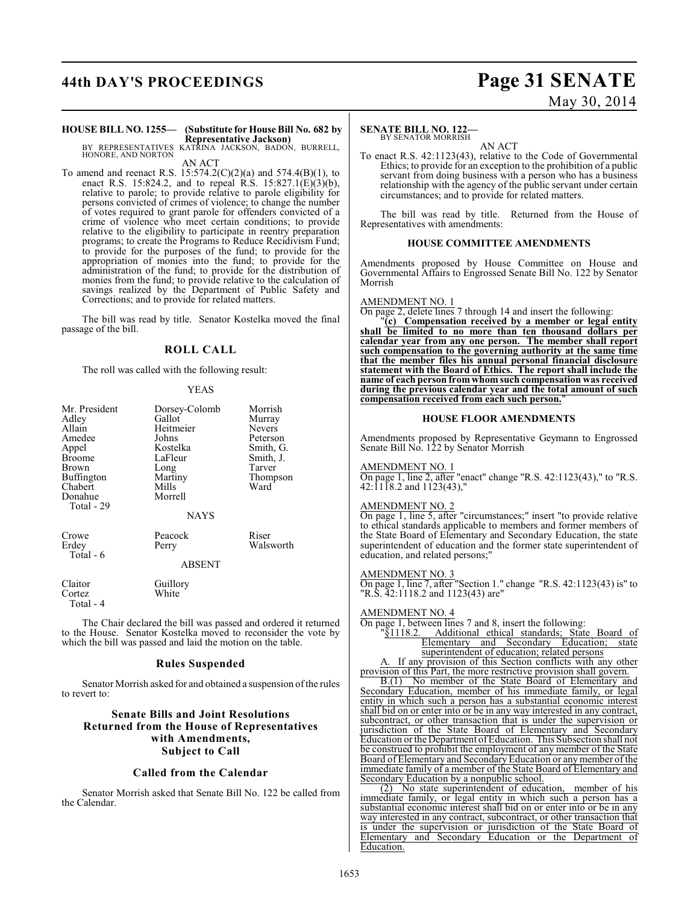# **44th DAY'S PROCEEDINGS Page 31 SENATE**

# May 30, 2014

### **HOUSE BILL NO. 1255— (Substitute for House Bill No. 682 by Representative Jackson)** BY REPRESENTATIVES KATRINA JACKSON, BADON, BURRELL,

HONORE, AND NORTON AN ACT

To amend and reenact R.S. 15:574.2(C)(2)(a) and 574.4(B)(1), to enact R.S. 15:824.2, and to repeal R.S. 15:827.1(E)(3)(b), relative to parole; to provide relative to parole eligibility for persons convicted of crimes of violence; to change the number of votes required to grant parole for offenders convicted of a crime of violence who meet certain conditions; to provide relative to the eligibility to participate in reentry preparation programs; to create the Programs to Reduce Recidivism Fund; to provide for the purposes of the fund; to provide for the appropriation of monies into the fund; to provide for the administration of the fund; to provide for the distribution of monies from the fund; to provide relative to the calculation of savings realized by the Department of Public Safety and Corrections; and to provide for related matters.

The bill was read by title. Senator Kostelka moved the final passage of the bill.

#### **ROLL CALL**

The roll was called with the following result:

#### YEAS

| Mr. President<br>Adley<br>Allain<br>Amedee<br>Appel<br><b>Broome</b><br>Brown<br>Buffington<br>Chabert<br>Donahue<br>Total - 29 | Dorsey-Colomb<br>Gallot<br>Heitmeier<br>Johns<br>Kostelka<br>LaFleur<br>Long<br>Martiny<br>Mills<br>Morrell | Morrish<br>Murray<br><b>Nevers</b><br>Peterson<br>Smith, G.<br>Smith, J.<br>Tarver<br>Thompson<br>Ward |
|---------------------------------------------------------------------------------------------------------------------------------|-------------------------------------------------------------------------------------------------------------|--------------------------------------------------------------------------------------------------------|
|                                                                                                                                 | <b>NAYS</b>                                                                                                 |                                                                                                        |
| Crowe<br>Erdey<br>Total - 6                                                                                                     | Peacock<br>Perry<br>ABSENT                                                                                  | Riser<br>Walsworth                                                                                     |
| Claitor<br>Cortez<br>Total - 4                                                                                                  | Guillory<br>White                                                                                           |                                                                                                        |

The Chair declared the bill was passed and ordered it returned to the House. Senator Kostelka moved to reconsider the vote by which the bill was passed and laid the motion on the table.

#### **Rules Suspended**

Senator Morrish asked for and obtained a suspension of the rules to revert to:

#### **Senate Bills and Joint Resolutions Returned from the House of Representatives with Amendments, Subject to Call**

#### **Called from the Calendar**

Senator Morrish asked that Senate Bill No. 122 be called from the Calendar.

### **SENATE BILL NO. 122—**

#### BY SENATOR MORRISH AN ACT

To enact R.S. 42:1123(43), relative to the Code of Governmental Ethics; to provide for an exception to the prohibition of a public servant from doing business with a person who has a business relationship with the agency of the public servant under certain circumstances; and to provide for related matters.

The bill was read by title. Returned from the House of Representatives with amendments:

#### **HOUSE COMMITTEE AMENDMENTS**

Amendments proposed by House Committee on House and Governmental Affairs to Engrossed Senate Bill No. 122 by Senator Morrish

#### AMENDMENT NO. 1

On page 2, delete lines 7 through 14 and insert the following:

"**(c) Compensation received by a member or legal entity shall be limited to no more than ten thousand dollars per calendar year from any one person. The member shall report such compensation to the governing authority at the same time that the member files his annual personal financial disclosure statement with the Board of Ethics. The report shall include the name of each person fromwhom such compensation was received during the previous calendar year and the total amount of such compensation received from each such person.**"

#### **HOUSE FLOOR AMENDMENTS**

Amendments proposed by Representative Geymann to Engrossed Senate Bill No. 122 by Senator Morrish

#### AMENDMENT NO. 1

On page 1, line 2, after "enact" change "R.S. 42:1123(43)," to "R.S. 42:1118.2 and 1123(43),"

#### AMENDMENT NO. 2

On page 1, line 5, after "circumstances;" insert "to provide relative to ethical standards applicable to members and former members of the State Board of Elementary and Secondary Education, the state superintendent of education and the former state superintendent of education, and related persons;"

#### AMENDMENT NO. 3

On page 1, line 7, after "Section 1." change "R.S. 42:1123(43) is" to "R.S. 42:1118.2 and 1123(43) are"

#### AMENDMENT NO. 4

On page 1, between lines 7 and 8, insert the following:  $\frac{91118.2}{ }$  Additional ethical standards; State

"§1118.2. Additional ethical standards; State Board of Elementary and Secondary Education; state superintendent of education; related persons

If any provision of this Section conflicts with any other provision of this Part, the more restrictive provision shall govern.

B.(1) No member of the State Board of Elementary and Secondary Education, member of his immediate family, or legal entity in which such a person has a substantial economic interest shall bid on or enter into or be in any way interested in any contract, subcontract, or other transaction that is under the supervision or jurisdiction of the State Board of Elementary and Secondary Education or the Department of Education. This Subsection shall not be construed to prohibit the employment of any member of the State Board of Elementary and Secondary Education or anymember of the immediate family of a member of the State Board of Elementary and Secondary Education by a nonpublic school.

(2) No state superintendent of education, member of his immediate family, or legal entity in which such a person has a substantial economic interest shall bid on or enter into or be in any way interested in any contract, subcontract, or other transaction that is under the supervision or jurisdiction of the State Board of Elementary and Secondary Education or the Department of Education.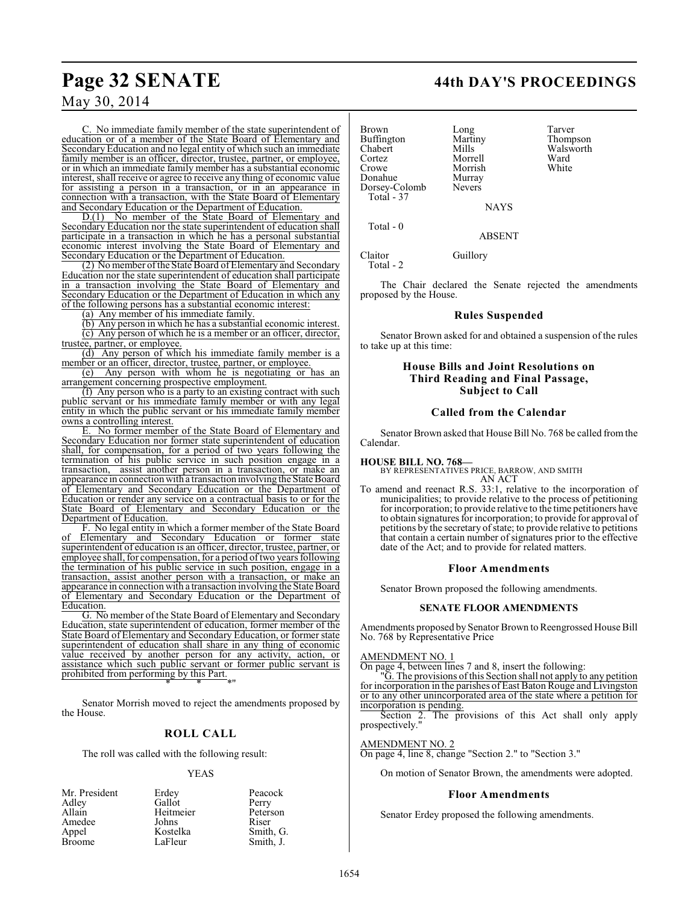C. No immediate family member of the state superintendent of education or of a member of the State Board of Elementary and Secondary Education and no legal entity of which such an immediate family member is an officer, director, trustee, partner, or employee, or in which an immediate family member has a substantial economic interest, shall receive or agree to receive any thing of economic value for assisting a person in a transaction, or in an appearance in connection with a transaction, with the State Board of Elementary and Secondary Education or the Department of Education.

D.(1) No member of the State Board of Elementary and Secondary Education nor the state superintendent of education shall participate in a transaction in which he has a personal substantial economic interest involving the State Board of Elementary and Secondary Education or the Department of Education.

(2) No member ofthe State Board of Elementary and Secondary Education nor the state superintendent of education shall participate in a transaction involving the State Board of Elementary and Secondary Education or the Department of Education in which any of the following persons has a substantial economic interest:

(a) Any member of his immediate family.

(b) Any person in which he has a substantial economic interest. (c) Any person of which he is a member or an officer, director, trustee, partner, or employee.

(d) Any person of which his immediate family member is a member or an officer, director, trustee, partner, or employee.

(e) Any person with whom he is negotiating or has an arrangement concerning prospective employment.

(f) Any person who is a party to an existing contract with such public servant or his immediate family member or with any legal entity in which the public servant or his immediate family member owns a controlling interest.

E. No former member of the State Board of Elementary and Secondary Education nor former state superintendent of education shall, for compensation, for a period of two years following the termination of his public service in such position engage in a transaction, assist another person in a transaction, or make an assist another person in a transaction, or make an appearance in connection with a transaction involving the State Board of Elementary and Secondary Education or the Department of Education or render any service on a contractual basis to or for the State Board of Elementary and Secondary Education or the Department of Education.

F. No legal entity in which a former member of the State Board of Elementary and Secondary Education or former state superintendent of education is an officer, director, trustee, partner, or employee shall, for compensation, for a period of two years following the termination of his public service in such position, engage in a transaction, assist another person with a transaction, or make an appearance in connection with a transaction involving the State Board of Elementary and Secondary Education or the Department of Education.

G. No member of the State Board of Elementary and Secondary Education, state superintendent of education, former member of the State Board of Elementary and Secondary Education, or former state superintendent of education shall share in any thing of economic value received by another person for any activity, action, or assistance which such public servant or former public servant is prohibited from performing by this Part. \* \* \*"

Senator Morrish moved to reject the amendments proposed by the House.

### **ROLL CALL**

The roll was called with the following result:

#### YEAS

Smith, G. Smith, J.

| Mr. President | Erdey     | Peacock   |
|---------------|-----------|-----------|
| Adley         | Gallot    | Perry     |
| Allain        | Heitmeier | Peterson  |
| Amedee        | Johns     | Riser     |
| Appel         | Kostelka  | Smith, C  |
| Broome        | LaFleur   | Smith, J. |
|               |           |           |

Buffington Martin<br>Chabert Mills Chabert Mills Walsworth Cortez Morrell Ward Donahue Murray<br>Dorsey-Colomb Nevers Dorsey-Colomb Total - 37

Total - 0

Morrish<br>Murray

Brown Long Tarver<br>
Buffington Martiny Thompson

NAYS

ABSENT

Claitor Guillory Total - 2

The Chair declared the Senate rejected the amendments proposed by the House.

#### **Rules Suspended**

Senator Brown asked for and obtained a suspension of the rules to take up at this time:

#### **House Bills and Joint Resolutions on Third Reading and Final Passage, Subject to Call**

#### **Called from the Calendar**

Senator Brown asked that House Bill No. 768 be called from the Calendar.

**HOUSE BILL NO. 768—** BY REPRESENTATIVES PRICE, BARROW, AND SMITH AN ACT

To amend and reenact R.S. 33:1, relative to the incorporation of municipalities; to provide relative to the process of petitioning for incorporation; to provide relative to the time petitioners have to obtain signatures for incorporation; to provide for approval of petitions by the secretary of state; to provide relative to petitions that contain a certain number of signatures prior to the effective date of the Act; and to provide for related matters.

#### **Floor Amendments**

Senator Brown proposed the following amendments.

#### **SENATE FLOOR AMENDMENTS**

Amendments proposed by Senator Brown to Reengrossed House Bill No. 768 by Representative Price

#### AMENDMENT NO. 1

On page 4, between lines 7 and 8, insert the following:

"G. The provisions ofthis Section shall not apply to any petition for incorporation in the parishes of East Baton Rouge and Livingston or to any other unincorporated area of the state where a petition for incorporation is pending.

Section 2. The provisions of this Act shall only apply prospectively."

#### AMENDMENT NO. 2

On page 4, line 8, change "Section 2." to "Section 3."

On motion of Senator Brown, the amendments were adopted.

#### **Floor Amendments**

Senator Erdey proposed the following amendments.

### **Page 32 SENATE 44th DAY'S PROCEEDINGS**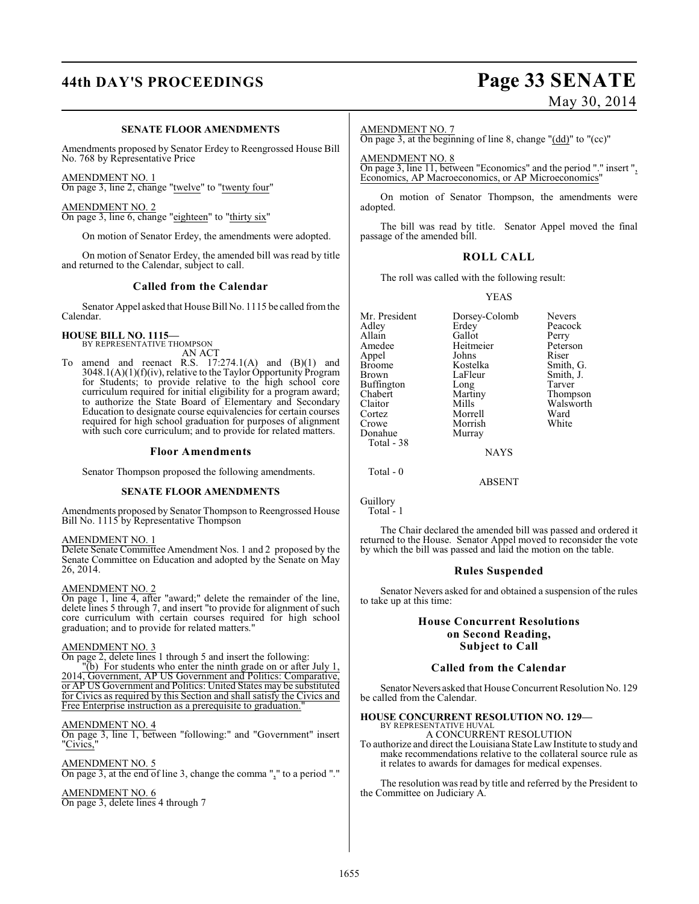# **44th DAY'S PROCEEDINGS Page 33 SENATE**

#### **SENATE FLOOR AMENDMENTS**

Amendments proposed by Senator Erdey to Reengrossed House Bill No. 768 by Representative Price

AMENDMENT NO. 1

On page 3, line 2, change "twelve" to "twenty four"

AMENDMENT NO. 2 On page 3, line 6, change "eighteen" to "thirty six"

On motion of Senator Erdey, the amendments were adopted.

On motion of Senator Erdey, the amended bill was read by title and returned to the Calendar, subject to call.

#### **Called from the Calendar**

Senator Appel asked that House Bill No. 1115 be called from the Calendar.

# **HOUSE BILL NO. 1115—** BY REPRESENTATIVE THOMPSON

AN ACT

To amend and reenact R.S. 17:274.1(A) and (B)(1) and 3048.1(A)(1)(f)(iv), relative to the Taylor Opportunity Program for Students; to provide relative to the high school core curriculum required for initial eligibility for a program award; to authorize the State Board of Elementary and Secondary Education to designate course equivalencies for certain courses required for high school graduation for purposes of alignment with such core curriculum; and to provide for related matters.

#### **Floor Amendments**

Senator Thompson proposed the following amendments.

#### **SENATE FLOOR AMENDMENTS**

Amendments proposed by Senator Thompson to Reengrossed House Bill No. 1115 by Representative Thompson

#### AMENDMENT NO. 1

Delete Senate Committee Amendment Nos. 1 and 2 proposed by the Senate Committee on Education and adopted by the Senate on May 26, 2014.

#### AMENDMENT NO. 2

On page 1, line 4, after "award;" delete the remainder of the line, delete lines 5 through 7, and insert "to provide for alignment of such core curriculum with certain courses required for high school graduation; and to provide for related matters."

#### AMENDMENT NO. 3

On page 2, delete lines 1 through 5 and insert the following:

"(b) For students who enter the ninth grade on or after July 1, 2014, Government, AP US Government and Politics: Comparative, or AP US Government and Politics: United States may be substituted for Civics as required by this Section and shall satisfy the Civics and Free Enterprise instruction as a prerequisite to graduation.

#### AMENDMENT NO. 4

On page 3, line 1, between "following:" and "Government" insert "Civics,

AMENDMENT NO. 5 On page 3, at the end of line 3, change the comma "," to a period "."

### AMENDMENT NO. 6

On page 3, delete lines 4 through 7

# May 30, 2014

#### AMENDMENT NO. 7

On page 3, at the beginning of line 8, change "(dd)" to "(cc)"

AMEND<u>MENT NO. 8</u>

On page 3, line 11, between "Economics" and the period "." insert ", Economics, AP Macroeconomics, or AP Microeconomics"

On motion of Senator Thompson, the amendments were adopted.

The bill was read by title. Senator Appel moved the final passage of the amended bill.

#### **ROLL CALL**

The roll was called with the following result:

YEAS

Mr. President Dorsey-Colomb Nevers<br>Adley Erdey Peacock Adley Erdey<br>Allain Gallot Allain Gallot Perry<br>
Amedee Heitmeier Peterson Appel Johns<br>Broome Kostelka Broome Kostelka Smith, G. Buffington Long<br>Chabert Martiny Chabert Martiny Thompson Claitor Mills Walsworth<br>
Cortez Morrell Ward Cortez Morrell Ward Donahue Total - 38

Morrish<br>Murray

Heitmeier Peters<br>Johns Riser LaFleur Smith, J.<br>Long Tarver

**NAYS** 

ABSENT

Guillory

Total - 0

Total - 1

The Chair declared the amended bill was passed and ordered it returned to the House. Senator Appel moved to reconsider the vote by which the bill was passed and laid the motion on the table.

#### **Rules Suspended**

Senator Nevers asked for and obtained a suspension of the rules to take up at this time:

#### **House Concurrent Resolutions on Second Reading, Subject to Call**

#### **Called from the Calendar**

Senator Nevers asked that House Concurrent Resolution No. 129 be called from the Calendar.

#### **HOUSE CONCURRENT RESOLUTION NO. 129—** BY REPRESENTATIVE HUVAL

A CONCURRENT RESOLUTION

To authorize and direct the Louisiana StateLawInstitute to study and make recommendations relative to the collateral source rule as it relates to awards for damages for medical expenses.

The resolution was read by title and referred by the President to the Committee on Judiciary A.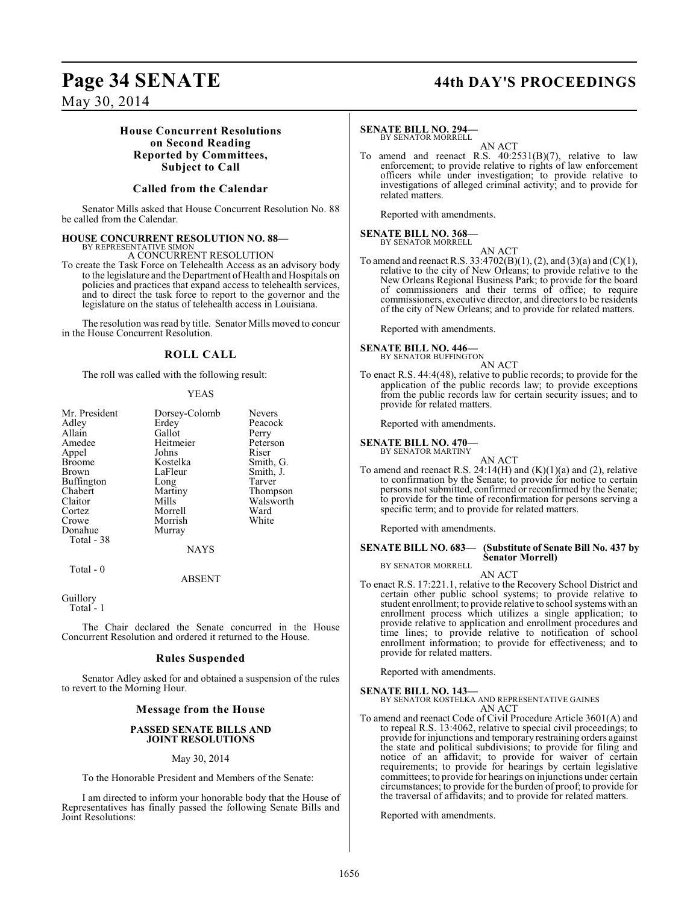## **Page 34 SENATE 44th DAY'S PROCEEDINGS**

May 30, 2014

### **House Concurrent Resolutions on Second Reading Reported by Committees, Subject to Call**

#### **Called from the Calendar**

Senator Mills asked that House Concurrent Resolution No. 88 be called from the Calendar.

# **HOUSE CONCURRENT RESOLUTION NO. 88—**<br>BY REPRESENTATIVE SIMON<br>A CONCURRENT RESOLUTION

To create the Task Force on Telehealth Access as an advisory body to the legislature and the Department of Health and Hospitals on policies and practices that expand access to telehealth services, and to direct the task force to report to the governor and the legislature on the status of telehealth access in Louisiana.

The resolution was read by title. Senator Mills moved to concur in the House Concurrent Resolution.

#### **ROLL CALL**

The roll was called with the following result:

#### YEAS

| Mr. President<br>Adley<br>Allain<br>Amedee<br>Appel<br><b>Broome</b>                         | Dorsey-Colomb<br>Erdey<br>Gallot<br>Heitmeier<br>Johns<br>Kostelka  | <b>Nevers</b><br>Peacock<br>Perry<br>Peterson<br>Riser<br>Smith, G. |
|----------------------------------------------------------------------------------------------|---------------------------------------------------------------------|---------------------------------------------------------------------|
| Brown<br><b>Buffington</b><br>Chabert<br>Claitor<br>Cortez<br>Crowe<br>Donahue<br>Total - 38 | LaFleur<br>Long<br>Martiny<br>Mills<br>Morrell<br>Morrish<br>Murray | Smith, J.<br>Tarver<br>Thompson<br>Walsworth<br>Ward<br>White       |
|                                                                                              | <b>NAYS</b>                                                         |                                                                     |
| Total - 0                                                                                    |                                                                     |                                                                     |

ABSENT

Guillory

Total<sup>-1</sup>

The Chair declared the Senate concurred in the House Concurrent Resolution and ordered it returned to the House.

#### **Rules Suspended**

Senator Adley asked for and obtained a suspension of the rules to revert to the Morning Hour.

#### **Message from the House**

#### **PASSED SENATE BILLS AND JOINT RESOLUTIONS**

#### May 30, 2014

To the Honorable President and Members of the Senate:

I am directed to inform your honorable body that the House of Representatives has finally passed the following Senate Bills and Joint Resolutions:

#### **SENATE BILL NO. 294** BY SENATOR MORRELL

AN ACT

To amend and reenact R.S. 40:2531(B)(7), relative to law enforcement; to provide relative to rights of law enforcement officers while under investigation; to provide relative to investigations of alleged criminal activity; and to provide for related matters.

Reported with amendments.

# **SENATE BILL NO. 368—** BY SENATOR MORRELL

AN ACT To amend and reenact R.S.  $33:4702(B)(1)$ , (2), and (3)(a) and (C)(1), relative to the city of New Orleans; to provide relative to the New Orleans Regional Business Park; to provide for the board of commissioners and their terms of office; to require commissioners, executive director, and directors to be residents of the city of New Orleans; and to provide for related matters.

Reported with amendments.

#### **SENATE BILL NO. 446—**

BY SENATOR BUFFINGTON AN ACT

To enact R.S. 44:4(48), relative to public records; to provide for the application of the public records law; to provide exceptions from the public records law for certain security issues; and to provide for related matters.

Reported with amendments.

#### **SENATE BILL NO. 470—**

BY SENATOR MARTINY

AN ACT To amend and reenact R.S.  $24:14(H)$  and  $(K)(1)(a)$  and  $(2)$ , relative to confirmation by the Senate; to provide for notice to certain persons not submitted, confirmed or reconfirmed by the Senate; to provide for the time of reconfirmation for persons serving a specific term; and to provide for related matters.

Reported with amendments.

#### **SENATE BILL NO. 683— (Substitute of Senate Bill No. 437 by Senator Morrell)** BY SENATOR MORRELL

AN ACT

To enact R.S. 17:221.1, relative to the Recovery School District and certain other public school systems; to provide relative to student enrollment; to provide relative to school systems with an enrollment process which utilizes a single application; to provide relative to application and enrollment procedures and time lines; to provide relative to notification of school enrollment information; to provide for effectiveness; and to provide for related matters.

Reported with amendments.

**SENATE BILL NO. 143—** BY SENATOR KOSTELKA AND REPRESENTATIVE GAINES AN ACT

To amend and reenact Code of Civil Procedure Article 3601(A) and to repeal R.S. 13:4062, relative to special civil proceedings; to provide for injunctions and temporary restraining orders against the state and political subdivisions; to provide for filing and notice of an affidavit; to provide for waiver of certain requirements; to provide for hearings by certain legislative committees; to provide for hearings on injunctions under certain circumstances; to provide for the burden of proof; to provide for the traversal of affidavits; and to provide for related matters.

Reported with amendments.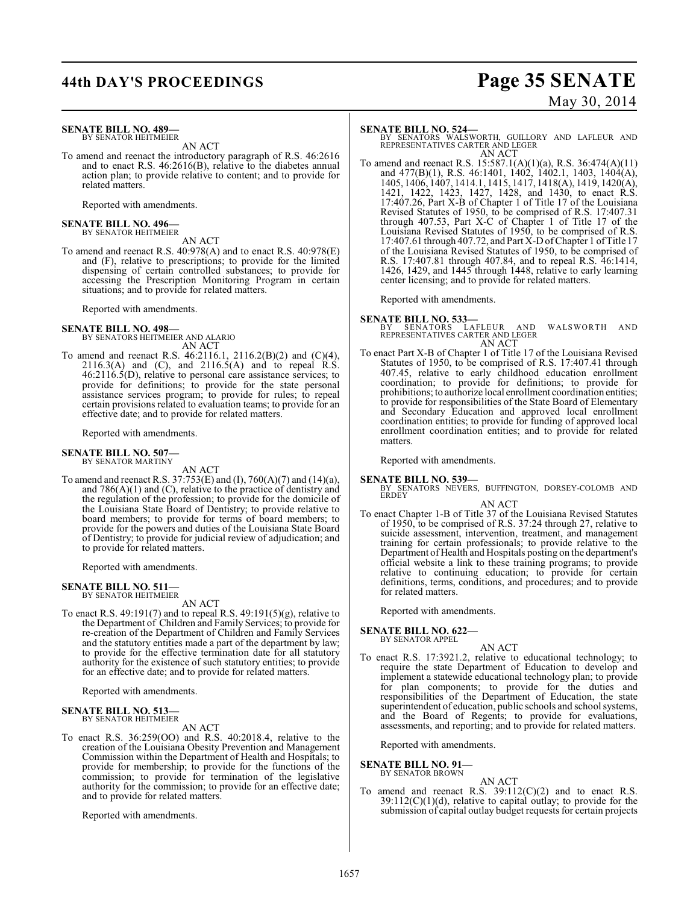# **44th DAY'S PROCEEDINGS Page 35 SENATE**

# May 30, 2014

#### **SENATE BILL NO. 489—** BY SENATOR HEITMEIER

AN ACT

To amend and reenact the introductory paragraph of R.S. 46:2616 and to enact R.S. 46:2616(B), relative to the diabetes annual action plan; to provide relative to content; and to provide for related matters.

Reported with amendments.

**SENATE BILL NO. 496—** BY SENATOR HEITMEIER

AN ACT To amend and reenact R.S. 40:978(A) and to enact R.S. 40:978(E) and (F), relative to prescriptions; to provide for the limited dispensing of certain controlled substances; to provide for accessing the Prescription Monitoring Program in certain situations; and to provide for related matters.

Reported with amendments.

#### **SENATE BILL NO. 498—**

BY SENATORS HEITMEIER AND ALARIO AN ACT

To amend and reenact R.S. 46:2116.1, 2116.2(B)(2) and (C)(4), 2116.3(A) and (C), and 2116.5(A) and to repeal  $\hat{R}$ .S.  $46:2116.5(D)$ , relative to personal care assistance services; to provide for definitions; to provide for the state personal assistance services program; to provide for rules; to repeal certain provisions related to evaluation teams; to provide for an effective date; and to provide for related matters.

Reported with amendments.

# **SENATE BILL NO. 507—** BY SENATOR MARTINY

AN ACT

To amend and reenact R.S. 37:753(E) and (I), 760(A)(7) and (14)(a), and  $786(A)(1)$  and  $(C)$ , relative to the practice of dentistry and the regulation of the profession; to provide for the domicile of the Louisiana State Board of Dentistry; to provide relative to board members; to provide for terms of board members; to provide for the powers and duties of the Louisiana State Board of Dentistry; to provide for judicial review of adjudication; and to provide for related matters.

Reported with amendments.

#### **SENATE BILL NO. 511—** BY SENATOR HEITMEIER

AN ACT

To enact R.S. 49:191(7) and to repeal R.S. 49:191(5)(g), relative to the Department of Children and Family Services; to provide for re-creation of the Department of Children and Family Services and the statutory entities made a part of the department by law; to provide for the effective termination date for all statutory authority for the existence of such statutory entities; to provide for an effective date; and to provide for related matters.

Reported with amendments.

#### **SENATE BILL NO. 513—** BY SENATOR HEITMEIER

AN ACT

To enact R.S. 36:259(OO) and R.S. 40:2018.4, relative to the creation of the Louisiana Obesity Prevention and Management Commission within the Department of Health and Hospitals; to provide for membership; to provide for the functions of the commission; to provide for termination of the legislative authority for the commission; to provide for an effective date; and to provide for related matters.

Reported with amendments.

**SENATE BILL NO. 524—**<br>
BY SENATORS WALSWORTH, GUILLORY AND LAFLEUR AND<br>
REPRESENTATIVES CARTER AND LEGER<br>
AN ACT

To amend and reenact R.S. 15:587.1(A)(1)(a), R.S. 36:474(A)(11) and 477(B)(1), R.S. 46:1401, 1402, 1402.1, 1403, 1404(A), 1405, 1406, 1407, 1414.1, 1415, 1417, 1418(A), 1419, 1420(A), 1421, 1422, 1423, 1427, 1428, and 1430, to enact R.S. 17:407.26, Part X-B of Chapter 1 of Title 17 of the Louisiana Revised Statutes of 1950, to be comprised of R.S. 17:407.31 through 407.53, Part X-C of Chapter 1 of Title 17 of the Louisiana Revised Statutes of 1950, to be comprised of R.S. 17:407.61 through 407.72, and Part X-D of Chapter 1 of Title 17 of the Louisiana Revised Statutes of 1950, to be comprised of R.S. 17:407.81 through 407.84, and to repeal R.S. 46:1414, 1426, 1429, and 1445 through 1448, relative to early learning center licensing; and to provide for related matters.

Reported with amendments.

#### **SENATE BILL NO. 533—**

BY SENATORS LAFLEUR AND WALSWORTH AND<br>REPRESENTATIVES CARTER AND LEGER AN ACT

To enact Part X-B of Chapter 1 of Title 17 of the Louisiana Revised Statutes of 1950, to be comprised of R.S. 17:407.41 through 407.45, relative to early childhood education enrollment coordination; to provide for definitions; to provide for prohibitions; to authorize local enrollment coordination entities; to provide for responsibilities of the State Board of Elementary and Secondary Education and approved local enrollment coordination entities; to provide for funding of approved local enrollment coordination entities; and to provide for related matters.

Reported with amendments.

#### **SENATE BILL NO. 539—**

BY SENATORS NEVERS, BUFFINGTON, DORSEY-COLOMB AND ERDEY

AN ACT To enact Chapter 1-B of Title 37 of the Louisiana Revised Statutes of 1950, to be comprised of R.S. 37:24 through 27, relative to suicide assessment, intervention, treatment, and management training for certain professionals; to provide relative to the Department of Health and Hospitals posting on the department's official website a link to these training programs; to provide relative to continuing education; to provide for certain definitions, terms, conditions, and procedures; and to provide for related matters.

Reported with amendments.

#### **SENATE BILL NO. 622—** BY SENATOR APPEL

- AN ACT
- To enact R.S. 17:3921.2, relative to educational technology; to require the state Department of Education to develop and implement a statewide educational technology plan; to provide for plan components; to provide for the duties and responsibilities of the Department of Education, the state superintendent of education, public schools and school systems, and the Board of Regents; to provide for evaluations, assessments, and reporting; and to provide for related matters.

Reported with amendments.

#### **SENATE BILL NO. 91—**

BY SENATOR BROWN

AN ACT To amend and reenact R.S. 39:112(C)(2) and to enact R.S.  $39:112(C)(1)(d)$ , relative to capital outlay; to provide for the submission of capital outlay budget requests for certain projects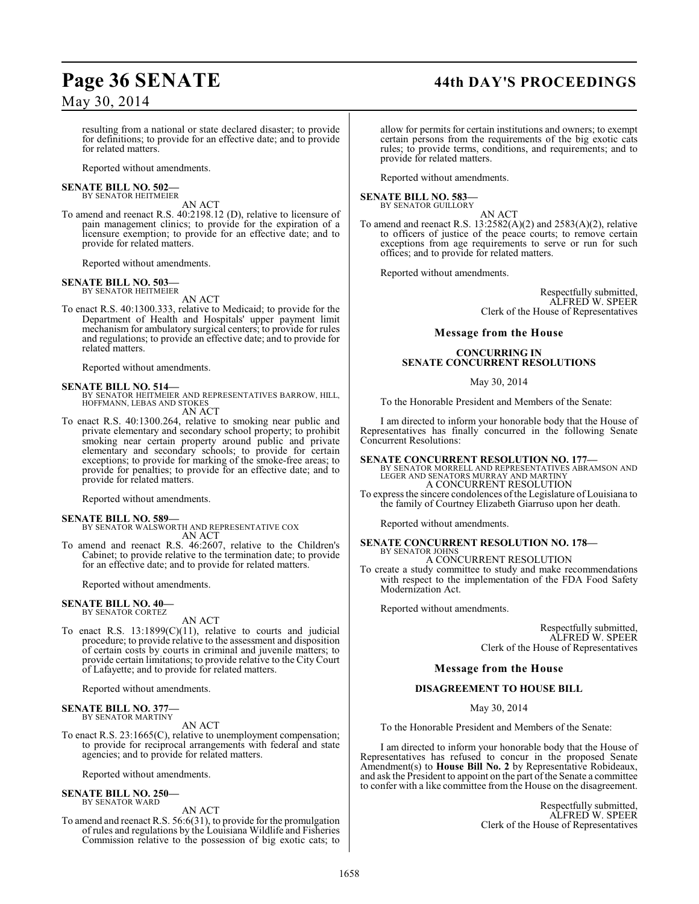## **Page 36 SENATE 44th DAY'S PROCEEDINGS**

May 30, 2014

resulting from a national or state declared disaster; to provide for definitions; to provide for an effective date; and to provide for related matters.

Reported without amendments.

# **SENATE BILL NO. 502—** BY SENATOR HEITMEIER

AN ACT

To amend and reenact R.S. 40:2198.12 (D), relative to licensure of pain management clinics; to provide for the expiration of a licensure exemption; to provide for an effective date; and to provide for related matters.

Reported without amendments.

#### **SENATE BILL NO. 503—** BY SENATOR HEITMEIER

AN ACT

To enact R.S. 40:1300.333, relative to Medicaid; to provide for the Department of Health and Hospitals' upper payment limit mechanism for ambulatory surgical centers; to provide for rules and regulations; to provide an effective date; and to provide for related matters.

Reported without amendments.

**SENATE BILL NO. 514—** BY SENATOR HEITMEIER AND REPRESENTATIVES BARROW, HILL, HOFFMANN, LEBAS AND STOKES

AN ACT

To enact R.S. 40:1300.264, relative to smoking near public and private elementary and secondary school property; to prohibit smoking near certain property around public and private elementary and secondary schools; to provide for certain exceptions; to provide for marking of the smoke-free areas; to provide for penalties; to provide for an effective date; and to provide for related matters.

Reported without amendments.

**SENATE BILL NO. 589—** BY SENATOR WALSWORTH AND REPRESENTATIVE COX AN ACT

To amend and reenact R.S. 46:2607, relative to the Children's Cabinet; to provide relative to the termination date; to provide for an effective date; and to provide for related matters.

Reported without amendments.

#### **SENATE BILL NO. 40—** BY SENATOR CORTEZ

AN ACT

To enact R.S. 13:1899(C)(11), relative to courts and judicial procedure; to provide relative to the assessment and disposition of certain costs by courts in criminal and juvenile matters; to provide certain limitations; to provide relative to the City Court of Lafayette; and to provide for related matters.

Reported without amendments.

### **SENATE BILL NO. 377—**

BY SENATOR MARTINY

AN ACT To enact R.S. 23:1665(C), relative to unemployment compensation; to provide for reciprocal arrangements with federal and state

agencies; and to provide for related matters.

Reported without amendments.

#### **SENATE BILL NO. 250—** BY SENATOR WARD

AN ACT

To amend and reenact R.S. 56:6(31), to provide for the promulgation of rules and regulations by the Louisiana Wildlife and Fisheries Commission relative to the possession of big exotic cats; to

allow for permits for certain institutions and owners; to exempt certain persons from the requirements of the big exotic cats rules; to provide terms, conditions, and requirements; and to provide for related matters.

Reported without amendments.

#### **SENATE BILL NO. 583—**

BY SENATOR GUILLORY AN ACT

To amend and reenact R.S. 13:2582(A)(2) and 2583(A)(2), relative to officers of justice of the peace courts; to remove certain exceptions from age requirements to serve or run for such offices; and to provide for related matters.

Reported without amendments.

Respectfully submitted, ALFRED W. SPEER Clerk of the House of Representatives

#### **Message from the House**

### **CONCURRING IN SENATE CONCURRENT RESOLUTIONS**

May 30, 2014

To the Honorable President and Members of the Senate:

I am directed to inform your honorable body that the House of Representatives has finally concurred in the following Senate Concurrent Resolutions:

**SENATE CONCURRENT RESOLUTION NO. 177—** BY SENATOR MORRELL AND REPRESENTATIVES ABRAMSON AND LEGER AND SENATORS MURRAY AND MARTINY A CONCURRENT RESOLUTION

To express the sincere condolences ofthe Legislature of Louisiana to the family of Courtney Elizabeth Giarruso upon her death.

Reported without amendments.

#### **SENATE CONCURRENT RESOLUTION NO. 178—** BY SENATOR JOHNS

A CONCURRENT RESOLUTION

To create a study committee to study and make recommendations with respect to the implementation of the FDA Food Safety Modernization Act.

Reported without amendments.

Respectfully submitted, ALFRED W. SPEER Clerk of the House of Representatives

#### **Message from the House**

#### **DISAGREEMENT TO HOUSE BILL**

May 30, 2014

To the Honorable President and Members of the Senate:

I am directed to inform your honorable body that the House of Representatives has refused to concur in the proposed Senate Amendment(s) to **House Bill No. 2** by Representative Robideaux, and ask the President to appoint on the part of the Senate a committee to confer with a like committee from the House on the disagreement.

> Respectfully submitted, ALFRED W. SPEER Clerk of the House of Representatives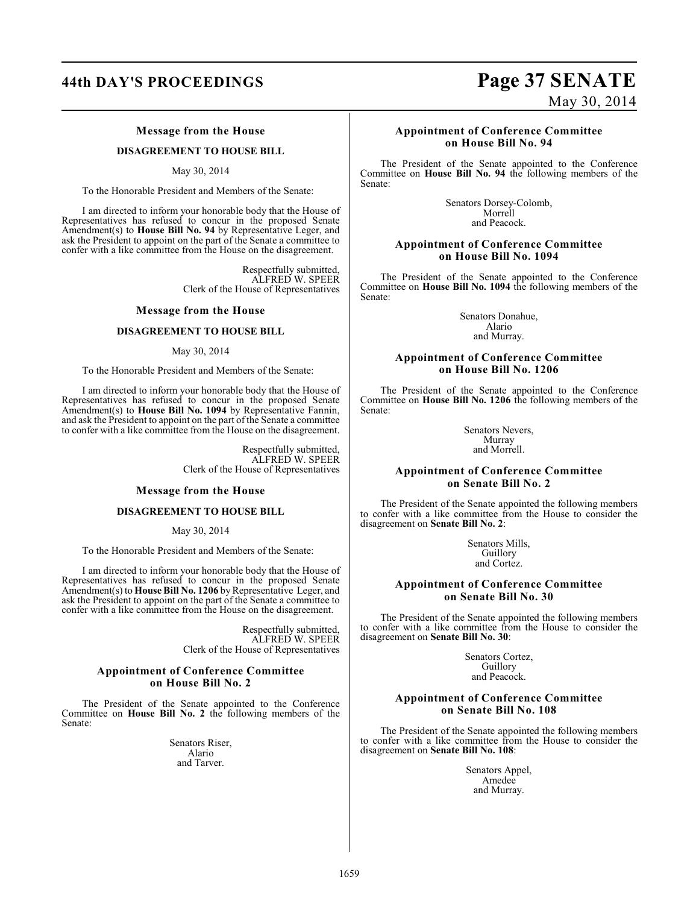## **44th DAY'S PROCEEDINGS Page 37 SENATE**

#### **Message from the House**

#### **DISAGREEMENT TO HOUSE BILL**

May 30, 2014

To the Honorable President and Members of the Senate:

I am directed to inform your honorable body that the House of Representatives has refused to concur in the proposed Senate Amendment(s) to **House Bill No. 94** by Representative Leger, and ask the President to appoint on the part of the Senate a committee to confer with a like committee from the House on the disagreement.

> Respectfully submitted, ALFRED W. SPEER Clerk of the House of Representatives

#### **Message from the House**

#### **DISAGREEMENT TO HOUSE BILL**

#### May 30, 2014

To the Honorable President and Members of the Senate:

I am directed to inform your honorable body that the House of Representatives has refused to concur in the proposed Senate Amendment(s) to **House Bill No. 1094** by Representative Fannin, and ask the President to appoint on the part of the Senate a committee to confer with a like committee from the House on the disagreement.

> Respectfully submitted, ALFRED W. SPEER Clerk of the House of Representatives

#### **Message from the House**

#### **DISAGREEMENT TO HOUSE BILL**

May 30, 2014

To the Honorable President and Members of the Senate:

I am directed to inform your honorable body that the House of Representatives has refused to concur in the proposed Senate Amendment(s) to **House Bill No. 1206** by Representative Leger, and ask the President to appoint on the part of the Senate a committee to confer with a like committee from the House on the disagreement.

> Respectfully submitted, ALFRED W. SPEER Clerk of the House of Representatives

#### **Appointment of Conference Committee on House Bill No. 2**

The President of the Senate appointed to the Conference Committee on **House Bill No. 2** the following members of the Senate:

> Senators Riser, Alario and Tarver.

# May 30, 2014

### **Appointment of Conference Committee on House Bill No. 94**

The President of the Senate appointed to the Conference Committee on **House Bill No. 94** the following members of the Senate:

> Senators Dorsey-Colomb, Morrell and Peacock.

#### **Appointment of Conference Committee on House Bill No. 1094**

The President of the Senate appointed to the Conference Committee on **House Bill No. 1094** the following members of the Senate:

> Senators Donahue, Alario and Murray.

#### **Appointment of Conference Committee on House Bill No. 1206**

The President of the Senate appointed to the Conference Committee on **House Bill No. 1206** the following members of the Senate:

> Senators Nevers, Murray and Morrell.

#### **Appointment of Conference Committee on Senate Bill No. 2**

The President of the Senate appointed the following members to confer with a like committee from the House to consider the disagreement on **Senate Bill No. 2**:

> Senators Mills, Guillory and Cortez.

#### **Appointment of Conference Committee on Senate Bill No. 30**

The President of the Senate appointed the following members to confer with a like committee from the House to consider the disagreement on **Senate Bill No. 30**:

> Senators Cortez, **Guillory** and Peacock.

#### **Appointment of Conference Committee on Senate Bill No. 108**

The President of the Senate appointed the following members to confer with a like committee from the House to consider the disagreement on **Senate Bill No. 108**:

> Senators Appel, Amedee and Murray.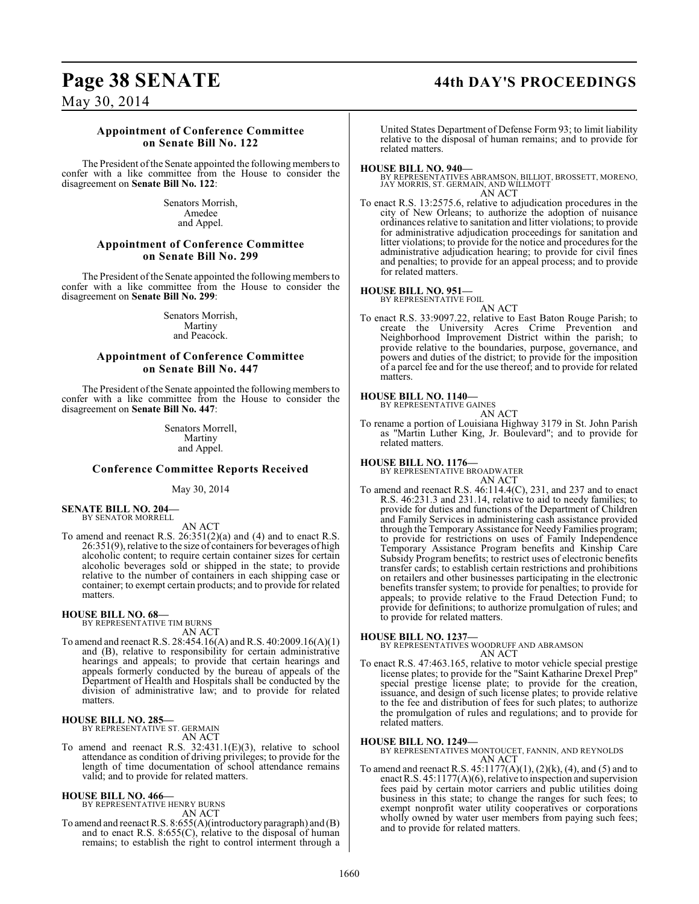# **Page 38 SENATE 44th DAY'S PROCEEDINGS**

May 30, 2014

#### **Appointment of Conference Committee on Senate Bill No. 122**

The President of the Senate appointed the following members to confer with a like committee from the House to consider the disagreement on **Senate Bill No. 122**:

> Senators Morrish, Amedee and Appel.

### **Appointment of Conference Committee on Senate Bill No. 299**

The President of the Senate appointed the following members to confer with a like committee from the House to consider the disagreement on **Senate Bill No. 299**:

> Senators Morrish, Martiny and Peacock.

### **Appointment of Conference Committee on Senate Bill No. 447**

The President of the Senate appointed the following members to confer with a like committee from the House to consider the disagreement on **Senate Bill No. 447**:

> Senators Morrell, Martiny and Appel.

#### **Conference Committee Reports Received**

May 30, 2014

**SENATE BILL NO. 204—** BY SENATOR MORRELL

AN ACT

To amend and reenact R.S. 26:351(2)(a) and (4) and to enact R.S. 26:351(9), relative to the size of containers for beverages of high alcoholic content; to require certain container sizes for certain alcoholic beverages sold or shipped in the state; to provide relative to the number of containers in each shipping case or container; to exempt certain products; and to provide for related matters.

#### **HOUSE BILL NO. 68—**

BY REPRESENTATIVE TIM BURNS AN ACT

To amend and reenact R.S. 28:454.16(A) and R.S. 40:2009.16(A)(1) and (B), relative to responsibility for certain administrative hearings and appeals; to provide that certain hearings and appeals formerly conducted by the bureau of appeals of the Department of Health and Hospitals shall be conducted by the division of administrative law; and to provide for related matters.

### **HOUSE BILL NO. 285—**

BY REPRESENTATIVE ST. GERMAIN AN ACT

To amend and reenact R.S. 32:431.1(E)(3), relative to school attendance as condition of driving privileges; to provide for the length of time documentation of school attendance remains valid; and to provide for related matters.

#### **HOUSE BILL NO. 466—**

BY REPRESENTATIVE HENRY BURNS AN ACT

To amend and reenact R.S. 8:655(A)(introductory paragraph) and (B) and to enact R.S. 8:655(C), relative to the disposal of human remains; to establish the right to control interment through a

United States Department of Defense Form 93; to limit liability relative to the disposal of human remains; and to provide for related matters.

#### **HOUSE BILL NO. 940—**

BY REPRESENTATIVES ABRAMSON, BILLIOT, BROSSETT, MORENO, JAY MORRIS, ST. GERMAIN, AND WILLMOTT AN ACT

To enact R.S. 13:2575.6, relative to adjudication procedures in the city of New Orleans; to authorize the adoption of nuisance ordinances relative to sanitation and litter violations; to provide for administrative adjudication proceedings for sanitation and litter violations; to provide for the notice and procedures for the administrative adjudication hearing; to provide for civil fines and penalties; to provide for an appeal process; and to provide for related matters.

#### **HOUSE BILL NO. 951—**

BY REPRESENTATIVE FOIL

AN ACT To enact R.S. 33:9097.22, relative to East Baton Rouge Parish; to create the University Acres Crime Prevention and Neighborhood Improvement District within the parish; to provide relative to the boundaries, purpose, governance, and powers and duties of the district; to provide for the imposition of a parcel fee and for the use thereof; and to provide for related matters.

#### **HOUSE BILL NO. 1140—** BY REPRESENTATIVE GAINES

AN ACT

To rename a portion of Louisiana Highway 3179 in St. John Parish as "Martin Luther King, Jr. Boulevard"; and to provide for related matters.

#### **HOUSE BILL NO. 1176—**

BY REPRESENTATIVE BROADWATER AN ACT

To amend and reenact R.S. 46:114.4(C), 231, and 237 and to enact R.S. 46:231.3 and 231.14, relative to aid to needy families; to provide for duties and functions of the Department of Children and Family Services in administering cash assistance provided through the Temporary Assistance for Needy Families program; to provide for restrictions on uses of Family Independence Temporary Assistance Program benefits and Kinship Care Subsidy Program benefits; to restrict uses of electronic benefits transfer cards; to establish certain restrictions and prohibitions on retailers and other businesses participating in the electronic benefits transfer system; to provide for penalties; to provide for appeals; to provide relative to the Fraud Detection Fund; to provide for definitions; to authorize promulgation of rules; and to provide for related matters.

**HOUSE BILL NO. 1237—** BY REPRESENTATIVES WOODRUFF AND ABRAMSON AN ACT

To enact R.S. 47:463.165, relative to motor vehicle special prestige license plates; to provide for the "Saint Katharine Drexel Prep" special prestige license plate; to provide for the creation, issuance, and design of such license plates; to provide relative to the fee and distribution of fees for such plates; to authorize the promulgation of rules and regulations; and to provide for related matters.

**HOUSE BILL NO. 1249—** BY REPRESENTATIVES MONTOUCET, FANNIN, AND REYNOLDS AN ACT

To amend and reenact R.S.  $45:1177(A)(1)$ ,  $(2)(k)$ ,  $(4)$ , and  $(5)$  and to enact R.S. 45:1177(A)(6), relative to inspection and supervision fees paid by certain motor carriers and public utilities doing business in this state; to change the ranges for such fees; to exempt nonprofit water utility cooperatives or corporations wholly owned by water user members from paying such fees; and to provide for related matters.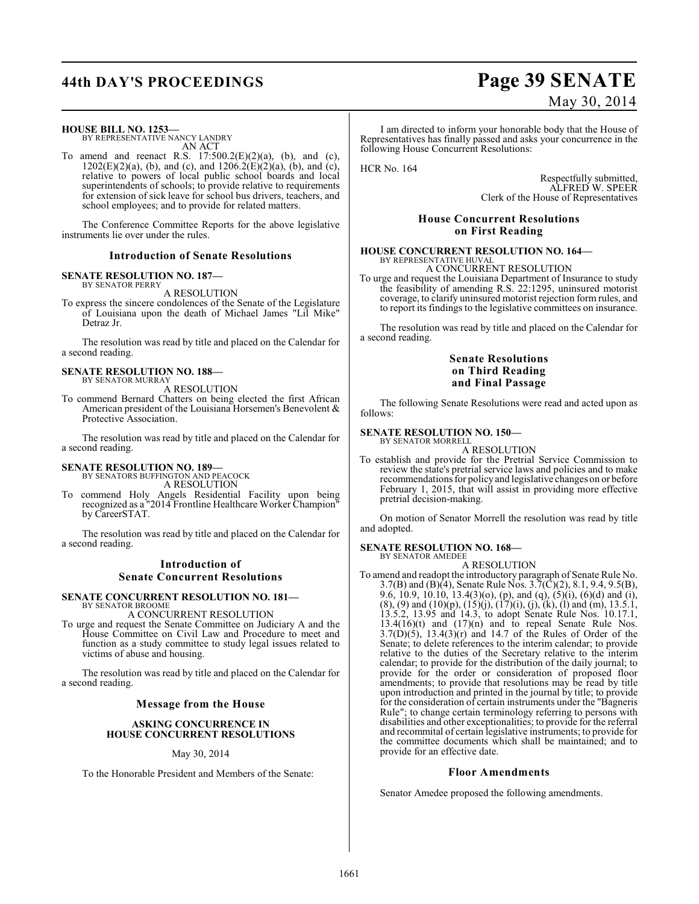# **44th DAY'S PROCEEDINGS Page 39 SENATE**

#### **HOUSE BILL NO. 1253—**

BY REPRESENTATIVE NANCY LANDRY AN ACT

To amend and reenact R.S.  $17:500.2(E)(2)(a)$ , (b), and (c),  $1202(E)(2)(a)$ , (b), and (c), and  $1206.2(E)(2)(a)$ , (b), and (c), relative to powers of local public school boards and local superintendents of schools; to provide relative to requirements for extension of sick leave for school bus drivers, teachers, and school employees; and to provide for related matters.

The Conference Committee Reports for the above legislative instruments lie over under the rules.

#### **Introduction of Senate Resolutions**

#### **SENATE RESOLUTION NO. 187—** BY SENATOR PERRY

A RESOLUTION

To express the sincere condolences of the Senate of the Legislature of Louisiana upon the death of Michael James "Lil Mike" Detraz Jr.

The resolution was read by title and placed on the Calendar for a second reading.

#### **SENATE RESOLUTION NO. 188—** BY SENATOR MURRAY

A RESOLUTION

To commend Bernard Chatters on being elected the first African American president of the Louisiana Horsemen's Benevolent & Protective Association.

The resolution was read by title and placed on the Calendar for a second reading.

#### **SENATE RESOLUTION NO. 189—** BY SENATORS BUFFINGTON AND PEACOCK

A RESOLUTION

To commend Holy Angels Residential Facility upon being recognized as a "2014 Frontline Healthcare Worker Champion" by CareerSTAT.

The resolution was read by title and placed on the Calendar for a second reading.

### **Introduction of Senate Concurrent Resolutions**

#### **SENATE CONCURRENT RESOLUTION NO. 181—** BY SENATOR BROOME

A CONCURRENT RESOLUTION

To urge and request the Senate Committee on Judiciary A and the House Committee on Civil Law and Procedure to meet and function as a study committee to study legal issues related to victims of abuse and housing.

The resolution was read by title and placed on the Calendar for a second reading.

#### **Message from the House**

#### **ASKING CONCURRENCE IN HOUSE CONCURRENT RESOLUTIONS**

#### May 30, 2014

To the Honorable President and Members of the Senate:

# May 30, 2014

I am directed to inform your honorable body that the House of Representatives has finally passed and asks your concurrence in the following House Concurrent Resolutions:

HCR No. 164

Respectfully submitted, ALFRED W. SPEER Clerk of the House of Representatives

#### **House Concurrent Resolutions on First Reading**

# **HOUSE CONCURRENT RESOLUTION NO. 164—** BY REPRESENTATIVE HUVAL

A CONCURRENT RESOLUTION

To urge and request the Louisiana Department of Insurance to study the feasibility of amending R.S. 22:1295, uninsured motorist coverage, to clarify uninsured motorist rejection form rules, and to report its findings to the legislative committees on insurance.

The resolution was read by title and placed on the Calendar for a second reading.

#### **Senate Resolutions on Third Reading and Final Passage**

The following Senate Resolutions were read and acted upon as follows:

#### **SENATE RESOLUTION NO. 150—**

BY SENATOR MORRELL A RESOLUTION

To establish and provide for the Pretrial Service Commission to review the state's pretrial service laws and policies and to make recommendations for policy and legislative changes on or before February 1, 2015, that will assist in providing more effective pretrial decision-making.

On motion of Senator Morrell the resolution was read by title and adopted.

#### **SENATE RESOLUTION NO. 168—** BY SENATOR AMEDEE

A RESOLUTION

To amend and readopt the introductory paragraph of Senate Rule No. 3.7(B) and (B)(4), Senate Rule Nos. 3.7(C)(2), 8.1, 9.4, 9.5(B), 9.6, 10.9, 10.10, 13.4(3)(o), (p), and (q),  $(5)(i)$ ,  $(6)(d)$  and  $(i)$ ,  $(8)$ ,  $(9)$  and  $(10)(p)$ ,  $(15)(j)$ ,  $(17)(i)$ ,  $(j)$ ,  $(k)$ ,  $(l)$  and  $(m)$ , 13.5.1, 13.5.2, 13.95 and 14.3, to adopt Senate Rule Nos. 10.17.1,  $13.4(16)(t)$  and  $(17)(n)$  and to repeal Senate Rule Nos.  $3.7(D)(5)$ ,  $13.4(3)(r)$  and 14.7 of the Rules of Order of the Senate; to delete references to the interim calendar; to provide relative to the duties of the Secretary relative to the interim calendar; to provide for the distribution of the daily journal; to provide for the order or consideration of proposed floor amendments; to provide that resolutions may be read by title upon introduction and printed in the journal by title; to provide for the consideration of certain instruments under the "Bagneris Rule"; to change certain terminology referring to persons with disabilities and other exceptionalities; to provide for the referral and recommital of certain legislative instruments; to provide for the committee documents which shall be maintained; and to provide for an effective date.

#### **Floor Amendments**

Senator Amedee proposed the following amendments.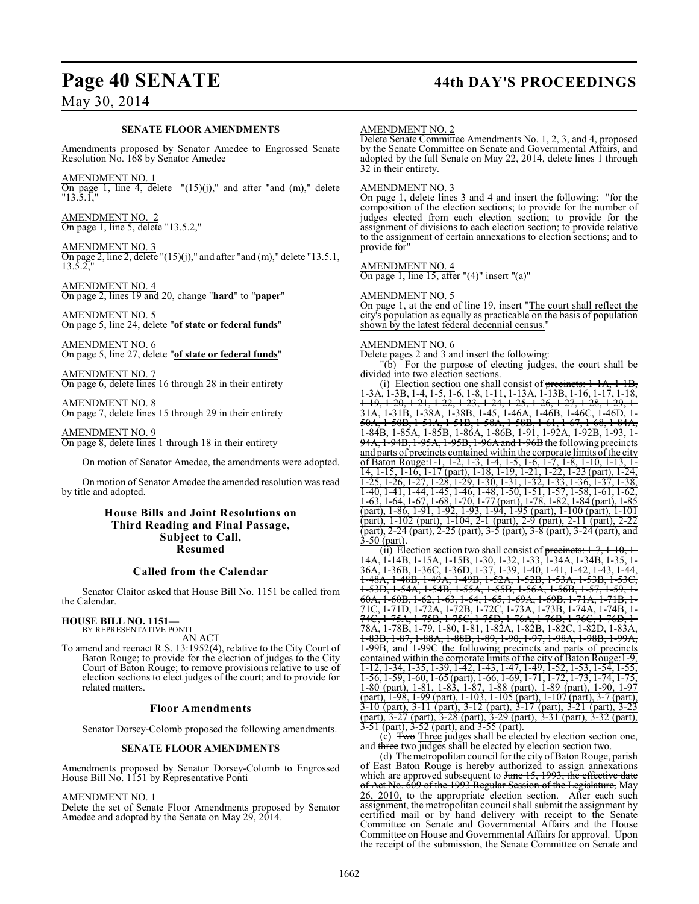### **Page 40 SENATE 44th DAY'S PROCEEDINGS**

### May 30, 2014

#### **SENATE FLOOR AMENDMENTS**

Amendments proposed by Senator Amedee to Engrossed Senate Resolution No. 168 by Senator Amedee

AMENDMENT NO. 1 On page 1, line 4, delete  $''(15)(j)$ ," and after "and  $(m)$ ," delete "13.5.1,"

AMENDMENT NO. 2 On page 1, line 5, delete "13.5.2,"

AMENDMENT NO. 3 On page 2, line 2, delete "(15)(j)," and after "and (m)," delete "13.5.1, 13.5.2.

AMENDMENT NO. 4 On page 2, lines 19 and 20, change "**hard**" to "**paper**"

AMENDMENT NO. 5 On page 5, line 24, delete "**of state or federal funds**"

AMENDMENT NO. 6 On page 5, line 27, delete "**of state or federal funds**"

AMENDMENT NO. 7 On page 6, delete lines 16 through 28 in their entirety

AMENDMENT NO. 8 On page 7, delete lines 15 through 29 in their entirety

AMENDMENT NO. 9 On page 8, delete lines 1 through 18 in their entirety

On motion of Senator Amedee, the amendments were adopted.

On motion of Senator Amedee the amended resolution was read by title and adopted.

### **House Bills and Joint Resolutions on Third Reading and Final Passage, Subject to Call, Resumed**

#### **Called from the Calendar**

Senator Claitor asked that House Bill No. 1151 be called from the Calendar.

### **HOUSE BILL NO. 1151—**

BY REPRESENTATIVE PONTI AN ACT

To amend and reenact R.S. 13:1952(4), relative to the City Court of Baton Rouge; to provide for the election of judges to the City Court of Baton Rouge; to remove provisions relative to use of election sections to elect judges of the court; and to provide for related matters.

#### **Floor Amendments**

Senator Dorsey-Colomb proposed the following amendments.

### **SENATE FLOOR AMENDMENTS**

Amendments proposed by Senator Dorsey-Colomb to Engrossed House Bill No. 1151 by Representative Ponti

AMENDMENT NO. 1

Delete the set of Senate Floor Amendments proposed by Senator Amedee and adopted by the Senate on May 29, 2014.

#### AMENDMENT NO. 2

Delete Senate Committee Amendments No. 1, 2, 3, and 4, proposed by the Senate Committee on Senate and Governmental Affairs, and adopted by the full Senate on May 22, 2014, delete lines 1 through 32 in their entirety.

#### AMENDMENT NO. 3

On page 1, delete lines 3 and 4 and insert the following: "for the composition of the election sections; to provide for the number of judges elected from each election section; to provide for the assignment of divisions to each election section; to provide relative to the assignment of certain annexations to election sections; and to provide for"

#### AMENDMENT NO. 4

On page 1, line 15, after "(4)" insert "(a)"

### AMENDMENT NO. 5

On page 1, at the end of line 19, insert "The court shall reflect the city's population as equally as practicable on the basis of population shown by the latest federal decennial census."

#### AMENDMENT NO. 6

Delete pages 2 and 3 and insert the following:

"(b) For the purpose of electing judges, the court shall be divided into two election sections.

(i) Election section one shall consist of  $precinets$ :  $1-1A$ ,  $1-1B$ , 1-3A, 1-3B, 1-4, 1-5, 1-6, 1-8, 1-11, 1-13A, 1-13B, 1-16, 1-17, 1-18, 1-19, 1-20, 1-21, 1-22, 1-23, 1-24, 1-25, 1-26, 1-27, 1-28, 1-29, 1- 31A, 1-31B, 1-38A, 1-38B, 1-45, 1-46A, 1-46B, 1-46C, 1-46D, 1- 50A, 1-50B, 1-51A, 1-51B, 1-58A, 1-58B, 1-61, 1-67, 1-68, 1-84A, 1-84B, 1-85A, 1-85B, 1-86A, 1-86B, 1-91, 1-92A, 1-92B, 1-93, 1- 94A, 1-94B, 1-95A, 1-95B, 1-96A and 1-96B the following precincts and parts of precincts contained within the corporate limits ofthe city of Baton Rouge:1-1, 1-2, 1-3, 1-4, 1-5, 1-6, 1-7, 1-8, 1-10, 1-13, 1- 14, 1-15, 1-16, 1-17 (part), 1-18, 1-19, 1-21, 1-22, 1-23 (part), 1-24, 1-25, 1-26, 1-27, 1-28, 1-29, 1-30, 1-31, 1-32, 1-33, 1-36, 1-37, 1-38, 1-40, 1-41, 1-44, 1-45, 1-46, 1-48, 1-50, 1-51, 1-57, 1-58, 1-61, 1-62, 1-63, 1-64, 1-67, 1-68, 1-70, 1-77 (part), 1-78, 1-82, 1-84 (part), 1-85 (part), 1-86, 1-91, 1-92, 1-93, 1-94, 1-95 (part), 1-100 (part), 1-101 (part), 1-102 (part), 1-104, 2-1 (part), 2-9 (part), 2-11 (part), 2-22 (part), 2-24 (part), 2-25 (part), 3-5 (part), 3-8 (part), 3-24 (part), and  $3-50$  (part).

 $(i)$  Election section two shall consist of precincts: 1 14A<del>, T-14B, 1-15A, 1-15B, 1-30, 1-32, 1-33, 1-34A, 1-34B,</del> 36A, 1-36B, 1-36C, 1-36D, 1-37, 1-39, 1-40, 1-41, 1-42, 1-43, 1-44, 1-48A, 1-48B, 1-49A, 1-49B, 1-52A, 1-52B, 1-53A, 1-53B, 1-53C, 1-53D, 1-54A, 1-54B, 1-55A, 1-55B, 1-56A, 1-56B, 60A, 1-60B, 1-62, 1-63, 1-64, 1-65, 1-69A, 1-69B, 1-71A, 1-71B, 1- 71C, 1-71D, 1-72A, 1-72B, 1-72C, 1-73A, 1-73B, 1-74A, 1-74B,<br>74C, 1-75A, 1-75B, 1-75C, 1-75D, 1-76A, 1-76B, 1-76C, 1-76D, 74C, 1-75A, 1-75B, 1-75C, 1-75D, 1-76A, 1-76B, 1-76C, 1-76D, 1- 78A, 1-78B, 1-79, 1-80, 1-81, 1-82A, 1-82B, 1-82C, 1-82D, 1-83A, 1-83B, 1-87, 1-88A, 1-88B, 1-89, 1-90, 1-97, 1-98A, 1-98B, 1-99A, 1-99B, and 1-99C the following precincts and parts of precincts contained within the corporate limits of the city of Baton Rouge:1-9, 1-12, 1-34, 1-35, 1-39, 1-42, 1-43, 1-47, 1-49, 1-52, 1-53, 1-54, 1-55, 1-56, 1-59, 1-60, 1-65 (part), 1-66, 1-69, 1-71, 1-72, 1-73, 1-74, 1-75, 1-80 (part), 1-81, 1-83, 1-87, 1-88 (part), 1-89 (part), 1-90, 1-97 (part), 1-98, 1-99 (part), 1-103, 1-105 (part), 1-107 (part), 3-7 (part), 3-10 (part), 3-11 (part), 3-12 (part), 3-17 (part), 3-21 (part), 3-23 (part), 3-27 (part), 3-28 (part), 3-29 (part), 3-31 (part), 3-32 (part), 3-51 (part), 3-52 (part), and 3-55 (part).

(c) Two Three judges shall be elected by election section one, and three two judges shall be elected by election section two.

(d) The metropolitan council for the city of Baton Rouge, parish of East Baton Rouge is hereby authorized to assign annexations which are approved subsequent to June 15, 1993, the effective date of Act No. 609 of the 1993 Regular Session of the Legislature, May 26, 2010, to the appropriate election section. After each such assignment, the metropolitan council shall submit the assignment by certified mail or by hand delivery with receipt to the Senate Committee on Senate and Governmental Affairs and the House Committee on House and Governmental Affairs for approval. Upon the receipt of the submission, the Senate Committee on Senate and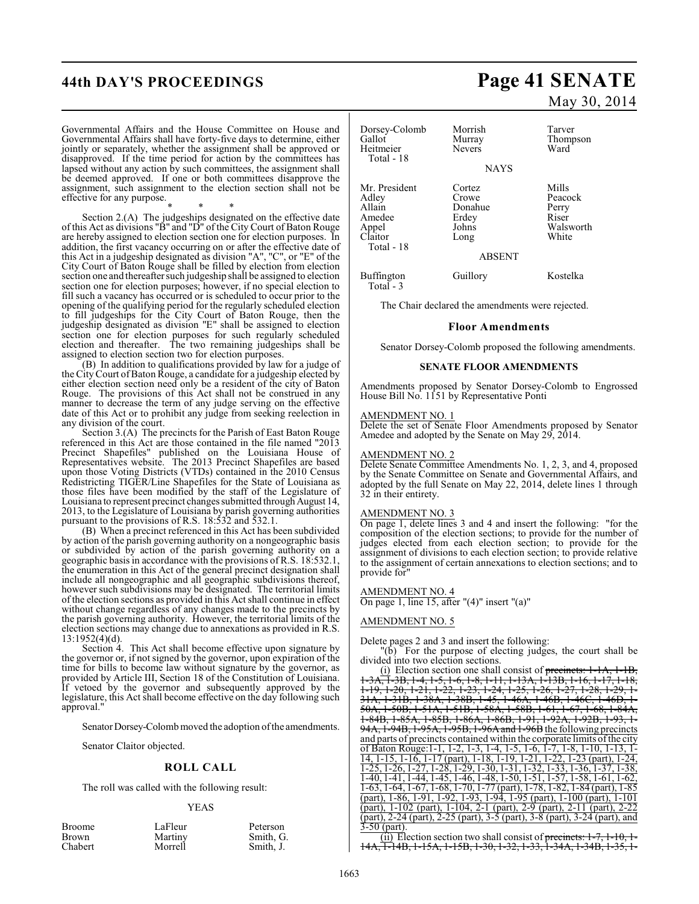Governmental Affairs and the House Committee on House and Governmental Affairs shall have forty-five days to determine, either jointly or separately, whether the assignment shall be approved or disapproved. If the time period for action by the committees has lapsed without any action by such committees, the assignment shall be deemed approved. If one or both committees disapprove the assignment, such assignment to the election section shall not be effective for any purpose.

\* \* \* Section 2.(A) The judgeships designated on the effective date of this Act as divisions "B" and "D" of the City Court of Baton Rouge are hereby assigned to election section one for election purposes. In addition, the first vacancy occurring on or after the effective date of this Act in a judgeship designated as division "A", "C", or "E" of the City Court of Baton Rouge shall be filled by election from election section one and thereafter such judgeship shall be assigned to election section one for election purposes; however, if no special election to fill such a vacancy has occurred or is scheduled to occur prior to the opening of the qualifying period for the regularly scheduled election to fill judgeships for the City Court of Baton Rouge, then the judgeship designated as division "E" shall be assigned to election section one for election purposes for such regularly scheduled election and thereafter. The two remaining judgeships shall be assigned to election section two for election purposes.

(B) In addition to qualifications provided by law for a judge of the City Court ofBaton Rouge, a candidate for a judgeship elected by either election section need only be a resident of the city of Baton Rouge. The provisions of this Act shall not be construed in any manner to decrease the term of any judge serving on the effective date of this Act or to prohibit any judge from seeking reelection in any division of the court.

Section 3.(A) The precincts for the Parish of East Baton Rouge referenced in this Act are those contained in the file named "2013 Precinct Shapefiles" published on the Louisiana House of Representatives website. The 2013 Precinct Shapefiles are based upon those Voting Districts (VTDs) contained in the 2010 Census Redistricting TIGER/Line Shapefiles for the State of Louisiana as those files have been modified by the staff of the Legislature of Louisiana to represent precinct changes submitted through August 14, 2013, to the Legislature of Louisiana by parish governing authorities pursuant to the provisions of R.S. 18:532 and 532.1.

(B) When a precinct referenced in this Act has been subdivided by action of the parish governing authority on a nongeographic basis or subdivided by action of the parish governing authority on a geographic basis in accordance with the provisions of R.S. 18:532.1, the enumeration in this Act of the general precinct designation shall include all nongeographic and all geographic subdivisions thereof, however such subdivisions may be designated. The territorial limits of the election sections as provided in this Act shall continue in effect without change regardless of any changes made to the precincts by the parish governing authority. However, the territorial limits of the election sections may change due to annexations as provided in R.S. 13:1952(4)(d).

Section 4. This Act shall become effective upon signature by the governor or, if not signed by the governor, upon expiration of the time for bills to become law without signature by the governor, as provided by Article III, Section 18 of the Constitution of Louisiana. If vetoed by the governor and subsequently approved by the legislature, this Act shall become effective on the day following such approval."

Senator Dorsey-Colomb moved the adoption of the amendments.

Senator Claitor objected.

#### **ROLL CALL**

The roll was called with the following result:

#### YEAS

| Broome  | LaFleur | Peterson  |
|---------|---------|-----------|
| Brown   | Martiny | Smith, G. |
| Chabert | Morrell | Smith, J. |

# **44th DAY'S PROCEEDINGS Page 41 SENATE** May 30, 2014

| Dorsey-Colomb<br>Gallot<br>Heitmeier<br>Total - 18                           | Morrish<br>Murray<br><b>Nevers</b><br><b>NAYS</b>                     | Tarver<br>Thompson<br>Ward                               |
|------------------------------------------------------------------------------|-----------------------------------------------------------------------|----------------------------------------------------------|
| Mr. President<br>Adley<br>Allain<br>Amedee<br>Appel<br>Claitor<br>Total - 18 | Cortez<br>Crowe<br>Donahue<br>Erdey<br>Johns<br>Long<br><b>ABSENT</b> | Mills<br>Peacock<br>Perry<br>Riser<br>Walsworth<br>White |
| <b>Buffington</b><br>Total - 3                                               | Guillory                                                              | Kostelka                                                 |

The Chair declared the amendments were rejected.

#### **Floor Amendments**

Senator Dorsey-Colomb proposed the following amendments.

#### **SENATE FLOOR AMENDMENTS**

Amendments proposed by Senator Dorsey-Colomb to Engrossed House Bill No. 1151 by Representative Ponti

#### AMENDMENT NO. 1

Delete the set of Senate Floor Amendments proposed by Senator Amedee and adopted by the Senate on May 29, 2014.

#### AMENDMENT NO. 2

Delete Senate Committee Amendments No. 1, 2, 3, and 4, proposed by the Senate Committee on Senate and Governmental Affairs, and adopted by the full Senate on May 22, 2014, delete lines 1 through 32 in their entirety.

#### AMENDMENT NO. 3

On page 1, delete lines 3 and 4 and insert the following: "for the composition of the election sections; to provide for the number of judges elected from each election section; to provide for the assignment of divisions to each election section; to provide relative to the assignment of certain annexations to election sections; and to provide for"

#### AMENDMENT NO. 4

On page 1, line 15, after "(4)" insert "(a)"

#### AMENDMENT NO. 5

Delete pages 2 and 3 and insert the following:

"(b) For the purpose of electing judges, the court shall be divided into two election sections.

(i) Election section one shall consist of <del>precincts: 1-1A, 1-1B,  $\overline{x}$ , 1-3B, 1-4, 1-5, 1-6, 1-8, 1-11, 1-13A, 1-13B, 1-16, 1-17, 1-18,</del> 1-3A, 1-3B, 1-4, 1-5, 1-6, 1-8, 1-11, 1-13A, 1-13B, 1-16, 1-17, 1-18, 1-19, 1-20, 1-21, 1-22, 1-23, 1-24, 1-25, 1-26, 1-27, 1-28, 1-29, 1- 31A, 1-31B, 1-38A, 1-38B, 1-45, 1-46A, 1-46B, 1-46C, 1-46D, 1- 50A, 1-50B, 1-51A, 1-51B, 1-58A, 1-58B, 1-61, 1-67, 1-68, 1-84A, 1-84B, 1-85A, 1-85B, 1-86A, 1-86B, 1-91, 1-92A, 1-92B, 1-93, 1- 94A, 1-94B, 1-95A, 1-95B, 1-96A and 1-96B the following precincts and parts of precincts contained within the corporate limits of the city of Baton Rouge:1-1, 1-2, 1-3, 1-4, 1-5, 1-6, 1-7, 1-8, 1-10, 1-13, 1- 14, 1-15, 1-16, 1-17 (part), 1-18, 1-19, 1-21, 1-22, 1-23 (part), 1-24, 1-25, 1-26, 1-27, 1-28, 1-29, 1-30, 1-31, 1-32, 1-33, 1-36, 1-37, 1-38, 1-40, 1-41, 1-44, 1-45, 1-46, 1-48, 1-50, 1-51, 1-57, 1-58, 1-61, 1-62, 1-63, 1-64, 1-67, 1-68, 1-70, 1-77 (part), 1-78, 1-82, 1-84 (part), 1-85 (part), 1-86, 1-91, 1-92, 1-93, 1-94, 1-95 (part), 1-100 (part), 1-101 (part), 1-102 (part), 1-104, 2-1 (part), 2-9 (part), 2-11 (part), 2-22 (part), 2-24 (part), 2-25 (part), 3-5 (part), 3-8 (part), 3-24 (part), and 3-50 (part).

(ii) Election section two shall consist of precincts:  $1-7$ ,  $1-10$ 14A, 1-14B, 1-15A, 1-15B, 1-30, 1-32, 1-33, 1-34A, 1-34B, 1-35, 1-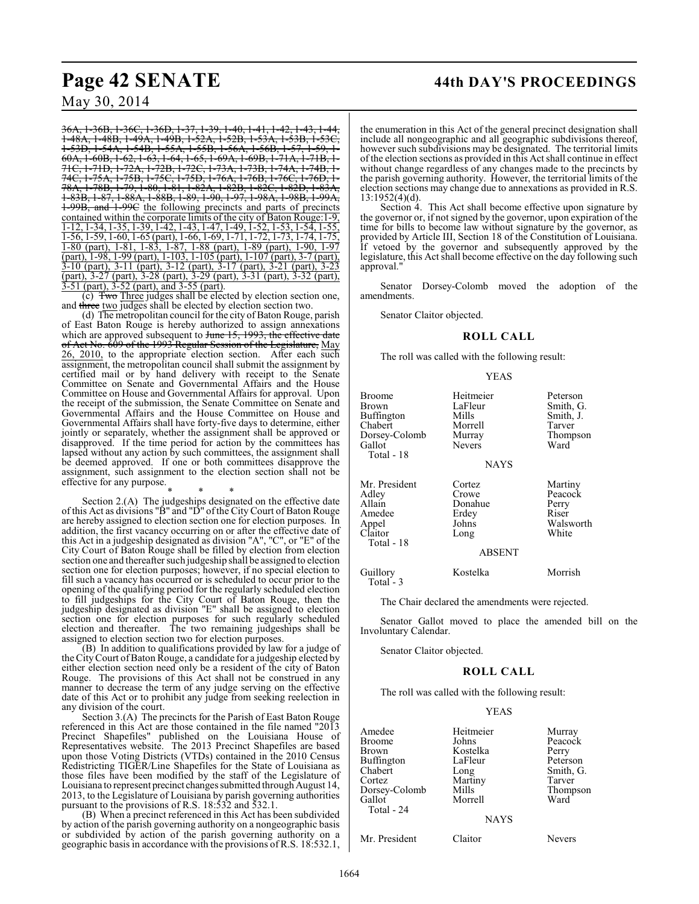## **Page 42 SENATE 44th DAY'S PROCEEDINGS**

May 30, 2014

36A, 1-36B, 1-36C, 1-36D, 1-37, 1-39, 1-40,<br>1-48A, 1-48B, 1-49A, 1-49B, 1-52A, 1-52B 1-48A, 1-48B, 1-49A, 1-49B, 1-52A, 1-52B, 1-53A, 1-53B, 1-53C, 1-53D, 1-54A, 1-54B, 1-55A, 1-55B, 1-56A, 1-56B,<br>60A, 1-60B, 1-62, 1-63, 1-64, 1-65, 1-69A, 1-69B, 1-1 1-60B, 1-62, 1-63, 1-64, 1-65, 1-69A, 1-69B<br>1-71D, 1-72A, 1-72B, 1-72C, 1-73A, 1-73B 71C, 1-71D, 1-72A, 1-72B, 1-72C, 1-73A, 1-73B, 1-74A, 1-74B, 1- 74C, 1-75A, 1-75B, 1-75C, 1-75D, 1-76A, 1-76B, 1-76C, 1-76D, 1- 78A, 1-78B, 1-79, 1-80, 1-81, 1-82A, 1-82B, 1-82C, 1-82D, 1-83A,<br>1-83B, 1-87, 1-88A, 1-88B, 1-89, 1-90, 1-97, 1-98A, 1-98B, 1-99A, <del>1-88A, 1-88B, 1-89, 1-90, 1-97</del> 1-99B, and 1-99C the following precincts and parts of precincts contained within the corporate limits of the city of Baton Rouge:1-9, <u>1-12, 1-34, 1-35, 1-39, 1-42, 1-43, 1-47, 1-49, 1-52, 1-53, 1-54, 1-55,</u> 1-56, 1-59, 1-60, 1-65 (part), 1-66, 1-69, 1-71, 1-72, 1-73, 1-74, 1-75, 1-80 (part), 1-81, 1-83, 1-87, 1-88 (part), 1-89 (part), 1-90, 1-97 (part), 1-98, 1-99 (part), 1-103, 1-105 (part), 1-107 (part), 3-7 (part), 3-10 (part), 3-11 (part), 3-12 (part), 3-17 (part), 3-21 (part), 3-23 (part), 3-27 (part), 3-28 (part), 3-29 (part), 3-31 (part), 3-32 (part), 3-51 (part), 3-52 (part), and 3-55 (part).

(c) Two Three judges shall be elected by election section one, and three two judges shall be elected by election section two.

(d) The metropolitan council for the city of Baton Rouge, parish of East Baton Rouge is hereby authorized to assign annexations which are approved subsequent to June 15, 1993, the effective date of Act No. 609 of the 1993 Regular Session of the Legislature, May 26, 2010, to the appropriate election section. After each such assignment, the metropolitan council shall submit the assignment by certified mail or by hand delivery with receipt to the Senate Committee on Senate and Governmental Affairs and the House Committee on House and Governmental Affairs for approval. Upon the receipt of the submission, the Senate Committee on Senate and Governmental Affairs and the House Committee on House and Governmental Affairs shall have forty-five days to determine, either jointly or separately, whether the assignment shall be approved or disapproved. If the time period for action by the committees has lapsed without any action by such committees, the assignment shall be deemed approved. If one or both committees disapprove the assignment, such assignment to the election section shall not be effective for any purpose.

\* \* \* Section 2.(A) The judgeships designated on the effective date of this Act as divisions "B" and "D" of the City Court of Baton Rouge are hereby assigned to election section one for election purposes. In addition, the first vacancy occurring on or after the effective date of this Act in a judgeship designated as division "A", "C", or "E" of the City Court of Baton Rouge shall be filled by election from election section one and thereafter such judgeship shall be assigned to election section one for election purposes; however, if no special election to fill such a vacancy has occurred or is scheduled to occur prior to the opening of the qualifying period for the regularly scheduled election to fill judgeships for the City Court of Baton Rouge, then the judgeship designated as division "E" shall be assigned to election section one for election purposes for such regularly scheduled election and thereafter. The two remaining judgeships shall be assigned to election section two for election purposes.

 $(B)$  In addition to qualifications provided by law for a judge of the City Court of Baton Rouge, a candidate for a judgeship elected by either election section need only be a resident of the city of Baton Rouge. The provisions of this Act shall not be construed in any manner to decrease the term of any judge serving on the effective date of this Act or to prohibit any judge from seeking reelection in any division of the court.

Section 3.(A) The precincts for the Parish of East Baton Rouge referenced in this Act are those contained in the file named "2013 Precinct Shapefiles" published on the Louisiana House of Representatives website. The 2013 Precinct Shapefiles are based upon those Voting Districts (VTDs) contained in the 2010 Census Redistricting TIGER/Line Shapefiles for the State of Louisiana as those files have been modified by the staff of the Legislature of Louisiana to represent precinct changes submitted through August 14, 2013, to the Legislature of Louisiana by parish governing authorities pursuant to the provisions of R.S. 18:532 and 532.1.

(B) When a precinct referenced in this Act has been subdivided by action of the parish governing authority on a nongeographic basis or subdivided by action of the parish governing authority on a geographic basis in accordance with the provisions of R.S. 18:532.1, the enumeration in this Act of the general precinct designation shall include all nongeographic and all geographic subdivisions thereof, however such subdivisions may be designated. The territorial limits of the election sections as provided in this Act shall continue in effect without change regardless of any changes made to the precincts by the parish governing authority. However, the territorial limits of the election sections may change due to annexations as provided in R.S. 13:1952(4)(d).

Section 4. This Act shall become effective upon signature by the governor or, if not signed by the governor, upon expiration of the time for bills to become law without signature by the governor, as provided by Article III, Section 18 of the Constitution of Louisiana. If vetoed by the governor and subsequently approved by the legislature, this Act shall become effective on the day following such approval."

Senator Dorsey-Colomb moved the adoption of the amendments.

Senator Claitor objected.

#### **ROLL CALL**

The roll was called with the following result:

#### YEAS

| <b>Broome</b><br>Brown<br>Buffington<br>Chabert<br>Dorsey-Colomb<br>Gallot<br>Total - 18 | Heitmeier<br>LaFleur<br>Mills<br>Morrell<br>Murray<br><b>Nevers</b><br>NAYS | Peterson<br>Smith, G.<br>Smith, J.<br>Tarver<br>Thompson<br>Ward |
|------------------------------------------------------------------------------------------|-----------------------------------------------------------------------------|------------------------------------------------------------------|
| Mr. President<br>Adley<br>Allain<br>Amedee<br>Appel<br>Claitor<br>Total - 18             | Cortez<br>Crowe<br>Donahue<br>Erdey<br>Johns<br>Long<br><b>ABSENT</b>       | Martiny<br>Peacock<br>Perry<br>Riser<br>Walsworth<br>White       |
| Guillory<br>Total - 3                                                                    | Kostelka                                                                    | Morrish                                                          |
|                                                                                          | The Chair declared the emendments were rejected                             |                                                                  |

The Chair declared the amendments were rejected.

Senator Gallot moved to place the amended bill on the Involuntary Calendar.

Senator Claitor objected.

#### **ROLL CALL**

The roll was called with the following result:

#### YEAS

| Amedee<br><b>Broome</b><br>Brown<br><b>Buffington</b><br>Chabert<br>Cortez<br>Dorsey-Colomb<br>Gallot<br>Total - 24 | Heitmeier<br>Johns<br>Kostelka<br>LaFleur<br>Long<br>Martiny<br>Mills<br>Morrell<br><b>NAYS</b> | Murray<br>Peacock<br>Perry<br>Peterson<br>Smith, G.<br>Tarver<br>Thompson<br>Ward |
|---------------------------------------------------------------------------------------------------------------------|-------------------------------------------------------------------------------------------------|-----------------------------------------------------------------------------------|
| Mr. President                                                                                                       | Claitor                                                                                         | Nevers                                                                            |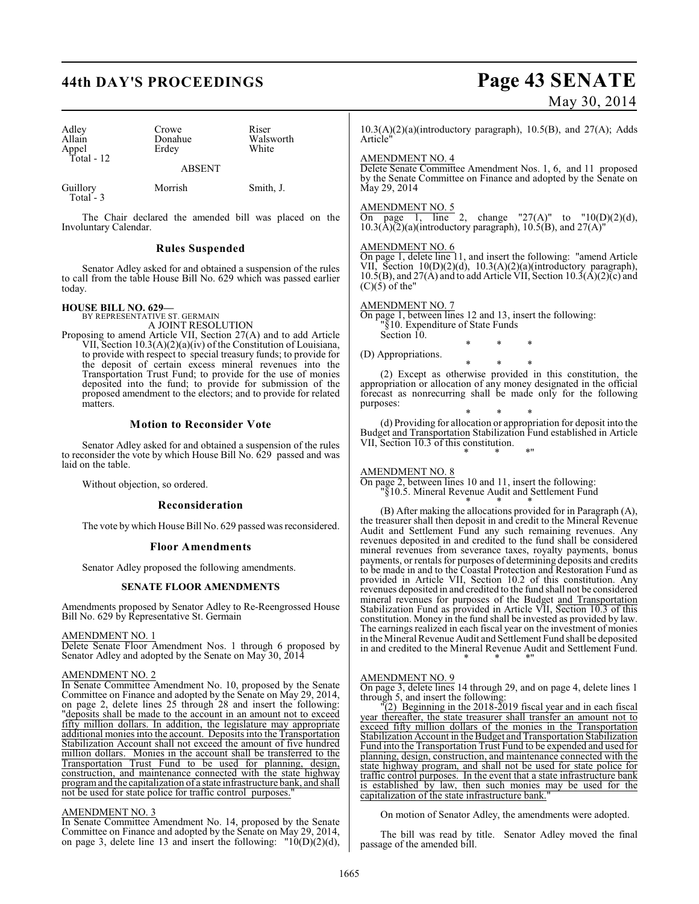# **44th DAY'S PROCEEDINGS Page 43 SENATE**

### Adley Crowe Riser<br>Allain Donahue Wals Donahue Walsworth<br>
Erdey White Appel Total - 12 ABSENT

Guillory Morrish Smith, J. Total - 3

The Chair declared the amended bill was placed on the Involuntary Calendar.

### **Rules Suspended**

Senator Adley asked for and obtained a suspension of the rules to call from the table House Bill No. 629 which was passed earlier today.

# **HOUSE BILL NO. 629—** BY REPRESENTATIVE ST. GERMAIN

A JOINT RESOLUTION

Proposing to amend Article VII, Section 27(A) and to add Article VII, Section 10.3(A)(2)(a)(iv) of the Constitution of Louisiana, to provide with respect to special treasury funds; to provide for the deposit of certain excess mineral revenues into the Transportation Trust Fund; to provide for the use of monies deposited into the fund; to provide for submission of the proposed amendment to the electors; and to provide for related matters.

#### **Motion to Reconsider Vote**

Senator Adley asked for and obtained a suspension of the rules to reconsider the vote by which House Bill No. 629 passed and was laid on the table.

Without objection, so ordered.

#### **Reconsideration**

The vote by which House Bill No. 629 passed was reconsidered.

#### **Floor Amendments**

Senator Adley proposed the following amendments.

#### **SENATE FLOOR AMENDMENTS**

Amendments proposed by Senator Adley to Re-Reengrossed House Bill No. 629 by Representative St. Germain

#### AMENDMENT NO. 1

Delete Senate Floor Amendment Nos. 1 through 6 proposed by Senator Adley and adopted by the Senate on May 30, 2014

#### AMENDMENT NO. 2

In Senate Committee Amendment No. 10, proposed by the Senate Committee on Finance and adopted by the Senate on May 29, 2014, on page 2, delete lines 25 through 28 and insert the following: "deposits shall be made to the account in an amount not to exceed fifty million dollars. In addition, the legislature may appropriate additional monies into the account. Deposits into the Transportation Stabilization Account shall not exceed the amount of five hundred million dollars. Monies in the account shall be transferred to the Transportation Trust Fund to be used for planning, design, construction, and maintenance connected with the state highway program and the capitalization of a state infrastructure bank, and shall not be used for state police for traffic control purposes.

#### AMENDMENT NO. 3

In Senate Committee Amendment No. 14, proposed by the Senate Committee on Finance and adopted by the Senate on May 29, 2014, on page 3, delete line 13 and insert the following:  $"10(D)(2)(d)$ ,

# May 30, 2014

10.3(A)(2)(a)(introductory paragraph), 10.5(B), and 27(A); Adds Article"

#### AMENDMENT NO. 4

Delete Senate Committee Amendment Nos. 1, 6, and 11 proposed by the Senate Committee on Finance and adopted by the Senate on May 29, 2014

#### AMENDMENT NO. 5

On page 1, line 2, change "27(A)" to " $10(D)(2)(d)$ ,  $10.3(\text{\AA})(\text{\AA})(\text{\AA})$ (introductory paragraph),  $10.5(\text{\AA})$ , and  $27(\text{\AA})$ "

#### AMENDMENT NO. 6

On page 1, delete line 11, and insert the following: "amend Article VII, Section 10(D)(2)(d), 10.3(A)(2)(a)(introductory paragraph), 10.5(B), and 27(A) and to add Article VII, Section  $10.3(A)(2)$ (c) and  $(C)(5)$  of the"

#### AMENDMENT NO. 7

On page 1, between lines 12 and 13, insert the following: "§10. Expenditure of State Funds Section 10.

(D) Appropriations.

\* \* \* (2) Except as otherwise provided in this constitution, the appropriation or allocation of any money designated in the official forecast as nonrecurring shall be made only for the following purposes:

\* \* \*

\* \* \* (d) Providing for allocation or appropriation for deposit into the Budget and Transportation Stabilization Fund established in Article VII, Section 10.3 of this constitution. \* \* \*"

#### AMENDMENT NO. 8

On page 2, between lines 10 and 11, insert the following: "§10.5. Mineral Revenue Audit and Settlement Fund

\* \* \* (B) After making the allocations provided for in Paragraph (A), the treasurer shall then deposit in and credit to the Mineral Revenue Audit and Settlement Fund any such remaining revenues. Any revenues deposited in and credited to the fund shall be considered mineral revenues from severance taxes, royalty payments, bonus payments, or rentals for purposes of determining deposits and credits to be made in and to the Coastal Protection and Restoration Fund as provided in Article VII, Section 10.2 of this constitution. Any revenues deposited in and credited to the fund shall not be considered mineral revenues for purposes of the Budget and Transportation Stabilization Fund as provided in Article VII, Section 10.3 of this constitution. Money in the fund shall be invested as provided by law. The earnings realized in each fiscal year on the investment of monies in the Mineral Revenue Audit and Settlement Fund shall be deposited in and credited to the Mineral Revenue Audit and Settlement Fund. \* \* \*"

#### AMENDMENT NO. 9

On page 3, delete lines 14 through 29, and on page 4, delete lines 1 through 5, and insert the following:

 $\Gamma(2)$  Beginning in the 2018-2019 fiscal year and in each fiscal year thereafter, the state treasurer shall transfer an amount not to exceed fifty million dollars of the monies in the Transportation Stabilization Account in the Budget and Transportation Stabilization Fund into the Transportation Trust Fund to be expended and used for planning, design, construction, and maintenance connected with the state highway program, and shall not be used for state police for traffic control purposes. In the event that a state infrastructure bank is established by law, then such monies may be used for the capitalization of the state infrastructure bank.'

On motion of Senator Adley, the amendments were adopted.

The bill was read by title. Senator Adley moved the final passage of the amended bill.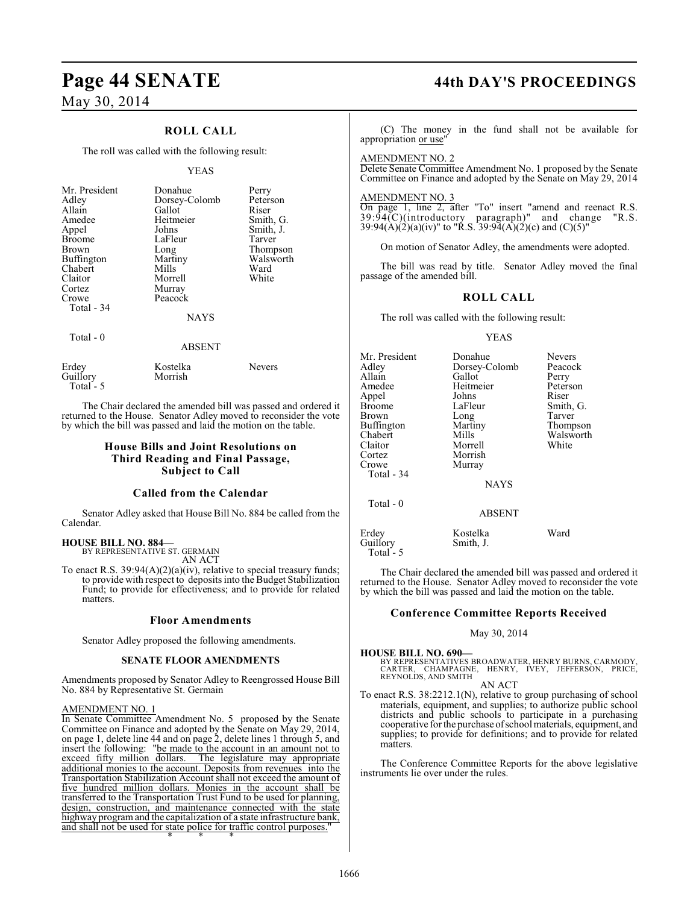### **ROLL CALL**

The roll was called with the following result:

#### YEAS

| Mr. President<br>Adley<br>Allain<br>Amedee<br>Appel<br><b>Broome</b><br><b>Brown</b><br>Buffington<br>Chabert<br>Claitor<br>Cortez<br>Crowe<br>Total - 34 | Donahue<br>Dorsey-Colomb<br>Gallot<br>Heitmeier<br>Johns<br>LaFleur<br>Long<br>Martiny<br>Mills<br>Morrell<br>Murray<br>Peacock<br><b>NAYS</b> | Perry<br>Peterson<br>Riser<br>Smith, G.<br>Smith, J.<br>Tarver<br>Thompson<br>Walsworth<br>Ward<br>White |
|-----------------------------------------------------------------------------------------------------------------------------------------------------------|------------------------------------------------------------------------------------------------------------------------------------------------|----------------------------------------------------------------------------------------------------------|
| Total - 0                                                                                                                                                 | <b>ABSENT</b>                                                                                                                                  |                                                                                                          |

|                                 | .                   |               |
|---------------------------------|---------------------|---------------|
| Erdey<br>Guillory<br>Total $-5$ | Kostelka<br>Morrish | <b>Nevers</b> |

The Chair declared the amended bill was passed and ordered it returned to the House. Senator Adley moved to reconsider the vote by which the bill was passed and laid the motion on the table.

### **House Bills and Joint Resolutions on Third Reading and Final Passage, Subject to Call**

#### **Called from the Calendar**

Senator Adley asked that House Bill No. 884 be called from the Calendar.

#### **HOUSE BILL NO. 884—** BY REPRESENTATIVE ST. GERMAIN

AN ACT

To enact R.S. 39:94(A)(2)(a)(iv), relative to special treasury funds; to provide with respect to deposits into the Budget Stabilization Fund; to provide for effectiveness; and to provide for related matters.

#### **Floor Amendments**

Senator Adley proposed the following amendments.

#### **SENATE FLOOR AMENDMENTS**

Amendments proposed by Senator Adley to Reengrossed House Bill No. 884 by Representative St. Germain

#### AMENDMENT NO. 1

In Senate Committee Amendment No. 5 proposed by the Senate Committee on Finance and adopted by the Senate on May 29, 2014, on page 1, delete line 44 and on page 2, delete lines 1 through 5, and insert the following: "be made to the account in an amount not to exceed fifty million dollars. The legislature may appropriate The legislature may appropriate additional monies to the account. Deposits from revenues into the Transportation Stabilization Account shall not exceed the amount of five hundred million dollars. Monies in the account shall be transferred to the Transportation Trust Fund to be used for planning, design, construction, and maintenance connected with the state highway program and the capitalization of a state infrastructure bank, and shall not be used for state police for traffic control purposes. \* \* \*

# **Page 44 SENATE 44th DAY'S PROCEEDINGS**

(C) The money in the fund shall not be available for appropriation or use"

AMENDMENT NO. 2

Delete Senate Committee Amendment No. 1 proposed by the Senate Committee on Finance and adopted by the Senate on May 29, 2014

#### AMENDMENT NO. 3

Total - 5

On page 1, line 2, after "To" insert "amend and reenact R.S.  $39:94$ (C)(introductory paragraph)" and change "R.S.  $39:94(A)(2)(a)(iv)$ " to "R.S.  $39:94(A)(2)(c)$  and  $(C)(5)$ "

On motion of Senator Adley, the amendments were adopted.

The bill was read by title. Senator Adley moved the final passage of the amended bill.

### **ROLL CALL**

The roll was called with the following result:

#### YEAS

| Mr. President<br>Adley<br>Allain<br>Amedee<br>Appel<br><b>Broome</b><br>Brown<br><b>Buffington</b><br>Chabert<br>Claitor<br>Cortez<br>Crowe | Donahue<br>Dorsey-Colomb<br>Gallot<br>Heitmeier<br>Johns<br>LaFleur<br>Long<br>Martiny<br>Mills<br>Morrell<br>Morrish<br>Murray | <b>Nevers</b><br>Peacock<br>Perry<br>Peterson<br>Riser<br>Smith, G.<br>Tarver<br>Thompson<br>Walsworth<br>White |
|---------------------------------------------------------------------------------------------------------------------------------------------|---------------------------------------------------------------------------------------------------------------------------------|-----------------------------------------------------------------------------------------------------------------|
| Total - 34                                                                                                                                  | <b>NAYS</b>                                                                                                                     |                                                                                                                 |
| Total - 0                                                                                                                                   | <b>ABSENT</b>                                                                                                                   |                                                                                                                 |
| Erdey<br>Guillory                                                                                                                           | Kostelka<br>Smith, J.                                                                                                           | Ward                                                                                                            |

The Chair declared the amended bill was passed and ordered it returned to the House. Senator Adley moved to reconsider the vote by which the bill was passed and laid the motion on the table.

#### **Conference Committee Reports Received**

#### May 30, 2014

**HOUSE BILL NO. 690—** BY REPRESENTATIVES BROADWATER, HENRY BURNS, CARMODY,<br>CARTER, CHAMPAGNE, HENRY, IVEY, JEFFERSON, PRICE,<br>REYNOLDS, AND SMITH

AN ACT

To enact R.S. 38:2212.1(N), relative to group purchasing of school materials, equipment, and supplies; to authorize public school districts and public schools to participate in a purchasing cooperative for the purchase of school materials, equipment, and supplies; to provide for definitions; and to provide for related matters.

The Conference Committee Reports for the above legislative instruments lie over under the rules.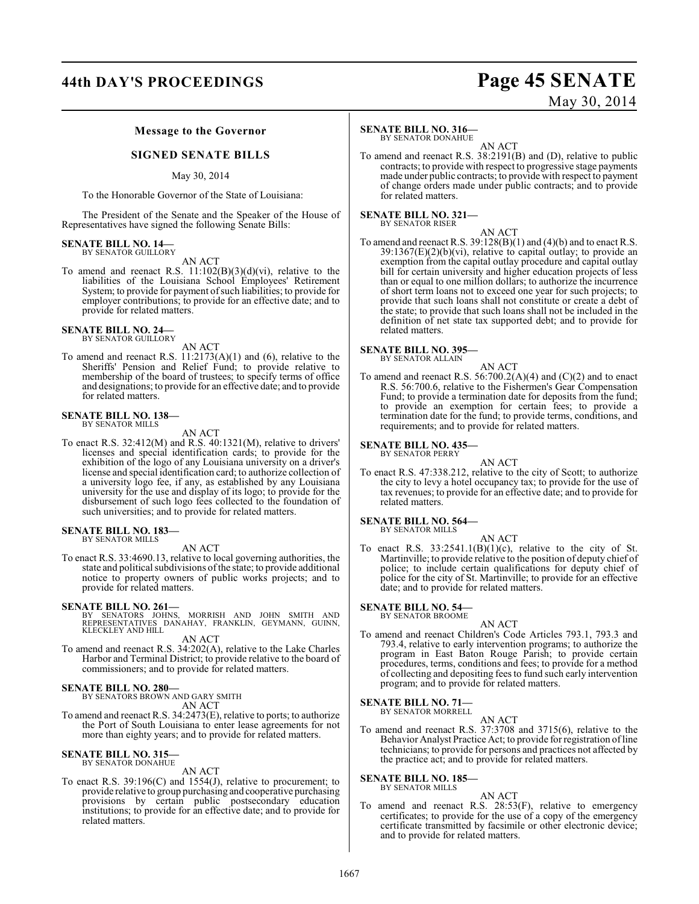## **44th DAY'S PROCEEDINGS Page 45 SENATE**

#### **Message to the Governor**

#### **SIGNED SENATE BILLS**

### May 30, 2014

To the Honorable Governor of the State of Louisiana:

The President of the Senate and the Speaker of the House of Representatives have signed the following Senate Bills:

#### **SENATE BILL NO. 14—** BY SENATOR GUILLORY

#### AN ACT

To amend and reenact R.S.  $11:102(B)(3)(d)(vi)$ , relative to the liabilities of the Louisiana School Employees' Retirement System; to provide for payment of such liabilities; to provide for employer contributions; to provide for an effective date; and to provide for related matters.

### **SENATE BILL NO. 24—**

BY SENATOR GUILLORY

AN ACT

To amend and reenact R.S.  $11:2173(A)(1)$  and  $(6)$ , relative to the Sheriffs' Pension and Relief Fund; to provide relative to membership of the board of trustees; to specify terms of office and designations; to provide for an effective date; and to provide for related matters.

#### **SENATE BILL NO. 138—** BY SENATOR MILLS

AN ACT

To enact R.S. 32:412(M) and R.S. 40:1321(M), relative to drivers' licenses and special identification cards; to provide for the exhibition of the logo of any Louisiana university on a driver's license and special identification card; to authorize collection of a university logo fee, if any, as established by any Louisiana university for the use and display of its logo; to provide for the disbursement of such logo fees collected to the foundation of such universities; and to provide for related matters.

#### **SENATE BILL NO. 183—** BY SENATOR MILLS

AN ACT

To enact R.S. 33:4690.13, relative to local governing authorities, the state and political subdivisions of the state; to provide additional notice to property owners of public works projects; and to provide for related matters.

**SENATE BILL NO. 261—**<br>BY SENATORS JOHNS, MORRISH AND JOHN SMITH AND<br>REPRESENTATIVES DANAHAY, FRANKLIN, GEYMANN, GUINN,<br>KLECKLEY AND HILL

AN ACT

To amend and reenact R.S. 34:202(A), relative to the Lake Charles Harbor and Terminal District; to provide relative to the board of commissioners; and to provide for related matters.

### **SENATE BILL NO. 280—** BY SENATORS BROWN AND GARY SMITH

AN ACT

To amend and reenact R.S. 34:2473(E), relative to ports; to authorize the Port of South Louisiana to enter lease agreements for not more than eighty years; and to provide for related matters.

## **SENATE BILL NO. 315—** BY SENATOR DONAHUE

AN ACT

To enact R.S. 39:196(C) and 1554(J), relative to procurement; to provide relative to group purchasing and cooperative purchasing provisions by certain public postsecondary education institutions; to provide for an effective date; and to provide for related matters.

#### **SENATE BILL NO. 316—**

BY SENATOR DONAHUE AN ACT

To amend and reenact R.S. 38:2191(B) and (D), relative to public contracts; to provide with respect to progressive stage payments made under public contracts; to provide with respect to payment of change orders made under public contracts; and to provide for related matters.

#### **SENATE BILL NO. 321—** BY SENATOR RISER

AN ACT

To amend and reenactR.S. 39:128(B)(1) and (4)(b) and to enact R.S.  $39:1367(E)(2)(b)(vi)$ , relative to capital outlay; to provide an exemption from the capital outlay procedure and capital outlay bill for certain university and higher education projects of less than or equal to one million dollars; to authorize the incurrence of short term loans not to exceed one year for such projects; to provide that such loans shall not constitute or create a debt of the state; to provide that such loans shall not be included in the definition of net state tax supported debt; and to provide for related matters.

#### **SENATE BILL NO. 395—** BY SENATOR ALLAIN

AN ACT

To amend and reenact R.S.  $56:700.2(A)(4)$  and  $(C)(2)$  and to enact R.S. 56:700.6, relative to the Fishermen's Gear Compensation Fund; to provide a termination date for deposits from the fund; to provide an exemption for certain fees; to provide a termination date for the fund; to provide terms, conditions, and requirements; and to provide for related matters.

#### **SENATE BILL NO. 435—** BY SENATOR PERRY

AN ACT

To enact R.S. 47:338.212, relative to the city of Scott; to authorize the city to levy a hotel occupancy tax; to provide for the use of tax revenues; to provide for an effective date; and to provide for related matters.

#### **SENATE BILL NO. 564—** BY SENATOR MILLS

AN ACT

To enact R.S.  $33:2541.1(B)(1)(c)$ , relative to the city of St. Martinville; to provide relative to the position of deputy chief of police; to include certain qualifications for deputy chief of police for the city of St. Martinville; to provide for an effective date; and to provide for related matters.

**SENATE BILL NO. 54—** BY SENATOR BROOME

#### AN ACT

To amend and reenact Children's Code Articles 793.1, 793.3 and 793.4, relative to early intervention programs; to authorize the program in East Baton Rouge Parish; to provide certain procedures, terms, conditions and fees; to provide for a method of collecting and depositing fees to fund such early intervention program; and to provide for related matters.

**SENATE BILL NO. 71—** BY SENATOR MORRELL

AN ACT

To amend and reenact R.S. 37:3708 and 3715(6), relative to the Behavior Analyst Practice Act; to provide for registration of line technicians; to provide for persons and practices not affected by the practice act; and to provide for related matters.

**SENATE BILL NO. 185—** BY SENATOR MILLS

#### AN ACT

To amend and reenact R.S. 28:53(F), relative to emergency certificates; to provide for the use of a copy of the emergency certificate transmitted by facsimile or other electronic device; and to provide for related matters.

May 30, 2014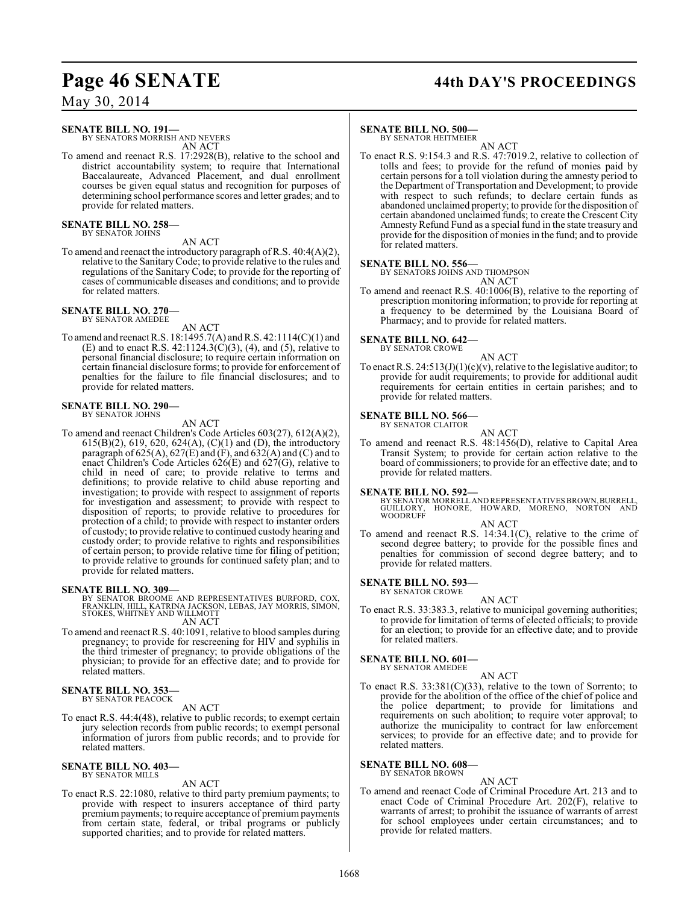# Page 46 SENATE 44th DAY'S PROCEEDINGS

May 30, 2014

### **SENATE BILL NO. 191—**

BY SENATORS MORRISH AND NEVERS AN ACT

To amend and reenact R.S. 17:2928(B), relative to the school and district accountability system; to require that International Baccalaureate, Advanced Placement, and dual enrollment courses be given equal status and recognition for purposes of determining school performance scores and letter grades; and to provide for related matters.

**SENATE BILL NO. 258—** BY SENATOR JOHNS

AN ACT

To amend and reenact the introductory paragraph of R.S. 40:4(A)(2), relative to the Sanitary Code; to provide relative to the rules and regulations of the Sanitary Code; to provide for the reporting of cases of communicable diseases and conditions; and to provide for related matters.

#### **SENATE BILL NO. 270—** BY SENATOR AMEDEE

AN ACT

To amend and reenact R.S. 18:1495.7(A) and R.S. 42:1114(C)(1) and (E) and to enact R.S. 42:1124.3(C)(3), (4), and (5), relative to personal financial disclosure; to require certain information on certain financial disclosure forms; to provide for enforcement of penalties for the failure to file financial disclosures; and to provide for related matters.

#### **SENATE BILL NO. 290—** BY SENATOR JOHNS

AN ACT

To amend and reenact Children's Code Articles 603(27), 612(A)(2), 615(B)(2), 619, 620, 624(A), (C)(1) and (D), the introductory paragraph of 625(A), 627(E) and (F), and 632(A) and (C) and to enact Children's Code Articles 626(E) and 627(G), relative to child in need of care; to provide relative to terms and definitions; to provide relative to child abuse reporting and investigation; to provide with respect to assignment of reports for investigation and assessment; to provide with respect to disposition of reports; to provide relative to procedures for protection of a child; to provide with respect to instanter orders of custody; to provide relative to continued custody hearing and custody order; to provide relative to rights and responsibilities of certain person; to provide relative time for filing of petition; to provide relative to grounds for continued safety plan; and to provide for related matters.

#### **SENATE BILL NO. 309—**

BY SENATOR BROOME AND REPRESENTATIVES BURFORD, COX, FRANKLIN, HILL, KATRINA JACKSON, LEBAS, JAY MORRIS, SIMON, STOKES, WHITNEY AND WILLMOTT

AN ACT

To amend and reenact R.S. 40:1091, relative to blood samples during pregnancy; to provide for rescreening for HIV and syphilis in the third trimester of pregnancy; to provide obligations of the physician; to provide for an effective date; and to provide for related matters.

### **SENATE BILL NO. 353—** BY SENATOR PEACOCK

AN ACT

To enact R.S. 44:4(48), relative to public records; to exempt certain jury selection records from public records; to exempt personal information of jurors from public records; and to provide for related matters.

#### **SENATE BILL NO. 403—** BY SENATOR MILLS

#### AN ACT

To enact R.S. 22:1080, relative to third party premium payments; to provide with respect to insurers acceptance of third party premium payments; to require acceptance of premium payments from certain state, federal, or tribal programs or publicly supported charities; and to provide for related matters.

#### **SENATE BILL NO. 500**

BY SENATOR HEITMEIER

AN ACT To enact R.S. 9:154.3 and R.S. 47:7019.2, relative to collection of tolls and fees; to provide for the refund of monies paid by certain persons for a toll violation during the amnesty period to the Department of Transportation and Development; to provide with respect to such refunds; to declare certain funds as abandoned unclaimed property; to provide for the disposition of certain abandoned unclaimed funds; to create the Crescent City Amnesty Refund Fund as a special fund in the state treasury and provide for the disposition of monies in the fund; and to provide for related matters.

### **SENATE BILL NO. 556—**

BY SENATORS JOHNS AND THOMPSON

AN ACT

To amend and reenact R.S. 40:1006(B), relative to the reporting of prescription monitoring information; to provide for reporting at a frequency to be determined by the Louisiana Board of Pharmacy; and to provide for related matters.

#### **SENATE BILL NO. 642—** BY SENATOR CROWE

AN ACT

To enact R.S.  $24:513(J)(1)(c)(v)$ , relative to the legislative auditor; to provide for audit requirements; to provide for additional audit requirements for certain entities in certain parishes; and to provide for related matters.

#### **SENATE BILL NO. 566—**

BY SENATOR CLAITOR AN ACT

To amend and reenact R.S. 48:1456(D), relative to Capital Area Transit System; to provide for certain action relative to the board of commissioners; to provide for an effective date; and to provide for related matters.

**SENATE BILL NO. 592—**<br>BY SENATOR MORRELL AND REPRESENTATIVES BROWN, BURRELL,<br>GUILLORY, HONORE, HOWARD, MORENO, NORTON AND<br>WOODRUFF

#### AN ACT

To amend and reenact R.S. 14:34.1(C), relative to the crime of second degree battery; to provide for the possible fines and penalties for commission of second degree battery; and to provide for related matters.

### **SENATE BILL NO. 593—**

BY SENATOR CROWE AN ACT

To enact R.S. 33:383.3, relative to municipal governing authorities; to provide for limitation of terms of elected officials; to provide for an election; to provide for an effective date; and to provide for related matters.

#### **SENATE BILL NO. 601—**

BY SENATOR AMEDEE

AN ACT To enact R.S. 33:381(C)(33), relative to the town of Sorrento; to provide for the abolition of the office of the chief of police and the police department; to provide for limitations and requirements on such abolition; to require voter approval; to authorize the municipality to contract for law enforcement services; to provide for an effective date; and to provide for related matters.

### **SENATE BILL NO. 608—**

BY SENATOR BROWN

AN ACT To amend and reenact Code of Criminal Procedure Art. 213 and to enact Code of Criminal Procedure Art. 202(F), relative to warrants of arrest; to prohibit the issuance of warrants of arrest for school employees under certain circumstances; and to provide for related matters.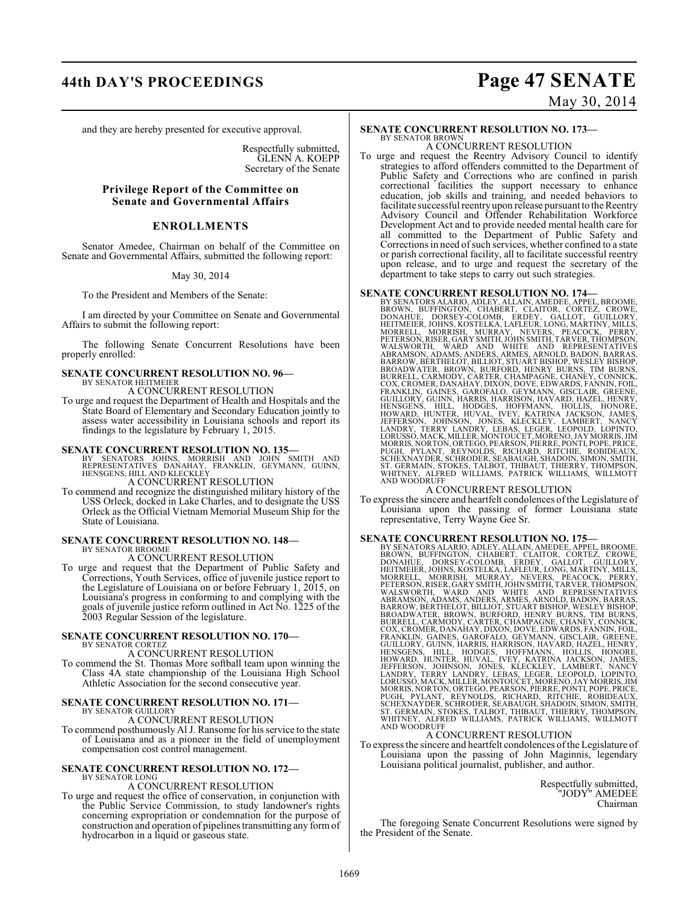# **44th DAY'S PROCEEDINGS Page 47 SENATE** May 30, 2014

and they are hereby presented for executive approval.

Respectfully submitted, GLENN A. KOEPP Secretary of the Senate

#### **Privilege Report of the Committee on Senate and Governmental Affairs**

#### **ENROLLMENTS**

Senator Amedee, Chairman on behalf of the Committee on Senate and Governmental Affairs, submitted the following report:

#### May 30, 2014

To the President and Members of the Senate:

I am directed by your Committee on Senate and Governmental Affairs to submit the following report:

The following Senate Concurrent Resolutions have been properly enrolled:

#### **SENATE CONCURRENT RESOLUTION NO. 96—** BY SENATOR HEITMEIER

A CONCURRENT RESOLUTION

To urge and request the Department of Health and Hospitals and the State Board of Elementary and Secondary Education jointly to assess water accessibility in Louisiana schools and report its findings to the legislature by February 1, 2015.

#### **SENATE CONCURRENT RESOLUTION NO. 135—**

BY SENATORS JOHNS, MORRISH AND JOHN SMITH AND<br>REPRESENTATIVES DANAHAY, FRANKLIN, GEYMANN, GUINN,<br>HENSGENS,HILLAND KLECKLEY

A CONCURRENT RESOLUTION

To commend and recognize the distinguished military history of the USS Orleck, docked in Lake Charles, and to designate the USS Orleck as the Official Vietnam Memorial Museum Ship for the State of Louisiana.

#### **SENATE CONCURRENT RESOLUTION NO. 148—** BY SENATOR BROOME

A CONCURRENT RESOLUTION

To urge and request that the Department of Public Safety and Corrections, Youth Services, office of juvenile justice report to the Legislature of Louisiana on or before February 1, 2015, on Louisiana's progress in conforming to and complying with the goals of juvenile justice reform outlined in Act No. 1225 of the 2003 Regular Session of the legislature.

#### **SENATE CONCURRENT RESOLUTION NO. 170—** BY SENATOR CORTEZ

A CONCURRENT RESOLUTION

To commend the St. Thomas More softball team upon winning the Class 4A state championship of the Louisiana High School Athletic Association for the second consecutive year.

# **SENATE CONCURRENT RESOLUTION NO. 171—** BY SENATOR GUILLORY

A CONCURRENT RESOLUTION

To commend posthumously Al J. Ransome for his service to the state of Louisiana and as a pioneer in the field of unemployment compensation cost control management.

#### **SENATE CONCURRENT RESOLUTION NO. 172—** BY SENATOR LONG

### A CONCURRENT RESOLUTION

To urge and request the office of conservation, in conjunction with the Public Service Commission, to study landowner's rights concerning expropriation or condemnation for the purpose of construction and operation of pipelines transmitting any form of hydrocarbon in a liquid or gaseous state.

#### **SENATE CONCURRENT RESOLUTION NO. 173—** BY SENATOR BROWN

A CONCURRENT RESOLUTION

To urge and request the Reentry Advisory Council to identify strategies to afford offenders committed to the Department of Public Safety and Corrections who are confined in parish correctional facilities the support necessary to enhance education, job skills and training, and needed behaviors to facilitate successful reentry upon release pursuant to the Reentry Advisory Council and Offender Rehabilitation Workforce Development Act and to provide needed mental health care for all committed to the Department of Public Safety and Corrections in need of such services, whether confined to a state or parish correctional facility, all to facilitate successful reentry upon release, and to urge and request the secretary of the department to take steps to carry out such strategies.

### **SENATE CONCURRENT RESOLUTION NO. 174—**

BY SENATORS ALARIO, ADLEY, ALLAIN, AMEDEE, APPEL, BROWNE, BROWNE, BOWNE, BOFINGTON, CHABERT, CLAITOR, CORTEZ, CROWE, DONAHUE, DORSEY-COLOMB, ERDEY, GALLOT, GUILLORY, MORRELL, MORRISH, MURRAY, NEVERS, PEACOCK, PERRY, METANI

#### A CONCURRENT RESOLUTION

To express the sincere and heartfelt condolences ofthe Legislature of Louisiana upon the passing of former Louisiana state representative, Terry Wayne Gee Sr.

**SENATE CONCURRENT RESOLUTION NO. 175—**<br>BY SENATORS ALARIO, ADLEY, ALLAIN, AMEDEE, APPEL, BROWNE, BROWN, BUFFINGTON, CHABERT, CLAITOR, CORTEZ, CROWE,<br>DONAHUE, DORSEY-COLOMB, ERDEY, GALIOT, GUILLORY, STELL HEITMEIER, JOHNS,

To express the sincere and heartfelt condolences of the Legislature of Louisiana upon the passing of John Maginnis, legendary Louisiana political journalist, publisher, and author.

> Respectfully submitted, "JODY" AMEDEE Chairman

The foregoing Senate Concurrent Resolutions were signed by the President of the Senate.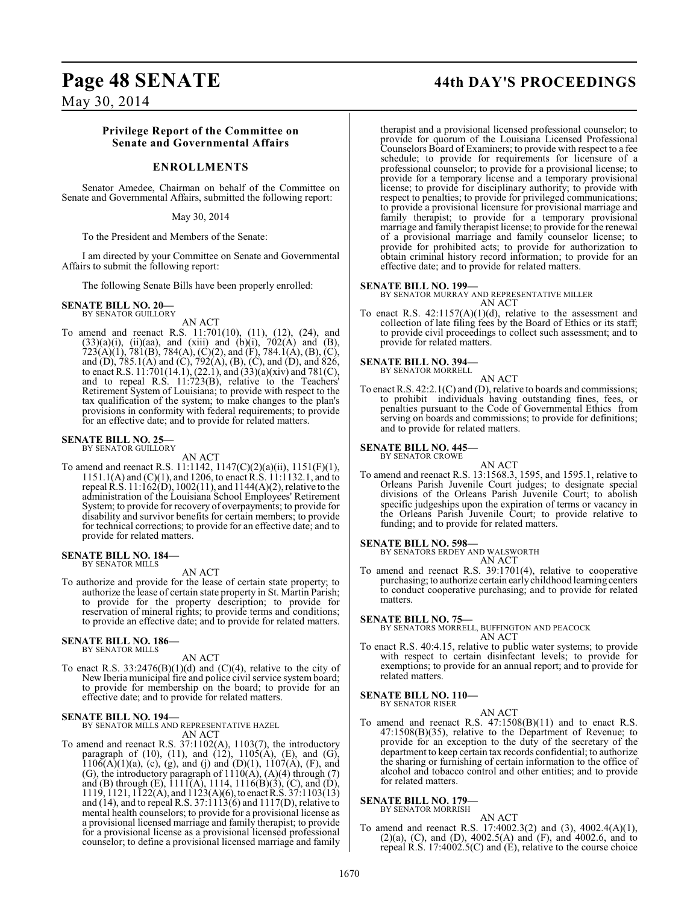## **Page 48 SENATE 44th DAY'S PROCEEDINGS**

May 30, 2014

#### **Privilege Report of the Committee on Senate and Governmental Affairs**

#### **ENROLLMENTS**

Senator Amedee, Chairman on behalf of the Committee on Senate and Governmental Affairs, submitted the following report:

#### May 30, 2014

To the President and Members of the Senate:

I am directed by your Committee on Senate and Governmental Affairs to submit the following report:

The following Senate Bills have been properly enrolled:

## **SENATE BILL NO. 20—** BY SENATOR GUILLORY

AN ACT

To amend and reenact R.S. 11:701(10), (11), (12), (24), and  $(33)(a)(i)$ ,  $(ii)(aa)$ , and  $(xiii)$  and  $(b)(i)$ ,  $702(A)$  and  $(B)$ ,  $723(A)(1), 781(B), 784(A), (C)(2),$  and  $(F), 784.1(A), (B), (C),$ and (D), 785.1(A) and (C), 792(A), (B), (C), and (D), and 826, to enact R.S.  $11:701(14.1)$ ,  $(22.1)$ , and  $(33)(a)(xiv)$  and  $781(C)$ , and to repeal R.S. 11:723(B), relative to the Teachers' Retirement System of Louisiana; to provide with respect to the tax qualification of the system; to make changes to the plan's provisions in conformity with federal requirements; to provide for an effective date; and to provide for related matters.

## **SENATE BILL NO. 25—**<br>BY SENATOR GUILLORY

AN ACT

To amend and reenact R.S. 11:1142, 1147(C)(2)(a)(ii), 1151(F)(1), 1151.1(A) and (C)(1), and 1206, to enact R.S. 11:1132.1, and to repeal R.S. 11:162(D), 1002(11), and 1144(A)(2), relative to the administration of the Louisiana School Employees' Retirement System; to provide for recovery of overpayments; to provide for disability and survivor benefits for certain members; to provide for technical corrections; to provide for an effective date; and to provide for related matters.

# **SENATE BILL NO. 184—** BY SENATOR MILLS

AN ACT

To authorize and provide for the lease of certain state property; to authorize the lease of certain state property in St. Martin Parish; to provide for the property description; to provide for reservation of mineral rights; to provide terms and conditions; to provide an effective date; and to provide for related matters.

#### **SENATE BILL NO. 186—** BY SENATOR MILLS

AN ACT

To enact R.S.  $33:2476(B)(1)(d)$  and  $(C)(4)$ , relative to the city of New Iberia municipal fire and police civil service system board; to provide for membership on the board; to provide for an effective date; and to provide for related matters.

#### **SENATE BILL NO. 194—**

BY SENATOR MILLS AND REPRESENTATIVE HAZEL

AN ACT To amend and reenact R.S. 37:1102(A), 1103(7), the introductory paragraph of (10), (11), and (12),  $1105(A)$ , (E), and (G),  $1106(A)(1)(a)$ , (c), (g), and (j) and (D)(1), 1107(A), (F), and (G), the introductory paragraph of  $1110(A)$ ,  $(A)(4)$  through  $(7)$ and (B) through (E), 1111(A), 1114, 1116(B)(3), (C), and (D), 1119, 1121, 1122(A), and 1123(A)(6), to enact R.S. 37:1103(13) and (14), and to repeal R.S.  $37:1113(6)$  and  $1117(D)$ , relative to mental health counselors; to provide for a provisional license as a provisional licensed marriage and family therapist; to provide for a provisional license as a provisional licensed professional counselor; to define a provisional licensed marriage and family

therapist and a provisional licensed professional counselor; to provide for quorum of the Louisiana Licensed Professional Counselors Board of Examiners; to provide with respect to a fee schedule; to provide for requirements for licensure of a professional counselor; to provide for a provisional license; to provide for a temporary license and a temporary provisional license; to provide for disciplinary authority; to provide with respect to penalties; to provide for privileged communications; to provide a provisional licensure for provisional marriage and family therapist; to provide for a temporary provisional marriage and family therapist license; to provide for the renewal of a provisional marriage and family counselor license; to provide for prohibited acts; to provide for authorization to obtain criminal history record information; to provide for an effective date; and to provide for related matters.

#### **SENATE BILL NO. 199—**

BY SENATOR MURRAY AND REPRESENTATIVE MILLER AN ACT

To enact R.S. 42:1157(A)(1)(d), relative to the assessment and collection of late filing fees by the Board of Ethics or its staff; to provide civil proceedings to collect such assessment; and to provide for related matters.

**SENATE BILL NO. 394—** BY SENATOR MORRELL

AN ACT

To enact R.S. 42:2.1(C) and (D), relative to boards and commissions; to prohibit individuals having outstanding fines, fees, or penalties pursuant to the Code of Governmental Ethics from serving on boards and commissions; to provide for definitions; and to provide for related matters.

## **SENATE BILL NO. 445—** BY SENATOR CROWE

AN ACT

To amend and reenact R.S. 13:1568.3, 1595, and 1595.1, relative to Orleans Parish Juvenile Court judges; to designate special divisions of the Orleans Parish Juvenile Court; to abolish specific judgeships upon the expiration of terms or vacancy in the Orleans Parish Juvenile Court; to provide relative to funding; and to provide for related matters.

**SENATE BILL NO. 598—** BY SENATORS ERDEY AND WALSWORTH AN ACT

To amend and reenact R.S. 39:1701(4), relative to cooperative purchasing; to authorize certain early childhood learning centers to conduct cooperative purchasing; and to provide for related matters.

### **SENATE BILL NO. 75—** BY SENATORS MORRELL, BUFFINGTON AND PEACOCK AN ACT

To enact R.S. 40:4.15, relative to public water systems; to provide with respect to certain disinfectant levels; to provide for exemptions; to provide for an annual report; and to provide for related matters.

#### **SENATE BILL NO. 110—** BY SENATOR RISER

AN ACT

To amend and reenact R.S. 47:1508(B)(11) and to enact R.S. 47:1508(B)(35), relative to the Department of Revenue; to provide for an exception to the duty of the secretary of the department to keep certain tax records confidential; to authorize the sharing or furnishing of certain information to the office of alcohol and tobacco control and other entities; and to provide for related matters.

#### **SENATE BILL NO. 179—**

BY SENATOR MORRISH

AN ACT To amend and reenact R.S. 17:4002.3(2) and (3), 4002.4(A)(1), (2)(a), (C), and (D), 4002.5(A) and (F), and 4002.6, and to repeal R.S. 17:4002.5(C) and (E), relative to the course choice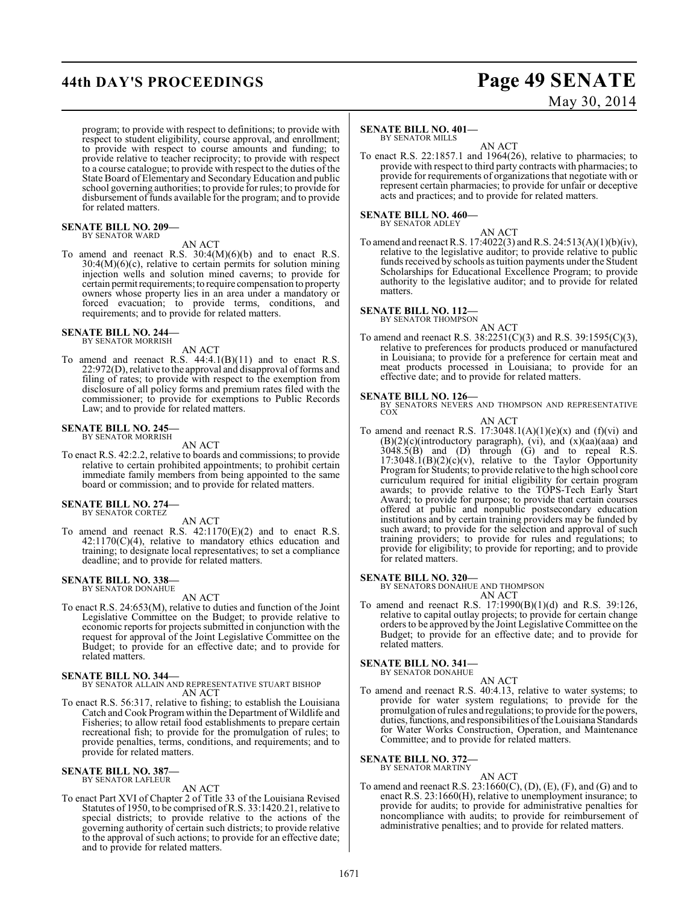# **44th DAY'S PROCEEDINGS Page 49 SENATE**

# May 30, 2014

program; to provide with respect to definitions; to provide with respect to student eligibility, course approval, and enrollment; to provide with respect to course amounts and funding; to provide relative to teacher reciprocity; to provide with respect to a course catalogue; to provide with respect to the duties of the State Board of Elementary and Secondary Education and public school governing authorities; to provide for rules; to provide for disbursement of funds available for the program; and to provide for related matters.

#### **SENATE BILL NO. 209—** BY SENATOR WARD

### AN ACT

To amend and reenact R.S. 30:4(M)(6)(b) and to enact R.S.  $30:4(M)(6)(c)$ , relative to certain permits for solution mining injection wells and solution mined caverns; to provide for certain permit requirements; to require compensation to property owners whose property lies in an area under a mandatory or forced evacuation; to provide terms, conditions, and requirements; and to provide for related matters.

#### **SENATE BILL NO. 244—**

BY SENATOR MORRISH

AN ACT

To amend and reenact R.S.  $44:4.1(B)(11)$  and to enact R.S. 22:972(D), relative to the approval and disapproval of forms and filing of rates; to provide with respect to the exemption from disclosure of all policy forms and premium rates filed with the commissioner; to provide for exemptions to Public Records Law; and to provide for related matters.

#### **SENATE BILL NO. 245—** BY SENATOR MORRISH

AN ACT

To enact R.S. 42:2.2, relative to boards and commissions; to provide relative to certain prohibited appointments; to prohibit certain immediate family members from being appointed to the same board or commission; and to provide for related matters.

## **SENATE BILL NO. 274—** BY SENATOR CORTEZ

AN ACT

To amend and reenact R.S. 42:1170(E)(2) and to enact R.S.  $42:1170(C)(4)$ , relative to mandatory ethics education and training; to designate local representatives; to set a compliance deadline; and to provide for related matters.

#### **SENATE BILL NO. 338—** BY SENATOR DONAHUE

AN ACT

To enact R.S. 24:653(M), relative to duties and function of the Joint Legislative Committee on the Budget; to provide relative to economic reports for projects submitted in conjunction with the request for approval of the Joint Legislative Committee on the Budget; to provide for an effective date; and to provide for related matters.

#### **SENATE BILL NO. 344—**

BY SENATOR ALLAIN AND REPRESENTATIVE STUART BISHOP AN ACT

To enact R.S. 56:317, relative to fishing; to establish the Louisiana Catch and Cook Program within the Department of Wildlife and Fisheries; to allow retail food establishments to prepare certain recreational fish; to provide for the promulgation of rules; to provide penalties, terms, conditions, and requirements; and to provide for related matters.

#### **SENATE BILL NO. 387—** BY SENATOR LAFLEUR

AN ACT

To enact Part XVI of Chapter 2 of Title 33 of the Louisiana Revised Statutes of 1950, to be comprised of R.S. 33:1420.21, relative to special districts; to provide relative to the actions of the governing authority of certain such districts; to provide relative to the approval of such actions; to provide for an effective date; and to provide for related matters.

#### **SENATE BILL NO. 401—**

BY SENATOR MILLS

AN ACT To enact R.S. 22:1857.1 and 1964(26), relative to pharmacies; to provide with respect to third party contracts with pharmacies; to provide for requirements of organizations that negotiate with or represent certain pharmacies; to provide for unfair or deceptive acts and practices; and to provide for related matters.

### **SENATE BILL NO. 460—** BY SENATOR ADLEY

AN ACT

To amend and reenact R.S. 17:4022(3) and R.S. 24:513(A)(1)(b)(iv), relative to the legislative auditor; to provide relative to public funds received by schools as tuition payments under the Student Scholarships for Educational Excellence Program; to provide authority to the legislative auditor; and to provide for related matters.

#### **SENATE BILL NO. 112—**

BY SENATOR THOMPSON

AN ACT To amend and reenact R.S. 38:2251(C)(3) and R.S. 39:1595(C)(3), relative to preferences for products produced or manufactured in Louisiana; to provide for a preference for certain meat and meat products processed in Louisiana; to provide for an effective date; and to provide for related matters.

**SENATE BILL NO. 126—**<br>BY SENATORS NEVERS AND THOMPSON AND REPRESENTATIVE COX

- AN ACT
- To amend and reenact R.S.  $17:3048.1(A)(1)(e)(x)$  and  $(f)(vi)$  and  $(B)(2)(c)$ (introductory paragraph), (vi), and  $(x)(aa)(aaa)$  and 3048.5(B) and (D) through (G) and to repeal R.S.  $17:3048.1(B)(2)(c)(v)$ , relative to the Taylor Opportunity Program for Students; to provide relative to the high school core curriculum required for initial eligibility for certain program awards; to provide relative to the TOPS-Tech Early Start Award; to provide for purpose; to provide that certain courses offered at public and nonpublic postsecondary education institutions and by certain training providers may be funded by such award; to provide for the selection and approval of such training providers; to provide for rules and regulations; to provide for eligibility; to provide for reporting; and to provide for related matters.

#### **SENATE BILL NO. 320—**

BY SENATORS DONAHUE AND THOMPSON AN ACT

To amend and reenact R.S. 17:1990(B)(1)(d) and R.S. 39:126, relative to capital outlay projects; to provide for certain change orders to be approved by the Joint Legislative Committee on the Budget; to provide for an effective date; and to provide for related matters.

**SENATE BILL NO. 341—** BY SENATOR DONAHUE

AN ACT

To amend and reenact R.S. 40:4.13, relative to water systems; to provide for water system regulations; to provide for the promulgation of rules and regulations; to provide for the powers, duties, functions, and responsibilities of the Louisiana Standards for Water Works Construction, Operation, and Maintenance Committee; and to provide for related matters.

**SENATE BILL NO. 372—**

BY SENATOR MARTINY AN ACT

To amend and reenact R.S. 23:1660(C), (D), (E), (F), and (G) and to enact R.S. 23:1660(H), relative to unemployment insurance; to provide for audits; to provide for administrative penalties for noncompliance with audits; to provide for reimbursement of administrative penalties; and to provide for related matters.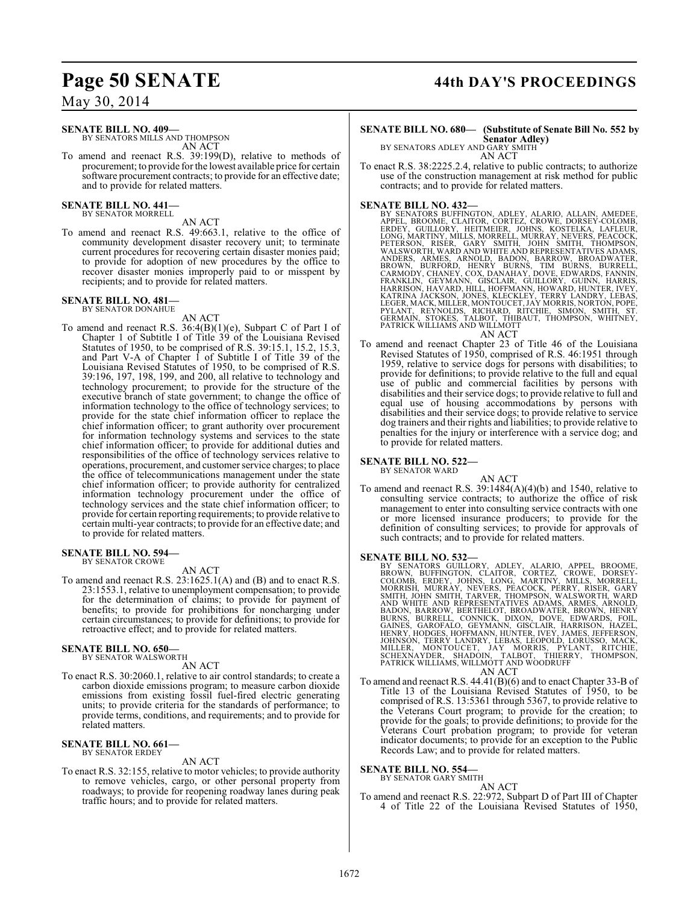#### **SENATE BILL NO. 409—**

BY SENATORS MILLS AND THOMPSON AN ACT

To amend and reenact R.S. 39:199(D), relative to methods of procurement; to provide for the lowest available price for certain software procurement contracts; to provide for an effective date; and to provide for related matters.

# **SENATE BILL NO. 441—** BY SENATOR MORRELL

- AN ACT
- To amend and reenact R.S. 49:663.1, relative to the office of community development disaster recovery unit; to terminate current procedures for recovering certain disaster monies paid; to provide for adoption of new procedures by the office to recover disaster monies improperly paid to or misspent by recipients; and to provide for related matters.

#### **SENATE BILL NO. 481** BY SENATOR DONAHUE

AN ACT

To amend and reenact R.S. 36:4(B)(1)(e), Subpart C of Part I of Chapter 1 of Subtitle I of Title 39 of the Louisiana Revised Statutes of 1950, to be comprised of R.S. 39:15.1, 15.2, 15.3, and Part V-A of Chapter 1 of Subtitle I of Title 39 of the Louisiana Revised Statutes of 1950, to be comprised of R.S. 39:196, 197, 198, 199, and 200, all relative to technology and technology procurement; to provide for the structure of the executive branch of state government; to change the office of information technology to the office of technology services; to provide for the state chief information officer to replace the chief information officer; to grant authority over procurement for information technology systems and services to the state chief information officer; to provide for additional duties and responsibilities of the office of technology services relative to operations, procurement, and customer service charges; to place the office of telecommunications management under the state chief information officer; to provide authority for centralized information technology procurement under the office of technology services and the state chief information officer; to provide for certain reporting requirements; to provide relative to certain multi-year contracts; to provide for an effective date; and to provide for related matters.

#### **SENATE BILL NO. 594—** BY SENATOR CROWE

#### AN ACT

To amend and reenact R.S. 23:1625.1(A) and (B) and to enact R.S. 23:1553.1, relative to unemployment compensation; to provide for the determination of claims; to provide for payment of benefits; to provide for prohibitions for noncharging under certain circumstances; to provide for definitions; to provide for retroactive effect; and to provide for related matters.

#### **SENATE BILL NO. 650—** BY SENATOR WALSWORTH

AN ACT

To enact R.S. 30:2060.1, relative to air control standards; to create a carbon dioxide emissions program; to measure carbon dioxide emissions from existing fossil fuel-fired electric generating units; to provide criteria for the standards of performance; to provide terms, conditions, and requirements; and to provide for related matters.

#### **SENATE BILL NO. 661—** BY SENATOR ERDEY

#### AN ACT

To enact R.S. 32:155, relative to motor vehicles; to provide authority to remove vehicles, cargo, or other personal property from roadways; to provide for reopening roadway lanes during peak traffic hours; and to provide for related matters.

### **Page 50 SENATE 44th DAY'S PROCEEDINGS**

#### **SENATE BILL NO. 680— (Substitute of Senate Bill No. 552 by Senator Adley)**

BY SENATORS ADLEY AND GARY SMITH AN ACT

To enact R.S. 38:2225.2.4, relative to public contracts; to authorize use of the construction management at risk method for public contracts; and to provide for related matters.

- **SENATE BILL NO. 432—**<br>BY SENATORS BUFFINGTON, ADLEY, ALARIO, ALLAIN, AMEDEE,<br>APPEL, BROOME, CLAITOR, CORTEZ, CROWE, DORSEY-COLOMB,<br>ERDEY, GUILLORY, HEITMEIER, JOHNS, KOSTELKA, LAFLEUR,<br>LONG, MARTINY, MILLS, MORRELL, MURRA ANDERS, ARMES, ARNOLD, BADON, BARROW, BROADWATER,<br>BROWN, BURFORD, HENRY BURNS, TIM BURNS, BURRELL,<br>CARMODY, CHANEY, COX, DANAHAY, DOVE, EDWARDS, FANNIN,<br>FRANKLIN, GEYMANN, GİSCLAIR, GUILLORY, GUINN, HARRIS,<br>HARISON, HAVARD AN ACT
- To amend and reenact Chapter 23 of Title 46 of the Louisiana Revised Statutes of 1950, comprised of R.S. 46:1951 through 1959, relative to service dogs for persons with disabilities; to provide for definitions; to provide relative to the full and equal use of public and commercial facilities by persons with disabilities and their service dogs; to provide relative to full and equal use of housing accommodations by persons with disabilities and their service dogs; to provide relative to service dog trainers and their rights and liabilities; to provide relative to penalties for the injury or interference with a service dog; and to provide for related matters.

#### **SENATE BILL NO. 522—**

BY SENATOR WARD

- AN ACT
- To amend and reenact R.S. 39:1484(A)(4)(b) and 1540, relative to consulting service contracts; to authorize the office of risk management to enter into consulting service contracts with one or more licensed insurance producers; to provide for the definition of consulting services; to provide for approvals of such contracts; and to provide for related matters.

**SENATE BILL NO. 532—**<br>BY SENATORS GUILLORY, ADLEY, ALARIO, APPEL, BROOME, BROWN, BUFFINGTON, CLAITOR, CORTEZ, CROWE, DORSEY-<br>COLOMB, ERDEY, JOHNS, LONG, MARTINY, MILLS, MORRELL,<br>MORRISH, MURRAY, NEVERS, PEACOCK, PERRY, RI

To amend and reenact R.S. 44.41(B)(6) and to enact Chapter 33-B of Title 13 of the Louisiana Revised Statutes of 1950, to be comprised of R.S. 13:5361 through 5367, to provide relative to the Veterans Court program; to provide for the creation; to provide for the goals; to provide definitions; to provide for the Veterans Court probation program; to provide for veteran indicator documents; to provide for an exception to the Public Records Law; and to provide for related matters.

### **SENATE BILL NO. 554—**

BY SENATOR GARY SMITH AN ACT

To amend and reenact R.S. 22:972, Subpart D of Part III of Chapter 4 of Title 22 of the Louisiana Revised Statutes of 1950,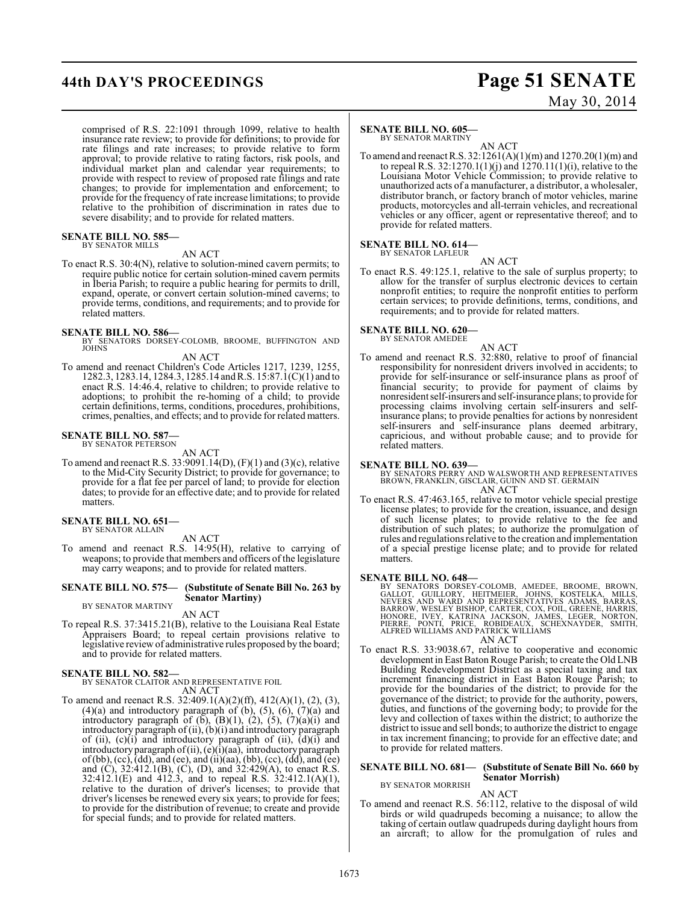## **44th DAY'S PROCEEDINGS Page 51 SENATE**

# May 30, 2014

comprised of R.S. 22:1091 through 1099, relative to health insurance rate review; to provide for definitions; to provide for rate filings and rate increases; to provide relative to form approval; to provide relative to rating factors, risk pools, and individual market plan and calendar year requirements; to provide with respect to review of proposed rate filings and rate changes; to provide for implementation and enforcement; to provide for the frequency of rate increase limitations; to provide relative to the prohibition of discrimination in rates due to severe disability; and to provide for related matters.

#### **SENATE BILL NO. 585—** BY SENATOR MILLS

### AN ACT

To enact R.S. 30:4(N), relative to solution-mined cavern permits; to require public notice for certain solution-mined cavern permits in Iberia Parish; to require a public hearing for permits to drill, expand, operate, or convert certain solution-mined caverns; to provide terms, conditions, and requirements; and to provide for related matters.

#### **SENATE BILL NO. 586—**

- BY SENATORS DORSEY-COLOMB, BROOME, BUFFINGTON AND JOHNS
- AN ACT To amend and reenact Children's Code Articles 1217, 1239, 1255, 1282.3, 1283.14, 1284.3, 1285.14 and R.S. 15:87.1(C)(1) and to
- enact R.S. 14:46.4, relative to children; to provide relative to adoptions; to prohibit the re-homing of a child; to provide certain definitions, terms, conditions, procedures, prohibitions, crimes, penalties, and effects; and to provide for related matters.

#### **SENATE BILL NO. 587—** BY SENATOR PETERSON

AN ACT

To amend and reenact R.S. 33:9091.14(D), (F)(1) and (3)(c), relative to the Mid-City Security District; to provide for governance; to provide for a flat fee per parcel of land; to provide for election dates; to provide for an effective date; and to provide for related matters.

#### **SENATE BILL NO. 651—** BY SENATOR ALLAIN

AN ACT

To amend and reenact R.S. 14:95(H), relative to carrying of weapons; to provide that members and officers of the legislature may carry weapons; and to provide for related matters.

#### **SENATE BILL NO. 575— (Substitute of Senate Bill No. 263 by Senator Martiny)** BY SENATOR MARTINY

AN ACT

To repeal R.S. 37:3415.21(B), relative to the Louisiana Real Estate Appraisers Board; to repeal certain provisions relative to legislative review of administrative rules proposed by the board; and to provide for related matters.

### **SENATE BILL NO. 582—**

#### BY SENATOR CLAITOR AND REPRESENTATIVE FOIL AN ACT

To amend and reenact R.S. 32:409.1(A)(2)(ff), 412(A)(1), (2), (3),  $(4)(a)$  and introductory paragraph of  $(b)$ ,  $(5)$ ,  $(6)$ ,  $(7)(a)$  and introductory paragraph of  $(b)$ ,  $(B)(1)$ ,  $(2)$ ,  $(5)$ ,  $(7)(a)(i)$  and introductory paragraph of (ii), (b)(i) and introductory paragraph of (ii),  $(c)(i)$  and introductory paragraph of (ii),  $(d)(i)$  and introductory paragraph of (ii), (e)(i)(aa), introductory paragraph of (bb), (cc), (dd), and (ee), and (ii)(aa), (bb), (cc), (dd), and (ee) and (C), 32:412.1(B), (C), (D), and 32:429(A), to enact R.S. 32:412.1(E) and 412.3, and to repeal R.S. 32:412.1(A)(1), relative to the duration of driver's licenses; to provide that driver's licenses be renewed every six years; to provide for fees; to provide for the distribution of revenue; to create and provide for special funds; and to provide for related matters.

### **SENATE BILL NO. 605—**

BY SENATOR MARTINY AN ACT

To amend and reenact R.S. 32:1261(A)(1)(m) and 1270.20(1)(m) and to repeal R.S. 32:1270.1(1)(j) and 1270.11(1)(i), relative to the Louisiana Motor Vehicle Commission; to provide relative to unauthorized acts of a manufacturer, a distributor, a wholesaler, distributor branch, or factory branch of motor vehicles, marine products, motorcycles and all-terrain vehicles, and recreational vehicles or any officer, agent or representative thereof; and to provide for related matters.

#### **SENATE BILL NO. 614—**

BY SENATOR LAFLEUR AN ACT

To enact R.S. 49:125.1, relative to the sale of surplus property; to allow for the transfer of surplus electronic devices to certain nonprofit entities; to require the nonprofit entities to perform certain services; to provide definitions, terms, conditions, and requirements; and to provide for related matters.

#### **SENATE BILL NO. 620—** BY SENATOR AMEDEE

- AN ACT
- To amend and reenact R.S. 32:880, relative to proof of financial responsibility for nonresident drivers involved in accidents; to provide for self-insurance or self-insurance plans as proof of financial security; to provide for payment of claims by nonresident self-insurers and self-insurance plans; to provide for processing claims involving certain self-insurers and selfinsurance plans; to provide penalties for actions by nonresident self-insurers and self-insurance plans deemed arbitrary, capricious, and without probable cause; and to provide for related matters.

**SENATE BILL NO. 639—** BY SENATORS PERRY AND WALSWORTH AND REPRESENTATIVES BROWN, FRANKLIN, GISCLAIR, GUINN AND ST. GERMAIN AN ACT

To enact R.S. 47:463.165, relative to motor vehicle special prestige license plates; to provide for the creation, issuance, and design of such license plates; to provide relative to the fee and distribution of such plates; to authorize the promulgation of rules and regulations relative to the creation and implementation of a special prestige license plate; and to provide for related matters.

#### **SENATE BILL NO. 648—**

BY SENATORS DORSEY-COLOMB, AMEDEE, BROOME, BROWN,<br>GALLOT, GUILLORY, HEITMEIER, JOHNS, KOSTELKA, MILLS,<br>NEVERS AND WARD AND REPRESENTATIVES ADAMS, BARRAS,<br>BARROW, WESLEY BISHOP, CARTER, COX, FOIL, GREENE, HARRIS,<br>HONORE, IV

AN ACT

To enact R.S. 33:9038.67, relative to cooperative and economic development in East Baton Rouge Parish; to create the Old LNB Building Redevelopment District as a special taxing and tax increment financing district in East Baton Rouge Parish; to provide for the boundaries of the district; to provide for the governance of the district; to provide for the authority, powers, duties, and functions of the governing body; to provide for the levy and collection of taxes within the district; to authorize the district to issue and sell bonds; to authorize the district to engage in tax increment financing; to provide for an effective date; and to provide for related matters.

#### **SENATE BILL NO. 681— (Substitute of Senate Bill No. 660 by Senator Morrish)**

BY SENATOR MORRISH

#### AN ACT

To amend and reenact R.S. 56:112, relative to the disposal of wild birds or wild quadrupeds becoming a nuisance; to allow the taking of certain outlaw quadrupeds during daylight hours from an aircraft; to allow for the promulgation of rules and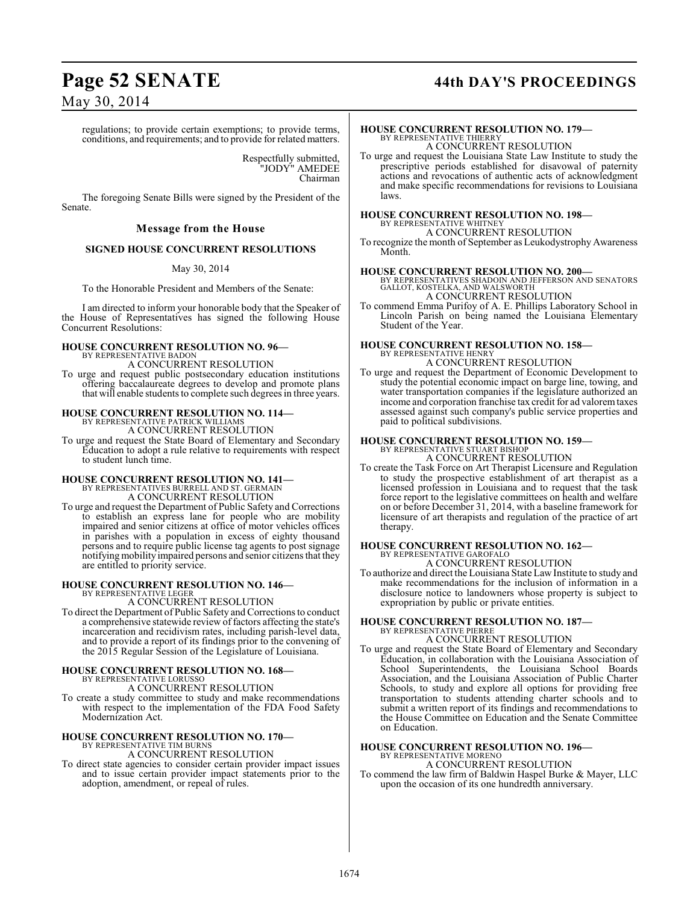## **Page 52 SENATE 44th DAY'S PROCEEDINGS**

regulations; to provide certain exemptions; to provide terms, conditions, and requirements; and to provide for related matters.

> Respectfully submitted, "JODY" AMEDEE Chairman

The foregoing Senate Bills were signed by the President of the Senate.

### **Message from the House**

#### **SIGNED HOUSE CONCURRENT RESOLUTIONS**

May 30, 2014

To the Honorable President and Members of the Senate:

I am directed to inform your honorable body that the Speaker of the House of Representatives has signed the following House Concurrent Resolutions:

#### **HOUSE CONCURRENT RESOLUTION NO. 96—** BY REPRESENTATIVE BADON

A CONCURRENT RESOLUTION

To urge and request public postsecondary education institutions offering baccalaureate degrees to develop and promote plans that will enable students to complete such degrees in three years.

# **HOUSE CONCURRENT RESOLUTION NO. 114—** BY REPRESENTATIVE PATRICK WILLIAMS

A CONCURRENT RESOLUTION

To urge and request the State Board of Elementary and Secondary Education to adopt a rule relative to requirements with respect to student lunch time.

# **HOUSE CONCURRENT RESOLUTION NO. 141—** BY REPRESENTATIVES BURRELL AND ST. GERMAIN

A CONCURRENT RESOLUTION

To urge and request the Department of Public Safety and Corrections to establish an express lane for people who are mobility impaired and senior citizens at office of motor vehicles offices in parishes with a population in excess of eighty thousand persons and to require public license tag agents to post signage notifying mobility impaired persons and senior citizens that they are entitled to priority service.

### **HOUSE CONCURRENT RESOLUTION NO. 146—**

BY REPRESENTATIVE LEGER

A CONCURRENT RESOLUTION To direct the Department of Public Safety and Corrections to conduct a comprehensive statewide review of factors affecting the state's incarceration and recidivism rates, including parish-level data, and to provide a report of its findings prior to the convening of the 2015 Regular Session of the Legislature of Louisiana.

#### **HOUSE CONCURRENT RESOLUTION NO. 168—** BY REPRESENTATIVE LORUSS

A CONCURRENT RESOLUTION

To create a study committee to study and make recommendations with respect to the implementation of the FDA Food Safety Modernization Act.

# **HOUSE CONCURRENT RESOLUTION NO. 170—** BY REPRESENTATIVE TIM BURNS

A CONCURRENT RESOLUTION

To direct state agencies to consider certain provider impact issues and to issue certain provider impact statements prior to the adoption, amendment, or repeal of rules.

#### **HOUSE CONCURRENT RESOLUTION NO. 179—** BY REPRESENTATIVE THIERRY A CONCURRENT RESOLUTION

To urge and request the Louisiana State Law Institute to study the prescriptive periods established for disavowal of paternity actions and revocations of authentic acts of acknowledgment and make specific recommendations for revisions to Louisiana laws.

### **HOUSE CONCURRENT RESOLUTION NO. 198—** BY REPRESENTATIVE WHITNEY A CONCURRENT RESOLUTION

To recognize the month of September as Leukodystrophy Awareness Month.

#### **HOUSE CONCURRENT RESOLUTION NO. 200—**

BY REPRESENTATIVES SHADOIN AND JEFFERSON AND SENATORS GALLOT, KOSTELKA, AND WALSWORTH A CONCURRENT RESOLUTION

To commend Emma Purifoy of A. E. Phillips Laboratory School in Lincoln Parish on being named the Louisiana Elementary Student of the Year.

#### **HOUSE CONCURRENT RESOLUTION NO. 158—** BY REPRESENTATIVE HENR A CONCURRENT RESOLUTION

To urge and request the Department of Economic Development to study the potential economic impact on barge line, towing, and water transportation companies if the legislature authorized an income and corporation franchise tax credit for ad valorem taxes assessed against such company's public service properties and paid to political subdivisions.

# **HOUSE CONCURRENT RESOLUTION NO. 159—** BY REPRESENTATIVE STUART BISHOP

A CONCURRENT RESOLUTION

To create the Task Force on Art Therapist Licensure and Regulation to study the prospective establishment of art therapist as a licensed profession in Louisiana and to request that the task force report to the legislative committees on health and welfare on or before December 31, 2014, with a baseline framework for licensure of art therapists and regulation of the practice of art therapy.

# **HOUSE CONCURRENT RESOLUTION NO. 162—** BY REPRESENTATIVE GAROFALO

A CONCURRENT RESOLUTION

To authorize and direct the Louisiana State Law Institute to study and make recommendations for the inclusion of information in a disclosure notice to landowners whose property is subject to expropriation by public or private entities.

#### **HOUSE CONCURRENT RESOLUTION NO. 187—** BY REPRESENTATIVE PIERRE

### A CONCURRENT RESOLUTION

To urge and request the State Board of Elementary and Secondary Education, in collaboration with the Louisiana Association of School Superintendents, the Louisiana School Boards Association, and the Louisiana Association of Public Charter Schools, to study and explore all options for providing free transportation to students attending charter schools and to submit a written report of its findings and recommendations to the House Committee on Education and the Senate Committee on Education.

### **HOUSE CONCURRENT RESOLUTION NO. 196—**

BY REPRESENTATIVE MORENO A CONCURRENT RESOLUTION

To commend the law firm of Baldwin Haspel Burke & Mayer, LLC upon the occasion of its one hundredth anniversary.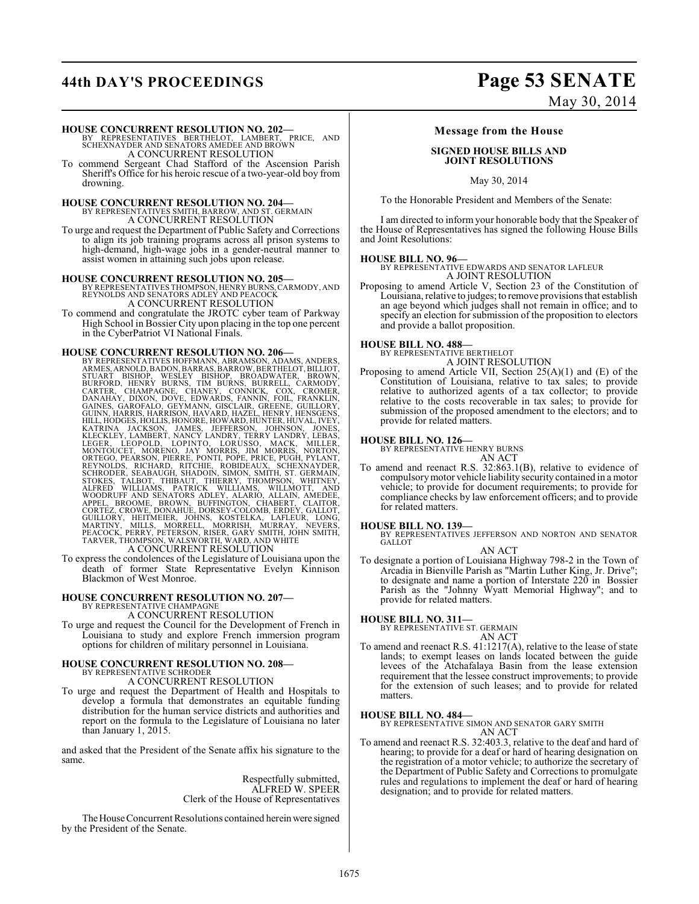# **44th DAY'S PROCEEDINGS Page 53 SENATE**

**HOUSE CONCURRENT RESOLUTION NO. 202—** BY REPRESENTATIVES BERTHELOT, LAMBERT, PRICE, AND SCHEXNAYDER AND SENATORS AMEDEE AND BROWN A CONCURRENT RESOLUTION

To commend Sergeant Chad Stafford of the Ascension Parish Sheriff's Office for his heroic rescue of a two-year-old boy from drowning.

# **HOUSE CONCURRENT RESOLUTION NO. 204—**<br>BY REPRESENTATIVES SMITH, BARROW, AND ST. GERMAIN A CONCURRENT RESOLUTION

To urge and request the Department of Public Safety and Corrections to align its job training programs across all prison systems to high-demand, high-wage jobs in a gender-neutral manner to assist women in attaining such jobs upon release.

**HOUSE CONCURRENT RESOLUTION NO. 205—** BY REPRESENTATIVES THOMPSON, HENRY BURNS, CARMODY, AND REYNOLDS AND SENATORS ADLEY AND PEACOCK A CONCURRENT RESOLUTION

To commend and congratulate the JROTC cyber team of Parkway High School in Bossier City upon placing in the top one percent

in the CyberPatriot VI National Finals.

**HOUSE CONCURRENT RESOLUTION NO. 206**<br>BY REPRESENTATIVES HOFFMANN, ABRAMSON, ADAMS, ANDERS,<br>ARMES, ARNOLD, BADON, BARRAS, BARROW, BENTHELOT, BILLIOT,<br>STUART BISHOP, WESLEY BISHOP, BRÒADWATER, BROWN,<br>BURFORD, HENRY BURRS, T HILL, HODGES, HOLLIS, HONORE, HOWARD, HUNTER, HUVAL, IVEY, KATRINA JACKSON, JOHNES, JEFFERSON, JOHNSON, JOHNSON, KEEGER, LEEGER, LEEGER, LEEGER, LEEGER, MORTOUCET, MORENO, LOPINTO, LORUSSOO, MACK, MILLER, NORTOON, DONTOONT A CONCURRENT RESOLUTION

To express the condolences of the Legislature of Louisiana upon the death of former State Representative Evelyn Kinnison Blackmon of West Monroe.

#### **HOUSE CONCURRENT RESOLUTION NO. 207—** BY REPRESENTATIVE CHAMPAGNE

A CONCURRENT RESOLUTION

To urge and request the Council for the Development of French in Louisiana to study and explore French immersion program options for children of military personnel in Louisiana.

### **HOUSE CONCURRENT RESOLUTION NO. 208—** BY REPRESENTATIVE SCHRODER A CONCURRENT RESOLUTION

To urge and request the Department of Health and Hospitals to develop a formula that demonstrates an equitable funding distribution for the human service districts and authorities and report on the formula to the Legislature of Louisiana no later than January 1, 2015.

and asked that the President of the Senate affix his signature to the same.

> Respectfully submitted, ALFRED W. SPEER Clerk of the House of Representatives

The House Concurrent Resolutions contained herein were signed by the President of the Senate.

# May 30, 2014

#### **Message from the House**

#### **SIGNED HOUSE BILLS AND JOINT RESOLUTIONS**

May 30, 2014

To the Honorable President and Members of the Senate:

I am directed to inform your honorable body that the Speaker of the House of Representatives has signed the following House Bills and Joint Resolutions:

#### **HOUSE BILL NO. 96—**

BY REPRESENTATIVE EDWARDS AND SENATOR LAFLEUR A JOINT RESOLUTION

Proposing to amend Article V, Section 23 of the Constitution of Louisiana, relative to judges; to remove provisions that establish an age beyond which judges shall not remain in office; and to specify an election for submission of the proposition to electors and provide a ballot proposition.

# **HOUSE BILL NO. 488—** BY REPRESENTATIVE BERTHELOT

A JOINT RESOLUTION

Proposing to amend Article VII, Section 25(A)(1) and (E) of the Constitution of Louisiana, relative to tax sales; to provide relative to authorized agents of a tax collector; to provide relative to the costs recoverable in tax sales; to provide for submission of the proposed amendment to the electors; and to provide for related matters.

#### **HOUSE BILL NO. 126—**

BY REPRESENTATIVE HENRY BURNS

- AN ACT
- To amend and reenact R.S. 32:863.1(B), relative to evidence of compulsory motor vehicle liability security contained in a motor vehicle; to provide for document requirements; to provide for compliance checks by law enforcement officers; and to provide for related matters.

#### **HOUSE BILL NO. 139—**

BY REPRESENTATIVES JEFFERSON AND NORTON AND SENATOR GALLOT AN ACT

To designate a portion of Louisiana Highway 798-2 in the Town of Arcadia in Bienville Parish as "Martin Luther King, Jr. Drive"; to designate and name a portion of Interstate 220 in Bossier Parish as the "Johnny Wyatt Memorial Highway"; and to provide for related matters.

**HOUSE BILL NO. 311—** BY REPRESENTATIVE ST. GERMAIN AN ACT

To amend and reenact R.S. 41:1217(A), relative to the lease of state lands; to exempt leases on lands located between the guide levees of the Atchafalaya Basin from the lease extension requirement that the lessee construct improvements; to provide for the extension of such leases; and to provide for related matters.

#### **HOUSE BILL NO. 484—**

BY REPRESENTATIVE SIMON AND SENATOR GARY SMITH AN ACT

To amend and reenact R.S. 32:403.3, relative to the deaf and hard of hearing; to provide for a deaf or hard of hearing designation on the registration of a motor vehicle; to authorize the secretary of the Department of Public Safety and Corrections to promulgate rules and regulations to implement the deaf or hard of hearing designation; and to provide for related matters.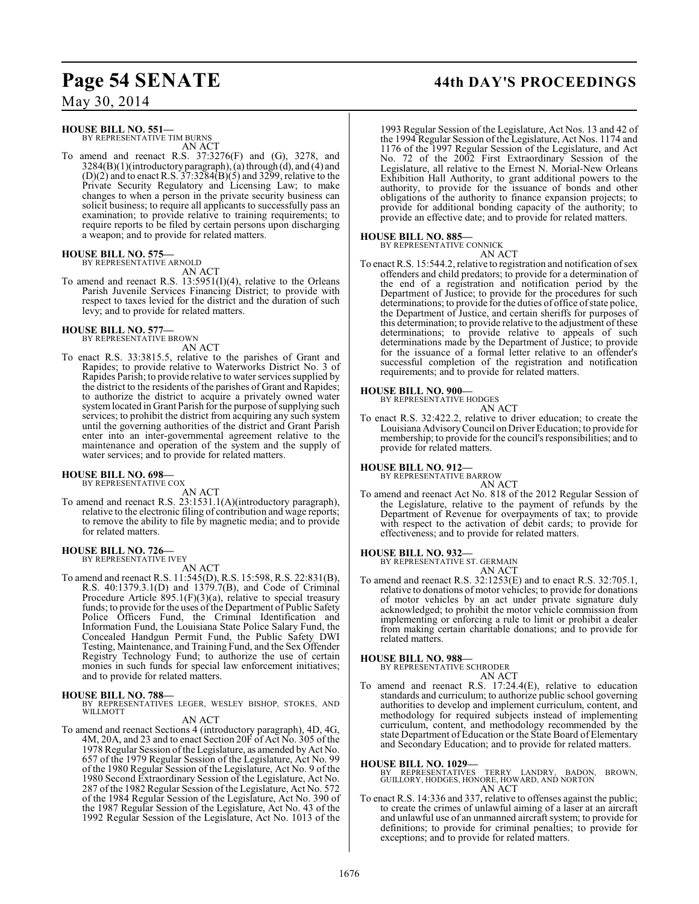### **HOUSE BILL NO. 551—**

BY REPRESENTATIVE TIM BURNS AN ACT

To amend and reenact R.S. 37:3276(F) and (G), 3278, and 3284(B)(1)(introductory paragraph), (a) through (d), and (4) and  $(D)(2)$  and to enact R.S. 37:3284 $(B)(5)$  and 3299, relative to the Private Security Regulatory and Licensing Law; to make changes to when a person in the private security business can solicit business; to require all applicants to successfully pass an examination; to provide relative to training requirements; to require reports to be filed by certain persons upon discharging a weapon; and to provide for related matters.

# **HOUSE BILL NO. 575—** BY REPRESENTATIVE ARNOLD

AN ACT

To amend and reenact R.S.  $13:5951(I)(4)$ , relative to the Orleans Parish Juvenile Services Financing District; to provide with respect to taxes levied for the district and the duration of such levy; and to provide for related matters.

# **HOUSE BILL NO. 577—** BY REPRESENTATIVE BROWN

AN ACT

To enact R.S. 33:3815.5, relative to the parishes of Grant and Rapides; to provide relative to Waterworks District No. 3 of Rapides Parish; to provide relative to water services supplied by the district to the residents of the parishes of Grant and Rapides; to authorize the district to acquire a privately owned water system located in Grant Parish for the purpose of supplying such services; to prohibit the district from acquiring any such system until the governing authorities of the district and Grant Parish enter into an inter-governmental agreement relative to the maintenance and operation of the system and the supply of water services; and to provide for related matters.

### **HOUSE BILL NO. 698—** BY REPRESENTATIVE COX

AN ACT

To amend and reenact R.S. 23:1531.1(A)(introductory paragraph), relative to the electronic filing of contribution and wage reports; to remove the ability to file by magnetic media; and to provide for related matters.

#### **HOUSE BILL NO. 726—**

BY REPRESENTATIVE IVEY

- AN ACT
- To amend and reenact R.S. 11:545(D), R.S. 15:598, R.S. 22:831(B), R.S. 40:1379.3.1(D) and 1379.7(B), and Code of Criminal Procedure Article  $895.1(F)(3)(a)$ , relative to special treasury funds; to provide for the uses of the Department of Public Safety Police Officers Fund, the Criminal Identification and Information Fund, the Louisiana State Police Salary Fund, the Concealed Handgun Permit Fund, the Public Safety DWI Testing, Maintenance, and Training Fund, and the Sex Offender Registry Technology Fund; to authorize the use of certain monies in such funds for special law enforcement initiatives; and to provide for related matters.

#### **HOUSE BILL NO. 788—**

BY REPRESENTATIVES LEGER, WESLEY BISHOP, STOKES, AND WILLMOTT

AN ACT

To amend and reenact Sections 4 (introductory paragraph), 4D, 4G, 4M, 20A, and 23 and to enact Section 20F of Act No. 305 of the 1978 Regular Session of the Legislature, as amended by Act No. 657 of the 1979 Regular Session of the Legislature, Act No. 99 of the 1980 Regular Session of the Legislature, Act No. 9 of the 1980 Second Extraordinary Session of the Legislature, Act No. 287 of the 1982 Regular Session of the Legislature, Act No. 572 of the 1984 Regular Session of the Legislature, Act No. 390 of the 1987 Regular Session of the Legislature, Act No. 43 of the 1992 Regular Session of the Legislature, Act No. 1013 of the

### **Page 54 SENATE 44th DAY'S PROCEEDINGS**

1993 Regular Session of the Legislature, Act Nos. 13 and 42 of the 1994 Regular Session of the Legislature, Act Nos. 1174 and 1176 of the 1997 Regular Session of the Legislature, and Act No. 72 of the 2002 First Extraordinary Session of the Legislature, all relative to the Ernest N. Morial-New Orleans Exhibition Hall Authority, to grant additional powers to the authority, to provide for the issuance of bonds and other obligations of the authority to finance expansion projects; to provide for additional bonding capacity of the authority; to provide an effective date; and to provide for related matters.

#### **HOUSE BILL NO. 885—**

BY REPRESENTATIVE CONNICK

AN ACT To enact R.S. 15:544.2, relative to registration and notification of sex offenders and child predators; to provide for a determination of the end of a registration and notification period by the Department of Justice; to provide for the procedures for such determinations; to provide for the duties of office of state police, the Department of Justice, and certain sheriffs for purposes of this determination; to provide relative to the adjustment of these determinations; to provide relative to appeals of such determinations made by the Department of Justice; to provide for the issuance of a formal letter relative to an offender's successful completion of the registration and notification requirements; and to provide for related matters.

# **HOUSE BILL NO. 900—** BY REPRESENTATIVE HODGES

AN ACT

To enact R.S. 32:422.2, relative to driver education; to create the Louisiana AdvisoryCouncil on DriverEducation; to provide for membership; to provide for the council's responsibilities; and to provide for related matters.

#### **HOUSE BILL NO. 912—**

BY REPRESENTATIVE BARROW AN ACT

To amend and reenact Act No. 818 of the 2012 Regular Session of the Legislature, relative to the payment of refunds by the Department of Revenue for overpayments of tax; to provide with respect to the activation of debit cards; to provide for effectiveness; and to provide for related matters.

#### **HOUSE BILL NO. 932—**

BY REPRESENTATIVE ST. GERMAIN

- AN ACT
- To amend and reenact R.S. 32:1253(E) and to enact R.S. 32:705.1, relative to donations of motor vehicles; to provide for donations of motor vehicles by an act under private signature duly acknowledged; to prohibit the motor vehicle commission from implementing or enforcing a rule to limit or prohibit a dealer from making certain charitable donations; and to provide for related matters.

**HOUSE BILL NO. 988—** BY REPRESENTATIVE SCHRODER AN ACT

To amend and reenact R.S. 17:24.4(E), relative to education standards and curriculum; to authorize public school governing authorities to develop and implement curriculum, content, and methodology for required subjects instead of implementing curriculum, content, and methodology recommended by the state Department of Education or the State Board of Elementary and Secondary Education; and to provide for related matters.

#### **HOUSE BILL NO. 1029—**

BY REPRESENTATIVES TERRY LANDRY, BADON, BROWN, GUILLORY, HODGES, HONORE, HOWARD, AND NORTON AN ACT

To enact R.S. 14:336 and 337, relative to offenses against the public; to create the crimes of unlawful aiming of a laser at an aircraft and unlawful use of an unmanned aircraft system; to provide for definitions; to provide for criminal penalties; to provide for exceptions; and to provide for related matters.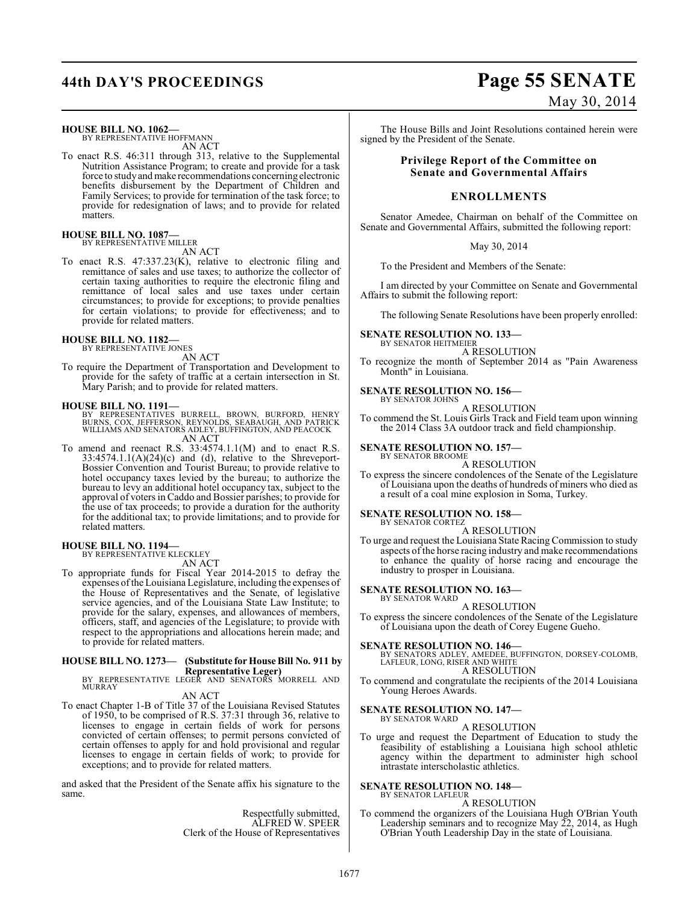#### **HOUSE BILL NO. 1062—**

BY REPRESENTATIVE HOFFMANN AN ACT

To enact R.S. 46:311 through 313, relative to the Supplemental Nutrition Assistance Program; to create and provide for a task force to study and make recommendations concerning electronic benefits disbursement by the Department of Children and Family Services; to provide for termination of the task force; to provide for redesignation of laws; and to provide for related matters.

### **HOUSE BILL NO. 1087—** BY REPRESENTATIVE MILLER

AN ACT

To enact R.S. 47:337.23(K), relative to electronic filing and remittance of sales and use taxes; to authorize the collector of certain taxing authorities to require the electronic filing and remittance of local sales and use taxes under certain circumstances; to provide for exceptions; to provide penalties for certain violations; to provide for effectiveness; and to provide for related matters.

#### **HOUSE BILL NO. 1182—** BY REPRESENTATIVE JONES

AN ACT

To require the Department of Transportation and Development to provide for the safety of traffic at a certain intersection in St. Mary Parish; and to provide for related matters.

#### **HOUSE BILL NO. 1191—**

- BY REPRESENTATIVES BURRELL, BROWN, BURFORD, HENRY<br>BURNS, COX, JEFFERSON, REYNOLDS, SEABAUGH, AND PATRICK<br>WILLIAMS AND SENATORS ADLEY,BUFFINGTON,AND PEACOCK AN ACT
- To amend and reenact R.S. 33:4574.1.1(M) and to enact R.S.  $33:4574.1.1(A)(24)(c)$  and (d), relative to the Shreveport-Bossier Convention and Tourist Bureau; to provide relative to hotel occupancy taxes levied by the bureau; to authorize the bureau to levy an additional hotel occupancy tax, subject to the approval of voters in Caddo and Bossier parishes; to provide for the use of tax proceeds; to provide a duration for the authority for the additional tax; to provide limitations; and to provide for related matters.

#### **HOUSE BILL NO. 1194—**

BY REPRESENTATIVE KLECKLEY

AN ACT

To appropriate funds for Fiscal Year 2014-2015 to defray the expenses of the Louisiana Legislature, including the expenses of the House of Representatives and the Senate, of legislative service agencies, and of the Louisiana State Law Institute; to provide for the salary, expenses, and allowances of members, officers, staff, and agencies of the Legislature; to provide with respect to the appropriations and allocations herein made; and to provide for related matters.

### **HOUSE BILL NO. 1273— (Substitute for House Bill No. 911 by**

**Representative Leger)** BY REPRESENTATIVE LEGER AND SENATORS MORRELL AND MURRAY

AN ACT

To enact Chapter 1-B of Title 37 of the Louisiana Revised Statutes of 1950, to be comprised of R.S. 37:31 through 36, relative to licenses to engage in certain fields of work for persons convicted of certain offenses; to permit persons convicted of certain offenses to apply for and hold provisional and regular licenses to engage in certain fields of work; to provide for exceptions; and to provide for related matters.

and asked that the President of the Senate affix his signature to the same.

> Respectfully submitted, ALFRED W. SPEER Clerk of the House of Representatives

# **44th DAY'S PROCEEDINGS Page 55 SENATE** May 30, 2014

The House Bills and Joint Resolutions contained herein were signed by the President of the Senate.

#### **Privilege Report of the Committee on Senate and Governmental Affairs**

#### **ENROLLMENTS**

Senator Amedee, Chairman on behalf of the Committee on Senate and Governmental Affairs, submitted the following report:

May 30, 2014

To the President and Members of the Senate:

I am directed by your Committee on Senate and Governmental Affairs to submit the following report:

The following Senate Resolutions have been properly enrolled:

#### **SENATE RESOLUTION NO. 133—** BY SENATOR HEITMEIER

A RESOLUTION

To recognize the month of September 2014 as "Pain Awareness Month" in Louisiana.

#### **SENATE RESOLUTION NO. 156—** BY SENATOR JOHNS

A RESOLUTION

To commend the St. Louis Girls Track and Field team upon winning the 2014 Class 3A outdoor track and field championship.

#### **SENATE RESOLUTION NO. 157—** BY SENATOR BROOME

A RESOLUTION

To express the sincere condolences of the Senate of the Legislature of Louisiana upon the deaths of hundreds of miners who died as a result of a coal mine explosion in Soma, Turkey.

# **SENATE RESOLUTION NO. 158—** BY SENATOR CORTEZ

A RESOLUTION

To urge and request the Louisiana State Racing Commission to study aspects of the horse racing industry and make recommendations to enhance the quality of horse racing and encourage the industry to prosper in Louisiana.

#### **SENATE RESOLUTION NO. 163—** BY SENATOR WARD

A RESOLUTION

To express the sincere condolences of the Senate of the Legislature of Louisiana upon the death of Corey Eugene Gueho.

**SENATE RESOLUTION NO. 146—**<br>BY SENATORS ADLEY, AMEDEE, BUFFINGTON, DORSEY-COLOMB,<br>LAFLEUR, LONG, RISER AND WHITE A RESOLUTION

To commend and congratulate the recipients of the 2014 Louisiana Young Heroes Awards.

#### **SENATE RESOLUTION NO. 147—** BY SENATOR WARD

A RESOLUTION

To urge and request the Department of Education to study the feasibility of establishing a Louisiana high school athletic agency within the department to administer high school intrastate interscholastic athletics.

#### **SENATE RESOLUTION NO. 148—** BY SENATOR LAFLEUR

A RESOLUTION

To commend the organizers of the Louisiana Hugh O'Brian Youth Leadership seminars and to recognize May 22, 2014, as Hugh O'Brian Youth Leadership Day in the state of Louisiana.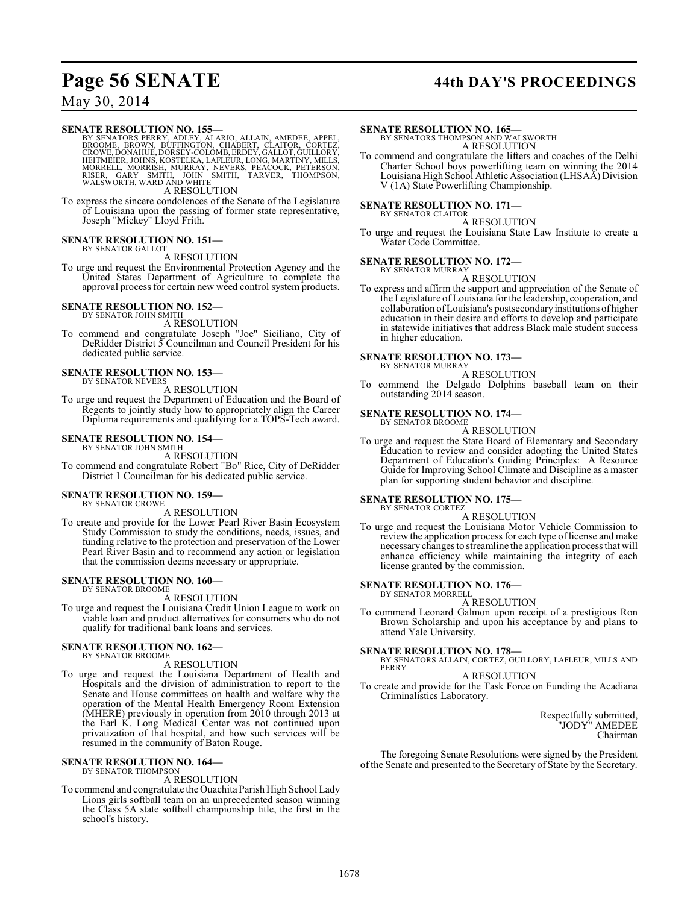## **Page 56 SENATE 44th DAY'S PROCEEDINGS**

### May 30, 2014

#### **SENATE RESOLUTION NO. 155—**

BY SENATORS PERRY, ADLEY, ALARIO, ALLAIN, AMEDEE, APPEL,<br>BROOME, BROWN, BUFFINGTON, CHABERT, CLAITOR, CORTEZ,<br>CROWE, DONAHUE, DORSEY-COLOMB, ERDEY, GALLOT, GUILLORY,<br>HEITMEIER, JOHNS, KOSTELKA, LAFLEUR, LONG, MARTINY, MORRELL, MORRISH, MURRAY, NEVERS, PEACOCK, PETERSON,<br>RISER, GARY SMITH, JOHN SMITH, TARVER, THOMPSON,<br>WALSWORTH, WARD AND WHITE

A RESOLUTION

To express the sincere condolences of the Senate of the Legislature of Louisiana upon the passing of former state representative, Joseph "Mickey" Lloyd Frith.

#### **SENATE RESOLUTION NO. 151—** BY SENATOR GALLOT

### A RESOLUTION

To urge and request the Environmental Protection Agency and the United States Department of Agriculture to complete the approval process for certain new weed control system products.

#### **SENATE RESOLUTION NO. 152—** BY SENATOR JOHN SMITH

A RESOLUTION

To commend and congratulate Joseph "Joe" Siciliano, City of DeRidder District 5 Councilman and Council President for his dedicated public service.

#### **SENATE RESOLUTION NO. 153—** BY SENATOR NEVERS

A RESOLUTION

To urge and request the Department of Education and the Board of Regents to jointly study how to appropriately align the Career Diploma requirements and qualifying for a TOPS-Tech award.

#### **SENATE RESOLUTION NO. 154—**

BY SENATOR JOHN SMITH A RESOLUTION

To commend and congratulate Robert "Bo" Rice, City of DeRidder District 1 Councilman for his dedicated public service.

#### **SENATE RESOLUTION NO. 159—** BY SENATOR CROWE

A RESOLUTION

To create and provide for the Lower Pearl River Basin Ecosystem Study Commission to study the conditions, needs, issues, and funding relative to the protection and preservation of the Lower Pearl River Basin and to recommend any action or legislation that the commission deems necessary or appropriate.

#### **SENATE RESOLUTION NO. 160—** BY SENATOR BROOME

A RESOLUTION

To urge and request the Louisiana Credit Union League to work on viable loan and product alternatives for consumers who do not qualify for traditional bank loans and services.

#### **SENATE RESOLUTION NO. 162—** BY SENATOR BROOME

A RESOLUTION

To urge and request the Louisiana Department of Health and Hospitals and the division of administration to report to the Senate and House committees on health and welfare why the operation of the Mental Health Emergency Room Extension (MHERE) previously in operation from 2010 through 2013 at the Earl K. Long Medical Center was not continued upon privatization of that hospital, and how such services will be resumed in the community of Baton Rouge.

# **SENATE RESOLUTION NO. 164—** BY SENATOR THOMPSON

A RESOLUTION

To commend and congratulate the Ouachita Parish High School Lady Lions girls softball team on an unprecedented season winning the Class 5A state softball championship title, the first in the school's history.

#### **SENATE RESOLUTION NO. 165—**

BY SENATORS THOMPSON AND WALSWORTH A RESOLUTION

To commend and congratulate the lifters and coaches of the Delhi Charter School boys powerlifting team on winning the 2014 Louisiana High School Athletic Association (LHSAA) Division V (1A) State Powerlifting Championship.

### **SENATE RESOLUTION NO. 171—**

BY SENATOR CLAITOR A RESOLUTION

To urge and request the Louisiana State Law Institute to create a Water Code Committee.

#### **SENATE RESOLUTION NO. 172—**

BY SENATOR MURRAY A RESOLUTION

To express and affirm the support and appreciation of the Senate of the Legislature of Louisiana for the leadership, cooperation, and collaboration of Louisiana's postsecondary institutions of higher education in their desire and efforts to develop and participate in statewide initiatives that address Black male student success in higher education.

**SENATE RESOLUTION NO. 173—**

BY SENATOR MURRAY A RESOLUTION

To commend the Delgado Dolphins baseball team on their outstanding 2014 season.

#### **SENATE RESOLUTION NO. 174—**

BY SENATOR BROOME A RESOLUTION

To urge and request the State Board of Elementary and Secondary Education to review and consider adopting the United States Department of Education's Guiding Principles: A Resource Guide for Improving School Climate and Discipline as a master plan for supporting student behavior and discipline.

#### **SENATE RESOLUTION NO. 175—**

BY SENATOR CORTEZ A RESOLUTION

To urge and request the Louisiana Motor Vehicle Commission to review the application process for each type of license and make necessary changes to streamline the application process that will enhance efficiency while maintaining the integrity of each license granted by the commission.

#### **SENATE RESOLUTION NO. 176—** BY SENATOR MORRELL

#### A RESOLUTION

To commend Leonard Galmon upon receipt of a prestigious Ron Brown Scholarship and upon his acceptance by and plans to attend Yale University.

**SENATE RESOLUTION NO. 178—** BY SENATORS ALLAIN, CORTEZ, GUILLORY, LAFLEUR, MILLS AND PERRY

### A RESOLUTION

To create and provide for the Task Force on Funding the Acadiana Criminalistics Laboratory.

> Respectfully submitted, "JODY" AMEDEE Chairman

The foregoing Senate Resolutions were signed by the President of the Senate and presented to the Secretary of State by the Secretary.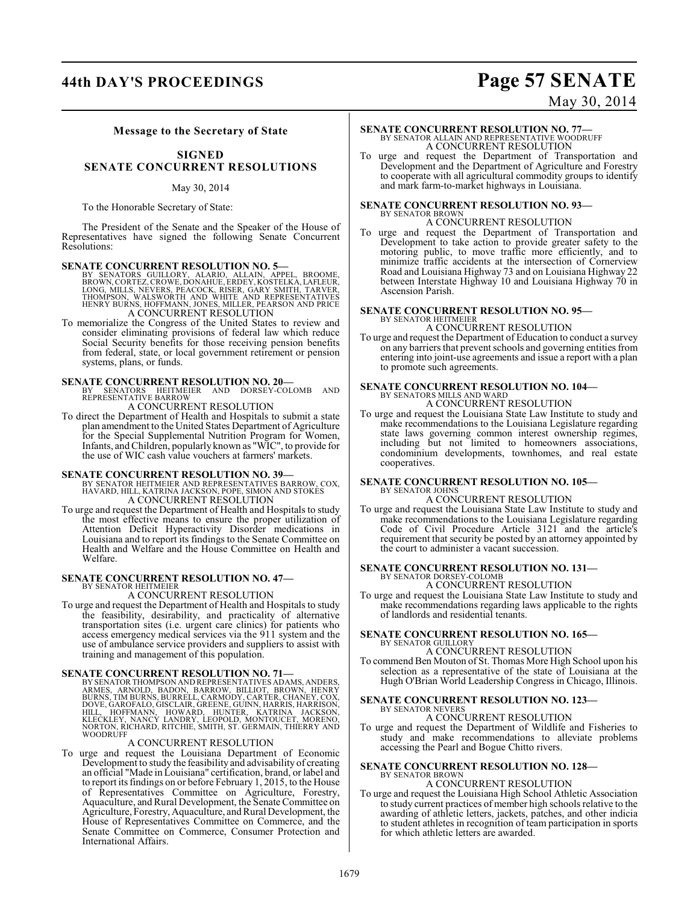### **44th DAY'S PROCEEDINGS Page 57 SENATE**

# May 30, 2014

#### **Message to the Secretary of State**

#### **SIGNED SENATE CONCURRENT RESOLUTIONS**

#### May 30, 2014

To the Honorable Secretary of State:

The President of the Senate and the Speaker of the House of Representatives have signed the following Senate Concurrent Resolutions:

- **SENATE CONCURRENT RESOLUTION NO. 5**<br>BY SENATORS GUILLORY, ALARIO, ALLAIN, APPEL, BROOME,<br>BROWN, CORTEZ, CROWE, DONAHUE, ERDEY, KOSTELKA, LAFLEUR,<br>LONG, MILLS, NÉVERS, PEACOCK, RISER, GARY SMITH, TARVER,<br>THOMPSON, WALSWORT A CONCURRENT RESOLUTION
- To memorialize the Congress of the United States to review and consider eliminating provisions of federal law which reduce Social Security benefits for those receiving pension benefits from federal, state, or local government retirement or pension systems, plans, or funds.

**SENATE CONCURRENT RESOLUTION NO. 20—**<br>BY SENATORS HEITMEIER AND DORSEY-COLOMB AND<br>REPRESENTATIVE BARROW A CONCURRENT RESOLUTION

To direct the Department of Health and Hospitals to submit a state plan amendment to the United States Department of Agriculture for the Special Supplemental Nutrition Program for Women, Infants, and Children, popularly known as "WIC", to provide for the use of WIC cash value vouchers at farmers' markets.

#### **SENATE CONCURRENT RESOLUTION NO. 39—**

- BY SENATOR HEITMEIER AND REPRESENTATIVES BARROW, COX, HAVARD, HILL, KATRINA JACKSON, POPE, SIMON AND STOKES A CONCURRENT RESOLUTION
- To urge and request the Department of Health and Hospitals to study the most effective means to ensure the proper utilization of Attention Deficit Hyperactivity Disorder medications in Louisiana and to report its findings to the Senate Committee on Health and Welfare and the House Committee on Health and Welfare.

#### **SENATE CONCURRENT RESOLUTION NO. 47—** BY SENATOR HEITMEIER

### A CONCURRENT RESOLUTION

To urge and request the Department of Health and Hospitals to study the feasibility, desirability, and practicality of alternative transportation sites (i.e. urgent care clinics) for patients who access emergency medical services via the 911 system and the use of ambulance service providers and suppliers to assist with training and management of this population.

#### **SENATE CONCURRENT RESOLUTION NO. 71—**

BY SENATOR THOMPSON AND REPRESENTATIVES ADAMS, ANDERS, ARNOLD, BADON, BARROW, BILLIOT, BROWN, HENRY<br>ARMES, ARNOLD, BADON, BARROW, BILLIOT, BROWN, HENRY<br>BURNS, TIM BURNS, BURRELL, CARMODY, CARTER, CHANEY, COX,<br>DOVE, GAROFAL WOODRUFF

#### A CONCURRENT RESOLUTION

To urge and request the Louisiana Department of Economic Development to study the feasibility and advisability of creating an official "Made in Louisiana" certification, brand, or label and to report its findings on or before February 1, 2015, to the House of Representatives Committee on Agriculture, Forestry, Aquaculture, and Rural Development, the Senate Committee on Agriculture, Forestry, Aquaculture, and Rural Development, the House of Representatives Committee on Commerce, and the Senate Committee on Commerce, Consumer Protection and International Affairs.

# **SENATE CONCURRENT RESOLUTION NO. 77—**<br>BY SENATOR ALLAIN AND REPRESENTATIVE WOODRUFF A CONCURRENT RESOLUTION

To urge and request the Department of Transportation and Development and the Department of Agriculture and Forestry to cooperate with all agricultural commodity groups to identify and mark farm-to-market highways in Louisiana.

# **SENATE CONCURRENT RESOLUTION NO. 93—** BY SENATOR BROWN

#### A CONCURRENT RESOLUTION

To urge and request the Department of Transportation and Development to take action to provide greater safety to the motoring public, to move traffic more efficiently, and to minimize traffic accidents at the intersection of Cornerview Road and Louisiana Highway 73 and on Louisiana Highway 22 between Interstate Highway 10 and Louisiana Highway 70 in Ascension Parish.

#### **SENATE CONCURRENT RESOLUTION NO. 95—** BY SENATOR HEITMEIER

A CONCURRENT RESOLUTION

To urge and request the Department of Education to conduct a survey on any barriers that prevent schools and governing entities from entering into joint-use agreements and issue a report with a plan to promote such agreements.

### **SENATE CONCURRENT RESOLUTION NO. 104—** BY SENATORS MILLS AND WARD A CONCURRENT RESOLUTION

To urge and request the Louisiana State Law Institute to study and make recommendations to the Louisiana Legislature regarding state laws governing common interest ownership regimes, including but not limited to homeowners associations, condominium developments, townhomes, and real estate cooperatives.

#### **SENATE CONCURRENT RESOLUTION NO. 105—** BY SENATOR JOHNS

A CONCURRENT RESOLUTION

To urge and request the Louisiana State Law Institute to study and make recommendations to the Louisiana Legislature regarding Code of Civil Procedure Article 3121 and the article's requirement that security be posted by an attorney appointed by the court to administer a vacant succession.

## **SENATE CONCURRENT RESOLUTION NO. 131—** BY SENATOR DORSEY-COLOMB

A CONCURRENT RESOLUTION

To urge and request the Louisiana State Law Institute to study and make recommendations regarding laws applicable to the rights of landlords and residential tenants.

#### **SENATE CONCURRENT RESOLUTION NO. 165—** BY SENATOR GUILLORY

A CONCURRENT RESOLUTION

To commend Ben Mouton of St. Thomas More High School upon his selection as a representative of the state of Louisiana at the Hugh O'Brian World Leadership Congress in Chicago, Illinois.

#### **SENATE CONCURRENT RESOLUTION NO. 123—** BY SENATOR NEVERS

#### A CONCURRENT RESOLUTION

To urge and request the Department of Wildlife and Fisheries to study and make recommendations to alleviate problems accessing the Pearl and Bogue Chitto rivers.

#### **SENATE CONCURRENT RESOLUTION NO. 128—** BY SENATOR BROWN A CONCURRENT RESOLUTION

To urge and request the Louisiana High School Athletic Association to study current practices of member high schools relative to the awarding of athletic letters, jackets, patches, and other indicia to student athletes in recognition of team participation in sports for which athletic letters are awarded.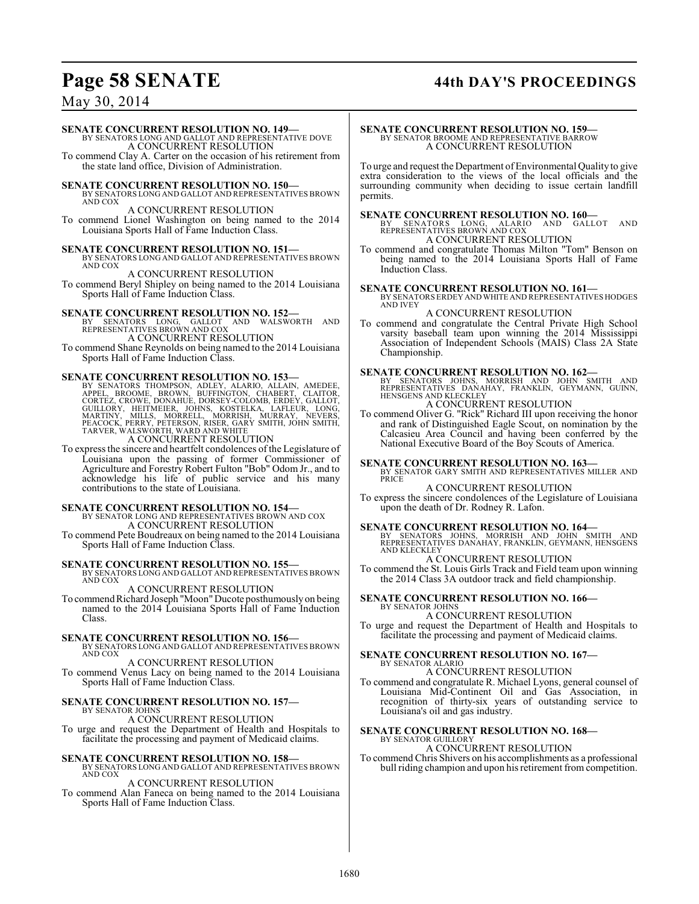### **Page 58 SENATE 44th DAY'S PROCEEDINGS**

May 30, 2014

### **SENATE CONCURRENT RESOLUTION NO. 149—**

BY SENATORS LONG AND GALLOT AND REPRESENTATIVE DOVE A CONCURRENT RESOLUTION

To commend Clay A. Carter on the occasion of his retirement from the state land office, Division of Administration.

**SENATE CONCURRENT RESOLUTION NO. 150—** BY SENATORS LONG AND GALLOT AND REPRESENTATIVES BROWN AND COX

### A CONCURRENT RESOLUTION

To commend Lionel Washington on being named to the 2014 Louisiana Sports Hall of Fame Induction Class.

**SENATE CONCURRENT RESOLUTION NO. 151—**<br>BY SENATORS LONG AND GALLOT AND REPRESENTATIVES BROWN<br>AND COX

A CONCURRENT RESOLUTION

To commend Beryl Shipley on being named to the 2014 Louisiana Sports Hall of Fame Induction Class.

#### **SENATE CONCURRENT RESOLUTION NO. 152—**

BY SENATORS LONG, GALLOT AND WALSWORTH AND REPRESENTATIVES BROWN AND COX

A CONCURRENT RESOLUTION

To commend Shane Reynolds on being named to the 2014 Louisiana Sports Hall of Fame Induction Class.

**SENATE CONCURRENT RESOLUTION NO. 153—**<br>BY SENATORS THOMPSON, ADLEY, ALARIO, ALLAIN, AMEDEE, BROOME, BROWE, DROWE, DENINGTON, CHABERT, CLAITOR,<br>CORTEZ, CROWE, DONAHUE, DORSEY-COLOMB, ERDEY, GALLOT,<br>GUILLORY, HEITMEIER, JOH

A CONCURRENT RESOLUTION

To express the sincere and heartfelt condolences of the Legislature of Louisiana upon the passing of former Commissioner of Agriculture and Forestry Robert Fulton "Bob" Odom Jr., and to acknowledge his life of public service and his many contributions to the state of Louisiana.

### **SENATE CONCURRENT RESOLUTION NO. 154—** BY SENATOR LONG AND REPRESENTATIVES BROWN AND COX A CONCURRENT RESOLUTION

To commend Pete Boudreaux on being named to the 2014 Louisiana Sports Hall of Fame Induction Class.

**SENATE CONCURRENT RESOLUTION NO. 155—** BY SENATORS LONG AND GALLOT AND REPRESENTATIVES BROWN AND COX

A CONCURRENT RESOLUTION

To commend Richard Joseph "Moon" Ducote posthumously on being named to the 2014 Louisiana Sports Hall of Fame Induction Class.

#### **SENATE CONCURRENT RESOLUTION NO. 156—**

BY SENATORS LONG AND GALLOT AND REPRESENTATIVES BROWN AND COX

#### A CONCURRENT RESOLUTION

To commend Venus Lacy on being named to the 2014 Louisiana Sports Hall of Fame Induction Class.

#### **SENATE CONCURRENT RESOLUTION NO. 157—** BY SENATOR JOHNS

A CONCURRENT RESOLUTION

To urge and request the Department of Health and Hospitals to facilitate the processing and payment of Medicaid claims.

#### **SENATE CONCURRENT RESOLUTION NO. 158—** BY SENATORS LONG AND GALLOT AND REPRESENTATIVES BROWN

AND COX

A CONCURRENT RESOLUTION

To commend Alan Faneca on being named to the 2014 Louisiana Sports Hall of Fame Induction Class.

### **SENATE CONCURRENT RESOLUTION NO. 159** BY SENATOR BROOME AND REPRESENTATIVE BARROW A CONCURRENT RESOLUTION

To urge and request the Department of Environmental Quality to give extra consideration to the views of the local officials and the surrounding community when deciding to issue certain landfill permits.

**SENATE CONCURRENT RESOLUTION NO. 160—**<br>BY SENATORS LONG, ALARIO AND GALLOT AND<br>REPRESENTATIVES BROWN AND COX A CONCURRENT RESOLUTION

To commend and congratulate Thomas Milton "Tom" Benson on being named to the 2014 Louisiana Sports Hall of Fame Induction Class.

### **SENATE CONCURRENT RESOLUTION NO. 161—** BY SENATORS ERDEY AND WHITE AND REPRESENTATIVES HODGES AND IVEY

A CONCURRENT RESOLUTION

To commend and congratulate the Central Private High School varsity baseball team upon winning the 2014 Mississippi Association of Independent Schools (MAIS) Class 2A State Championship.

**SENATE CONCURRENT RESOLUTION NO. 162—**<br>
BY SENATORS JOHNS, MORRISH AND JOHN SMITH AND<br>
REPRESENTATIVES DANAHAY, FRANKLIN, GEYMANN, GUINN,<br>HENSGENS AND KLECKLEY A CONCURRENT RESOLUTION

To commend Oliver G. "Rick" Richard III upon receiving the honor and rank of Distinguished Eagle Scout, on nomination by the Calcasieu Area Council and having been conferred by the National Executive Board of the Boy Scouts of America.

## **SENATE CONCURRENT RESOLUTION NO. 163—** BY SENATOR GARY SMITH AND REPRESENTATIVES MILLER AND

**PRICE** 

A CONCURRENT RESOLUTION To express the sincere condolences of the Legislature of Louisiana upon the death of Dr. Rodney R. Lafon.

**SENATE CONCURRENT RESOLUTION NO. 164—**<br>BY SENATORS JOHNS, MORRISH AND JOHN SMITH AND<br>REPRESENTATIVES DANAHAY, FRANKLIN, GEYMANN, HENSGENS AND KLECKLEY

A CONCURRENT RESOLUTION To commend the St. Louis Girls Track and Field team upon winning the 2014 Class 3A outdoor track and field championship.

#### **SENATE CONCURRENT RESOLUTION NO. 166—** BY SENATOR JOHNS

A CONCURRENT RESOLUTION To urge and request the Department of Health and Hospitals to facilitate the processing and payment of Medicaid claims.

### **SENATE CONCURRENT RESOLUTION NO. 167—** BY SENATOR ALARIO A CONCURRENT RESOLUTION

To commend and congratulate R. Michael Lyons, general counsel of Louisiana Mid-Continent Oil and Gas Association, in recognition of thirty-six years of outstanding service to Louisiana's oil and gas industry.

#### **SENATE CONCURRENT RESOLUTION NO. 168—** BY SENATOR GUILLORY

A CONCURRENT RESOLUTION To commend Chris Shivers on his accomplishments as a professional bull riding champion and upon his retirement from competition.